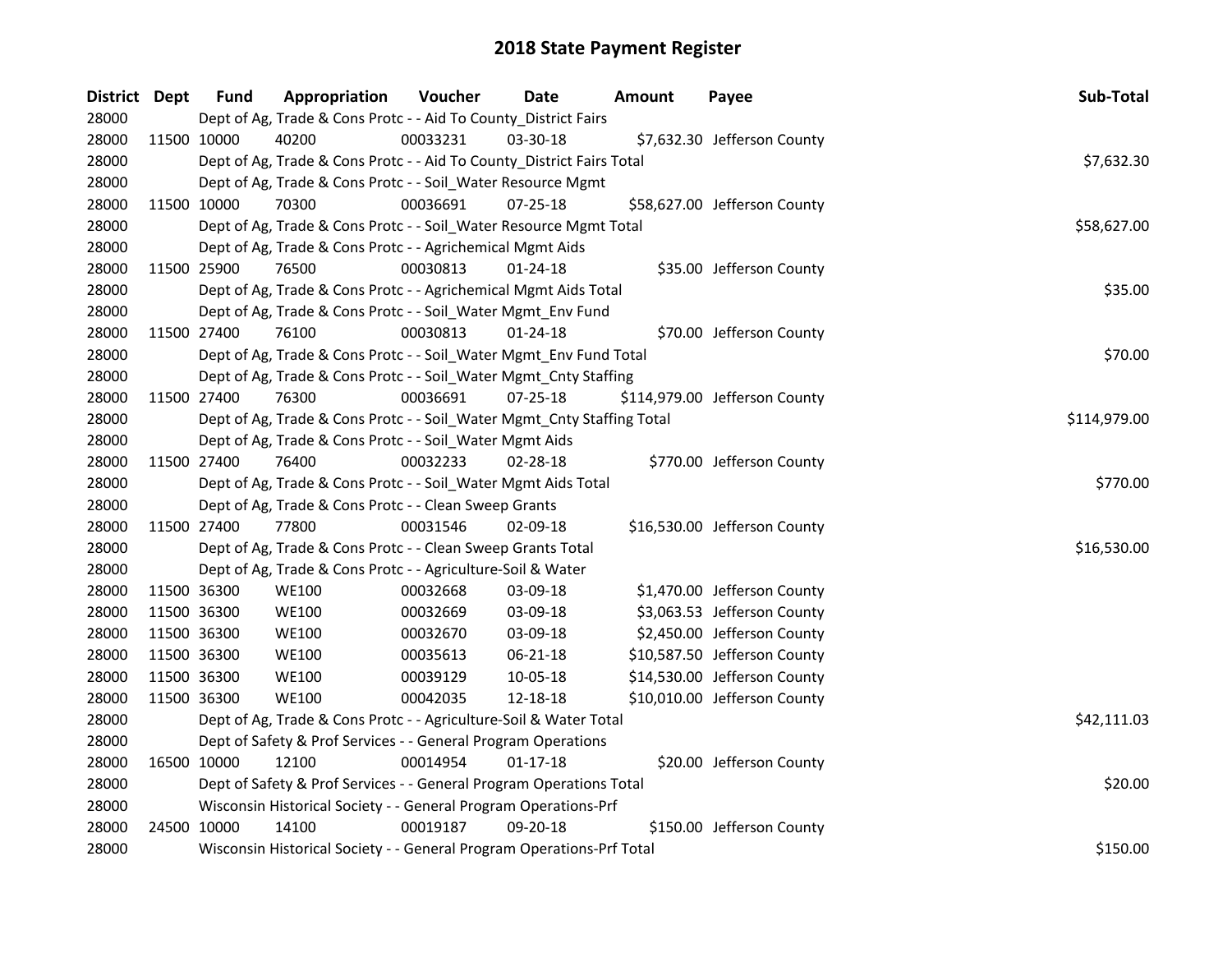| District Dept |             | <b>Fund</b>                                                     | Appropriation                                                          | Voucher  | Date           | <b>Amount</b> | Payee                         | Sub-Total    |
|---------------|-------------|-----------------------------------------------------------------|------------------------------------------------------------------------|----------|----------------|---------------|-------------------------------|--------------|
| 28000         |             |                                                                 | Dept of Ag, Trade & Cons Protc - - Aid To County_District Fairs        |          |                |               |                               |              |
| 28000         | 11500 10000 |                                                                 | 40200                                                                  | 00033231 | 03-30-18       |               | \$7,632.30 Jefferson County   |              |
| 28000         |             |                                                                 | Dept of Ag, Trade & Cons Protc - - Aid To County_District Fairs Total  |          |                |               |                               | \$7,632.30   |
| 28000         |             |                                                                 | Dept of Ag, Trade & Cons Protc - - Soil_Water Resource Mgmt            |          |                |               |                               |              |
| 28000         |             | 11500 10000                                                     | 70300                                                                  | 00036691 | $07 - 25 - 18$ |               | \$58,627.00 Jefferson County  |              |
| 28000         |             |                                                                 | Dept of Ag, Trade & Cons Protc - - Soil_Water Resource Mgmt Total      |          |                |               |                               | \$58,627.00  |
| 28000         |             |                                                                 | Dept of Ag, Trade & Cons Protc - - Agrichemical Mgmt Aids              |          |                |               |                               |              |
| 28000         | 11500 25900 |                                                                 | 76500                                                                  | 00030813 | $01 - 24 - 18$ |               | \$35.00 Jefferson County      |              |
| 28000         |             |                                                                 | Dept of Ag, Trade & Cons Protc - - Agrichemical Mgmt Aids Total        |          |                |               |                               | \$35.00      |
| 28000         |             |                                                                 | Dept of Ag, Trade & Cons Protc - - Soil_Water Mgmt_Env Fund            |          |                |               |                               |              |
| 28000         | 11500 27400 |                                                                 | 76100                                                                  | 00030813 | 01-24-18       |               | \$70.00 Jefferson County      |              |
| 28000         |             |                                                                 | Dept of Ag, Trade & Cons Protc - - Soil_Water Mgmt_Env Fund Total      |          |                |               |                               | \$70.00      |
| 28000         |             |                                                                 | Dept of Ag, Trade & Cons Protc - - Soil_Water Mgmt_Cnty Staffing       |          |                |               |                               |              |
| 28000         |             | 11500 27400                                                     | 76300                                                                  | 00036691 | $07 - 25 - 18$ |               | \$114,979.00 Jefferson County |              |
| 28000         |             |                                                                 | Dept of Ag, Trade & Cons Protc - - Soil_Water Mgmt_Cnty Staffing Total |          |                |               |                               | \$114,979.00 |
| 28000         |             |                                                                 | Dept of Ag, Trade & Cons Protc - - Soil_Water Mgmt Aids                |          |                |               |                               |              |
| 28000         | 11500 27400 |                                                                 | 76400                                                                  | 00032233 | 02-28-18       |               | \$770.00 Jefferson County     |              |
| 28000         |             |                                                                 | Dept of Ag, Trade & Cons Protc - - Soil_Water Mgmt Aids Total          |          |                |               |                               | \$770.00     |
| 28000         |             |                                                                 | Dept of Ag, Trade & Cons Protc - - Clean Sweep Grants                  |          |                |               |                               |              |
| 28000         | 11500 27400 |                                                                 | 77800                                                                  | 00031546 | 02-09-18       |               | \$16,530.00 Jefferson County  |              |
| 28000         |             |                                                                 | Dept of Ag, Trade & Cons Protc - - Clean Sweep Grants Total            |          |                |               |                               | \$16,530.00  |
| 28000         |             |                                                                 | Dept of Ag, Trade & Cons Protc - - Agriculture-Soil & Water            |          |                |               |                               |              |
| 28000         | 11500 36300 |                                                                 | <b>WE100</b>                                                           | 00032668 | 03-09-18       |               | \$1,470.00 Jefferson County   |              |
| 28000         | 11500 36300 |                                                                 | <b>WE100</b>                                                           | 00032669 | 03-09-18       |               | \$3,063.53 Jefferson County   |              |
| 28000         | 11500 36300 |                                                                 | <b>WE100</b>                                                           | 00032670 | 03-09-18       |               | \$2,450.00 Jefferson County   |              |
| 28000         | 11500 36300 |                                                                 | <b>WE100</b>                                                           | 00035613 | 06-21-18       |               | \$10,587.50 Jefferson County  |              |
| 28000         | 11500 36300 |                                                                 | <b>WE100</b>                                                           | 00039129 | 10-05-18       |               | \$14,530.00 Jefferson County  |              |
| 28000         | 11500 36300 |                                                                 | <b>WE100</b>                                                           | 00042035 | 12-18-18       |               | \$10,010.00 Jefferson County  |              |
| 28000         |             |                                                                 | Dept of Ag, Trade & Cons Protc - - Agriculture-Soil & Water Total      |          |                |               |                               | \$42,111.03  |
| 28000         |             |                                                                 | Dept of Safety & Prof Services - - General Program Operations          |          |                |               |                               |              |
| 28000         | 16500 10000 |                                                                 | 12100                                                                  | 00014954 | $01 - 17 - 18$ |               | \$20.00 Jefferson County      |              |
| 28000         |             |                                                                 | Dept of Safety & Prof Services - - General Program Operations Total    |          |                |               |                               | \$20.00      |
| 28000         |             | Wisconsin Historical Society - - General Program Operations-Prf |                                                                        |          |                |               |                               |              |
| 28000         | 24500 10000 |                                                                 | 14100                                                                  | 00019187 | 09-20-18       |               | \$150.00 Jefferson County     |              |
| 28000         |             |                                                                 | Wisconsin Historical Society - - General Program Operations-Prf Total  |          |                |               |                               | \$150.00     |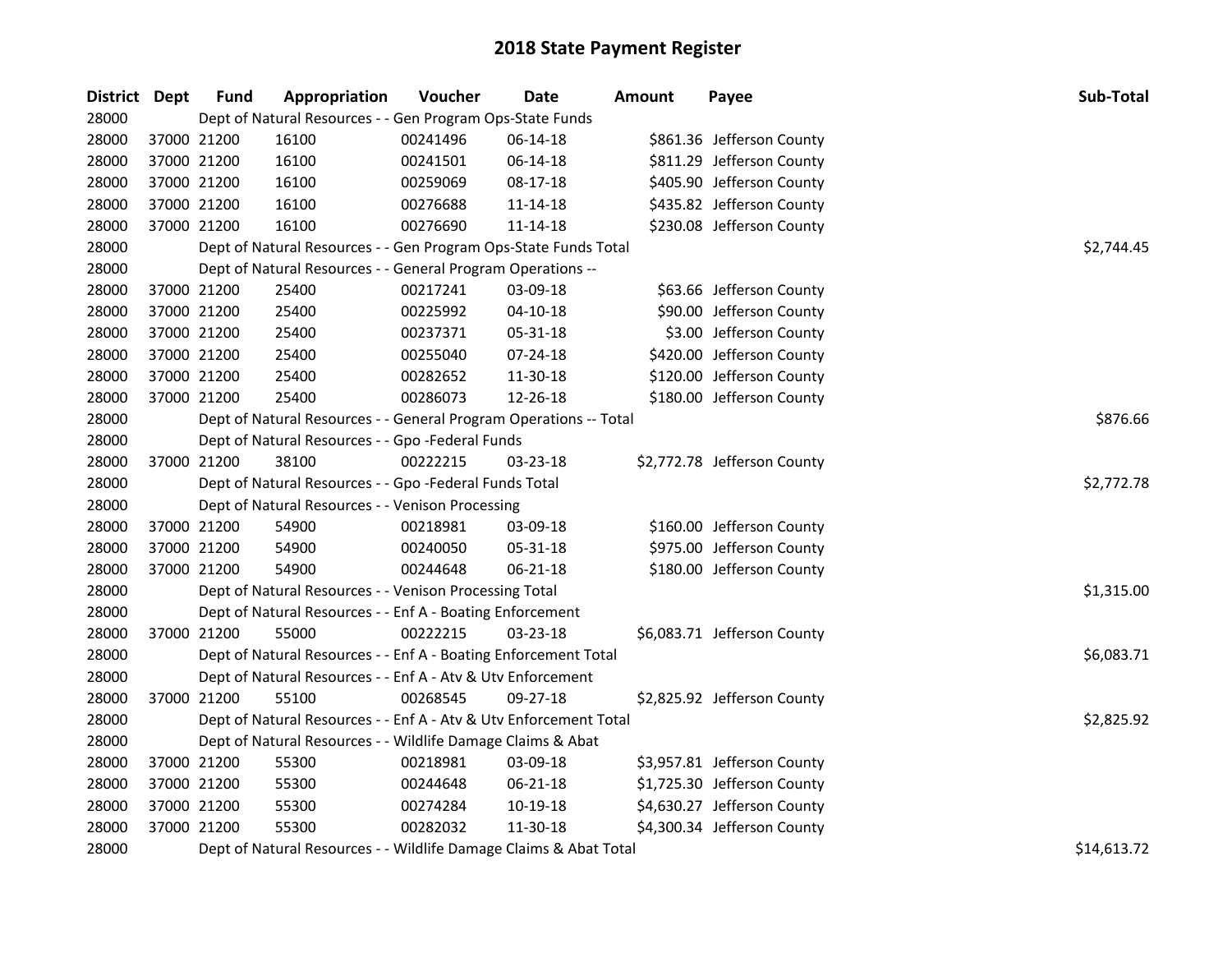| District Dept |             | <b>Fund</b> | Appropriation                                                     | Voucher  | <b>Date</b>    | Amount | Payee                       | Sub-Total   |
|---------------|-------------|-------------|-------------------------------------------------------------------|----------|----------------|--------|-----------------------------|-------------|
| 28000         |             |             | Dept of Natural Resources - - Gen Program Ops-State Funds         |          |                |        |                             |             |
| 28000         | 37000 21200 |             | 16100                                                             | 00241496 | 06-14-18       |        | \$861.36 Jefferson County   |             |
| 28000         | 37000 21200 |             | 16100                                                             | 00241501 | 06-14-18       |        | \$811.29 Jefferson County   |             |
| 28000         | 37000 21200 |             | 16100                                                             | 00259069 | 08-17-18       |        | \$405.90 Jefferson County   |             |
| 28000         | 37000 21200 |             | 16100                                                             | 00276688 | 11-14-18       |        | \$435.82 Jefferson County   |             |
| 28000         | 37000 21200 |             | 16100                                                             | 00276690 | $11 - 14 - 18$ |        | \$230.08 Jefferson County   |             |
| 28000         |             |             | Dept of Natural Resources - - Gen Program Ops-State Funds Total   |          |                |        |                             | \$2,744.45  |
| 28000         |             |             | Dept of Natural Resources - - General Program Operations --       |          |                |        |                             |             |
| 28000         | 37000 21200 |             | 25400                                                             | 00217241 | 03-09-18       |        | \$63.66 Jefferson County    |             |
| 28000         | 37000 21200 |             | 25400                                                             | 00225992 | $04 - 10 - 18$ |        | \$90.00 Jefferson County    |             |
| 28000         | 37000 21200 |             | 25400                                                             | 00237371 | 05-31-18       |        | \$3.00 Jefferson County     |             |
| 28000         | 37000 21200 |             | 25400                                                             | 00255040 | 07-24-18       |        | \$420.00 Jefferson County   |             |
| 28000         | 37000 21200 |             | 25400                                                             | 00282652 | 11-30-18       |        | \$120.00 Jefferson County   |             |
| 28000         | 37000 21200 |             | 25400                                                             | 00286073 | 12-26-18       |        | \$180.00 Jefferson County   |             |
| 28000         |             |             | Dept of Natural Resources - - General Program Operations -- Total |          |                |        |                             | \$876.66    |
| 28000         |             |             | Dept of Natural Resources - - Gpo -Federal Funds                  |          |                |        |                             |             |
| 28000         | 37000 21200 |             | 38100                                                             | 00222215 | 03-23-18       |        | \$2,772.78 Jefferson County |             |
| 28000         |             |             | Dept of Natural Resources - - Gpo -Federal Funds Total            |          |                |        |                             | \$2,772.78  |
| 28000         |             |             | Dept of Natural Resources - - Venison Processing                  |          |                |        |                             |             |
| 28000         | 37000 21200 |             | 54900                                                             | 00218981 | 03-09-18       |        | \$160.00 Jefferson County   |             |
| 28000         | 37000 21200 |             | 54900                                                             | 00240050 | 05-31-18       |        | \$975.00 Jefferson County   |             |
| 28000         | 37000 21200 |             | 54900                                                             | 00244648 | 06-21-18       |        | \$180.00 Jefferson County   |             |
| 28000         |             |             | Dept of Natural Resources - - Venison Processing Total            |          |                |        |                             | \$1,315.00  |
| 28000         |             |             | Dept of Natural Resources - - Enf A - Boating Enforcement         |          |                |        |                             |             |
| 28000         | 37000 21200 |             | 55000                                                             | 00222215 | $03 - 23 - 18$ |        | \$6,083.71 Jefferson County |             |
| 28000         |             |             | Dept of Natural Resources - - Enf A - Boating Enforcement Total   |          |                |        |                             | \$6,083.71  |
| 28000         |             |             | Dept of Natural Resources - - Enf A - Atv & Utv Enforcement       |          |                |        |                             |             |
| 28000         | 37000 21200 |             | 55100                                                             | 00268545 | 09-27-18       |        | \$2,825.92 Jefferson County |             |
| 28000         |             |             | Dept of Natural Resources - - Enf A - Atv & Utv Enforcement Total |          |                |        |                             | \$2,825.92  |
| 28000         |             |             | Dept of Natural Resources - - Wildlife Damage Claims & Abat       |          |                |        |                             |             |
| 28000         | 37000 21200 |             | 55300                                                             | 00218981 | 03-09-18       |        | \$3,957.81 Jefferson County |             |
| 28000         | 37000 21200 |             | 55300                                                             | 00244648 | 06-21-18       |        | \$1,725.30 Jefferson County |             |
| 28000         | 37000 21200 |             | 55300                                                             | 00274284 | 10-19-18       |        | \$4,630.27 Jefferson County |             |
| 28000         | 37000 21200 |             | 55300                                                             | 00282032 | 11-30-18       |        | \$4,300.34 Jefferson County |             |
| 28000         |             |             | Dept of Natural Resources - - Wildlife Damage Claims & Abat Total |          |                |        |                             | \$14,613.72 |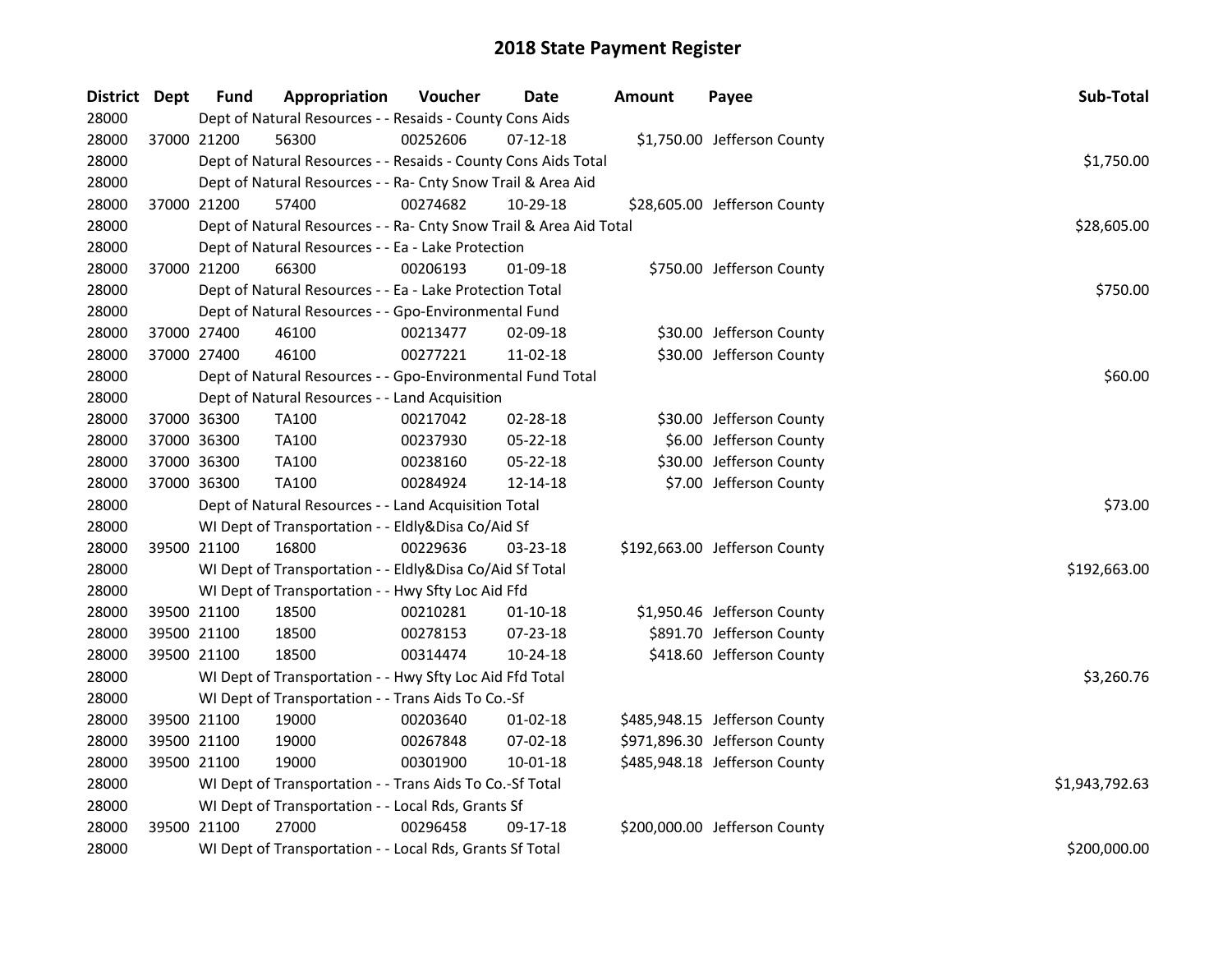| District Dept |             | <b>Fund</b>                                              | Appropriation                                                      | Voucher  | <b>Date</b>    | <b>Amount</b> | Payee                         | Sub-Total    |
|---------------|-------------|----------------------------------------------------------|--------------------------------------------------------------------|----------|----------------|---------------|-------------------------------|--------------|
| 28000         |             |                                                          | Dept of Natural Resources - - Resaids - County Cons Aids           |          |                |               |                               |              |
| 28000         | 37000 21200 |                                                          | 56300                                                              | 00252606 | $07 - 12 - 18$ |               | \$1,750.00 Jefferson County   |              |
| 28000         |             |                                                          | Dept of Natural Resources - - Resaids - County Cons Aids Total     |          |                |               |                               | \$1,750.00   |
| 28000         |             |                                                          | Dept of Natural Resources - - Ra- Cnty Snow Trail & Area Aid       |          |                |               |                               |              |
| 28000         | 37000 21200 |                                                          | 57400                                                              | 00274682 | 10-29-18       |               | \$28,605.00 Jefferson County  |              |
| 28000         |             |                                                          | Dept of Natural Resources - - Ra- Cnty Snow Trail & Area Aid Total |          |                |               |                               | \$28,605.00  |
| 28000         |             |                                                          | Dept of Natural Resources - - Ea - Lake Protection                 |          |                |               |                               |              |
| 28000         |             | 37000 21200                                              | 66300                                                              | 00206193 | 01-09-18       |               | \$750.00 Jefferson County     |              |
| 28000         |             |                                                          | Dept of Natural Resources - - Ea - Lake Protection Total           |          |                |               |                               | \$750.00     |
| 28000         |             |                                                          | Dept of Natural Resources - - Gpo-Environmental Fund               |          |                |               |                               |              |
| 28000         |             | 37000 27400                                              | 46100                                                              | 00213477 | 02-09-18       |               | \$30.00 Jefferson County      |              |
| 28000         | 37000 27400 |                                                          | 46100                                                              | 00277221 | 11-02-18       |               | \$30.00 Jefferson County      |              |
| 28000         |             |                                                          | Dept of Natural Resources - - Gpo-Environmental Fund Total         |          |                |               |                               | \$60.00      |
| 28000         |             |                                                          | Dept of Natural Resources - - Land Acquisition                     |          |                |               |                               |              |
| 28000         | 37000 36300 |                                                          | TA100                                                              | 00217042 | 02-28-18       |               | \$30.00 Jefferson County      |              |
| 28000         | 37000 36300 |                                                          | <b>TA100</b>                                                       | 00237930 | 05-22-18       |               | \$6.00 Jefferson County       |              |
| 28000         | 37000 36300 |                                                          | <b>TA100</b>                                                       | 00238160 | 05-22-18       |               | \$30.00 Jefferson County      |              |
| 28000         | 37000 36300 |                                                          | <b>TA100</b>                                                       | 00284924 | 12-14-18       |               | \$7.00 Jefferson County       |              |
| 28000         |             |                                                          | Dept of Natural Resources - - Land Acquisition Total               |          |                |               |                               | \$73.00      |
| 28000         |             |                                                          | WI Dept of Transportation - - Eldly&Disa Co/Aid Sf                 |          |                |               |                               |              |
| 28000         | 39500 21100 |                                                          | 16800                                                              | 00229636 | 03-23-18       |               | \$192,663.00 Jefferson County |              |
| 28000         |             |                                                          | WI Dept of Transportation - - Eldly&Disa Co/Aid Sf Total           |          |                |               |                               | \$192,663.00 |
| 28000         |             |                                                          | WI Dept of Transportation - - Hwy Sfty Loc Aid Ffd                 |          |                |               |                               |              |
| 28000         | 39500 21100 |                                                          | 18500                                                              | 00210281 | $01-10-18$     |               | \$1,950.46 Jefferson County   |              |
| 28000         | 39500 21100 |                                                          | 18500                                                              | 00278153 | 07-23-18       |               | \$891.70 Jefferson County     |              |
| 28000         | 39500 21100 |                                                          | 18500                                                              | 00314474 | 10-24-18       |               | \$418.60 Jefferson County     |              |
| 28000         |             |                                                          | WI Dept of Transportation - - Hwy Sfty Loc Aid Ffd Total           |          |                |               |                               | \$3,260.76   |
| 28000         |             |                                                          | WI Dept of Transportation - - Trans Aids To Co.-Sf                 |          |                |               |                               |              |
| 28000         | 39500 21100 |                                                          | 19000                                                              | 00203640 | $01 - 02 - 18$ |               | \$485,948.15 Jefferson County |              |
| 28000         | 39500 21100 |                                                          | 19000                                                              | 00267848 | 07-02-18       |               | \$971,896.30 Jefferson County |              |
| 28000         | 39500 21100 |                                                          | 19000                                                              | 00301900 | 10-01-18       |               | \$485,948.18 Jefferson County |              |
| 28000         |             | WI Dept of Transportation - - Trans Aids To Co.-Sf Total | \$1,943,792.63                                                     |          |                |               |                               |              |
| 28000         |             |                                                          | WI Dept of Transportation - - Local Rds, Grants Sf                 |          |                |               |                               |              |
| 28000         | 39500 21100 |                                                          | 27000                                                              | 00296458 | 09-17-18       |               | \$200,000.00 Jefferson County |              |
| 28000         |             |                                                          | WI Dept of Transportation - - Local Rds, Grants Sf Total           |          |                |               |                               | \$200,000.00 |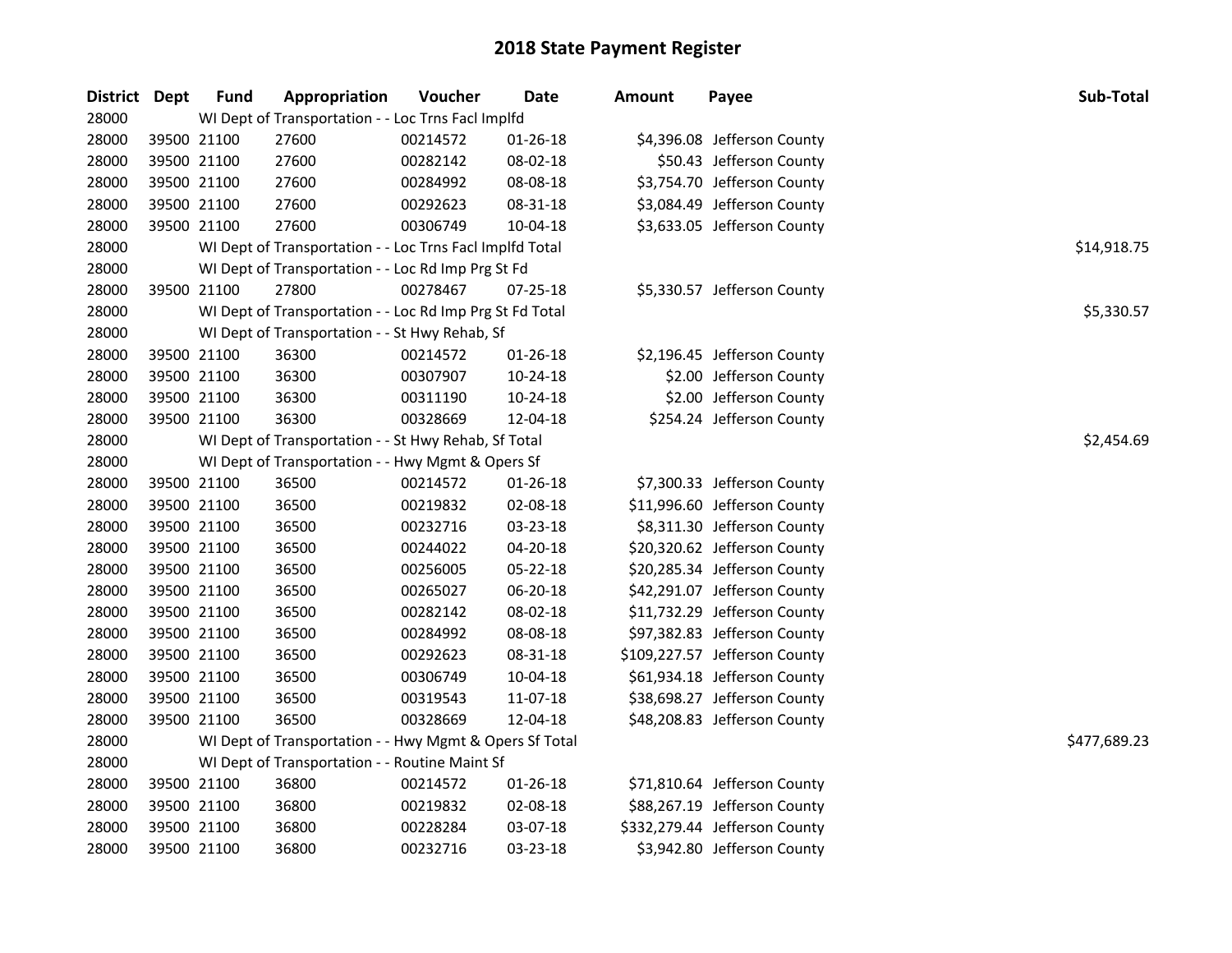| District | <b>Dept</b> | <b>Fund</b> | Appropriation                                            | Voucher  | <b>Date</b>    | Amount | Payee                         | Sub-Total    |  |  |  |
|----------|-------------|-------------|----------------------------------------------------------|----------|----------------|--------|-------------------------------|--------------|--|--|--|
| 28000    |             |             | WI Dept of Transportation - - Loc Trns Facl Implfd       |          |                |        |                               |              |  |  |  |
| 28000    | 39500 21100 |             | 27600                                                    | 00214572 | $01 - 26 - 18$ |        | \$4,396.08 Jefferson County   |              |  |  |  |
| 28000    | 39500 21100 |             | 27600                                                    | 00282142 | 08-02-18       |        | \$50.43 Jefferson County      |              |  |  |  |
| 28000    | 39500 21100 |             | 27600                                                    | 00284992 | 08-08-18       |        | \$3,754.70 Jefferson County   |              |  |  |  |
| 28000    | 39500 21100 |             | 27600                                                    | 00292623 | 08-31-18       |        | \$3,084.49 Jefferson County   |              |  |  |  |
| 28000    | 39500 21100 |             | 27600                                                    | 00306749 | 10-04-18       |        | \$3,633.05 Jefferson County   |              |  |  |  |
| 28000    |             |             | WI Dept of Transportation - - Loc Trns Facl Implfd Total |          |                |        |                               | \$14,918.75  |  |  |  |
| 28000    |             |             | WI Dept of Transportation - - Loc Rd Imp Prg St Fd       |          |                |        |                               |              |  |  |  |
| 28000    | 39500 21100 |             | 27800                                                    | 00278467 | $07 - 25 - 18$ |        | \$5,330.57 Jefferson County   |              |  |  |  |
| 28000    |             |             | WI Dept of Transportation - - Loc Rd Imp Prg St Fd Total |          |                |        |                               | \$5,330.57   |  |  |  |
| 28000    |             |             | WI Dept of Transportation - - St Hwy Rehab, Sf           |          |                |        |                               |              |  |  |  |
| 28000    | 39500 21100 |             | 36300                                                    | 00214572 | 01-26-18       |        | \$2,196.45 Jefferson County   |              |  |  |  |
| 28000    | 39500 21100 |             | 36300                                                    | 00307907 | 10-24-18       |        | \$2.00 Jefferson County       |              |  |  |  |
| 28000    | 39500 21100 |             | 36300                                                    | 00311190 | 10-24-18       |        | \$2.00 Jefferson County       |              |  |  |  |
| 28000    | 39500 21100 |             | 36300                                                    | 00328669 | 12-04-18       |        | \$254.24 Jefferson County     |              |  |  |  |
| 28000    |             |             | WI Dept of Transportation - - St Hwy Rehab, Sf Total     |          |                |        |                               |              |  |  |  |
| 28000    |             |             | WI Dept of Transportation - - Hwy Mgmt & Opers Sf        |          |                |        |                               |              |  |  |  |
| 28000    | 39500 21100 |             | 36500                                                    | 00214572 | 01-26-18       |        | \$7,300.33 Jefferson County   |              |  |  |  |
| 28000    | 39500 21100 |             | 36500                                                    | 00219832 | 02-08-18       |        | \$11,996.60 Jefferson County  |              |  |  |  |
| 28000    | 39500 21100 |             | 36500                                                    | 00232716 | 03-23-18       |        | \$8,311.30 Jefferson County   |              |  |  |  |
| 28000    | 39500 21100 |             | 36500                                                    | 00244022 | 04-20-18       |        | \$20,320.62 Jefferson County  |              |  |  |  |
| 28000    | 39500 21100 |             | 36500                                                    | 00256005 | 05-22-18       |        | \$20,285.34 Jefferson County  |              |  |  |  |
| 28000    | 39500 21100 |             | 36500                                                    | 00265027 | 06-20-18       |        | \$42,291.07 Jefferson County  |              |  |  |  |
| 28000    | 39500 21100 |             | 36500                                                    | 00282142 | 08-02-18       |        | \$11,732.29 Jefferson County  |              |  |  |  |
| 28000    | 39500 21100 |             | 36500                                                    | 00284992 | 08-08-18       |        | \$97,382.83 Jefferson County  |              |  |  |  |
| 28000    | 39500 21100 |             | 36500                                                    | 00292623 | 08-31-18       |        | \$109,227.57 Jefferson County |              |  |  |  |
| 28000    | 39500 21100 |             | 36500                                                    | 00306749 | 10-04-18       |        | \$61,934.18 Jefferson County  |              |  |  |  |
| 28000    | 39500 21100 |             | 36500                                                    | 00319543 | 11-07-18       |        | \$38,698.27 Jefferson County  |              |  |  |  |
| 28000    | 39500 21100 |             | 36500                                                    | 00328669 | 12-04-18       |        | \$48,208.83 Jefferson County  |              |  |  |  |
| 28000    |             |             | WI Dept of Transportation - - Hwy Mgmt & Opers Sf Total  |          |                |        |                               | \$477,689.23 |  |  |  |
| 28000    |             |             | WI Dept of Transportation - - Routine Maint Sf           |          |                |        |                               |              |  |  |  |
| 28000    | 39500 21100 |             | 36800                                                    | 00214572 | $01 - 26 - 18$ |        | \$71,810.64 Jefferson County  |              |  |  |  |
| 28000    | 39500 21100 |             | 36800                                                    | 00219832 | 02-08-18       |        | \$88,267.19 Jefferson County  |              |  |  |  |
| 28000    | 39500 21100 |             | 36800                                                    | 00228284 | 03-07-18       |        | \$332,279.44 Jefferson County |              |  |  |  |
| 28000    | 39500 21100 |             | 36800                                                    | 00232716 | 03-23-18       |        | \$3,942.80 Jefferson County   |              |  |  |  |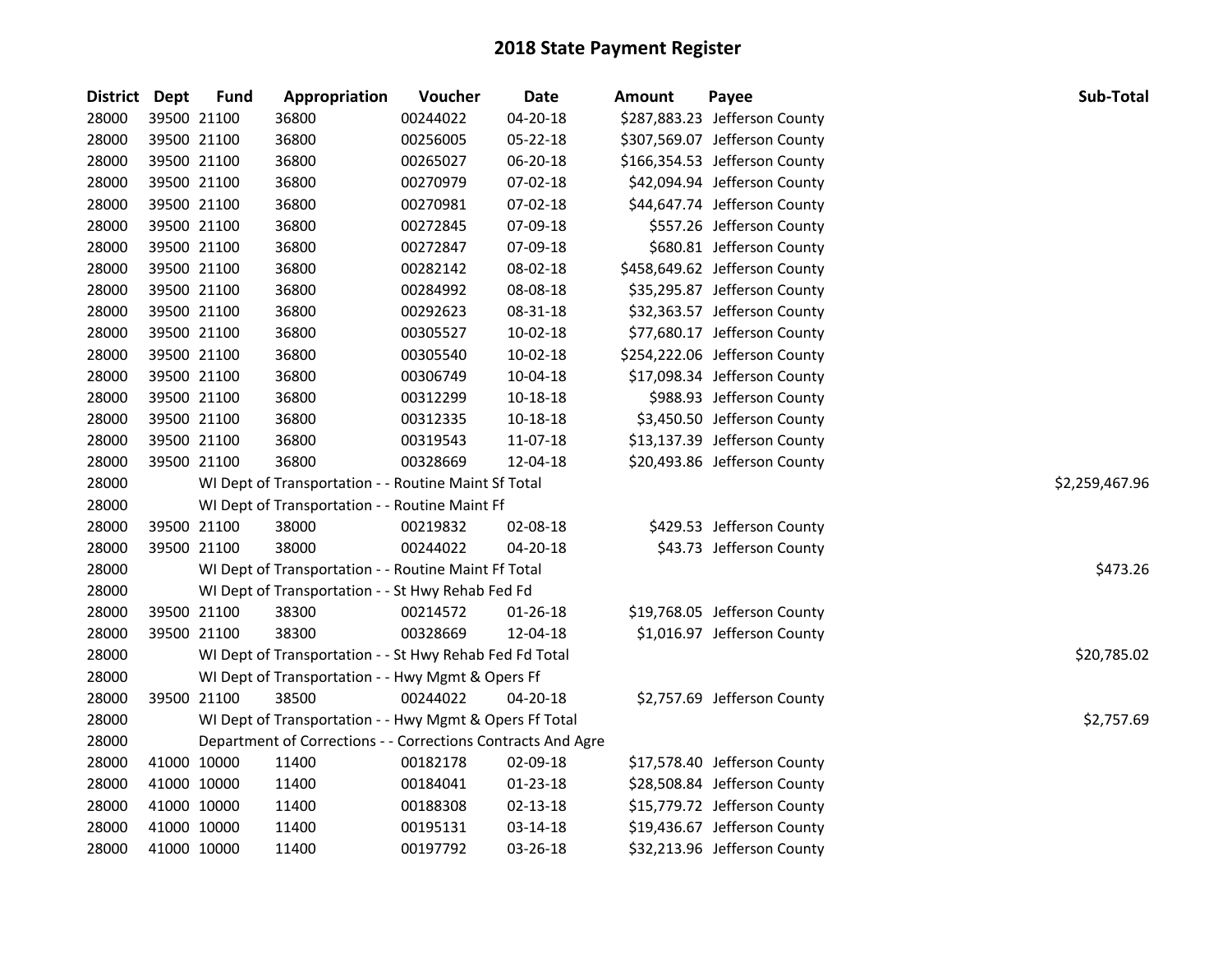| District Dept |             | <b>Fund</b> | Appropriation                                                | Voucher  | Date           | <b>Amount</b> | Payee                         | Sub-Total      |
|---------------|-------------|-------------|--------------------------------------------------------------|----------|----------------|---------------|-------------------------------|----------------|
| 28000         | 39500 21100 |             | 36800                                                        | 00244022 | 04-20-18       |               | \$287,883.23 Jefferson County |                |
| 28000         | 39500 21100 |             | 36800                                                        | 00256005 | 05-22-18       |               | \$307,569.07 Jefferson County |                |
| 28000         | 39500 21100 |             | 36800                                                        | 00265027 | 06-20-18       |               | \$166,354.53 Jefferson County |                |
| 28000         | 39500 21100 |             | 36800                                                        | 00270979 | 07-02-18       |               | \$42,094.94 Jefferson County  |                |
| 28000         | 39500 21100 |             | 36800                                                        | 00270981 | 07-02-18       |               | \$44,647.74 Jefferson County  |                |
| 28000         | 39500 21100 |             | 36800                                                        | 00272845 | 07-09-18       |               | \$557.26 Jefferson County     |                |
| 28000         | 39500 21100 |             | 36800                                                        | 00272847 | 07-09-18       |               | \$680.81 Jefferson County     |                |
| 28000         | 39500 21100 |             | 36800                                                        | 00282142 | 08-02-18       |               | \$458,649.62 Jefferson County |                |
| 28000         | 39500 21100 |             | 36800                                                        | 00284992 | 08-08-18       |               | \$35,295.87 Jefferson County  |                |
| 28000         | 39500 21100 |             | 36800                                                        | 00292623 | 08-31-18       |               | \$32,363.57 Jefferson County  |                |
| 28000         | 39500 21100 |             | 36800                                                        | 00305527 | 10-02-18       |               | \$77,680.17 Jefferson County  |                |
| 28000         | 39500 21100 |             | 36800                                                        | 00305540 | 10-02-18       |               | \$254,222.06 Jefferson County |                |
| 28000         | 39500 21100 |             | 36800                                                        | 00306749 | 10-04-18       |               | \$17,098.34 Jefferson County  |                |
| 28000         | 39500 21100 |             | 36800                                                        | 00312299 | 10-18-18       |               | \$988.93 Jefferson County     |                |
| 28000         | 39500 21100 |             | 36800                                                        | 00312335 | 10-18-18       |               | \$3,450.50 Jefferson County   |                |
| 28000         | 39500 21100 |             | 36800                                                        | 00319543 | 11-07-18       |               | \$13,137.39 Jefferson County  |                |
| 28000         | 39500 21100 |             | 36800                                                        | 00328669 | 12-04-18       |               | \$20,493.86 Jefferson County  |                |
| 28000         |             |             | WI Dept of Transportation - - Routine Maint Sf Total         |          |                |               |                               | \$2,259,467.96 |
| 28000         |             |             | WI Dept of Transportation - - Routine Maint Ff               |          |                |               |                               |                |
| 28000         | 39500 21100 |             | 38000                                                        | 00219832 | 02-08-18       |               | \$429.53 Jefferson County     |                |
| 28000         | 39500 21100 |             | 38000                                                        | 00244022 | 04-20-18       |               | \$43.73 Jefferson County      |                |
| 28000         |             |             | WI Dept of Transportation - - Routine Maint Ff Total         |          |                |               |                               | \$473.26       |
| 28000         |             |             | WI Dept of Transportation - - St Hwy Rehab Fed Fd            |          |                |               |                               |                |
| 28000         | 39500 21100 |             | 38300                                                        | 00214572 | 01-26-18       |               | \$19,768.05 Jefferson County  |                |
| 28000         | 39500 21100 |             | 38300                                                        | 00328669 | 12-04-18       |               | \$1,016.97 Jefferson County   |                |
| 28000         |             |             | WI Dept of Transportation - - St Hwy Rehab Fed Fd Total      |          |                |               |                               | \$20,785.02    |
| 28000         |             |             | WI Dept of Transportation - - Hwy Mgmt & Opers Ff            |          |                |               |                               |                |
| 28000         | 39500 21100 |             | 38500                                                        | 00244022 | 04-20-18       |               | \$2,757.69 Jefferson County   |                |
| 28000         |             |             | WI Dept of Transportation - - Hwy Mgmt & Opers Ff Total      |          |                |               |                               | \$2,757.69     |
| 28000         |             |             | Department of Corrections - - Corrections Contracts And Agre |          |                |               |                               |                |
| 28000         | 41000 10000 |             | 11400                                                        | 00182178 | 02-09-18       |               | \$17,578.40 Jefferson County  |                |
| 28000         | 41000 10000 |             | 11400                                                        | 00184041 | 01-23-18       |               | \$28,508.84 Jefferson County  |                |
| 28000         | 41000 10000 |             | 11400                                                        | 00188308 | $02 - 13 - 18$ |               | \$15,779.72 Jefferson County  |                |
| 28000         | 41000 10000 |             | 11400                                                        | 00195131 | 03-14-18       |               | \$19,436.67 Jefferson County  |                |
| 28000         | 41000 10000 |             | 11400                                                        | 00197792 | 03-26-18       |               | \$32,213.96 Jefferson County  |                |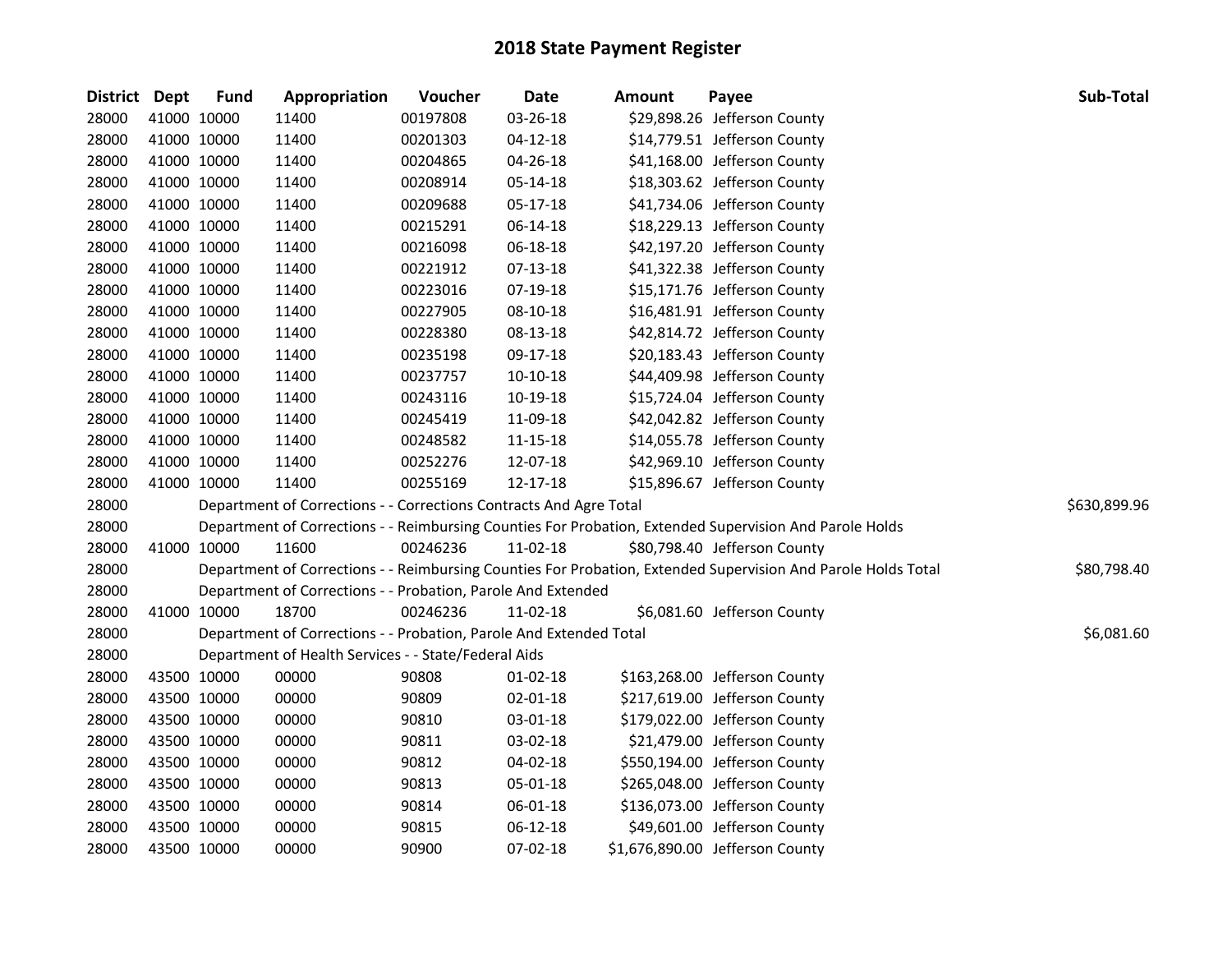| District Dept |             | <b>Fund</b> | Appropriation                                                      | Voucher  | <b>Date</b>    | Amount | Payee                                                                                                         | Sub-Total    |
|---------------|-------------|-------------|--------------------------------------------------------------------|----------|----------------|--------|---------------------------------------------------------------------------------------------------------------|--------------|
| 28000         | 41000 10000 |             | 11400                                                              | 00197808 | 03-26-18       |        | \$29,898.26 Jefferson County                                                                                  |              |
| 28000         | 41000 10000 |             | 11400                                                              | 00201303 | $04 - 12 - 18$ |        | \$14,779.51 Jefferson County                                                                                  |              |
| 28000         | 41000 10000 |             | 11400                                                              | 00204865 | 04-26-18       |        | \$41,168.00 Jefferson County                                                                                  |              |
| 28000         | 41000 10000 |             | 11400                                                              | 00208914 | 05-14-18       |        | \$18,303.62 Jefferson County                                                                                  |              |
| 28000         | 41000 10000 |             | 11400                                                              | 00209688 | 05-17-18       |        | \$41,734.06 Jefferson County                                                                                  |              |
| 28000         | 41000 10000 |             | 11400                                                              | 00215291 | 06-14-18       |        | \$18,229.13 Jefferson County                                                                                  |              |
| 28000         | 41000 10000 |             | 11400                                                              | 00216098 | 06-18-18       |        | \$42,197.20 Jefferson County                                                                                  |              |
| 28000         | 41000 10000 |             | 11400                                                              | 00221912 | 07-13-18       |        | \$41,322.38 Jefferson County                                                                                  |              |
| 28000         | 41000 10000 |             | 11400                                                              | 00223016 | 07-19-18       |        | \$15,171.76 Jefferson County                                                                                  |              |
| 28000         | 41000 10000 |             | 11400                                                              | 00227905 | 08-10-18       |        | \$16,481.91 Jefferson County                                                                                  |              |
| 28000         | 41000 10000 |             | 11400                                                              | 00228380 | 08-13-18       |        | \$42,814.72 Jefferson County                                                                                  |              |
| 28000         | 41000 10000 |             | 11400                                                              | 00235198 | 09-17-18       |        | \$20,183.43 Jefferson County                                                                                  |              |
| 28000         | 41000 10000 |             | 11400                                                              | 00237757 | $10-10-18$     |        | \$44,409.98 Jefferson County                                                                                  |              |
| 28000         | 41000 10000 |             | 11400                                                              | 00243116 | 10-19-18       |        | \$15,724.04 Jefferson County                                                                                  |              |
| 28000         | 41000 10000 |             | 11400                                                              | 00245419 | 11-09-18       |        | \$42,042.82 Jefferson County                                                                                  |              |
| 28000         | 41000 10000 |             | 11400                                                              | 00248582 | 11-15-18       |        | \$14,055.78 Jefferson County                                                                                  |              |
| 28000         | 41000 10000 |             | 11400                                                              | 00252276 | 12-07-18       |        | \$42,969.10 Jefferson County                                                                                  |              |
| 28000         | 41000 10000 |             | 11400                                                              | 00255169 | 12-17-18       |        | \$15,896.67 Jefferson County                                                                                  |              |
| 28000         |             |             | Department of Corrections - - Corrections Contracts And Agre Total |          |                |        |                                                                                                               | \$630,899.96 |
| 28000         |             |             |                                                                    |          |                |        | Department of Corrections - - Reimbursing Counties For Probation, Extended Supervision And Parole Holds       |              |
| 28000         | 41000 10000 |             | 11600                                                              | 00246236 | $11-02-18$     |        | \$80,798.40 Jefferson County                                                                                  |              |
| 28000         |             |             |                                                                    |          |                |        | Department of Corrections - - Reimbursing Counties For Probation, Extended Supervision And Parole Holds Total | \$80,798.40  |
| 28000         |             |             | Department of Corrections - - Probation, Parole And Extended       |          |                |        |                                                                                                               |              |
| 28000         | 41000 10000 |             | 18700                                                              | 00246236 | 11-02-18       |        | \$6,081.60 Jefferson County                                                                                   |              |
| 28000         |             |             | Department of Corrections - - Probation, Parole And Extended Total |          |                |        |                                                                                                               | \$6,081.60   |
| 28000         |             |             | Department of Health Services - - State/Federal Aids               |          |                |        |                                                                                                               |              |
| 28000         | 43500 10000 |             | 00000                                                              | 90808    | 01-02-18       |        | \$163,268.00 Jefferson County                                                                                 |              |
| 28000         | 43500 10000 |             | 00000                                                              | 90809    | 02-01-18       |        | \$217,619.00 Jefferson County                                                                                 |              |
| 28000         | 43500 10000 |             | 00000                                                              | 90810    | 03-01-18       |        | \$179,022.00 Jefferson County                                                                                 |              |
| 28000         | 43500 10000 |             | 00000                                                              | 90811    | 03-02-18       |        | \$21,479.00 Jefferson County                                                                                  |              |
| 28000         | 43500 10000 |             | 00000                                                              | 90812    | 04-02-18       |        | \$550,194.00 Jefferson County                                                                                 |              |
| 28000         | 43500 10000 |             | 00000                                                              | 90813    | 05-01-18       |        | \$265,048.00 Jefferson County                                                                                 |              |
| 28000         | 43500 10000 |             | 00000                                                              | 90814    | 06-01-18       |        | \$136,073.00 Jefferson County                                                                                 |              |
| 28000         | 43500 10000 |             | 00000                                                              | 90815    | 06-12-18       |        | \$49,601.00 Jefferson County                                                                                  |              |
| 28000         | 43500 10000 |             | 00000                                                              | 90900    | 07-02-18       |        | \$1,676,890.00 Jefferson County                                                                               |              |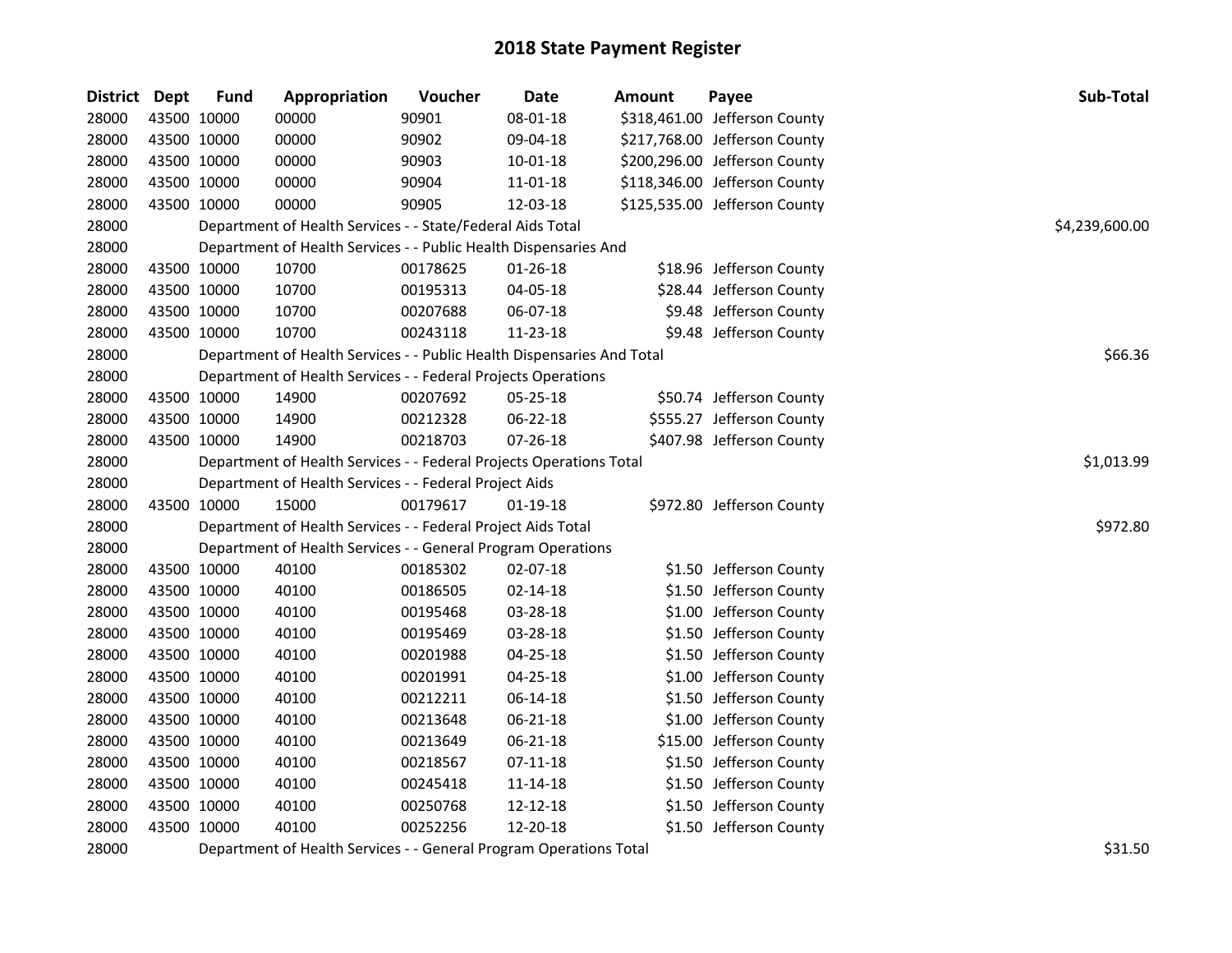| <b>District</b> | Dept        | <b>Fund</b> | Appropriation                                                          | Voucher  | Date           | <b>Amount</b> | Payee                         | Sub-Total      |
|-----------------|-------------|-------------|------------------------------------------------------------------------|----------|----------------|---------------|-------------------------------|----------------|
| 28000           | 43500 10000 |             | 00000                                                                  | 90901    | 08-01-18       |               | \$318,461.00 Jefferson County |                |
| 28000           |             | 43500 10000 | 00000                                                                  | 90902    | 09-04-18       |               | \$217,768.00 Jefferson County |                |
| 28000           | 43500 10000 |             | 00000                                                                  | 90903    | 10-01-18       |               | \$200,296.00 Jefferson County |                |
| 28000           | 43500 10000 |             | 00000                                                                  | 90904    | 11-01-18       |               | \$118,346.00 Jefferson County |                |
| 28000           | 43500 10000 |             | 00000                                                                  | 90905    | 12-03-18       |               | \$125,535.00 Jefferson County |                |
| 28000           |             |             | Department of Health Services - - State/Federal Aids Total             |          |                |               |                               | \$4,239,600.00 |
| 28000           |             |             | Department of Health Services - - Public Health Dispensaries And       |          |                |               |                               |                |
| 28000           |             | 43500 10000 | 10700                                                                  | 00178625 | $01 - 26 - 18$ |               | \$18.96 Jefferson County      |                |
| 28000           |             | 43500 10000 | 10700                                                                  | 00195313 | 04-05-18       |               | \$28.44 Jefferson County      |                |
| 28000           | 43500 10000 |             | 10700                                                                  | 00207688 | 06-07-18       |               | \$9.48 Jefferson County       |                |
| 28000           | 43500 10000 |             | 10700                                                                  | 00243118 | 11-23-18       |               | \$9.48 Jefferson County       |                |
| 28000           |             |             | Department of Health Services - - Public Health Dispensaries And Total |          |                |               |                               | \$66.36        |
| 28000           |             |             | Department of Health Services - - Federal Projects Operations          |          |                |               |                               |                |
| 28000           |             | 43500 10000 | 14900                                                                  | 00207692 | 05-25-18       |               | \$50.74 Jefferson County      |                |
| 28000           | 43500 10000 |             | 14900                                                                  | 00212328 | 06-22-18       |               | \$555.27 Jefferson County     |                |
| 28000           | 43500 10000 |             | 14900                                                                  | 00218703 | 07-26-18       |               | \$407.98 Jefferson County     |                |
| 28000           |             |             | Department of Health Services - - Federal Projects Operations Total    |          |                |               |                               | \$1,013.99     |
| 28000           |             |             | Department of Health Services - - Federal Project Aids                 |          |                |               |                               |                |
| 28000           | 43500 10000 |             | 15000                                                                  | 00179617 | $01 - 19 - 18$ |               | \$972.80 Jefferson County     |                |
| 28000           |             |             | Department of Health Services - - Federal Project Aids Total           |          |                |               |                               | \$972.80       |
| 28000           |             |             | Department of Health Services - - General Program Operations           |          |                |               |                               |                |
| 28000           | 43500 10000 |             | 40100                                                                  | 00185302 | 02-07-18       |               | \$1.50 Jefferson County       |                |
| 28000           | 43500 10000 |             | 40100                                                                  | 00186505 | 02-14-18       |               | \$1.50 Jefferson County       |                |
| 28000           | 43500 10000 |             | 40100                                                                  | 00195468 | 03-28-18       |               | \$1.00 Jefferson County       |                |
| 28000           | 43500 10000 |             | 40100                                                                  | 00195469 | 03-28-18       |               | \$1.50 Jefferson County       |                |
| 28000           | 43500 10000 |             | 40100                                                                  | 00201988 | 04-25-18       |               | \$1.50 Jefferson County       |                |
| 28000           | 43500 10000 |             | 40100                                                                  | 00201991 | 04-25-18       |               | \$1.00 Jefferson County       |                |
| 28000           | 43500 10000 |             | 40100                                                                  | 00212211 | 06-14-18       |               | \$1.50 Jefferson County       |                |
| 28000           | 43500 10000 |             | 40100                                                                  | 00213648 | 06-21-18       |               | \$1.00 Jefferson County       |                |
| 28000           |             | 43500 10000 | 40100                                                                  | 00213649 | 06-21-18       |               | \$15.00 Jefferson County      |                |
| 28000           | 43500 10000 |             | 40100                                                                  | 00218567 | $07 - 11 - 18$ |               | \$1.50 Jefferson County       |                |
| 28000           | 43500 10000 |             | 40100                                                                  | 00245418 | 11-14-18       |               | \$1.50 Jefferson County       |                |
| 28000           | 43500 10000 |             | 40100                                                                  | 00250768 | 12-12-18       |               | \$1.50 Jefferson County       |                |
| 28000           | 43500 10000 |             | 40100                                                                  | 00252256 | 12-20-18       |               | \$1.50 Jefferson County       |                |

28000 Department of Health Services - - General Program Operations Total **1996** Department of Health Services - - General Program Operations Total **1996** Department of Health Services - - General Program Operations Total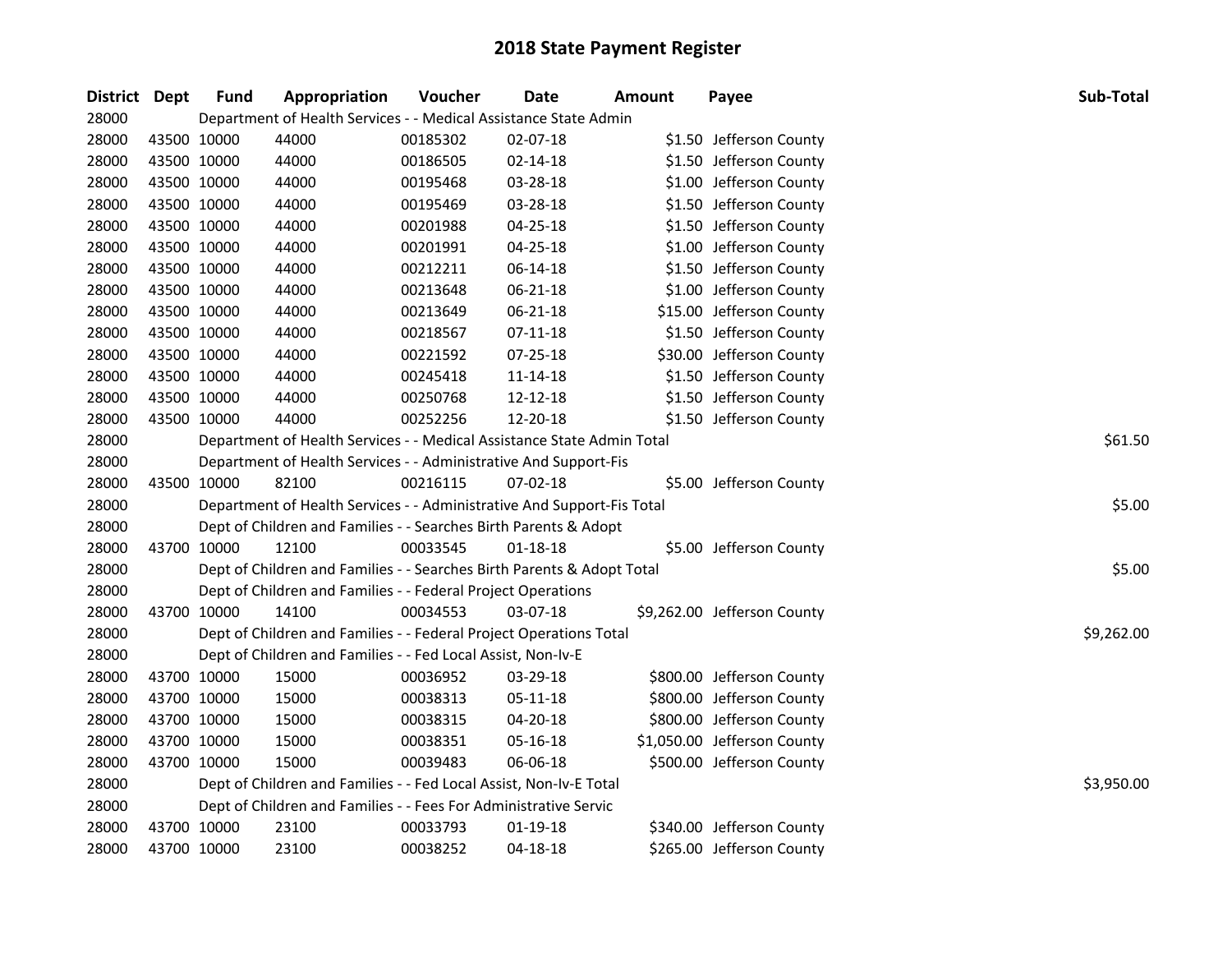| District Dept |             | <b>Fund</b> | Appropriation                                                          | Voucher  | Date           | Amount | Payee                       | Sub-Total  |
|---------------|-------------|-------------|------------------------------------------------------------------------|----------|----------------|--------|-----------------------------|------------|
| 28000         |             |             | Department of Health Services - - Medical Assistance State Admin       |          |                |        |                             |            |
| 28000         | 43500 10000 |             | 44000                                                                  | 00185302 | 02-07-18       |        | \$1.50 Jefferson County     |            |
| 28000         | 43500 10000 |             | 44000                                                                  | 00186505 | 02-14-18       |        | \$1.50 Jefferson County     |            |
| 28000         | 43500 10000 |             | 44000                                                                  | 00195468 | 03-28-18       |        | \$1.00 Jefferson County     |            |
| 28000         | 43500 10000 |             | 44000                                                                  | 00195469 | 03-28-18       |        | \$1.50 Jefferson County     |            |
| 28000         | 43500 10000 |             | 44000                                                                  | 00201988 | $04 - 25 - 18$ |        | \$1.50 Jefferson County     |            |
| 28000         | 43500 10000 |             | 44000                                                                  | 00201991 | 04-25-18       |        | \$1.00 Jefferson County     |            |
| 28000         | 43500 10000 |             | 44000                                                                  | 00212211 | 06-14-18       |        | \$1.50 Jefferson County     |            |
| 28000         | 43500 10000 |             | 44000                                                                  | 00213648 | 06-21-18       |        | \$1.00 Jefferson County     |            |
| 28000         | 43500 10000 |             | 44000                                                                  | 00213649 | 06-21-18       |        | \$15.00 Jefferson County    |            |
| 28000         | 43500 10000 |             | 44000                                                                  | 00218567 | $07-11-18$     |        | \$1.50 Jefferson County     |            |
| 28000         | 43500 10000 |             | 44000                                                                  | 00221592 | 07-25-18       |        | \$30.00 Jefferson County    |            |
| 28000         | 43500 10000 |             | 44000                                                                  | 00245418 | 11-14-18       |        | \$1.50 Jefferson County     |            |
| 28000         | 43500 10000 |             | 44000                                                                  | 00250768 | 12-12-18       |        | \$1.50 Jefferson County     |            |
| 28000         | 43500 10000 |             | 44000                                                                  | 00252256 | 12-20-18       |        | \$1.50 Jefferson County     |            |
| 28000         |             |             | Department of Health Services - - Medical Assistance State Admin Total |          | \$61.50        |        |                             |            |
| 28000         |             |             | Department of Health Services - - Administrative And Support-Fis       |          |                |        |                             |            |
| 28000         | 43500 10000 |             | 82100                                                                  | 00216115 | 07-02-18       |        | \$5.00 Jefferson County     |            |
| 28000         |             |             | Department of Health Services - - Administrative And Support-Fis Total |          |                |        |                             | \$5.00     |
| 28000         |             |             | Dept of Children and Families - - Searches Birth Parents & Adopt       |          |                |        |                             |            |
| 28000         |             | 43700 10000 | 12100                                                                  | 00033545 | $01 - 18 - 18$ |        | \$5.00 Jefferson County     |            |
| 28000         |             |             | Dept of Children and Families - - Searches Birth Parents & Adopt Total |          |                |        |                             | \$5.00     |
| 28000         |             |             | Dept of Children and Families - - Federal Project Operations           |          |                |        |                             |            |
| 28000         | 43700 10000 |             | 14100                                                                  | 00034553 | 03-07-18       |        | \$9,262.00 Jefferson County |            |
| 28000         |             |             | Dept of Children and Families - - Federal Project Operations Total     |          |                |        |                             | \$9,262.00 |
| 28000         |             |             | Dept of Children and Families - - Fed Local Assist, Non-Iv-E           |          |                |        |                             |            |
| 28000         |             | 43700 10000 | 15000                                                                  | 00036952 | 03-29-18       |        | \$800.00 Jefferson County   |            |
| 28000         | 43700 10000 |             | 15000                                                                  | 00038313 | $05 - 11 - 18$ |        | \$800.00 Jefferson County   |            |
| 28000         | 43700 10000 |             | 15000                                                                  | 00038315 | $04 - 20 - 18$ |        | \$800.00 Jefferson County   |            |
| 28000         | 43700 10000 |             | 15000                                                                  | 00038351 | 05-16-18       |        | \$1,050.00 Jefferson County |            |
| 28000         |             | 43700 10000 | 15000                                                                  | 00039483 | $06 - 06 - 18$ |        | \$500.00 Jefferson County   |            |
| 28000         |             |             | Dept of Children and Families - - Fed Local Assist, Non-Iv-E Total     |          |                |        |                             | \$3,950.00 |
| 28000         |             |             | Dept of Children and Families - - Fees For Administrative Servic       |          |                |        |                             |            |
| 28000         |             | 43700 10000 | 23100                                                                  | 00033793 | $01-19-18$     |        | \$340.00 Jefferson County   |            |
| 28000         | 43700 10000 |             | 23100                                                                  | 00038252 | 04-18-18       |        | \$265.00 Jefferson County   |            |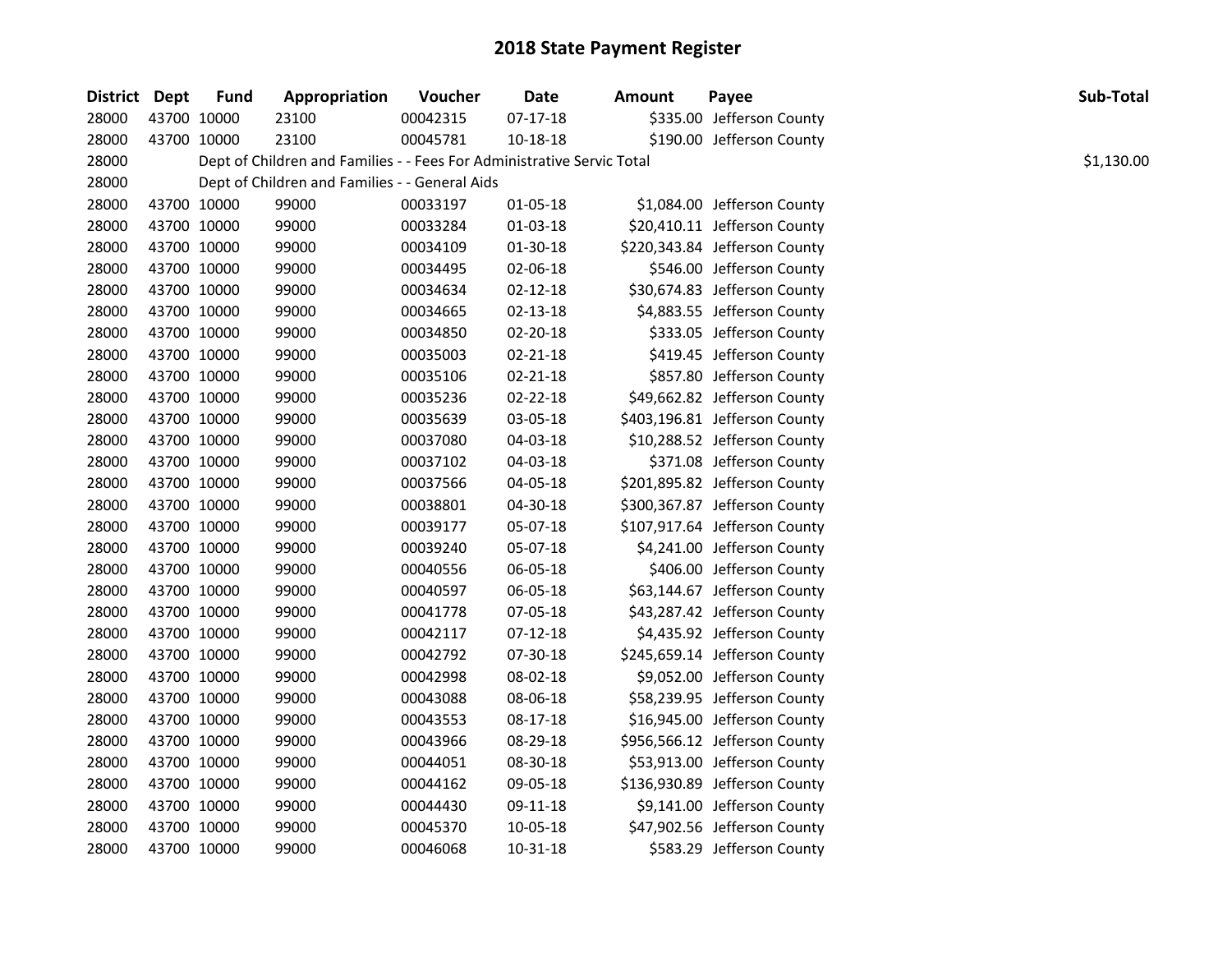| <b>District</b> | <b>Dept</b> | <b>Fund</b> | Appropriation                                                          | Voucher  | <b>Date</b>    | <b>Amount</b> | Payee                         | Sub-Total  |  |
|-----------------|-------------|-------------|------------------------------------------------------------------------|----------|----------------|---------------|-------------------------------|------------|--|
| 28000           | 43700 10000 |             | 23100                                                                  | 00042315 | $07-17-18$     |               | \$335.00 Jefferson County     |            |  |
| 28000           | 43700 10000 |             | 23100                                                                  | 00045781 | 10-18-18       |               | \$190.00 Jefferson County     |            |  |
| 28000           |             |             | Dept of Children and Families - - Fees For Administrative Servic Total |          |                |               |                               | \$1,130.00 |  |
| 28000           |             |             | Dept of Children and Families - - General Aids                         |          |                |               |                               |            |  |
| 28000           | 43700 10000 |             | 99000                                                                  | 00033197 | 01-05-18       |               | \$1,084.00 Jefferson County   |            |  |
| 28000           | 43700 10000 |             | 99000                                                                  | 00033284 | 01-03-18       |               | \$20,410.11 Jefferson County  |            |  |
| 28000           | 43700 10000 |             | 99000                                                                  | 00034109 | 01-30-18       |               | \$220,343.84 Jefferson County |            |  |
| 28000           | 43700 10000 |             | 99000                                                                  | 00034495 | 02-06-18       |               | \$546.00 Jefferson County     |            |  |
| 28000           | 43700 10000 |             | 99000                                                                  | 00034634 | $02 - 12 - 18$ |               | \$30,674.83 Jefferson County  |            |  |
| 28000           | 43700 10000 |             | 99000                                                                  | 00034665 | 02-13-18       |               | \$4,883.55 Jefferson County   |            |  |
| 28000           | 43700 10000 |             | 99000                                                                  | 00034850 | 02-20-18       |               | \$333.05 Jefferson County     |            |  |
| 28000           | 43700 10000 |             | 99000                                                                  | 00035003 | 02-21-18       |               | \$419.45 Jefferson County     |            |  |
| 28000           | 43700 10000 |             | 99000                                                                  | 00035106 | 02-21-18       |               | \$857.80 Jefferson County     |            |  |
| 28000           | 43700 10000 |             | 99000                                                                  | 00035236 | 02-22-18       |               | \$49,662.82 Jefferson County  |            |  |
| 28000           | 43700 10000 |             | 99000                                                                  | 00035639 | 03-05-18       |               | \$403,196.81 Jefferson County |            |  |
| 28000           | 43700 10000 |             | 99000                                                                  | 00037080 | 04-03-18       |               | \$10,288.52 Jefferson County  |            |  |
| 28000           | 43700 10000 |             | 99000                                                                  | 00037102 | 04-03-18       |               | \$371.08 Jefferson County     |            |  |
| 28000           | 43700 10000 |             | 99000                                                                  | 00037566 | 04-05-18       |               | \$201,895.82 Jefferson County |            |  |
| 28000           | 43700 10000 |             | 99000                                                                  | 00038801 | 04-30-18       |               | \$300,367.87 Jefferson County |            |  |
| 28000           | 43700 10000 |             | 99000                                                                  | 00039177 | 05-07-18       |               | \$107,917.64 Jefferson County |            |  |
| 28000           | 43700 10000 |             | 99000                                                                  | 00039240 | 05-07-18       |               | \$4,241.00 Jefferson County   |            |  |
| 28000           | 43700 10000 |             | 99000                                                                  | 00040556 | 06-05-18       |               | \$406.00 Jefferson County     |            |  |
| 28000           | 43700 10000 |             | 99000                                                                  | 00040597 | 06-05-18       |               | \$63,144.67 Jefferson County  |            |  |
| 28000           | 43700 10000 |             | 99000                                                                  | 00041778 | 07-05-18       |               | \$43,287.42 Jefferson County  |            |  |
| 28000           | 43700 10000 |             | 99000                                                                  | 00042117 | $07-12-18$     |               | \$4,435.92 Jefferson County   |            |  |
| 28000           | 43700 10000 |             | 99000                                                                  | 00042792 | 07-30-18       |               | \$245,659.14 Jefferson County |            |  |
| 28000           | 43700 10000 |             | 99000                                                                  | 00042998 | 08-02-18       |               | \$9,052.00 Jefferson County   |            |  |
| 28000           | 43700 10000 |             | 99000                                                                  | 00043088 | 08-06-18       |               | \$58,239.95 Jefferson County  |            |  |
| 28000           | 43700 10000 |             | 99000                                                                  | 00043553 | 08-17-18       |               | \$16,945.00 Jefferson County  |            |  |
| 28000           | 43700 10000 |             | 99000                                                                  | 00043966 | 08-29-18       |               | \$956,566.12 Jefferson County |            |  |
| 28000           | 43700 10000 |             | 99000                                                                  | 00044051 | 08-30-18       |               | \$53,913.00 Jefferson County  |            |  |
| 28000           | 43700 10000 |             | 99000                                                                  | 00044162 | 09-05-18       |               | \$136,930.89 Jefferson County |            |  |
| 28000           | 43700 10000 |             | 99000                                                                  | 00044430 | 09-11-18       |               | \$9,141.00 Jefferson County   |            |  |
| 28000           | 43700 10000 |             | 99000                                                                  | 00045370 | 10-05-18       |               | \$47,902.56 Jefferson County  |            |  |
| 28000           | 43700 10000 |             | 99000                                                                  | 00046068 | $10 - 31 - 18$ |               | \$583.29 Jefferson County     |            |  |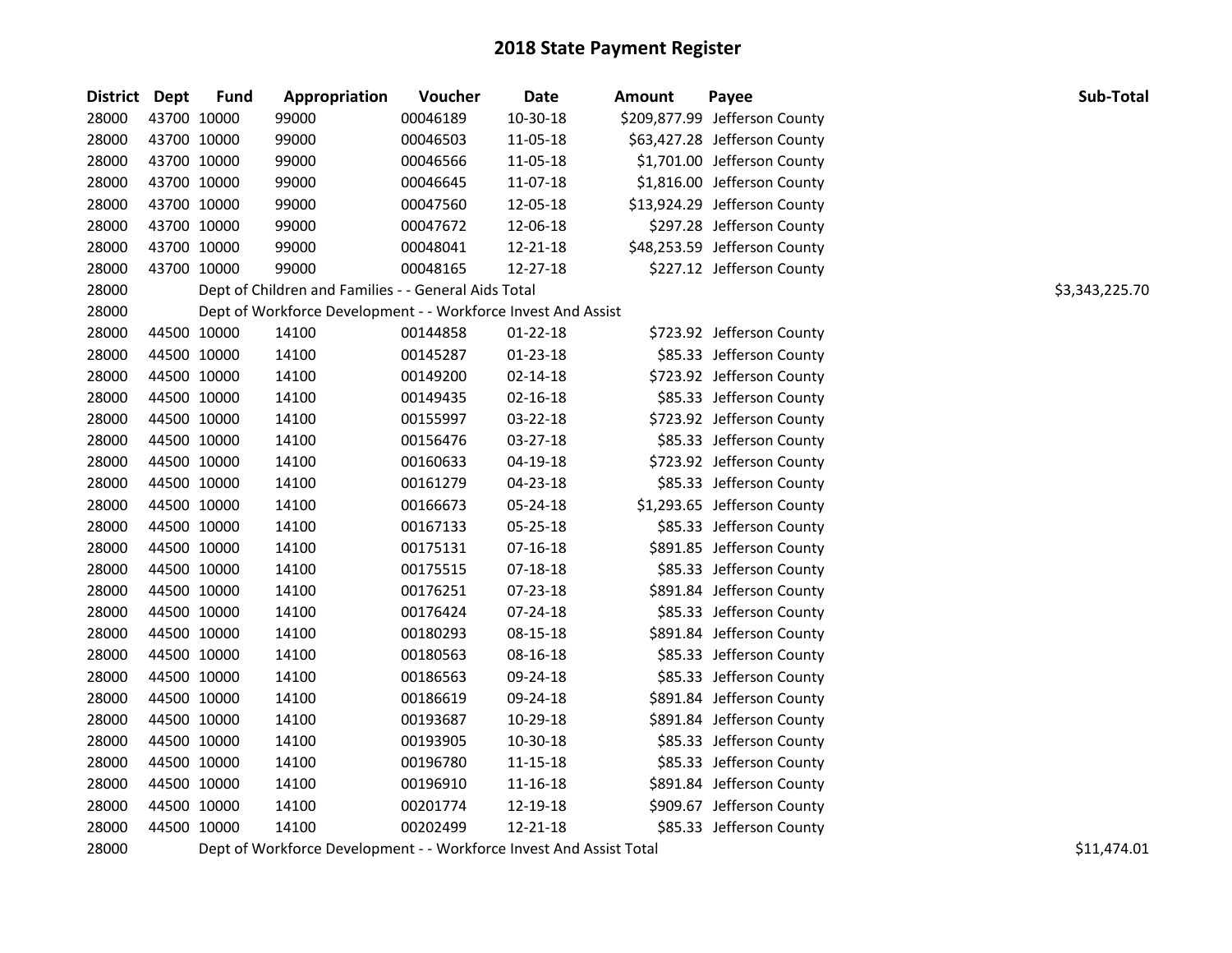| <b>District</b> | <b>Dept</b> | <b>Fund</b> | Appropriation                                                 | Voucher  | Date           | <b>Amount</b> | Payee                         | Sub-Total      |
|-----------------|-------------|-------------|---------------------------------------------------------------|----------|----------------|---------------|-------------------------------|----------------|
| 28000           | 43700 10000 |             | 99000                                                         | 00046189 | 10-30-18       |               | \$209,877.99 Jefferson County |                |
| 28000           | 43700 10000 |             | 99000                                                         | 00046503 | 11-05-18       |               | \$63,427.28 Jefferson County  |                |
| 28000           | 43700 10000 |             | 99000                                                         | 00046566 | 11-05-18       |               | \$1,701.00 Jefferson County   |                |
| 28000           | 43700 10000 |             | 99000                                                         | 00046645 | 11-07-18       |               | \$1,816.00 Jefferson County   |                |
| 28000           | 43700 10000 |             | 99000                                                         | 00047560 | 12-05-18       |               | \$13,924.29 Jefferson County  |                |
| 28000           | 43700 10000 |             | 99000                                                         | 00047672 | 12-06-18       |               | \$297.28 Jefferson County     |                |
| 28000           | 43700 10000 |             | 99000                                                         | 00048041 | 12-21-18       |               | \$48,253.59 Jefferson County  |                |
| 28000           | 43700 10000 |             | 99000                                                         | 00048165 | 12-27-18       |               | \$227.12 Jefferson County     |                |
| 28000           |             |             | Dept of Children and Families - - General Aids Total          |          |                |               |                               | \$3,343,225.70 |
| 28000           |             |             | Dept of Workforce Development - - Workforce Invest And Assist |          |                |               |                               |                |
| 28000           | 44500 10000 |             | 14100                                                         | 00144858 | $01 - 22 - 18$ |               | \$723.92 Jefferson County     |                |
| 28000           | 44500 10000 |             | 14100                                                         | 00145287 | $01 - 23 - 18$ |               | \$85.33 Jefferson County      |                |
| 28000           | 44500 10000 |             | 14100                                                         | 00149200 | $02 - 14 - 18$ |               | \$723.92 Jefferson County     |                |
| 28000           | 44500 10000 |             | 14100                                                         | 00149435 | $02 - 16 - 18$ |               | \$85.33 Jefferson County      |                |
| 28000           | 44500 10000 |             | 14100                                                         | 00155997 | 03-22-18       |               | \$723.92 Jefferson County     |                |
| 28000           | 44500 10000 |             | 14100                                                         | 00156476 | 03-27-18       |               | \$85.33 Jefferson County      |                |
| 28000           | 44500 10000 |             | 14100                                                         | 00160633 | 04-19-18       |               | \$723.92 Jefferson County     |                |
| 28000           | 44500 10000 |             | 14100                                                         | 00161279 | 04-23-18       |               | \$85.33 Jefferson County      |                |
| 28000           | 44500 10000 |             | 14100                                                         | 00166673 | 05-24-18       |               | \$1,293.65 Jefferson County   |                |
| 28000           | 44500 10000 |             | 14100                                                         | 00167133 | 05-25-18       |               | \$85.33 Jefferson County      |                |
| 28000           | 44500 10000 |             | 14100                                                         | 00175131 | $07-16-18$     |               | \$891.85 Jefferson County     |                |
| 28000           | 44500 10000 |             | 14100                                                         | 00175515 | 07-18-18       |               | \$85.33 Jefferson County      |                |
| 28000           | 44500 10000 |             | 14100                                                         | 00176251 | 07-23-18       |               | \$891.84 Jefferson County     |                |
| 28000           | 44500 10000 |             | 14100                                                         | 00176424 | 07-24-18       |               | \$85.33 Jefferson County      |                |
| 28000           | 44500 10000 |             | 14100                                                         | 00180293 | 08-15-18       |               | \$891.84 Jefferson County     |                |
| 28000           | 44500 10000 |             | 14100                                                         | 00180563 | 08-16-18       |               | \$85.33 Jefferson County      |                |
| 28000           | 44500 10000 |             | 14100                                                         | 00186563 | 09-24-18       |               | \$85.33 Jefferson County      |                |
| 28000           | 44500 10000 |             | 14100                                                         | 00186619 | 09-24-18       |               | \$891.84 Jefferson County     |                |
| 28000           | 44500 10000 |             | 14100                                                         | 00193687 | 10-29-18       |               | \$891.84 Jefferson County     |                |
| 28000           | 44500 10000 |             | 14100                                                         | 00193905 | 10-30-18       |               | \$85.33 Jefferson County      |                |
| 28000           | 44500 10000 |             | 14100                                                         | 00196780 | 11-15-18       |               | \$85.33 Jefferson County      |                |
| 28000           | 44500 10000 |             | 14100                                                         | 00196910 | 11-16-18       |               | \$891.84 Jefferson County     |                |
| 28000           | 44500 10000 |             | 14100                                                         | 00201774 | 12-19-18       |               | \$909.67 Jefferson County     |                |
| 28000           | 44500 10000 |             | 14100                                                         | 00202499 | 12-21-18       |               | \$85.33 Jefferson County      |                |

28000 Dept of Workforce Development - - Workforce Invest And Assist Total 510 and 511,474.01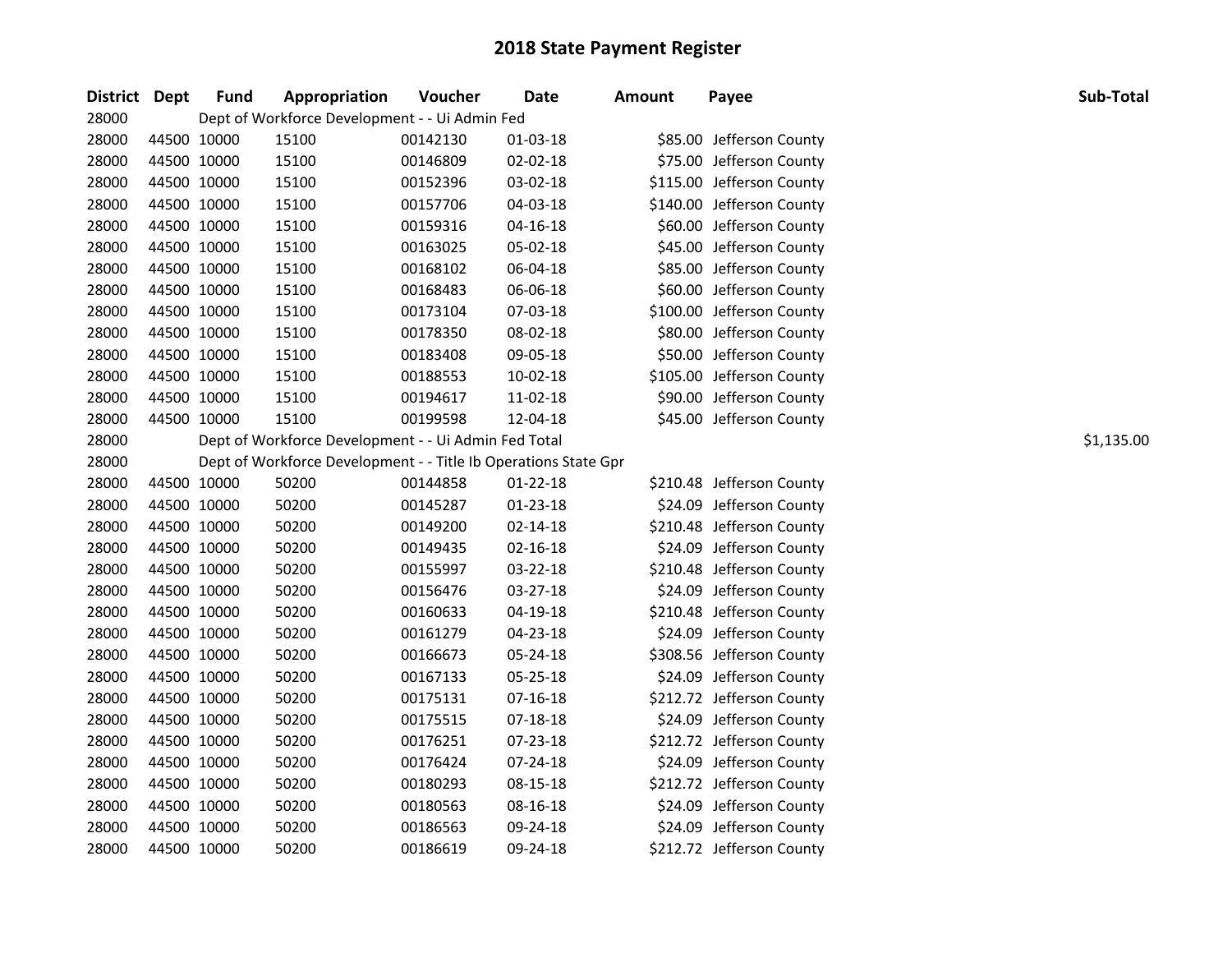| District Dept |             | <b>Fund</b> | Appropriation                                                   | Voucher  | Date           | <b>Amount</b> | Payee                     | Sub-Total  |
|---------------|-------------|-------------|-----------------------------------------------------------------|----------|----------------|---------------|---------------------------|------------|
| 28000         |             |             | Dept of Workforce Development - - Ui Admin Fed                  |          |                |               |                           |            |
| 28000         | 44500 10000 |             | 15100                                                           | 00142130 | $01-03-18$     |               | \$85.00 Jefferson County  |            |
| 28000         | 44500 10000 |             | 15100                                                           | 00146809 | 02-02-18       |               | \$75.00 Jefferson County  |            |
| 28000         | 44500 10000 |             | 15100                                                           | 00152396 | 03-02-18       |               | \$115.00 Jefferson County |            |
| 28000         | 44500 10000 |             | 15100                                                           | 00157706 | 04-03-18       |               | \$140.00 Jefferson County |            |
| 28000         |             | 44500 10000 | 15100                                                           | 00159316 | 04-16-18       |               | \$60.00 Jefferson County  |            |
| 28000         |             | 44500 10000 | 15100                                                           | 00163025 | 05-02-18       |               | \$45.00 Jefferson County  |            |
| 28000         |             | 44500 10000 | 15100                                                           | 00168102 | 06-04-18       |               | \$85.00 Jefferson County  |            |
| 28000         |             | 44500 10000 | 15100                                                           | 00168483 | 06-06-18       |               | \$60.00 Jefferson County  |            |
| 28000         |             | 44500 10000 | 15100                                                           | 00173104 | 07-03-18       |               | \$100.00 Jefferson County |            |
| 28000         | 44500 10000 |             | 15100                                                           | 00178350 | 08-02-18       |               | \$80.00 Jefferson County  |            |
| 28000         | 44500 10000 |             | 15100                                                           | 00183408 | 09-05-18       |               | \$50.00 Jefferson County  |            |
| 28000         | 44500 10000 |             | 15100                                                           | 00188553 | 10-02-18       |               | \$105.00 Jefferson County |            |
| 28000         | 44500 10000 |             | 15100                                                           | 00194617 | 11-02-18       |               | \$90.00 Jefferson County  |            |
| 28000         |             | 44500 10000 | 15100                                                           | 00199598 | 12-04-18       |               | \$45.00 Jefferson County  |            |
| 28000         |             |             | Dept of Workforce Development - - Ui Admin Fed Total            |          |                |               |                           | \$1,135.00 |
| 28000         |             |             | Dept of Workforce Development - - Title Ib Operations State Gpr |          |                |               |                           |            |
| 28000         |             | 44500 10000 | 50200                                                           | 00144858 | $01 - 22 - 18$ |               | \$210.48 Jefferson County |            |
| 28000         |             | 44500 10000 | 50200                                                           | 00145287 | 01-23-18       |               | \$24.09 Jefferson County  |            |
| 28000         |             | 44500 10000 | 50200                                                           | 00149200 | 02-14-18       |               | \$210.48 Jefferson County |            |
| 28000         | 44500 10000 |             | 50200                                                           | 00149435 | $02 - 16 - 18$ |               | \$24.09 Jefferson County  |            |
| 28000         | 44500 10000 |             | 50200                                                           | 00155997 | 03-22-18       |               | \$210.48 Jefferson County |            |
| 28000         | 44500 10000 |             | 50200                                                           | 00156476 | 03-27-18       |               | \$24.09 Jefferson County  |            |
| 28000         | 44500 10000 |             | 50200                                                           | 00160633 | 04-19-18       |               | \$210.48 Jefferson County |            |
| 28000         | 44500 10000 |             | 50200                                                           | 00161279 | 04-23-18       |               | \$24.09 Jefferson County  |            |
| 28000         | 44500 10000 |             | 50200                                                           | 00166673 | 05-24-18       |               | \$308.56 Jefferson County |            |
| 28000         |             | 44500 10000 | 50200                                                           | 00167133 | 05-25-18       |               | \$24.09 Jefferson County  |            |
| 28000         |             | 44500 10000 | 50200                                                           | 00175131 | 07-16-18       |               | \$212.72 Jefferson County |            |
| 28000         |             | 44500 10000 | 50200                                                           | 00175515 | $07 - 18 - 18$ |               | \$24.09 Jefferson County  |            |
| 28000         |             | 44500 10000 | 50200                                                           | 00176251 | 07-23-18       |               | \$212.72 Jefferson County |            |
| 28000         |             | 44500 10000 | 50200                                                           | 00176424 | 07-24-18       |               | \$24.09 Jefferson County  |            |
| 28000         | 44500 10000 |             | 50200                                                           | 00180293 | 08-15-18       |               | \$212.72 Jefferson County |            |
| 28000         | 44500 10000 |             | 50200                                                           | 00180563 | 08-16-18       |               | \$24.09 Jefferson County  |            |
| 28000         |             | 44500 10000 | 50200                                                           | 00186563 | 09-24-18       |               | \$24.09 Jefferson County  |            |
| 28000         |             | 44500 10000 | 50200                                                           | 00186619 | 09-24-18       |               | \$212.72 Jefferson County |            |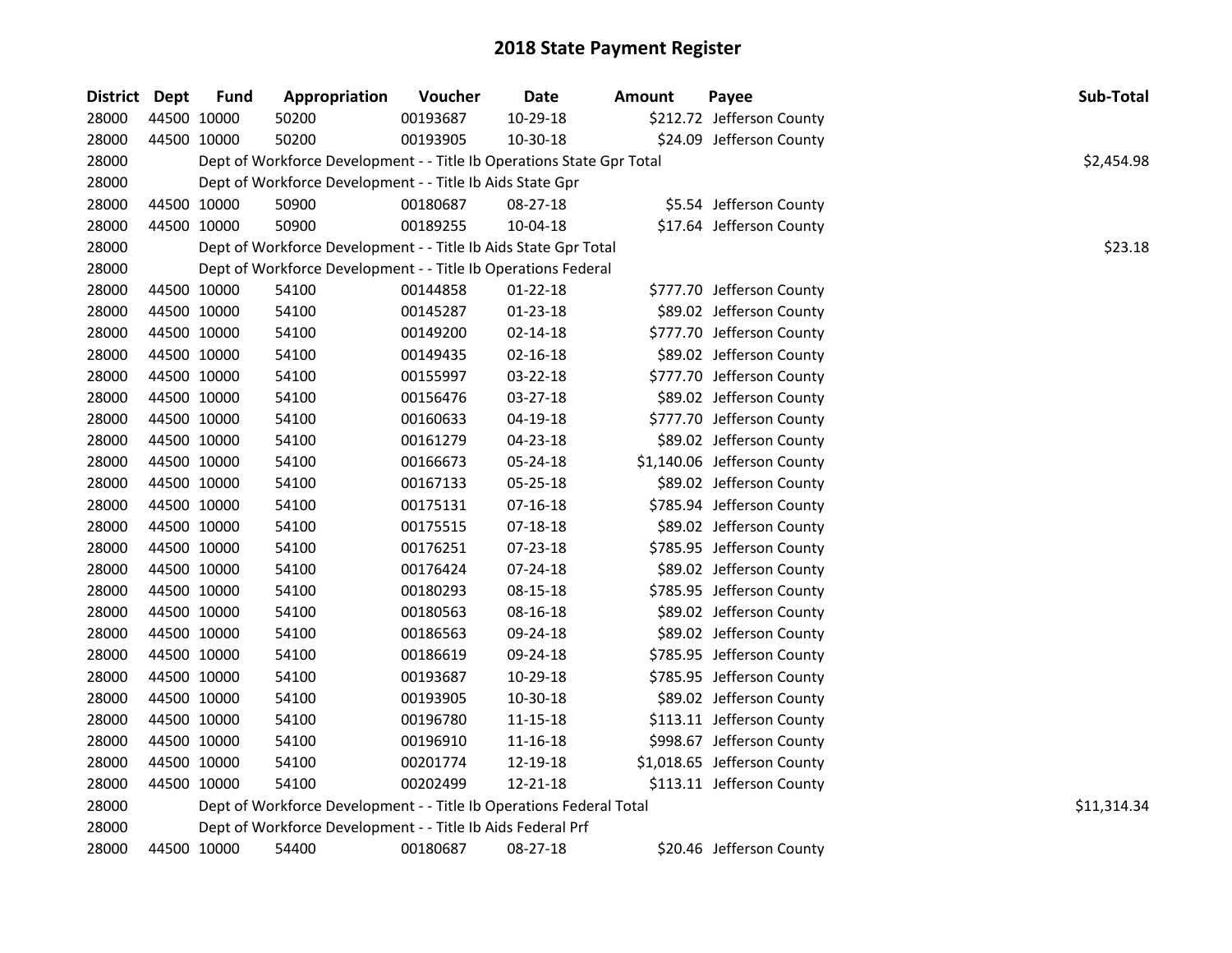| District Dept |             | <b>Fund</b> | Appropriation                                                         | Voucher  | Date           | <b>Amount</b> | Payee                       | Sub-Total   |
|---------------|-------------|-------------|-----------------------------------------------------------------------|----------|----------------|---------------|-----------------------------|-------------|
| 28000         | 44500 10000 |             | 50200                                                                 | 00193687 | 10-29-18       |               | \$212.72 Jefferson County   |             |
| 28000         | 44500 10000 |             | 50200                                                                 | 00193905 | 10-30-18       |               | \$24.09 Jefferson County    |             |
| 28000         |             |             | Dept of Workforce Development - - Title Ib Operations State Gpr Total |          |                |               |                             | \$2,454.98  |
| 28000         |             |             | Dept of Workforce Development - - Title Ib Aids State Gpr             |          |                |               |                             |             |
| 28000         | 44500 10000 |             | 50900                                                                 | 00180687 | 08-27-18       |               | \$5.54 Jefferson County     |             |
| 28000         | 44500 10000 |             | 50900                                                                 | 00189255 | 10-04-18       |               | \$17.64 Jefferson County    |             |
| 28000         |             |             | Dept of Workforce Development - - Title Ib Aids State Gpr Total       |          |                |               |                             | \$23.18     |
| 28000         |             |             | Dept of Workforce Development - - Title Ib Operations Federal         |          |                |               |                             |             |
| 28000         |             | 44500 10000 | 54100                                                                 | 00144858 | $01 - 22 - 18$ |               | \$777.70 Jefferson County   |             |
| 28000         | 44500 10000 |             | 54100                                                                 | 00145287 | 01-23-18       |               | \$89.02 Jefferson County    |             |
| 28000         | 44500 10000 |             | 54100                                                                 | 00149200 | 02-14-18       |               | \$777.70 Jefferson County   |             |
| 28000         | 44500 10000 |             | 54100                                                                 | 00149435 | 02-16-18       |               | \$89.02 Jefferson County    |             |
| 28000         | 44500 10000 |             | 54100                                                                 | 00155997 | 03-22-18       |               | \$777.70 Jefferson County   |             |
| 28000         | 44500 10000 |             | 54100                                                                 | 00156476 | 03-27-18       |               | \$89.02 Jefferson County    |             |
| 28000         | 44500 10000 |             | 54100                                                                 | 00160633 | 04-19-18       |               | \$777.70 Jefferson County   |             |
| 28000         | 44500 10000 |             | 54100                                                                 | 00161279 | 04-23-18       |               | \$89.02 Jefferson County    |             |
| 28000         | 44500 10000 |             | 54100                                                                 | 00166673 | 05-24-18       |               | \$1,140.06 Jefferson County |             |
| 28000         | 44500 10000 |             | 54100                                                                 | 00167133 | 05-25-18       |               | \$89.02 Jefferson County    |             |
| 28000         | 44500 10000 |             | 54100                                                                 | 00175131 | $07 - 16 - 18$ |               | \$785.94 Jefferson County   |             |
| 28000         | 44500 10000 |             | 54100                                                                 | 00175515 | 07-18-18       |               | \$89.02 Jefferson County    |             |
| 28000         | 44500 10000 |             | 54100                                                                 | 00176251 | 07-23-18       |               | \$785.95 Jefferson County   |             |
| 28000         | 44500 10000 |             | 54100                                                                 | 00176424 | 07-24-18       |               | \$89.02 Jefferson County    |             |
| 28000         | 44500 10000 |             | 54100                                                                 | 00180293 | 08-15-18       |               | \$785.95 Jefferson County   |             |
| 28000         | 44500 10000 |             | 54100                                                                 | 00180563 | 08-16-18       |               | \$89.02 Jefferson County    |             |
| 28000         | 44500 10000 |             | 54100                                                                 | 00186563 | 09-24-18       |               | \$89.02 Jefferson County    |             |
| 28000         | 44500 10000 |             | 54100                                                                 | 00186619 | 09-24-18       |               | \$785.95 Jefferson County   |             |
| 28000         | 44500 10000 |             | 54100                                                                 | 00193687 | 10-29-18       |               | \$785.95 Jefferson County   |             |
| 28000         | 44500 10000 |             | 54100                                                                 | 00193905 | 10-30-18       |               | \$89.02 Jefferson County    |             |
| 28000         | 44500 10000 |             | 54100                                                                 | 00196780 | 11-15-18       |               | \$113.11 Jefferson County   |             |
| 28000         | 44500 10000 |             | 54100                                                                 | 00196910 | 11-16-18       |               | \$998.67 Jefferson County   |             |
| 28000         | 44500 10000 |             | 54100                                                                 | 00201774 | 12-19-18       |               | \$1,018.65 Jefferson County |             |
| 28000         | 44500 10000 |             | 54100                                                                 | 00202499 | 12-21-18       |               | \$113.11 Jefferson County   |             |
| 28000         |             |             | Dept of Workforce Development - - Title Ib Operations Federal Total   |          |                |               |                             | \$11,314.34 |
| 28000         |             |             | Dept of Workforce Development - - Title Ib Aids Federal Prf           |          |                |               |                             |             |
| 28000         | 44500 10000 |             | 54400                                                                 | 00180687 | 08-27-18       |               | \$20.46 Jefferson County    |             |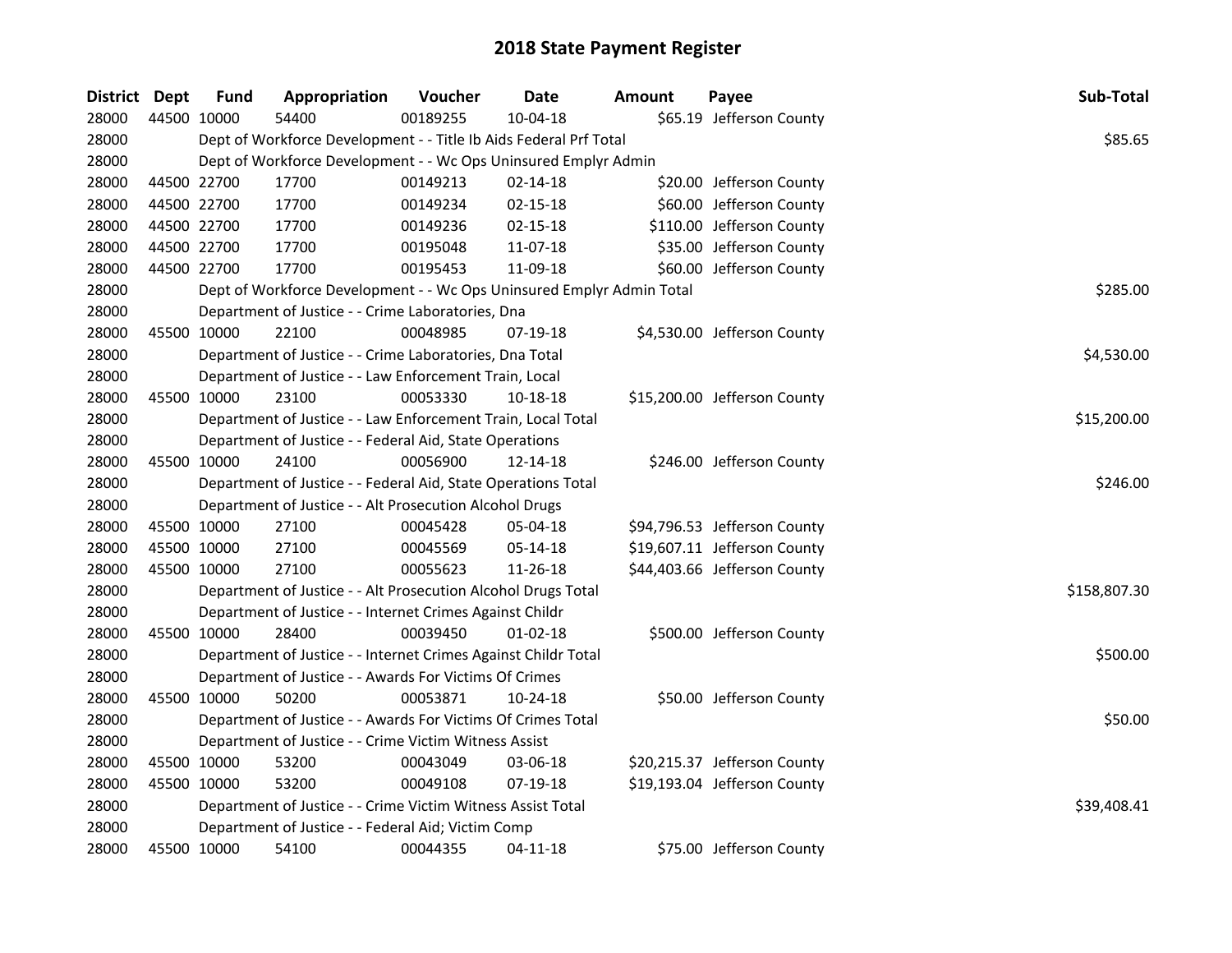| District Dept |             | <b>Fund</b> | Appropriation                                                         | Voucher  | <b>Date</b>    | <b>Amount</b> | Payee                        | Sub-Total    |
|---------------|-------------|-------------|-----------------------------------------------------------------------|----------|----------------|---------------|------------------------------|--------------|
| 28000         | 44500 10000 |             | 54400                                                                 | 00189255 | 10-04-18       |               | \$65.19 Jefferson County     |              |
| 28000         |             |             | Dept of Workforce Development - - Title Ib Aids Federal Prf Total     |          |                |               |                              | \$85.65      |
| 28000         |             |             | Dept of Workforce Development - - Wc Ops Uninsured Emplyr Admin       |          |                |               |                              |              |
| 28000         | 44500 22700 |             | 17700                                                                 | 00149213 | $02 - 14 - 18$ |               | \$20.00 Jefferson County     |              |
| 28000         | 44500 22700 |             | 17700                                                                 | 00149234 | $02 - 15 - 18$ |               | \$60.00 Jefferson County     |              |
| 28000         | 44500 22700 |             | 17700                                                                 | 00149236 | 02-15-18       |               | \$110.00 Jefferson County    |              |
| 28000         | 44500 22700 |             | 17700                                                                 | 00195048 | 11-07-18       |               | \$35.00 Jefferson County     |              |
| 28000         | 44500 22700 |             | 17700                                                                 | 00195453 | 11-09-18       |               | \$60.00 Jefferson County     |              |
| 28000         |             |             | Dept of Workforce Development - - Wc Ops Uninsured Emplyr Admin Total |          |                |               |                              | \$285.00     |
| 28000         |             |             | Department of Justice - - Crime Laboratories, Dna                     |          |                |               |                              |              |
| 28000         | 45500 10000 |             | 22100                                                                 | 00048985 | 07-19-18       |               | \$4,530.00 Jefferson County  |              |
| 28000         |             |             | Department of Justice - - Crime Laboratories, Dna Total               |          |                |               |                              | \$4,530.00   |
| 28000         |             |             | Department of Justice - - Law Enforcement Train, Local                |          |                |               |                              |              |
| 28000         | 45500 10000 |             | 23100                                                                 | 00053330 | 10-18-18       |               | \$15,200.00 Jefferson County |              |
| 28000         |             |             | Department of Justice - - Law Enforcement Train, Local Total          |          |                |               |                              | \$15,200.00  |
| 28000         |             |             | Department of Justice - - Federal Aid, State Operations               |          |                |               |                              |              |
| 28000         | 45500 10000 |             | 24100                                                                 | 00056900 | 12-14-18       |               | \$246.00 Jefferson County    |              |
| 28000         |             |             | Department of Justice - - Federal Aid, State Operations Total         |          |                |               |                              | \$246.00     |
| 28000         |             |             | Department of Justice - - Alt Prosecution Alcohol Drugs               |          |                |               |                              |              |
| 28000         | 45500 10000 |             | 27100                                                                 | 00045428 | 05-04-18       |               | \$94,796.53 Jefferson County |              |
| 28000         | 45500 10000 |             | 27100                                                                 | 00045569 | 05-14-18       |               | \$19,607.11 Jefferson County |              |
| 28000         | 45500 10000 |             | 27100                                                                 | 00055623 | 11-26-18       |               | \$44,403.66 Jefferson County |              |
| 28000         |             |             | Department of Justice - - Alt Prosecution Alcohol Drugs Total         |          |                |               |                              | \$158,807.30 |
| 28000         |             |             | Department of Justice - - Internet Crimes Against Childr              |          |                |               |                              |              |
| 28000         | 45500 10000 |             | 28400                                                                 | 00039450 | $01 - 02 - 18$ |               | \$500.00 Jefferson County    |              |
| 28000         |             |             | Department of Justice - - Internet Crimes Against Childr Total        |          |                |               |                              | \$500.00     |
| 28000         |             |             | Department of Justice - - Awards For Victims Of Crimes                |          |                |               |                              |              |
| 28000         | 45500 10000 |             | 50200                                                                 | 00053871 | 10-24-18       |               | \$50.00 Jefferson County     |              |
| 28000         |             |             | Department of Justice - - Awards For Victims Of Crimes Total          |          |                |               |                              | \$50.00      |
| 28000         |             |             | Department of Justice - - Crime Victim Witness Assist                 |          |                |               |                              |              |
| 28000         | 45500 10000 |             | 53200                                                                 | 00043049 | 03-06-18       |               | \$20,215.37 Jefferson County |              |
| 28000         | 45500 10000 |             | 53200                                                                 | 00049108 | 07-19-18       |               | \$19,193.04 Jefferson County |              |
| 28000         |             |             | Department of Justice - - Crime Victim Witness Assist Total           |          |                |               |                              | \$39,408.41  |
| 28000         |             |             | Department of Justice - - Federal Aid; Victim Comp                    |          |                |               |                              |              |
| 28000         | 45500 10000 |             | 54100                                                                 | 00044355 | 04-11-18       |               | \$75.00 Jefferson County     |              |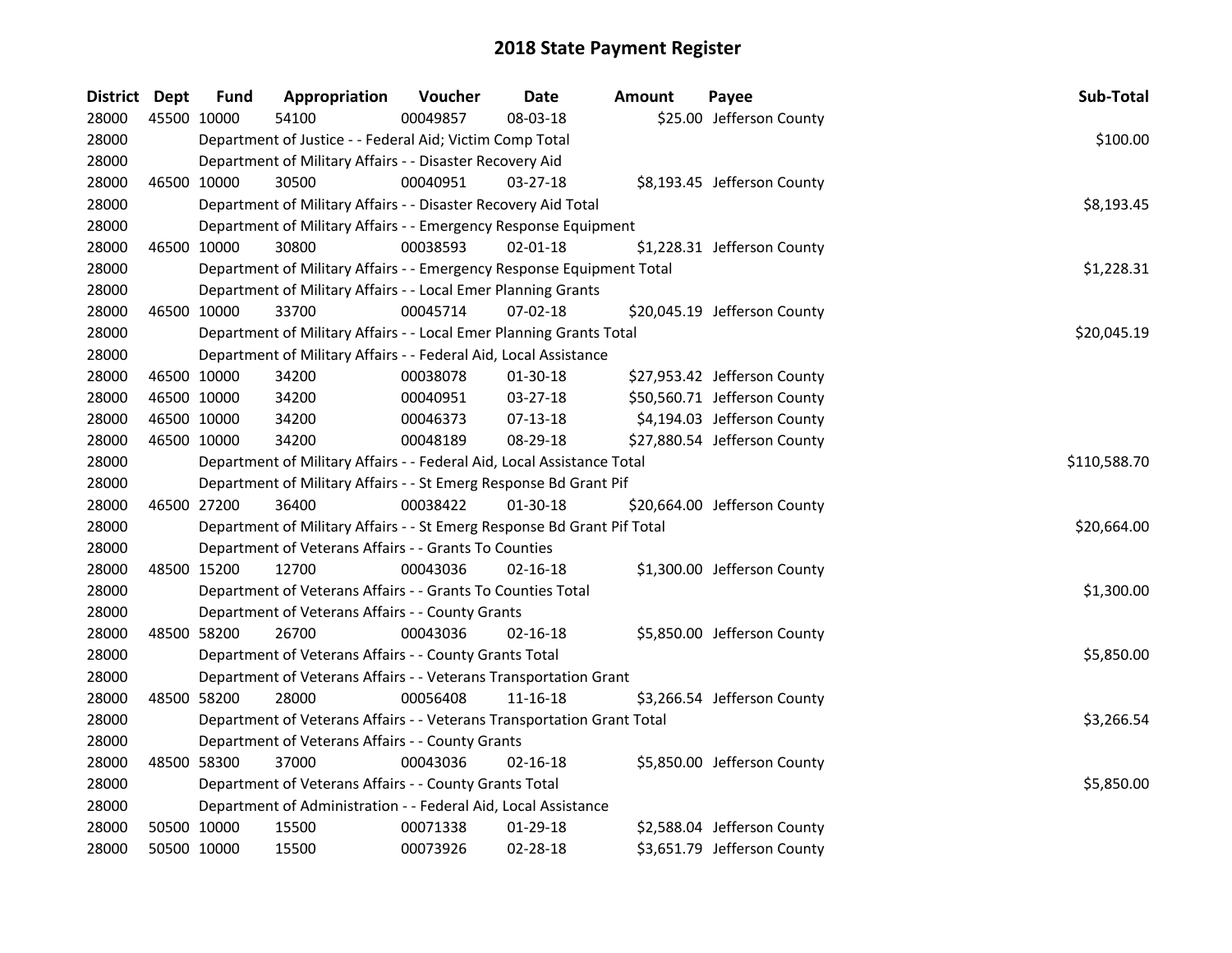| District Dept | <b>Fund</b> | Appropriation                                                           | Voucher  | <b>Date</b>    | Amount | Payee                        | Sub-Total    |
|---------------|-------------|-------------------------------------------------------------------------|----------|----------------|--------|------------------------------|--------------|
| 28000         | 45500 10000 | 54100                                                                   | 00049857 | 08-03-18       |        | \$25.00 Jefferson County     |              |
| 28000         |             | Department of Justice - - Federal Aid; Victim Comp Total                |          |                |        |                              | \$100.00     |
| 28000         |             | Department of Military Affairs - - Disaster Recovery Aid                |          |                |        |                              |              |
| 28000         | 46500 10000 | 30500                                                                   | 00040951 | $03 - 27 - 18$ |        | \$8,193.45 Jefferson County  |              |
| 28000         |             | Department of Military Affairs - - Disaster Recovery Aid Total          |          |                |        |                              | \$8,193.45   |
| 28000         |             | Department of Military Affairs - - Emergency Response Equipment         |          |                |        |                              |              |
| 28000         | 46500 10000 | 30800                                                                   | 00038593 | $02 - 01 - 18$ |        | \$1,228.31 Jefferson County  |              |
| 28000         |             | Department of Military Affairs - - Emergency Response Equipment Total   |          |                |        |                              | \$1,228.31   |
| 28000         |             | Department of Military Affairs - - Local Emer Planning Grants           |          |                |        |                              |              |
| 28000         | 46500 10000 | 33700                                                                   | 00045714 | 07-02-18       |        | \$20,045.19 Jefferson County |              |
| 28000         |             | Department of Military Affairs - - Local Emer Planning Grants Total     |          |                |        |                              | \$20,045.19  |
| 28000         |             | Department of Military Affairs - - Federal Aid, Local Assistance        |          |                |        |                              |              |
| 28000         | 46500 10000 | 34200                                                                   | 00038078 | 01-30-18       |        | \$27,953.42 Jefferson County |              |
| 28000         | 46500 10000 | 34200                                                                   | 00040951 | 03-27-18       |        | \$50,560.71 Jefferson County |              |
| 28000         | 46500 10000 | 34200                                                                   | 00046373 | 07-13-18       |        | \$4,194.03 Jefferson County  |              |
| 28000         | 46500 10000 | 34200                                                                   | 00048189 | 08-29-18       |        | \$27,880.54 Jefferson County |              |
| 28000         |             | Department of Military Affairs - - Federal Aid, Local Assistance Total  |          |                |        |                              | \$110,588.70 |
| 28000         |             | Department of Military Affairs - - St Emerg Response Bd Grant Pif       |          |                |        |                              |              |
| 28000         | 46500 27200 | 36400                                                                   | 00038422 | $01-30-18$     |        | \$20,664.00 Jefferson County |              |
| 28000         |             | Department of Military Affairs - - St Emerg Response Bd Grant Pif Total |          |                |        |                              | \$20,664.00  |
| 28000         |             | Department of Veterans Affairs - - Grants To Counties                   |          |                |        |                              |              |
| 28000         | 48500 15200 | 12700                                                                   | 00043036 | $02 - 16 - 18$ |        | \$1,300.00 Jefferson County  |              |
| 28000         |             | Department of Veterans Affairs - - Grants To Counties Total             |          |                |        |                              | \$1,300.00   |
| 28000         |             | Department of Veterans Affairs - - County Grants                        |          |                |        |                              |              |
| 28000         | 48500 58200 | 26700                                                                   | 00043036 | 02-16-18       |        | \$5,850.00 Jefferson County  |              |
| 28000         |             | Department of Veterans Affairs - - County Grants Total                  |          |                |        |                              | \$5,850.00   |
| 28000         |             | Department of Veterans Affairs - - Veterans Transportation Grant        |          |                |        |                              |              |
| 28000         | 48500 58200 | 28000                                                                   | 00056408 | 11-16-18       |        | \$3,266.54 Jefferson County  |              |
| 28000         |             | Department of Veterans Affairs - - Veterans Transportation Grant Total  |          |                |        |                              | \$3,266.54   |
| 28000         |             | Department of Veterans Affairs - - County Grants                        |          |                |        |                              |              |
| 28000         | 48500 58300 | 37000                                                                   | 00043036 | 02-16-18       |        | \$5,850.00 Jefferson County  |              |
| 28000         |             | Department of Veterans Affairs - - County Grants Total                  |          |                |        |                              | \$5,850.00   |
| 28000         |             | Department of Administration - - Federal Aid, Local Assistance          |          |                |        |                              |              |
| 28000         | 50500 10000 | 15500                                                                   | 00071338 | 01-29-18       |        | \$2,588.04 Jefferson County  |              |
| 28000         | 50500 10000 | 15500                                                                   | 00073926 | 02-28-18       |        | \$3,651.79 Jefferson County  |              |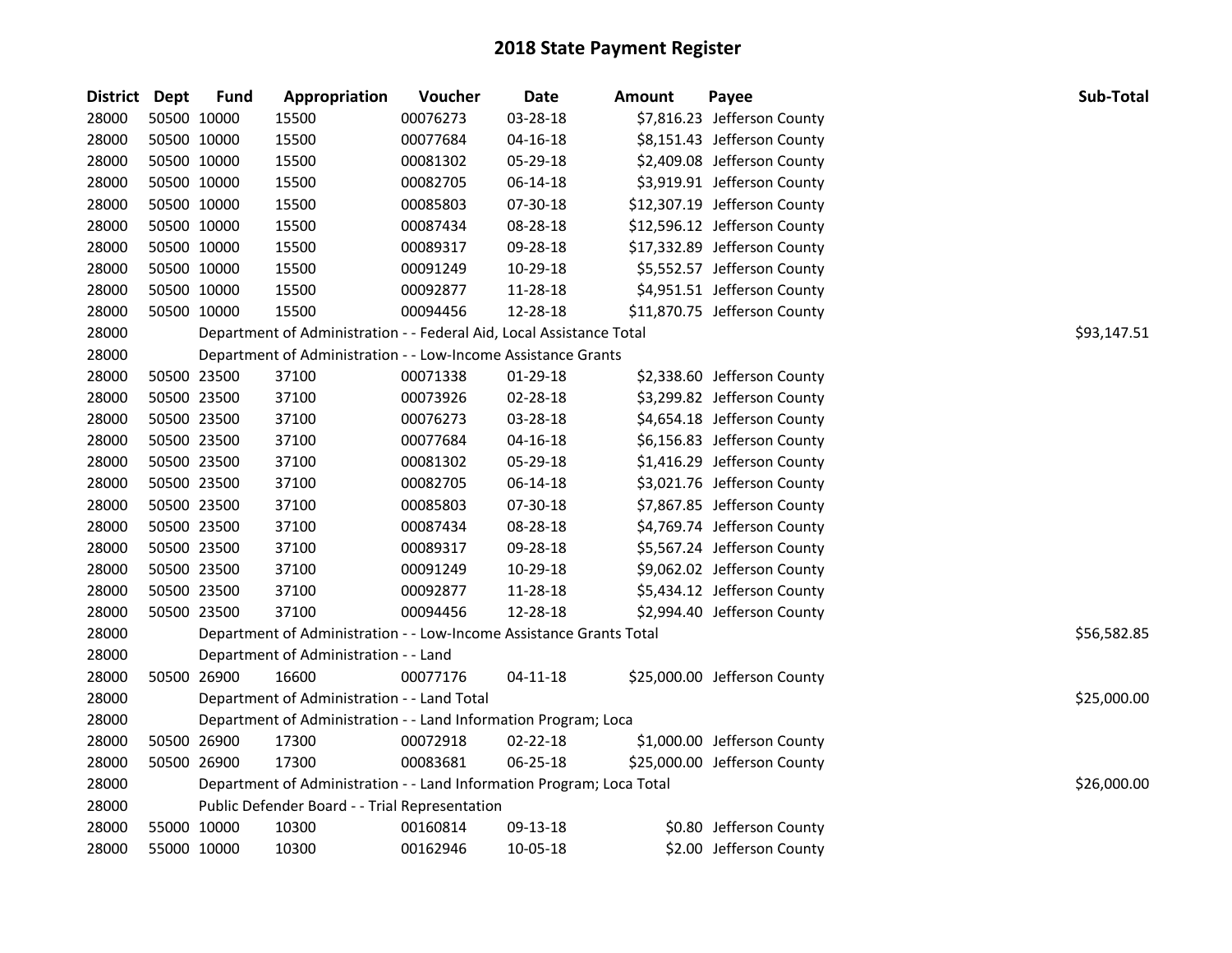| District Dept |             | <b>Fund</b> | Appropriation                                                         | Voucher  | <b>Date</b>    | <b>Amount</b> | Payee                        | Sub-Total   |
|---------------|-------------|-------------|-----------------------------------------------------------------------|----------|----------------|---------------|------------------------------|-------------|
| 28000         | 50500 10000 |             | 15500                                                                 | 00076273 | 03-28-18       |               | \$7,816.23 Jefferson County  |             |
| 28000         | 50500 10000 |             | 15500                                                                 | 00077684 | $04 - 16 - 18$ |               | \$8,151.43 Jefferson County  |             |
| 28000         | 50500 10000 |             | 15500                                                                 | 00081302 | 05-29-18       |               | \$2,409.08 Jefferson County  |             |
| 28000         | 50500 10000 |             | 15500                                                                 | 00082705 | 06-14-18       |               | \$3,919.91 Jefferson County  |             |
| 28000         | 50500 10000 |             | 15500                                                                 | 00085803 | 07-30-18       |               | \$12,307.19 Jefferson County |             |
| 28000         | 50500 10000 |             | 15500                                                                 | 00087434 | 08-28-18       |               | \$12,596.12 Jefferson County |             |
| 28000         | 50500 10000 |             | 15500                                                                 | 00089317 | 09-28-18       |               | \$17,332.89 Jefferson County |             |
| 28000         | 50500 10000 |             | 15500                                                                 | 00091249 | 10-29-18       |               | \$5,552.57 Jefferson County  |             |
| 28000         | 50500 10000 |             | 15500                                                                 | 00092877 | 11-28-18       |               | \$4,951.51 Jefferson County  |             |
| 28000         | 50500 10000 |             | 15500                                                                 | 00094456 | 12-28-18       |               | \$11,870.75 Jefferson County |             |
| 28000         |             |             | Department of Administration - - Federal Aid, Local Assistance Total  |          |                |               |                              | \$93,147.51 |
| 28000         |             |             | Department of Administration - - Low-Income Assistance Grants         |          |                |               |                              |             |
| 28000         | 50500 23500 |             | 37100                                                                 | 00071338 | 01-29-18       |               | \$2,338.60 Jefferson County  |             |
| 28000         | 50500 23500 |             | 37100                                                                 | 00073926 | 02-28-18       |               | \$3,299.82 Jefferson County  |             |
| 28000         | 50500 23500 |             | 37100                                                                 | 00076273 | 03-28-18       |               | \$4,654.18 Jefferson County  |             |
| 28000         | 50500 23500 |             | 37100                                                                 | 00077684 | 04-16-18       |               | \$6,156.83 Jefferson County  |             |
| 28000         | 50500 23500 |             | 37100                                                                 | 00081302 | 05-29-18       |               | \$1,416.29 Jefferson County  |             |
| 28000         | 50500 23500 |             | 37100                                                                 | 00082705 | 06-14-18       |               | \$3,021.76 Jefferson County  |             |
| 28000         | 50500 23500 |             | 37100                                                                 | 00085803 | 07-30-18       |               | \$7,867.85 Jefferson County  |             |
| 28000         | 50500 23500 |             | 37100                                                                 | 00087434 | 08-28-18       |               | \$4,769.74 Jefferson County  |             |
| 28000         | 50500 23500 |             | 37100                                                                 | 00089317 | 09-28-18       |               | \$5,567.24 Jefferson County  |             |
| 28000         | 50500 23500 |             | 37100                                                                 | 00091249 | 10-29-18       |               | \$9,062.02 Jefferson County  |             |
| 28000         | 50500 23500 |             | 37100                                                                 | 00092877 | 11-28-18       |               | \$5,434.12 Jefferson County  |             |
| 28000         | 50500 23500 |             | 37100                                                                 | 00094456 | 12-28-18       |               | \$2,994.40 Jefferson County  |             |
| 28000         |             |             | Department of Administration - - Low-Income Assistance Grants Total   |          |                |               |                              | \$56,582.85 |
| 28000         |             |             | Department of Administration - - Land                                 |          |                |               |                              |             |
| 28000         | 50500 26900 |             | 16600                                                                 | 00077176 | 04-11-18       |               | \$25,000.00 Jefferson County |             |
| 28000         |             |             | Department of Administration - - Land Total                           |          |                |               |                              | \$25,000.00 |
| 28000         |             |             | Department of Administration - - Land Information Program; Loca       |          |                |               |                              |             |
| 28000         | 50500 26900 |             | 17300                                                                 | 00072918 | 02-22-18       |               | \$1,000.00 Jefferson County  |             |
| 28000         | 50500 26900 |             | 17300                                                                 | 00083681 | 06-25-18       |               | \$25,000.00 Jefferson County |             |
| 28000         |             |             | Department of Administration - - Land Information Program; Loca Total |          |                |               |                              | \$26,000.00 |
| 28000         |             |             | Public Defender Board - - Trial Representation                        |          |                |               |                              |             |
| 28000         | 55000 10000 |             | 10300                                                                 | 00160814 | 09-13-18       |               | \$0.80 Jefferson County      |             |
| 28000         | 55000 10000 |             | 10300                                                                 | 00162946 | 10-05-18       |               | \$2.00 Jefferson County      |             |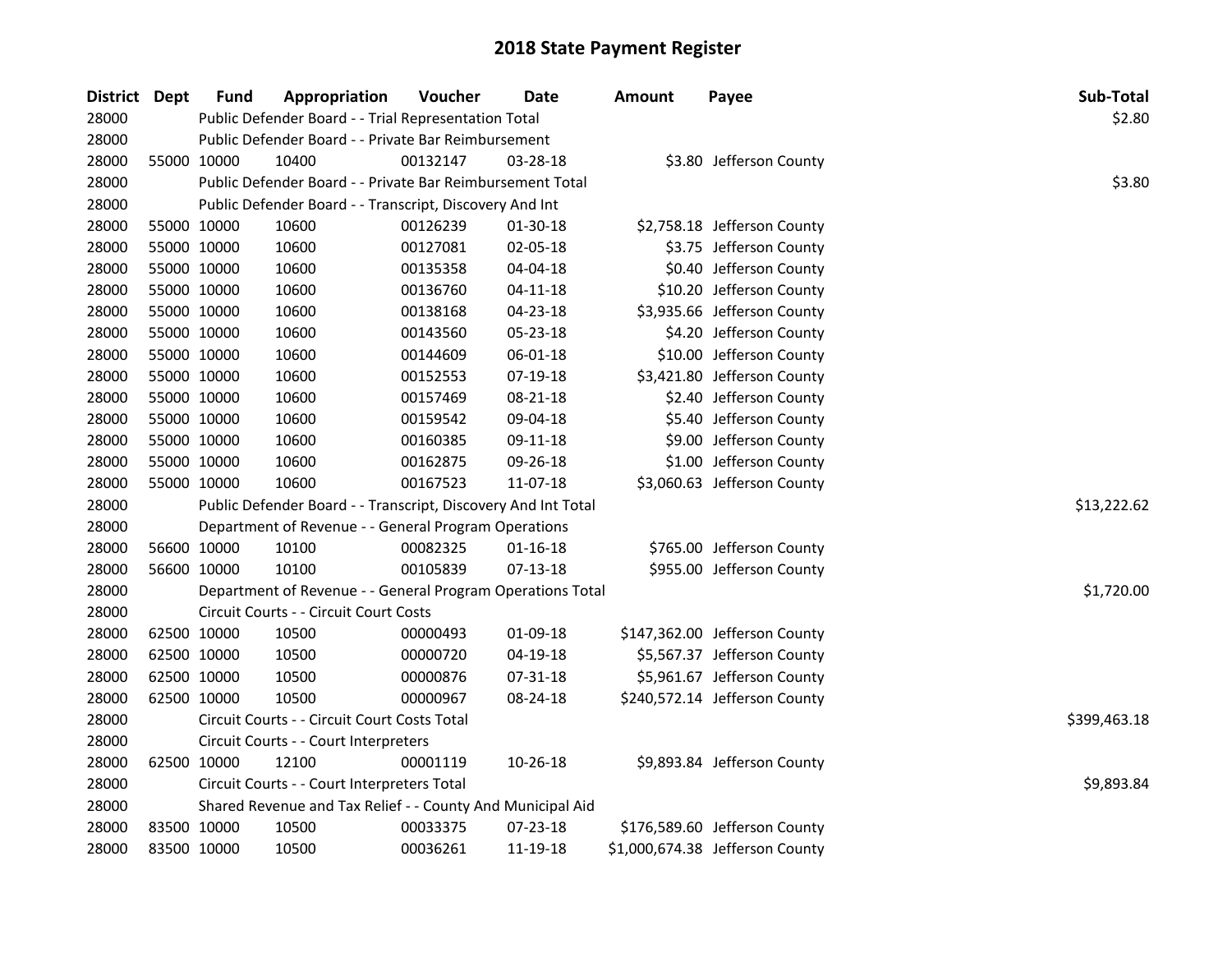| District Dept | <b>Fund</b> | Appropriation                                                 | <b>Voucher</b> | Date           | <b>Amount</b> | Payee                           | Sub-Total    |
|---------------|-------------|---------------------------------------------------------------|----------------|----------------|---------------|---------------------------------|--------------|
| 28000         |             | Public Defender Board - - Trial Representation Total          |                |                |               |                                 | \$2.80       |
| 28000         |             | Public Defender Board - - Private Bar Reimbursement           |                |                |               |                                 |              |
| 28000         | 55000 10000 | 10400                                                         | 00132147       | 03-28-18       |               | \$3.80 Jefferson County         |              |
| 28000         |             | Public Defender Board - - Private Bar Reimbursement Total     |                |                |               |                                 | \$3.80       |
| 28000         |             | Public Defender Board - - Transcript, Discovery And Int       |                |                |               |                                 |              |
| 28000         | 55000 10000 | 10600                                                         | 00126239       | 01-30-18       |               | \$2,758.18 Jefferson County     |              |
| 28000         | 55000 10000 | 10600                                                         | 00127081       | 02-05-18       |               | \$3.75 Jefferson County         |              |
| 28000         | 55000 10000 | 10600                                                         | 00135358       | 04-04-18       |               | \$0.40 Jefferson County         |              |
| 28000         | 55000 10000 | 10600                                                         | 00136760       | $04 - 11 - 18$ |               | \$10.20 Jefferson County        |              |
| 28000         | 55000 10000 | 10600                                                         | 00138168       | 04-23-18       |               | \$3,935.66 Jefferson County     |              |
| 28000         | 55000 10000 | 10600                                                         | 00143560       | 05-23-18       |               | \$4.20 Jefferson County         |              |
| 28000         | 55000 10000 | 10600                                                         | 00144609       | 06-01-18       |               | \$10.00 Jefferson County        |              |
| 28000         | 55000 10000 | 10600                                                         | 00152553       | 07-19-18       |               | \$3,421.80 Jefferson County     |              |
| 28000         | 55000 10000 | 10600                                                         | 00157469       | 08-21-18       |               | \$2.40 Jefferson County         |              |
| 28000         | 55000 10000 | 10600                                                         | 00159542       | 09-04-18       |               | \$5.40 Jefferson County         |              |
| 28000         | 55000 10000 | 10600                                                         | 00160385       | 09-11-18       |               | \$9.00 Jefferson County         |              |
| 28000         | 55000 10000 | 10600                                                         | 00162875       | 09-26-18       |               | \$1.00 Jefferson County         |              |
| 28000         | 55000 10000 | 10600                                                         | 00167523       | 11-07-18       |               | \$3,060.63 Jefferson County     |              |
| 28000         |             | Public Defender Board - - Transcript, Discovery And Int Total |                |                |               |                                 | \$13,222.62  |
| 28000         |             | Department of Revenue - - General Program Operations          |                |                |               |                                 |              |
| 28000         | 56600 10000 | 10100                                                         | 00082325       | 01-16-18       |               | \$765.00 Jefferson County       |              |
| 28000         | 56600 10000 | 10100                                                         | 00105839       | $07-13-18$     |               | \$955.00 Jefferson County       |              |
| 28000         |             | Department of Revenue - - General Program Operations Total    |                |                |               |                                 | \$1,720.00   |
| 28000         |             | Circuit Courts - - Circuit Court Costs                        |                |                |               |                                 |              |
| 28000         | 62500 10000 | 10500                                                         | 00000493       | 01-09-18       |               | \$147,362.00 Jefferson County   |              |
| 28000         | 62500 10000 | 10500                                                         | 00000720       | 04-19-18       |               | \$5,567.37 Jefferson County     |              |
| 28000         | 62500 10000 | 10500                                                         | 00000876       | 07-31-18       |               | \$5,961.67 Jefferson County     |              |
| 28000         | 62500 10000 | 10500                                                         | 00000967       | 08-24-18       |               | \$240,572.14 Jefferson County   |              |
| 28000         |             | Circuit Courts - - Circuit Court Costs Total                  |                |                |               |                                 | \$399,463.18 |
| 28000         |             | Circuit Courts - - Court Interpreters                         |                |                |               |                                 |              |
| 28000         | 62500 10000 | 12100                                                         | 00001119       | 10-26-18       |               | \$9,893.84 Jefferson County     |              |
| 28000         |             | Circuit Courts - - Court Interpreters Total                   |                |                |               |                                 | \$9,893.84   |
| 28000         |             | Shared Revenue and Tax Relief - - County And Municipal Aid    |                |                |               |                                 |              |
| 28000         | 83500 10000 | 10500                                                         | 00033375       | 07-23-18       |               | \$176,589.60 Jefferson County   |              |
| 28000         | 83500 10000 | 10500                                                         | 00036261       | 11-19-18       |               | \$1,000,674.38 Jefferson County |              |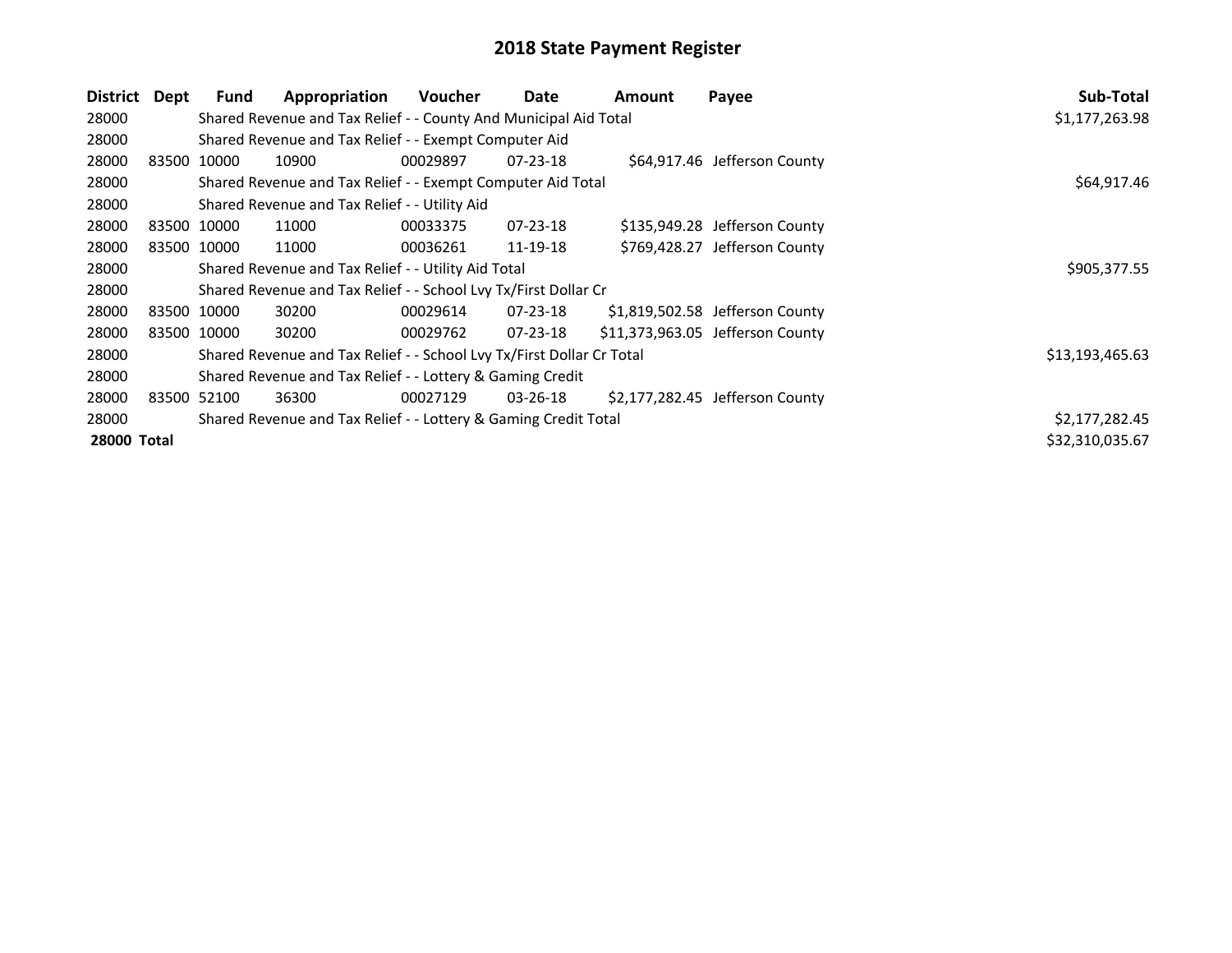| District           | Dept        | <b>Fund</b> | Appropriation                                                         | <b>Voucher</b> | Date           | Amount | Payee                            | Sub-Total       |
|--------------------|-------------|-------------|-----------------------------------------------------------------------|----------------|----------------|--------|----------------------------------|-----------------|
| 28000              |             |             | Shared Revenue and Tax Relief - - County And Municipal Aid Total      |                |                |        |                                  | \$1,177,263.98  |
| 28000              |             |             | Shared Revenue and Tax Relief - - Exempt Computer Aid                 |                |                |        |                                  |                 |
| 28000              | 83500 10000 |             | 10900                                                                 | 00029897       | $07 - 23 - 18$ |        | \$64,917.46 Jefferson County     |                 |
| 28000              |             |             | Shared Revenue and Tax Relief - - Exempt Computer Aid Total           |                |                |        |                                  | \$64,917.46     |
| 28000              |             |             | Shared Revenue and Tax Relief - - Utility Aid                         |                |                |        |                                  |                 |
| 28000              | 83500 10000 |             | 11000                                                                 | 00033375       | 07-23-18       |        | \$135,949.28 Jefferson County    |                 |
| 28000              | 83500 10000 |             | 11000                                                                 | 00036261       | 11-19-18       |        | \$769,428.27 Jefferson County    |                 |
| 28000              |             |             | Shared Revenue and Tax Relief - - Utility Aid Total                   |                |                |        |                                  | \$905,377.55    |
| 28000              |             |             | Shared Revenue and Tax Relief - - School Lvy Tx/First Dollar Cr       |                |                |        |                                  |                 |
| 28000              | 83500 10000 |             | 30200                                                                 | 00029614       | 07-23-18       |        | \$1,819,502.58 Jefferson County  |                 |
| 28000              | 83500 10000 |             | 30200                                                                 | 00029762       | 07-23-18       |        | \$11,373,963.05 Jefferson County |                 |
| 28000              |             |             | Shared Revenue and Tax Relief - - School Lvy Tx/First Dollar Cr Total |                |                |        |                                  | \$13,193,465.63 |
| 28000              |             |             | Shared Revenue and Tax Relief - - Lottery & Gaming Credit             |                |                |        |                                  |                 |
| 28000              | 83500 52100 |             | 36300                                                                 | 00027129       | 03-26-18       |        | \$2,177,282.45 Jefferson County  |                 |
| 28000              |             |             | Shared Revenue and Tax Relief - - Lottery & Gaming Credit Total       |                |                |        |                                  | \$2,177,282.45  |
| <b>28000 Total</b> |             |             |                                                                       |                |                |        |                                  | \$32,310,035.67 |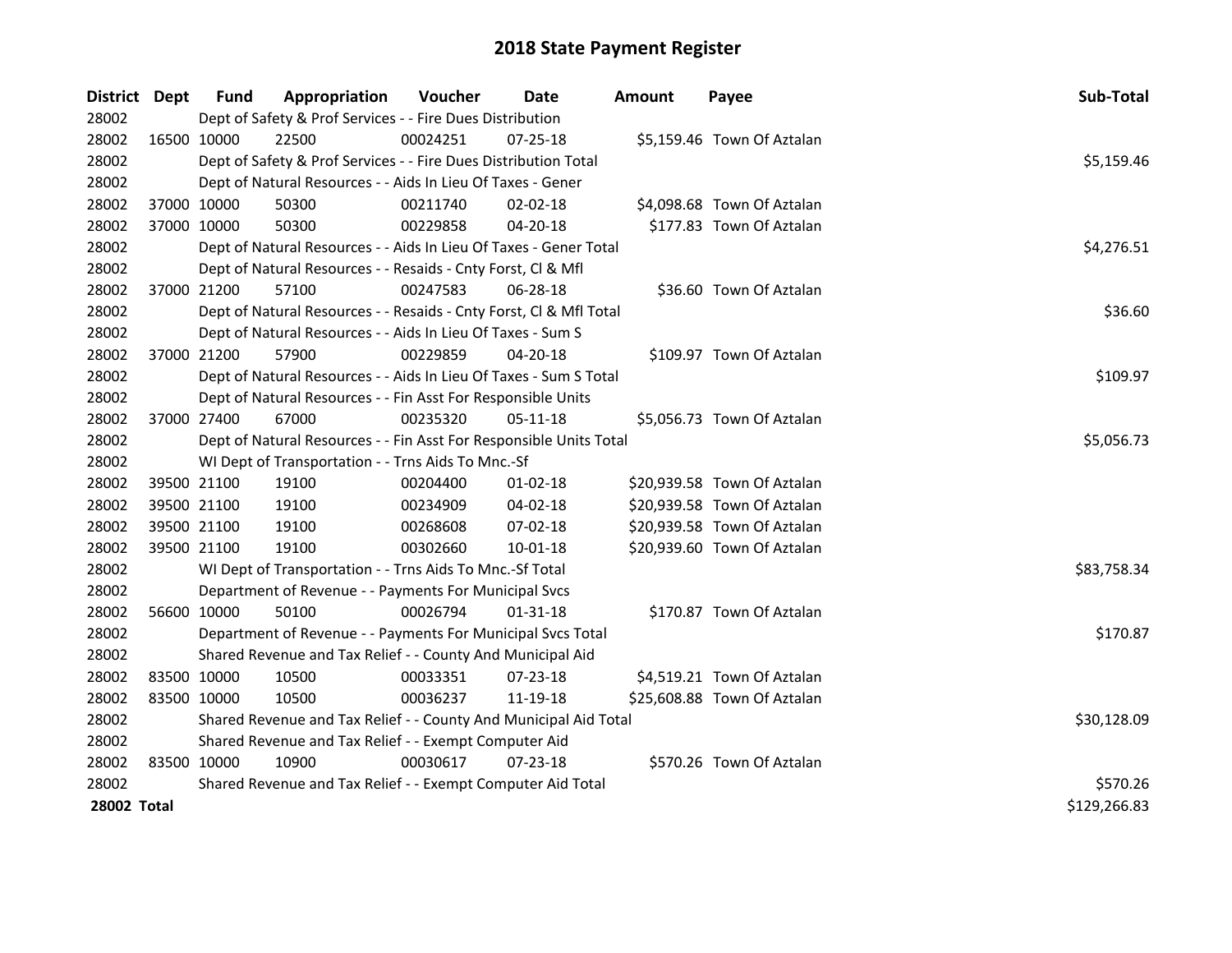| District Dept |             | <b>Fund</b> | Appropriation                                                      | Voucher    | <b>Date</b>    | <b>Amount</b> | Payee                       | Sub-Total    |
|---------------|-------------|-------------|--------------------------------------------------------------------|------------|----------------|---------------|-----------------------------|--------------|
| 28002         |             |             | Dept of Safety & Prof Services - - Fire Dues Distribution          |            |                |               |                             |              |
| 28002         | 16500 10000 |             | 22500                                                              | 00024251   | 07-25-18       |               | \$5,159.46 Town Of Aztalan  |              |
| 28002         |             |             | Dept of Safety & Prof Services - - Fire Dues Distribution Total    |            |                |               |                             | \$5,159.46   |
| 28002         |             |             | Dept of Natural Resources - - Aids In Lieu Of Taxes - Gener        |            |                |               |                             |              |
| 28002         |             | 37000 10000 | 50300                                                              | 00211740   | 02-02-18       |               | \$4,098.68 Town Of Aztalan  |              |
| 28002         |             | 37000 10000 | 50300                                                              | 00229858   | 04-20-18       |               | \$177.83 Town Of Aztalan    |              |
| 28002         |             |             | Dept of Natural Resources - - Aids In Lieu Of Taxes - Gener Total  |            |                |               |                             | \$4,276.51   |
| 28002         |             |             | Dept of Natural Resources - - Resaids - Cnty Forst, Cl & Mfl       |            |                |               |                             |              |
| 28002         |             | 37000 21200 | 57100                                                              | 00247583   | 06-28-18       |               | \$36.60 Town Of Aztalan     |              |
| 28002         |             |             | Dept of Natural Resources - - Resaids - Cnty Forst, Cl & Mfl Total |            |                |               |                             | \$36.60      |
| 28002         |             |             | Dept of Natural Resources - - Aids In Lieu Of Taxes - Sum S        |            |                |               |                             |              |
| 28002         |             | 37000 21200 | 57900                                                              | 00229859   | 04-20-18       |               | \$109.97 Town Of Aztalan    |              |
| 28002         |             |             | Dept of Natural Resources - - Aids In Lieu Of Taxes - Sum S Total  |            |                |               |                             | \$109.97     |
| 28002         |             |             | Dept of Natural Resources - - Fin Asst For Responsible Units       |            |                |               |                             |              |
| 28002         |             | 37000 27400 | 67000                                                              | 00235320   | 05-11-18       |               | \$5,056.73 Town Of Aztalan  |              |
| 28002         |             |             | Dept of Natural Resources - - Fin Asst For Responsible Units Total | \$5,056.73 |                |               |                             |              |
| 28002         |             |             | WI Dept of Transportation - - Trns Aids To Mnc.-Sf                 |            |                |               |                             |              |
| 28002         |             | 39500 21100 | 19100                                                              | 00204400   | $01 - 02 - 18$ |               | \$20,939.58 Town Of Aztalan |              |
| 28002         |             | 39500 21100 | 19100                                                              | 00234909   | 04-02-18       |               | \$20,939.58 Town Of Aztalan |              |
| 28002         |             | 39500 21100 | 19100                                                              | 00268608   | 07-02-18       |               | \$20,939.58 Town Of Aztalan |              |
| 28002         |             | 39500 21100 | 19100                                                              | 00302660   | 10-01-18       |               | \$20,939.60 Town Of Aztalan |              |
| 28002         |             |             | WI Dept of Transportation - - Trns Aids To Mnc.-Sf Total           |            |                |               |                             | \$83,758.34  |
| 28002         |             |             | Department of Revenue - - Payments For Municipal Svcs              |            |                |               |                             |              |
| 28002         |             | 56600 10000 | 50100                                                              | 00026794   | 01-31-18       |               | \$170.87 Town Of Aztalan    |              |
| 28002         |             |             | Department of Revenue - - Payments For Municipal Svcs Total        |            |                |               |                             | \$170.87     |
| 28002         |             |             | Shared Revenue and Tax Relief - - County And Municipal Aid         |            |                |               |                             |              |
| 28002         | 83500 10000 |             | 10500                                                              | 00033351   | 07-23-18       |               | \$4,519.21 Town Of Aztalan  |              |
| 28002         | 83500 10000 |             | 10500                                                              | 00036237   | 11-19-18       |               | \$25,608.88 Town Of Aztalan |              |
| 28002         |             |             | Shared Revenue and Tax Relief - - County And Municipal Aid Total   |            |                |               |                             | \$30,128.09  |
| 28002         |             |             | Shared Revenue and Tax Relief - - Exempt Computer Aid              |            |                |               |                             |              |
| 28002         | 83500 10000 |             | 10900                                                              | 00030617   | 07-23-18       |               | \$570.26 Town Of Aztalan    |              |
| 28002         |             |             | Shared Revenue and Tax Relief - - Exempt Computer Aid Total        |            |                |               |                             | \$570.26     |
| 28002 Total   |             |             |                                                                    |            |                |               |                             | \$129,266.83 |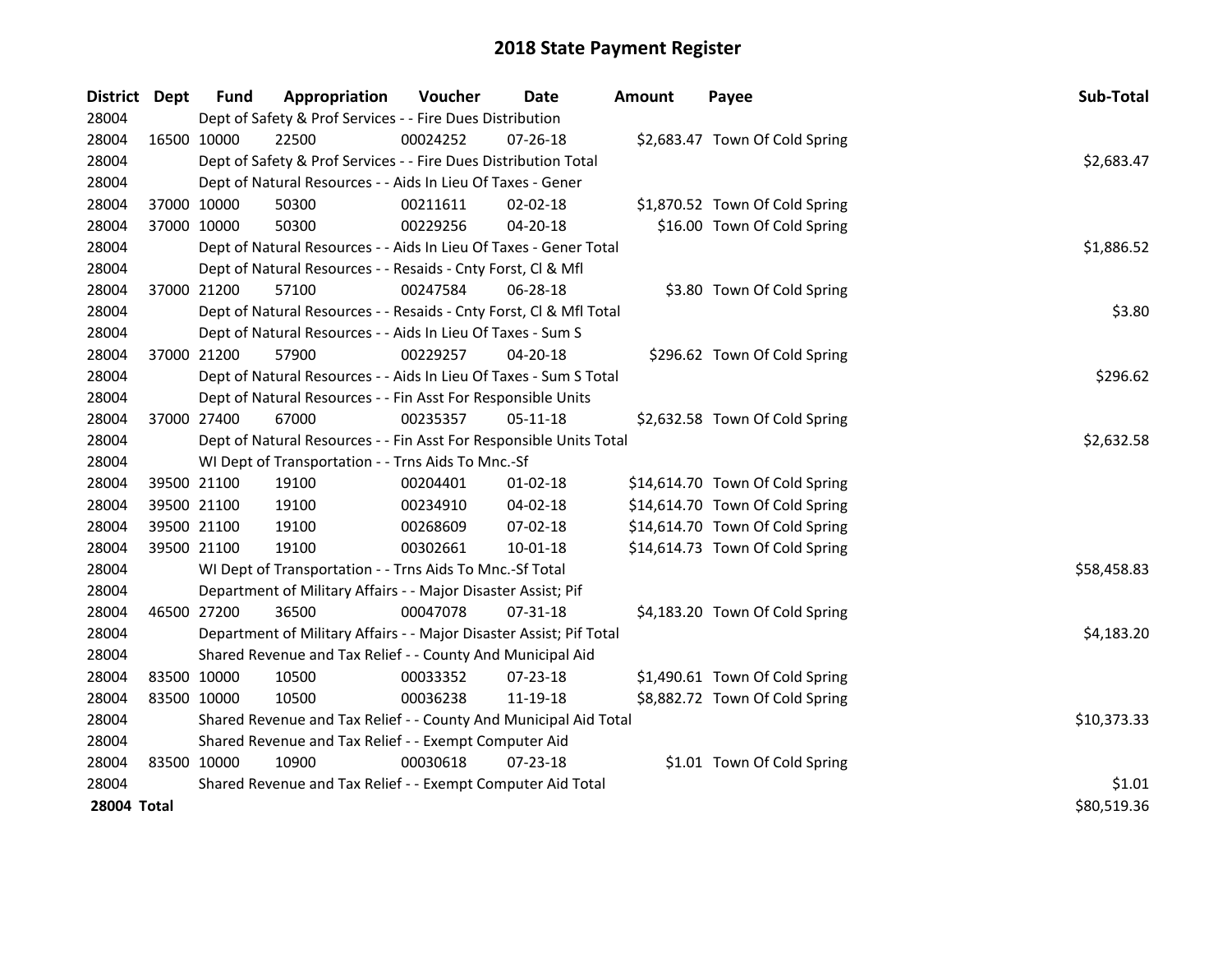| <b>District</b> | Dept        | <b>Fund</b> | Appropriation                                                       | Voucher    | <b>Date</b>    | <b>Amount</b> | Payee                           | Sub-Total   |
|-----------------|-------------|-------------|---------------------------------------------------------------------|------------|----------------|---------------|---------------------------------|-------------|
| 28004           |             |             | Dept of Safety & Prof Services - - Fire Dues Distribution           |            |                |               |                                 |             |
| 28004           | 16500 10000 |             | 22500                                                               | 00024252   | 07-26-18       |               | \$2,683.47 Town Of Cold Spring  |             |
| 28004           |             |             | Dept of Safety & Prof Services - - Fire Dues Distribution Total     |            |                |               |                                 | \$2,683.47  |
| 28004           |             |             | Dept of Natural Resources - - Aids In Lieu Of Taxes - Gener         |            |                |               |                                 |             |
| 28004           | 37000 10000 |             | 50300                                                               | 00211611   | 02-02-18       |               | \$1,870.52 Town Of Cold Spring  |             |
| 28004           | 37000 10000 |             | 50300                                                               | 00229256   | 04-20-18       |               | \$16.00 Town Of Cold Spring     |             |
| 28004           |             |             | Dept of Natural Resources - - Aids In Lieu Of Taxes - Gener Total   |            |                |               |                                 | \$1,886.52  |
| 28004           |             |             | Dept of Natural Resources - - Resaids - Cnty Forst, Cl & Mfl        |            |                |               |                                 |             |
| 28004           | 37000 21200 |             | 57100                                                               | 00247584   | 06-28-18       |               | \$3.80 Town Of Cold Spring      |             |
| 28004           |             |             | Dept of Natural Resources - - Resaids - Cnty Forst, Cl & Mfl Total  |            |                |               |                                 | \$3.80      |
| 28004           |             |             | Dept of Natural Resources - - Aids In Lieu Of Taxes - Sum S         |            |                |               |                                 |             |
| 28004           | 37000 21200 |             | 57900                                                               | 00229257   | 04-20-18       |               | \$296.62 Town Of Cold Spring    |             |
| 28004           |             |             | Dept of Natural Resources - - Aids In Lieu Of Taxes - Sum S Total   |            |                |               |                                 | \$296.62    |
| 28004           |             |             | Dept of Natural Resources - - Fin Asst For Responsible Units        |            |                |               |                                 |             |
| 28004           | 37000 27400 |             | 67000                                                               | 00235357   | 05-11-18       |               | \$2,632.58 Town Of Cold Spring  |             |
| 28004           |             |             | Dept of Natural Resources - - Fin Asst For Responsible Units Total  | \$2,632.58 |                |               |                                 |             |
| 28004           |             |             | WI Dept of Transportation - - Trns Aids To Mnc.-Sf                  |            |                |               |                                 |             |
| 28004           | 39500 21100 |             | 19100                                                               | 00204401   | $01 - 02 - 18$ |               | \$14,614.70 Town Of Cold Spring |             |
| 28004           | 39500 21100 |             | 19100                                                               | 00234910   | 04-02-18       |               | \$14,614.70 Town Of Cold Spring |             |
| 28004           | 39500 21100 |             | 19100                                                               | 00268609   | 07-02-18       |               | \$14,614.70 Town Of Cold Spring |             |
| 28004           | 39500 21100 |             | 19100                                                               | 00302661   | 10-01-18       |               | \$14,614.73 Town Of Cold Spring |             |
| 28004           |             |             | WI Dept of Transportation - - Trns Aids To Mnc.-Sf Total            |            |                |               |                                 | \$58,458.83 |
| 28004           |             |             | Department of Military Affairs - - Major Disaster Assist; Pif       |            |                |               |                                 |             |
| 28004           | 46500 27200 |             | 36500                                                               | 00047078   | 07-31-18       |               | \$4,183.20 Town Of Cold Spring  |             |
| 28004           |             |             | Department of Military Affairs - - Major Disaster Assist; Pif Total |            |                |               |                                 | \$4,183.20  |
| 28004           |             |             | Shared Revenue and Tax Relief - - County And Municipal Aid          |            |                |               |                                 |             |
| 28004           | 83500 10000 |             | 10500                                                               | 00033352   | 07-23-18       |               | \$1,490.61 Town Of Cold Spring  |             |
| 28004           | 83500 10000 |             | 10500                                                               | 00036238   | 11-19-18       |               | \$8,882.72 Town Of Cold Spring  |             |
| 28004           |             |             | Shared Revenue and Tax Relief - - County And Municipal Aid Total    |            |                |               |                                 | \$10,373.33 |
| 28004           |             |             | Shared Revenue and Tax Relief - - Exempt Computer Aid               |            |                |               |                                 |             |
| 28004           | 83500 10000 |             | 10900                                                               | 00030618   | 07-23-18       |               | \$1.01 Town Of Cold Spring      |             |
| 28004           |             |             | Shared Revenue and Tax Relief - - Exempt Computer Aid Total         |            |                |               |                                 | \$1.01      |
| 28004 Total     |             |             |                                                                     |            |                |               |                                 | \$80,519.36 |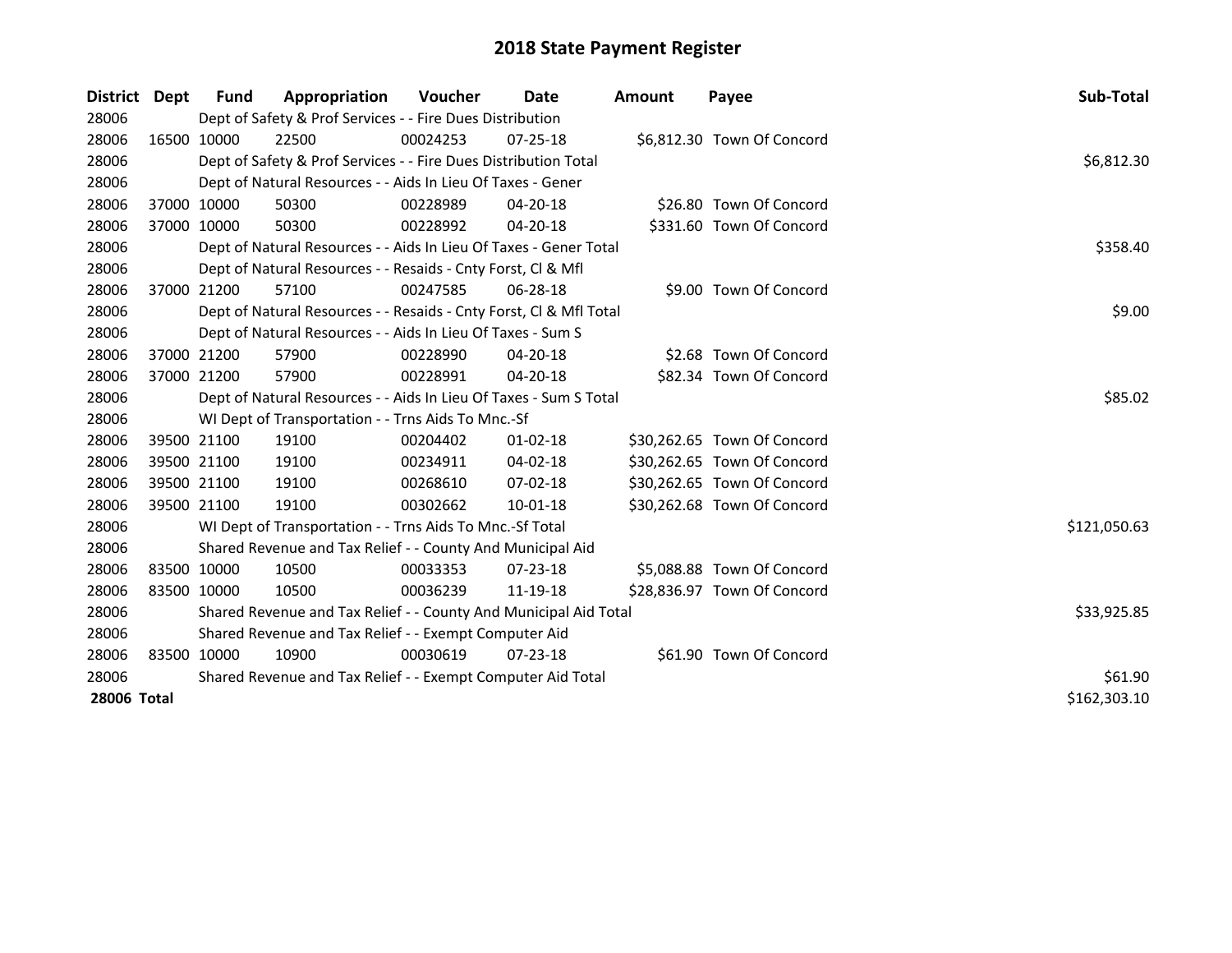| District Dept |             | Fund                                                        | Appropriation                                                      | <b>Voucher</b> | Date           | <b>Amount</b> | Payee                       | Sub-Total    |
|---------------|-------------|-------------------------------------------------------------|--------------------------------------------------------------------|----------------|----------------|---------------|-----------------------------|--------------|
| 28006         |             |                                                             | Dept of Safety & Prof Services - - Fire Dues Distribution          |                |                |               |                             |              |
| 28006         |             | 16500 10000                                                 | 22500                                                              | 00024253       | $07 - 25 - 18$ |               | \$6,812.30 Town Of Concord  |              |
| 28006         |             |                                                             | Dept of Safety & Prof Services - - Fire Dues Distribution Total    |                |                |               |                             | \$6,812.30   |
| 28006         |             |                                                             | Dept of Natural Resources - - Aids In Lieu Of Taxes - Gener        |                |                |               |                             |              |
| 28006         | 37000 10000 |                                                             | 50300                                                              | 00228989       | 04-20-18       |               | \$26.80 Town Of Concord     |              |
| 28006         |             | 37000 10000                                                 | 50300                                                              | 00228992       | $04 - 20 - 18$ |               | \$331.60 Town Of Concord    |              |
| 28006         |             |                                                             | Dept of Natural Resources - - Aids In Lieu Of Taxes - Gener Total  |                |                |               |                             | \$358.40     |
| 28006         |             |                                                             | Dept of Natural Resources - - Resaids - Cnty Forst, Cl & Mfl       |                |                |               |                             |              |
| 28006         |             | 37000 21200                                                 | 57100                                                              | 00247585       | 06-28-18       |               | \$9.00 Town Of Concord      |              |
| 28006         |             |                                                             | Dept of Natural Resources - - Resaids - Cnty Forst, Cl & Mfl Total |                |                |               |                             | \$9.00       |
| 28006         |             |                                                             | Dept of Natural Resources - - Aids In Lieu Of Taxes - Sum S        |                |                |               |                             |              |
| 28006         | 37000 21200 |                                                             | 57900                                                              | 00228990       | $04 - 20 - 18$ |               | \$2.68 Town Of Concord      |              |
| 28006         |             | 37000 21200                                                 | 57900                                                              | 00228991       | 04-20-18       |               | \$82.34 Town Of Concord     |              |
| 28006         |             |                                                             | Dept of Natural Resources - - Aids In Lieu Of Taxes - Sum S Total  |                |                |               |                             | \$85.02      |
| 28006         |             |                                                             | WI Dept of Transportation - - Trns Aids To Mnc.-Sf                 |                |                |               |                             |              |
| 28006         |             | 39500 21100                                                 | 19100                                                              | 00204402       | $01 - 02 - 18$ |               | \$30,262.65 Town Of Concord |              |
| 28006         | 39500 21100 |                                                             | 19100                                                              | 00234911       | 04-02-18       |               | \$30,262.65 Town Of Concord |              |
| 28006         |             | 39500 21100                                                 | 19100                                                              | 00268610       | $07 - 02 - 18$ |               | \$30,262.65 Town Of Concord |              |
| 28006         |             | 39500 21100                                                 | 19100                                                              | 00302662       | $10-01-18$     |               | \$30,262.68 Town Of Concord |              |
| 28006         |             |                                                             | WI Dept of Transportation - - Trns Aids To Mnc.-Sf Total           |                |                |               |                             | \$121,050.63 |
| 28006         |             |                                                             | Shared Revenue and Tax Relief - - County And Municipal Aid         |                |                |               |                             |              |
| 28006         |             | 83500 10000                                                 | 10500                                                              | 00033353       | 07-23-18       |               | \$5,088.88 Town Of Concord  |              |
| 28006         | 83500 10000 |                                                             | 10500                                                              | 00036239       | 11-19-18       |               | \$28,836.97 Town Of Concord |              |
| 28006         |             |                                                             | Shared Revenue and Tax Relief - - County And Municipal Aid Total   |                |                |               |                             | \$33,925.85  |
| 28006         |             |                                                             | Shared Revenue and Tax Relief - - Exempt Computer Aid              |                |                |               |                             |              |
| 28006         |             | 83500 10000                                                 | 10900                                                              | 00030619       | $07 - 23 - 18$ |               | \$61.90 Town Of Concord     |              |
| 28006         |             | Shared Revenue and Tax Relief - - Exempt Computer Aid Total | \$61.90                                                            |                |                |               |                             |              |
| 28006 Total   |             |                                                             |                                                                    |                |                |               |                             | \$162,303.10 |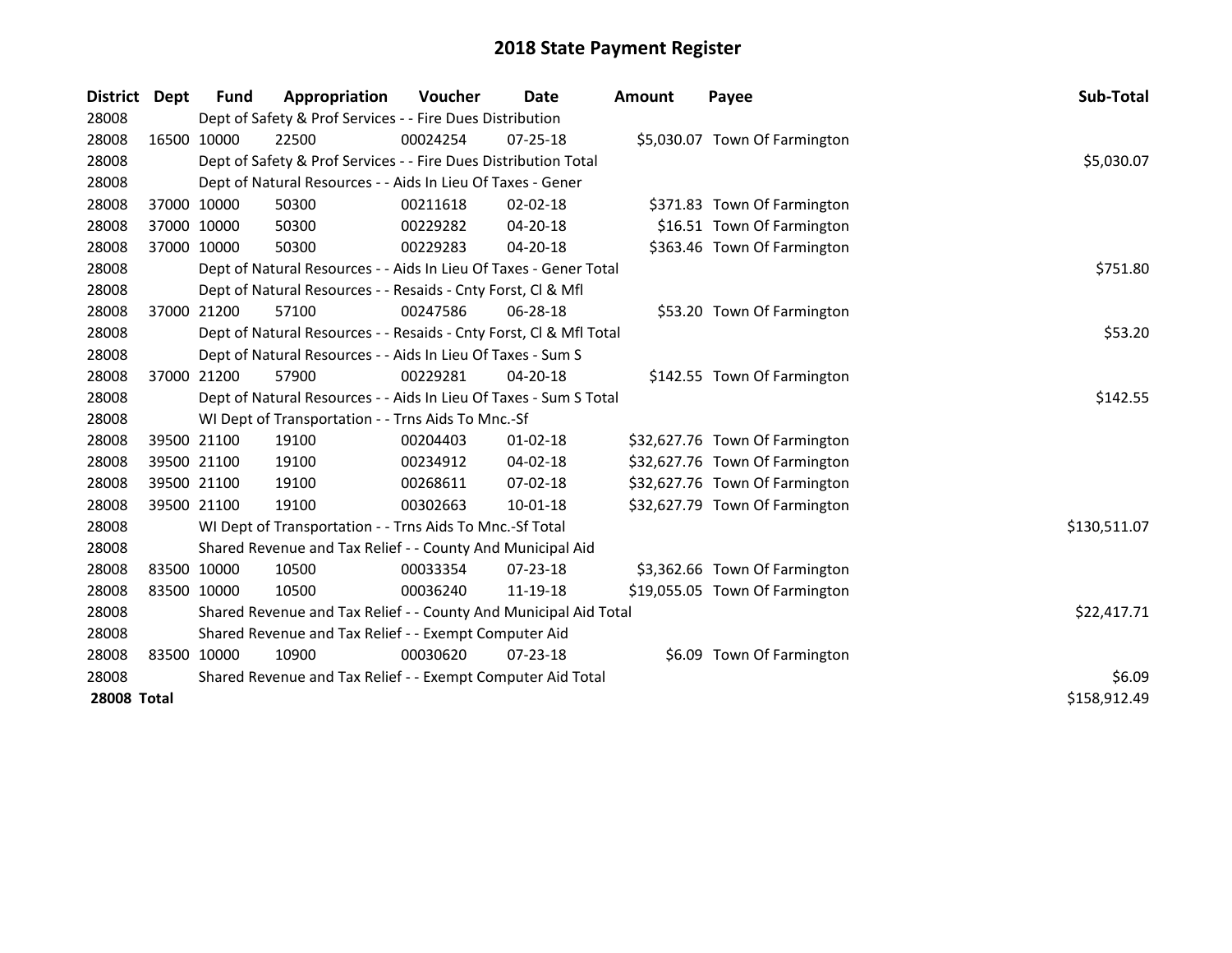| District Dept      |             | Fund        | Appropriation                                                      | <b>Voucher</b> | Date           | <b>Amount</b> | Payee                          | Sub-Total    |
|--------------------|-------------|-------------|--------------------------------------------------------------------|----------------|----------------|---------------|--------------------------------|--------------|
| 28008              |             |             | Dept of Safety & Prof Services - - Fire Dues Distribution          |                |                |               |                                |              |
| 28008              |             | 16500 10000 | 22500                                                              | 00024254       | $07 - 25 - 18$ |               | \$5,030.07 Town Of Farmington  |              |
| 28008              |             |             | Dept of Safety & Prof Services - - Fire Dues Distribution Total    |                |                |               |                                | \$5,030.07   |
| 28008              |             |             | Dept of Natural Resources - - Aids In Lieu Of Taxes - Gener        |                |                |               |                                |              |
| 28008              | 37000 10000 |             | 50300                                                              | 00211618       | $02 - 02 - 18$ |               | \$371.83 Town Of Farmington    |              |
| 28008              | 37000 10000 |             | 50300                                                              | 00229282       | 04-20-18       |               | \$16.51 Town Of Farmington     |              |
| 28008              | 37000 10000 |             | 50300                                                              | 00229283       | 04-20-18       |               | \$363.46 Town Of Farmington    |              |
| 28008              |             |             | Dept of Natural Resources - - Aids In Lieu Of Taxes - Gener Total  |                |                |               |                                | \$751.80     |
| 28008              |             |             | Dept of Natural Resources - - Resaids - Cnty Forst, CI & Mfl       |                |                |               |                                |              |
| 28008              |             | 37000 21200 | 57100                                                              | 00247586       | 06-28-18       |               | \$53.20 Town Of Farmington     |              |
| 28008              |             |             | Dept of Natural Resources - - Resaids - Cnty Forst, Cl & Mfl Total |                |                |               |                                | \$53.20      |
| 28008              |             |             | Dept of Natural Resources - - Aids In Lieu Of Taxes - Sum S        |                |                |               |                                |              |
| 28008              | 37000 21200 |             | 57900                                                              | 00229281       | $04 - 20 - 18$ |               | \$142.55 Town Of Farmington    |              |
| 28008              |             |             | Dept of Natural Resources - - Aids In Lieu Of Taxes - Sum S Total  |                |                |               |                                | \$142.55     |
| 28008              |             |             | WI Dept of Transportation - - Trns Aids To Mnc.-Sf                 |                |                |               |                                |              |
| 28008              |             | 39500 21100 | 19100                                                              | 00204403       | $01 - 02 - 18$ |               | \$32,627.76 Town Of Farmington |              |
| 28008              | 39500 21100 |             | 19100                                                              | 00234912       | $04 - 02 - 18$ |               | \$32,627.76 Town Of Farmington |              |
| 28008              |             | 39500 21100 | 19100                                                              | 00268611       | 07-02-18       |               | \$32,627.76 Town Of Farmington |              |
| 28008              |             | 39500 21100 | 19100                                                              | 00302663       | 10-01-18       |               | \$32,627.79 Town Of Farmington |              |
| 28008              |             |             | WI Dept of Transportation - - Trns Aids To Mnc.-Sf Total           |                |                |               |                                | \$130,511.07 |
| 28008              |             |             | Shared Revenue and Tax Relief - - County And Municipal Aid         |                |                |               |                                |              |
| 28008              |             | 83500 10000 | 10500                                                              | 00033354       | 07-23-18       |               | \$3,362.66 Town Of Farmington  |              |
| 28008              | 83500 10000 |             | 10500                                                              | 00036240       | 11-19-18       |               | \$19,055.05 Town Of Farmington |              |
| 28008              |             |             | Shared Revenue and Tax Relief - - County And Municipal Aid Total   |                |                |               |                                | \$22,417.71  |
| 28008              |             |             | Shared Revenue and Tax Relief - - Exempt Computer Aid              |                |                |               |                                |              |
| 28008              |             | 83500 10000 | 10900                                                              | 00030620       | 07-23-18       |               | \$6.09 Town Of Farmington      |              |
| 28008              |             |             | Shared Revenue and Tax Relief - - Exempt Computer Aid Total        | \$6.09         |                |               |                                |              |
| <b>28008 Total</b> |             |             |                                                                    |                |                |               |                                | \$158,912.49 |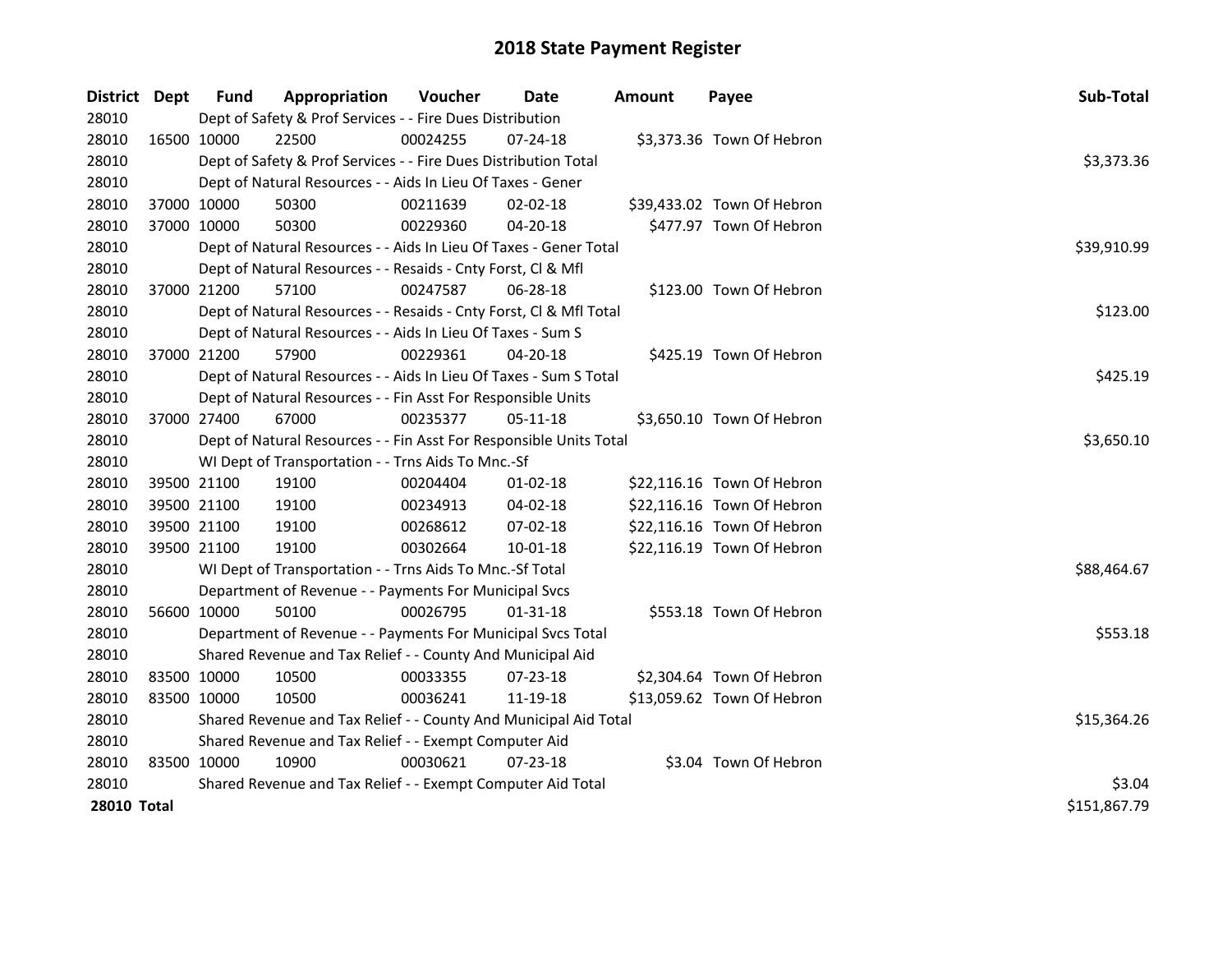| <b>District</b>    | Dept        | <b>Fund</b> | Appropriation                                                      | Voucher    | <b>Date</b>    | <b>Amount</b> | Payee                      | Sub-Total    |
|--------------------|-------------|-------------|--------------------------------------------------------------------|------------|----------------|---------------|----------------------------|--------------|
| 28010              |             |             | Dept of Safety & Prof Services - - Fire Dues Distribution          |            |                |               |                            |              |
| 28010              | 16500 10000 |             | 22500                                                              | 00024255   | $07 - 24 - 18$ |               | \$3,373.36 Town Of Hebron  |              |
| 28010              |             |             | Dept of Safety & Prof Services - - Fire Dues Distribution Total    |            |                |               |                            | \$3,373.36   |
| 28010              |             |             | Dept of Natural Resources - - Aids In Lieu Of Taxes - Gener        |            |                |               |                            |              |
| 28010              |             | 37000 10000 | 50300                                                              | 00211639   | 02-02-18       |               | \$39,433.02 Town Of Hebron |              |
| 28010              | 37000 10000 |             | 50300                                                              | 00229360   | 04-20-18       |               | \$477.97 Town Of Hebron    |              |
| 28010              |             |             | Dept of Natural Resources - - Aids In Lieu Of Taxes - Gener Total  |            |                |               |                            | \$39,910.99  |
| 28010              |             |             | Dept of Natural Resources - - Resaids - Cnty Forst, Cl & Mfl       |            |                |               |                            |              |
| 28010              |             | 37000 21200 | 57100                                                              | 00247587   | 06-28-18       |               | \$123.00 Town Of Hebron    |              |
| 28010              |             |             | Dept of Natural Resources - - Resaids - Cnty Forst, Cl & Mfl Total |            |                |               |                            | \$123.00     |
| 28010              |             |             | Dept of Natural Resources - - Aids In Lieu Of Taxes - Sum S        |            |                |               |                            |              |
| 28010              |             | 37000 21200 | 57900                                                              | 00229361   | $04 - 20 - 18$ |               | \$425.19 Town Of Hebron    |              |
| 28010              |             |             | Dept of Natural Resources - - Aids In Lieu Of Taxes - Sum S Total  |            |                |               |                            | \$425.19     |
| 28010              |             |             | Dept of Natural Resources - - Fin Asst For Responsible Units       |            |                |               |                            |              |
| 28010              |             | 37000 27400 | 67000                                                              | 00235377   | 05-11-18       |               | \$3,650.10 Town Of Hebron  |              |
| 28010              |             |             | Dept of Natural Resources - - Fin Asst For Responsible Units Total | \$3,650.10 |                |               |                            |              |
| 28010              |             |             | WI Dept of Transportation - - Trns Aids To Mnc.-Sf                 |            |                |               |                            |              |
| 28010              |             | 39500 21100 | 19100                                                              | 00204404   | 01-02-18       |               | \$22,116.16 Town Of Hebron |              |
| 28010              |             | 39500 21100 | 19100                                                              | 00234913   | 04-02-18       |               | \$22,116.16 Town Of Hebron |              |
| 28010              | 39500 21100 |             | 19100                                                              | 00268612   | 07-02-18       |               | \$22,116.16 Town Of Hebron |              |
| 28010              | 39500 21100 |             | 19100                                                              | 00302664   | $10 - 01 - 18$ |               | \$22,116.19 Town Of Hebron |              |
| 28010              |             |             | WI Dept of Transportation - - Trns Aids To Mnc.-Sf Total           |            |                |               |                            | \$88,464.67  |
| 28010              |             |             | Department of Revenue - - Payments For Municipal Svcs              |            |                |               |                            |              |
| 28010              |             | 56600 10000 | 50100                                                              | 00026795   | 01-31-18       |               | \$553.18 Town Of Hebron    |              |
| 28010              |             |             | Department of Revenue - - Payments For Municipal Svcs Total        |            |                |               |                            | \$553.18     |
| 28010              |             |             | Shared Revenue and Tax Relief - - County And Municipal Aid         |            |                |               |                            |              |
| 28010              | 83500 10000 |             | 10500                                                              | 00033355   | 07-23-18       |               | \$2,304.64 Town Of Hebron  |              |
| 28010              | 83500 10000 |             | 10500                                                              | 00036241   | 11-19-18       |               | \$13,059.62 Town Of Hebron |              |
| 28010              |             |             | Shared Revenue and Tax Relief - - County And Municipal Aid Total   |            |                |               |                            | \$15,364.26  |
| 28010              |             |             | Shared Revenue and Tax Relief - - Exempt Computer Aid              |            |                |               |                            |              |
| 28010              | 83500 10000 |             | 10900                                                              | 00030621   | 07-23-18       |               | \$3.04 Town Of Hebron      |              |
| 28010              |             |             | Shared Revenue and Tax Relief - - Exempt Computer Aid Total        |            |                |               |                            | \$3.04       |
| <b>28010 Total</b> |             |             |                                                                    |            |                |               |                            | \$151,867.79 |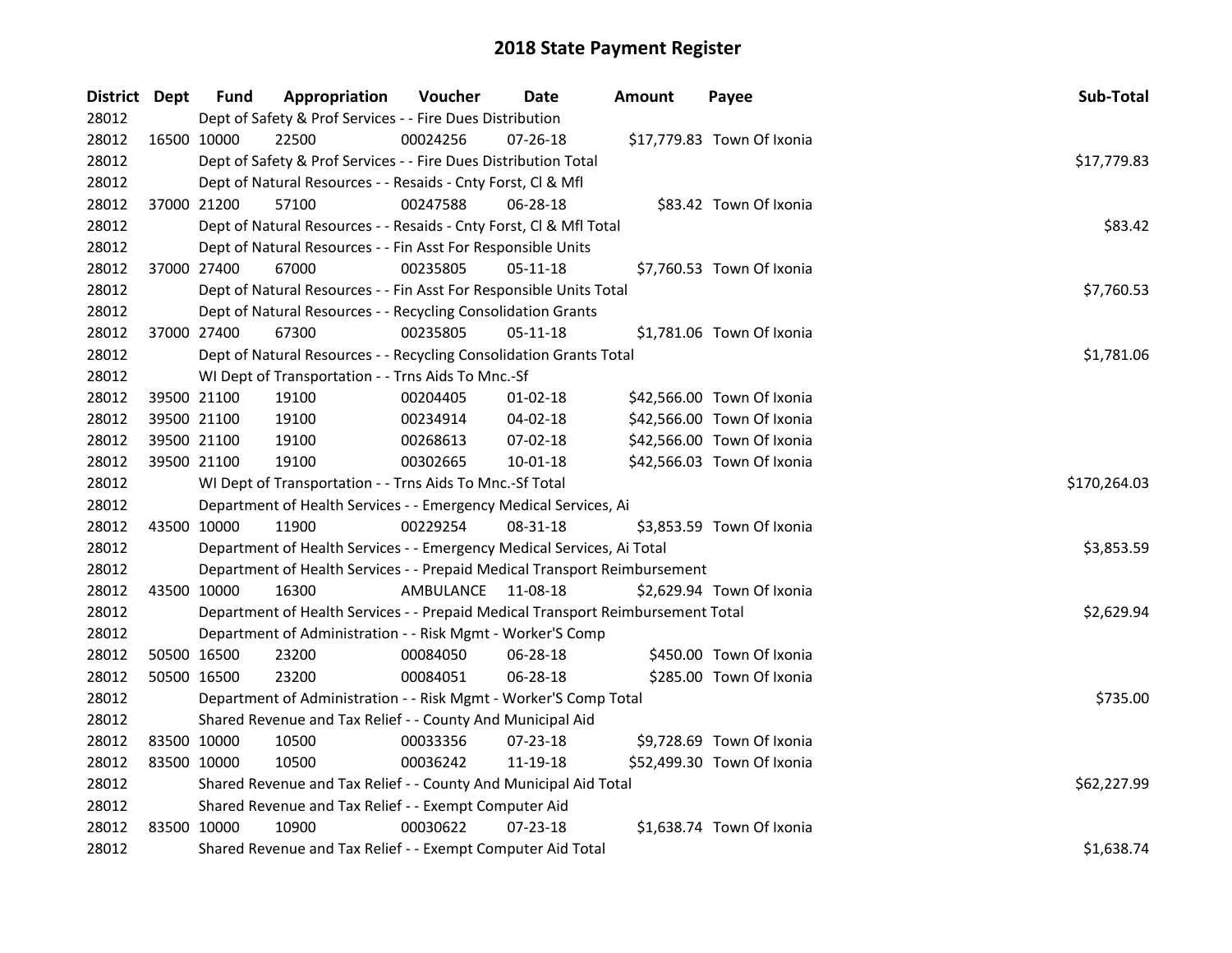| District Dept | <b>Fund</b> | Appropriation                                                                   | Voucher            | Date           | <b>Amount</b> | Payee                      | Sub-Total    |
|---------------|-------------|---------------------------------------------------------------------------------|--------------------|----------------|---------------|----------------------------|--------------|
| 28012         |             | Dept of Safety & Prof Services - - Fire Dues Distribution                       |                    |                |               |                            |              |
| 28012         | 16500 10000 | 22500                                                                           | 00024256           | 07-26-18       |               | \$17,779.83 Town Of Ixonia |              |
| 28012         |             | Dept of Safety & Prof Services - - Fire Dues Distribution Total                 |                    |                |               |                            | \$17,779.83  |
| 28012         |             | Dept of Natural Resources - - Resaids - Cnty Forst, Cl & Mfl                    |                    |                |               |                            |              |
| 28012         | 37000 21200 | 57100                                                                           | 00247588           | $06 - 28 - 18$ |               | \$83.42 Town Of Ixonia     |              |
| 28012         |             | Dept of Natural Resources - - Resaids - Cnty Forst, Cl & Mfl Total              |                    |                |               |                            | \$83.42      |
| 28012         |             | Dept of Natural Resources - - Fin Asst For Responsible Units                    |                    |                |               |                            |              |
| 28012         | 37000 27400 | 67000                                                                           | 00235805           | 05-11-18       |               | \$7,760.53 Town Of Ixonia  |              |
| 28012         |             | Dept of Natural Resources - - Fin Asst For Responsible Units Total              |                    |                |               |                            | \$7,760.53   |
| 28012         |             | Dept of Natural Resources - - Recycling Consolidation Grants                    |                    |                |               |                            |              |
| 28012         | 37000 27400 | 67300                                                                           | 00235805           | 05-11-18       |               | \$1,781.06 Town Of Ixonia  |              |
| 28012         |             | Dept of Natural Resources - - Recycling Consolidation Grants Total              |                    |                |               |                            | \$1,781.06   |
| 28012         |             | WI Dept of Transportation - - Trns Aids To Mnc.-Sf                              |                    |                |               |                            |              |
| 28012         | 39500 21100 | 19100                                                                           | 00204405           | 01-02-18       |               | \$42,566.00 Town Of Ixonia |              |
| 28012         | 39500 21100 | 19100                                                                           | 00234914           | 04-02-18       |               | \$42,566.00 Town Of Ixonia |              |
| 28012         | 39500 21100 | 19100                                                                           | 00268613           | 07-02-18       |               | \$42,566.00 Town Of Ixonia |              |
| 28012         | 39500 21100 | 19100                                                                           | 00302665           | $10 - 01 - 18$ |               | \$42,566.03 Town Of Ixonia |              |
| 28012         |             | WI Dept of Transportation - - Trns Aids To Mnc.-Sf Total                        |                    |                |               |                            | \$170,264.03 |
| 28012         |             | Department of Health Services - - Emergency Medical Services, Ai                |                    |                |               |                            |              |
| 28012         | 43500 10000 | 11900                                                                           | 00229254           | 08-31-18       |               | \$3,853.59 Town Of Ixonia  |              |
| 28012         |             | Department of Health Services - - Emergency Medical Services, Ai Total          |                    |                |               |                            | \$3,853.59   |
| 28012         |             | Department of Health Services - - Prepaid Medical Transport Reimbursement       |                    |                |               |                            |              |
| 28012         | 43500 10000 | 16300                                                                           | AMBULANCE 11-08-18 |                |               | \$2,629.94 Town Of Ixonia  |              |
| 28012         |             | Department of Health Services - - Prepaid Medical Transport Reimbursement Total |                    |                |               |                            | \$2,629.94   |
| 28012         |             | Department of Administration - - Risk Mgmt - Worker'S Comp                      |                    |                |               |                            |              |
| 28012         | 50500 16500 | 23200                                                                           | 00084050           | 06-28-18       |               | \$450.00 Town Of Ixonia    |              |
| 28012         | 50500 16500 | 23200                                                                           | 00084051           | 06-28-18       |               | \$285.00 Town Of Ixonia    |              |
| 28012         |             | Department of Administration - - Risk Mgmt - Worker'S Comp Total                |                    |                |               |                            | \$735.00     |
| 28012         |             | Shared Revenue and Tax Relief - - County And Municipal Aid                      |                    |                |               |                            |              |
| 28012         | 83500 10000 | 10500                                                                           | 00033356           | 07-23-18       |               | \$9,728.69 Town Of Ixonia  |              |
| 28012         | 83500 10000 | 10500                                                                           | 00036242           | 11-19-18       |               | \$52,499.30 Town Of Ixonia |              |
| 28012         |             | Shared Revenue and Tax Relief - - County And Municipal Aid Total                |                    |                |               |                            | \$62,227.99  |
| 28012         |             | Shared Revenue and Tax Relief - - Exempt Computer Aid                           |                    |                |               |                            |              |
| 28012         | 83500 10000 | 10900                                                                           | 00030622           | $07 - 23 - 18$ |               | \$1,638.74 Town Of Ixonia  |              |
| 28012         |             | Shared Revenue and Tax Relief - - Exempt Computer Aid Total                     |                    |                |               |                            | \$1,638.74   |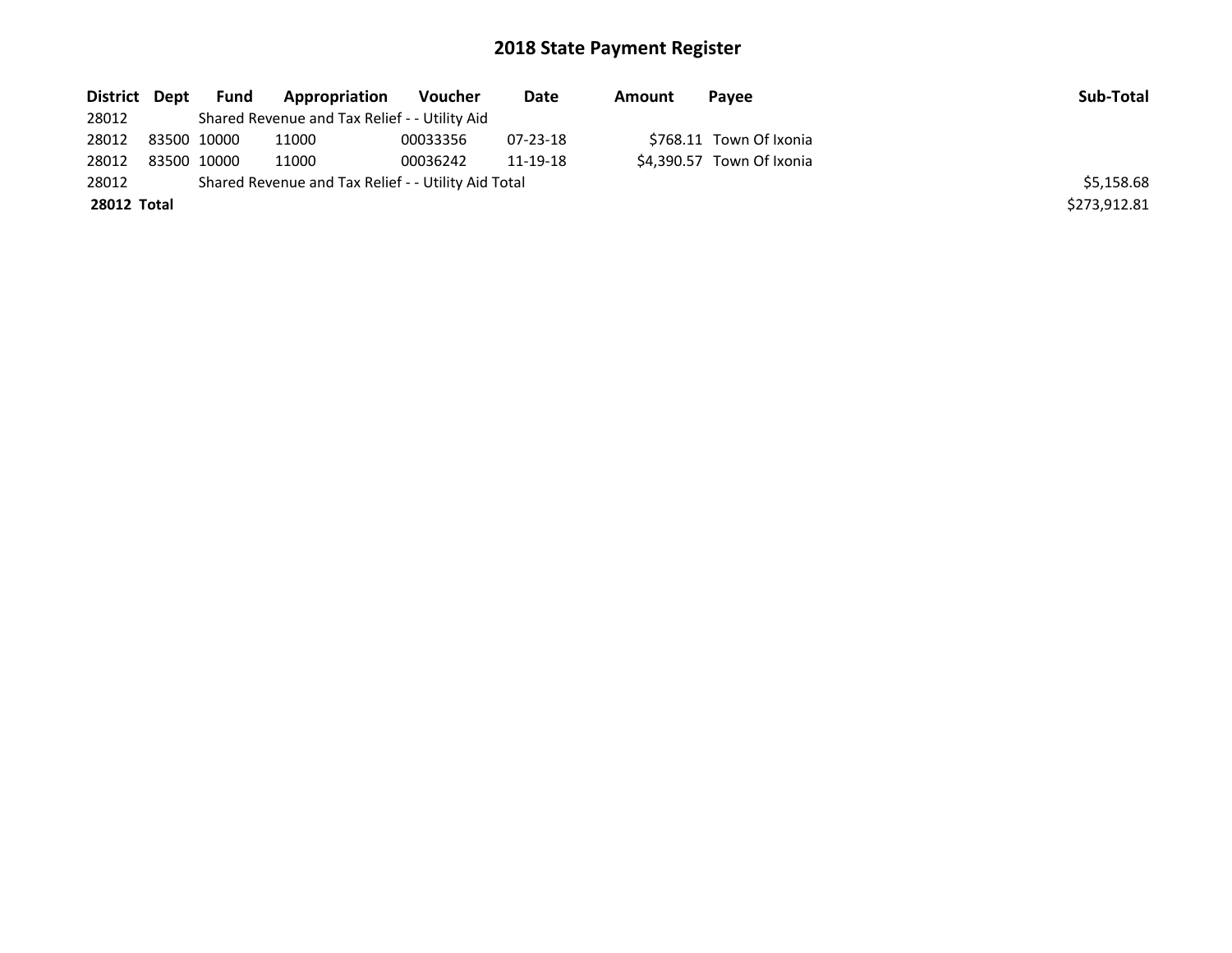| District Dept      | Fund        | Appropriation                                       | Voucher  | Date     | Amount | Pavee                     | Sub-Total    |
|--------------------|-------------|-----------------------------------------------------|----------|----------|--------|---------------------------|--------------|
| 28012              |             | Shared Revenue and Tax Relief - - Utility Aid       |          |          |        |                           |              |
| 28012              | 83500 10000 | 11000                                               | 00033356 | 07-23-18 |        | \$768.11 Town Of Ixonia   |              |
| 28012              | 83500 10000 | 11000                                               | 00036242 | 11-19-18 |        | \$4,390.57 Town Of Ixonia |              |
| 28012              |             | Shared Revenue and Tax Relief - - Utility Aid Total |          |          |        |                           | \$5,158.68   |
| <b>28012 Total</b> |             |                                                     |          |          |        |                           | \$273,912.81 |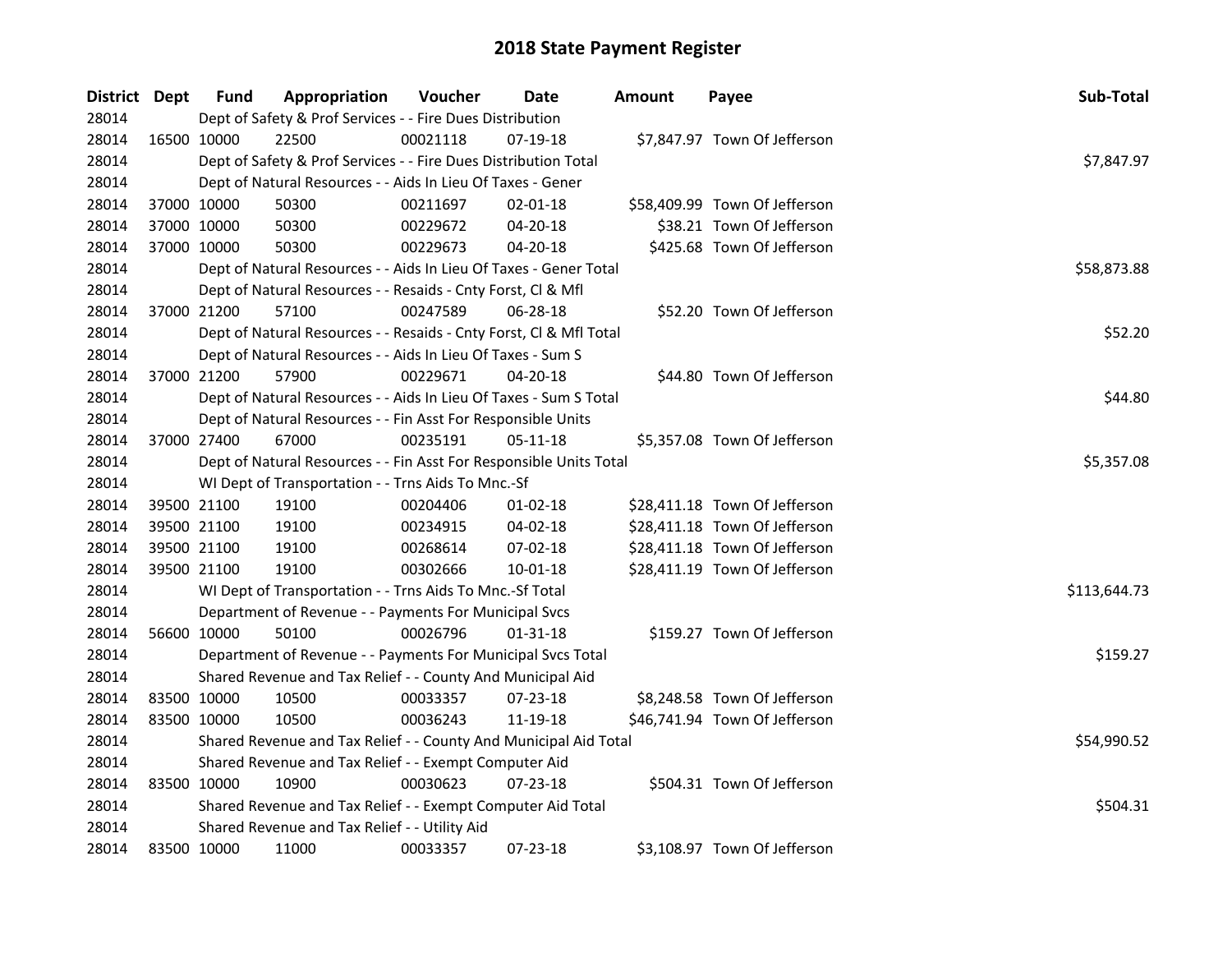| District Dept |             | <b>Fund</b> | Appropriation                                                      | Voucher  | Date           | Amount | Payee                         | Sub-Total    |
|---------------|-------------|-------------|--------------------------------------------------------------------|----------|----------------|--------|-------------------------------|--------------|
| 28014         |             |             | Dept of Safety & Prof Services - - Fire Dues Distribution          |          |                |        |                               |              |
| 28014         |             | 16500 10000 | 22500                                                              | 00021118 | 07-19-18       |        | \$7,847.97 Town Of Jefferson  |              |
| 28014         |             |             | Dept of Safety & Prof Services - - Fire Dues Distribution Total    |          |                |        |                               | \$7,847.97   |
| 28014         |             |             | Dept of Natural Resources - - Aids In Lieu Of Taxes - Gener        |          |                |        |                               |              |
| 28014         | 37000 10000 |             | 50300                                                              | 00211697 | $02 - 01 - 18$ |        | \$58,409.99 Town Of Jefferson |              |
| 28014         | 37000 10000 |             | 50300                                                              | 00229672 | $04 - 20 - 18$ |        | \$38.21 Town Of Jefferson     |              |
| 28014         | 37000 10000 |             | 50300                                                              | 00229673 | 04-20-18       |        | \$425.68 Town Of Jefferson    |              |
| 28014         |             |             | Dept of Natural Resources - - Aids In Lieu Of Taxes - Gener Total  |          |                |        |                               | \$58,873.88  |
| 28014         |             |             | Dept of Natural Resources - - Resaids - Cnty Forst, Cl & Mfl       |          |                |        |                               |              |
| 28014         | 37000 21200 |             | 57100                                                              | 00247589 | 06-28-18       |        | \$52.20 Town Of Jefferson     |              |
| 28014         |             |             | Dept of Natural Resources - - Resaids - Cnty Forst, Cl & Mfl Total |          |                |        |                               | \$52.20      |
| 28014         |             |             | Dept of Natural Resources - - Aids In Lieu Of Taxes - Sum S        |          |                |        |                               |              |
| 28014         | 37000 21200 |             | 57900                                                              | 00229671 | $04 - 20 - 18$ |        | \$44.80 Town Of Jefferson     |              |
| 28014         |             |             | Dept of Natural Resources - - Aids In Lieu Of Taxes - Sum S Total  |          |                |        |                               | \$44.80      |
| 28014         |             |             | Dept of Natural Resources - - Fin Asst For Responsible Units       |          |                |        |                               |              |
| 28014         | 37000 27400 |             | 67000                                                              | 00235191 | 05-11-18       |        | \$5,357.08 Town Of Jefferson  |              |
| 28014         |             |             | Dept of Natural Resources - - Fin Asst For Responsible Units Total |          |                |        |                               | \$5,357.08   |
| 28014         |             |             | WI Dept of Transportation - - Trns Aids To Mnc.-Sf                 |          |                |        |                               |              |
| 28014         | 39500 21100 |             | 19100                                                              | 00204406 | $01 - 02 - 18$ |        | \$28,411.18 Town Of Jefferson |              |
| 28014         | 39500 21100 |             | 19100                                                              | 00234915 | 04-02-18       |        | \$28,411.18 Town Of Jefferson |              |
| 28014         | 39500 21100 |             | 19100                                                              | 00268614 | 07-02-18       |        | \$28,411.18 Town Of Jefferson |              |
| 28014         | 39500 21100 |             | 19100                                                              | 00302666 | 10-01-18       |        | \$28,411.19 Town Of Jefferson |              |
| 28014         |             |             | WI Dept of Transportation - - Trns Aids To Mnc.-Sf Total           |          |                |        |                               | \$113,644.73 |
| 28014         |             |             | Department of Revenue - - Payments For Municipal Svcs              |          |                |        |                               |              |
| 28014         | 56600 10000 |             | 50100                                                              | 00026796 | $01 - 31 - 18$ |        | \$159.27 Town Of Jefferson    |              |
| 28014         |             |             | Department of Revenue - - Payments For Municipal Svcs Total        |          |                |        |                               | \$159.27     |
| 28014         |             |             | Shared Revenue and Tax Relief - - County And Municipal Aid         |          |                |        |                               |              |
| 28014         | 83500 10000 |             | 10500                                                              | 00033357 | 07-23-18       |        | \$8,248.58 Town Of Jefferson  |              |
| 28014         | 83500 10000 |             | 10500                                                              | 00036243 | 11-19-18       |        | \$46,741.94 Town Of Jefferson |              |
| 28014         |             |             | Shared Revenue and Tax Relief - - County And Municipal Aid Total   |          |                |        |                               | \$54,990.52  |
| 28014         |             |             | Shared Revenue and Tax Relief - - Exempt Computer Aid              |          |                |        |                               |              |
| 28014         |             | 83500 10000 | 10900                                                              | 00030623 | $07 - 23 - 18$ |        | \$504.31 Town Of Jefferson    |              |
| 28014         |             |             | Shared Revenue and Tax Relief - - Exempt Computer Aid Total        |          |                |        |                               | \$504.31     |
| 28014         |             |             | Shared Revenue and Tax Relief - - Utility Aid                      |          |                |        |                               |              |
| 28014         | 83500 10000 |             | 11000                                                              | 00033357 | 07-23-18       |        | \$3,108.97 Town Of Jefferson  |              |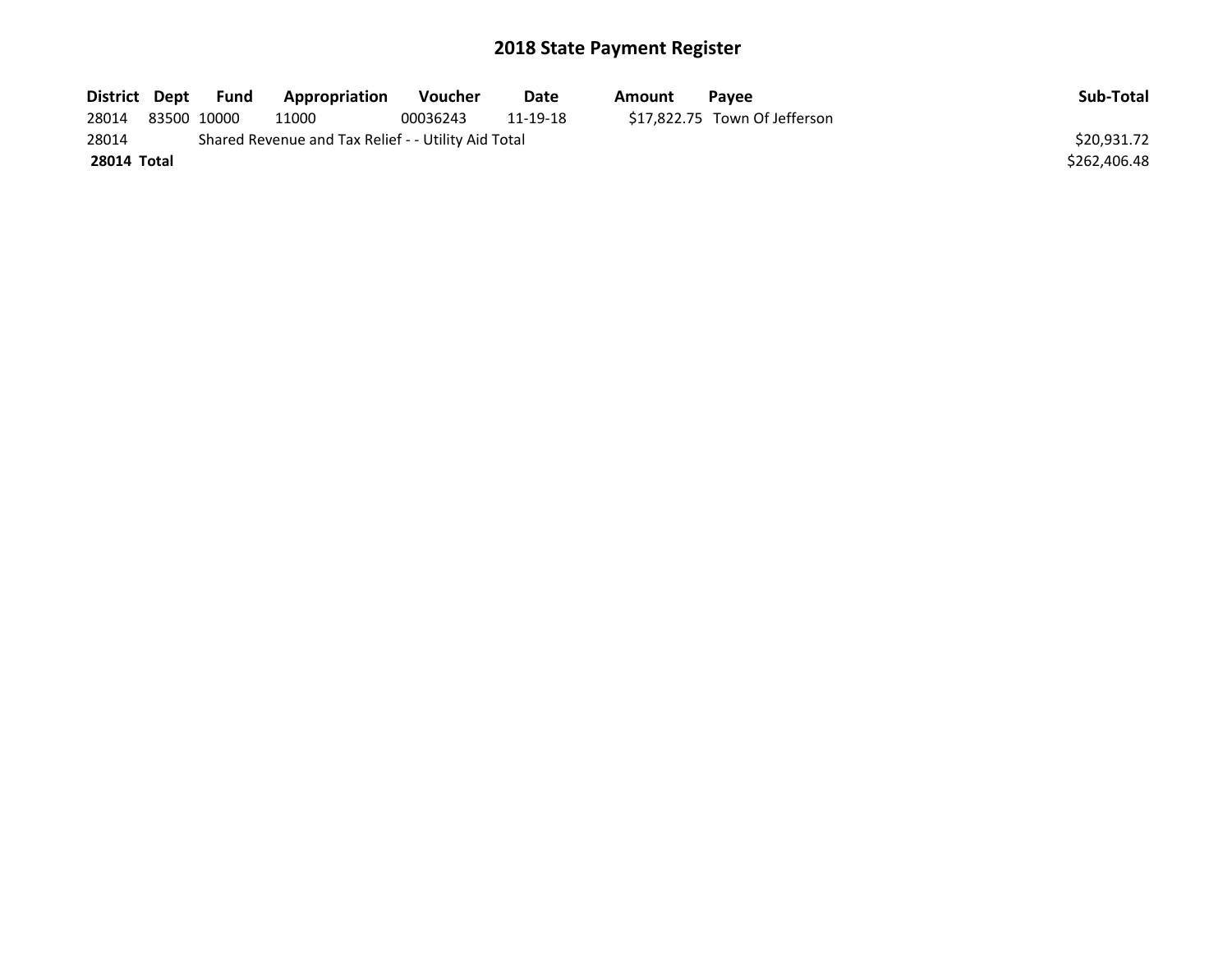| District Dept | Fund        | Appropriation                                       | <b>Voucher</b> | Date     | Amount | Pavee                         | Sub-Total    |
|---------------|-------------|-----------------------------------------------------|----------------|----------|--------|-------------------------------|--------------|
| 28014         | 83500 10000 | 11000                                               | 00036243       | 11-19-18 |        | \$17,822.75 Town Of Jefferson |              |
| 28014         |             | Shared Revenue and Tax Relief - - Utility Aid Total |                |          |        |                               | \$20.931.72  |
| 28014 Total   |             |                                                     |                |          |        |                               | \$262,406.48 |
|               |             |                                                     |                |          |        |                               |              |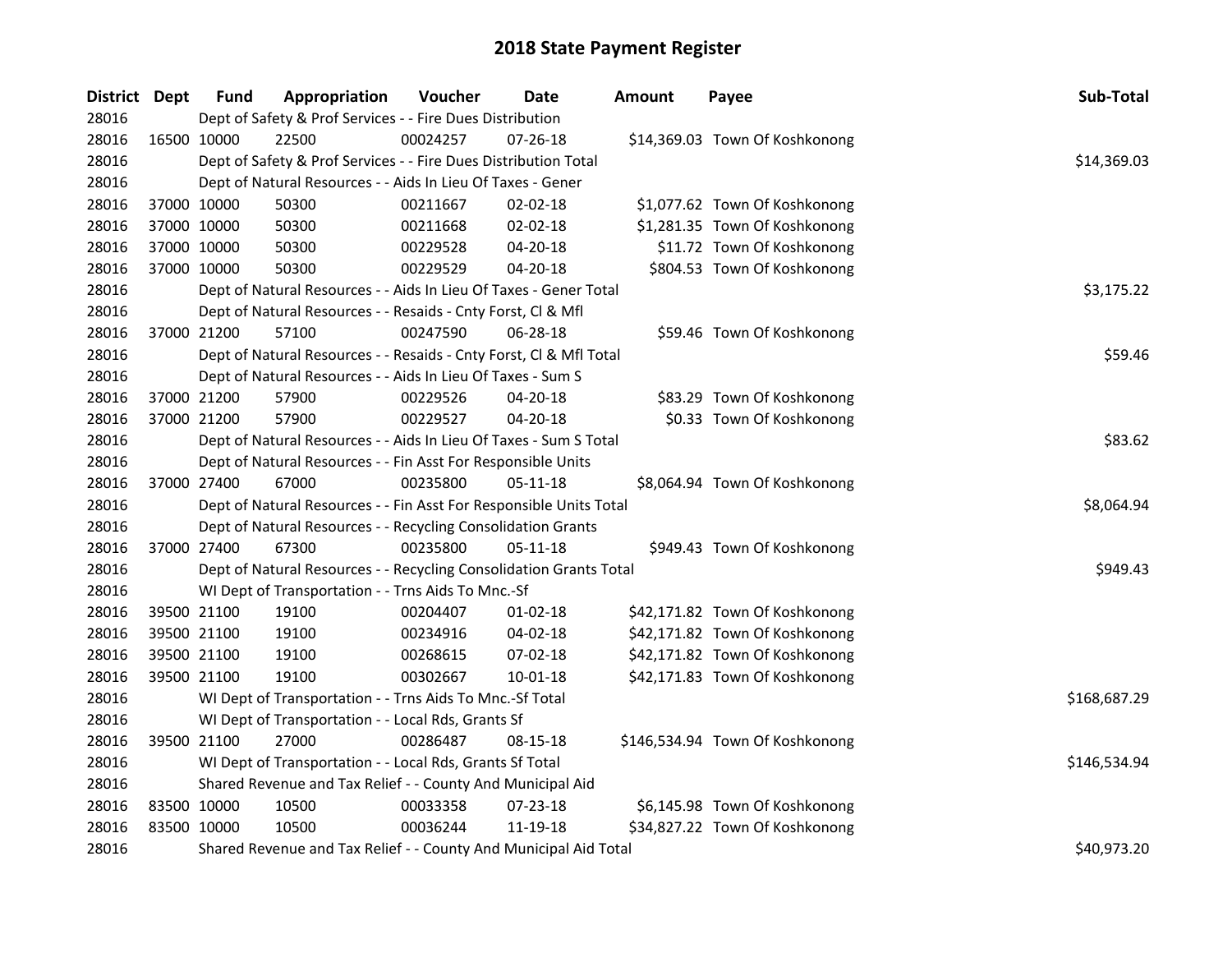| District Dept |             | <b>Fund</b> | Appropriation                                                      | Voucher  | Date           | <b>Amount</b> | Payee                           | Sub-Total    |
|---------------|-------------|-------------|--------------------------------------------------------------------|----------|----------------|---------------|---------------------------------|--------------|
| 28016         |             |             | Dept of Safety & Prof Services - - Fire Dues Distribution          |          |                |               |                                 |              |
| 28016         | 16500 10000 |             | 22500                                                              | 00024257 | 07-26-18       |               | \$14,369.03 Town Of Koshkonong  |              |
| 28016         |             |             | Dept of Safety & Prof Services - - Fire Dues Distribution Total    |          |                |               |                                 | \$14,369.03  |
| 28016         |             |             | Dept of Natural Resources - - Aids In Lieu Of Taxes - Gener        |          |                |               |                                 |              |
| 28016         | 37000 10000 |             | 50300                                                              | 00211667 | 02-02-18       |               | \$1,077.62 Town Of Koshkonong   |              |
| 28016         | 37000 10000 |             | 50300                                                              | 00211668 | $02 - 02 - 18$ |               | \$1,281.35 Town Of Koshkonong   |              |
| 28016         | 37000 10000 |             | 50300                                                              | 00229528 | 04-20-18       |               | \$11.72 Town Of Koshkonong      |              |
| 28016         | 37000 10000 |             | 50300                                                              | 00229529 | 04-20-18       |               | \$804.53 Town Of Koshkonong     |              |
| 28016         |             |             | Dept of Natural Resources - - Aids In Lieu Of Taxes - Gener Total  |          |                |               |                                 | \$3,175.22   |
| 28016         |             |             | Dept of Natural Resources - - Resaids - Cnty Forst, Cl & Mfl       |          |                |               |                                 |              |
| 28016         | 37000 21200 |             | 57100                                                              | 00247590 | 06-28-18       |               | \$59.46 Town Of Koshkonong      |              |
| 28016         |             |             | Dept of Natural Resources - - Resaids - Cnty Forst, Cl & Mfl Total |          |                |               |                                 | \$59.46      |
| 28016         |             |             | Dept of Natural Resources - - Aids In Lieu Of Taxes - Sum S        |          |                |               |                                 |              |
| 28016         | 37000 21200 |             | 57900                                                              | 00229526 | 04-20-18       |               | \$83.29 Town Of Koshkonong      |              |
| 28016         | 37000 21200 |             | 57900                                                              | 00229527 | 04-20-18       |               | \$0.33 Town Of Koshkonong       |              |
| 28016         |             |             | Dept of Natural Resources - - Aids In Lieu Of Taxes - Sum S Total  |          | \$83.62        |               |                                 |              |
| 28016         |             |             | Dept of Natural Resources - - Fin Asst For Responsible Units       |          |                |               |                                 |              |
| 28016         | 37000 27400 |             | 67000                                                              | 00235800 | $05-11-18$     |               | \$8,064.94 Town Of Koshkonong   |              |
| 28016         |             |             | Dept of Natural Resources - - Fin Asst For Responsible Units Total |          |                |               |                                 | \$8,064.94   |
| 28016         |             |             | Dept of Natural Resources - - Recycling Consolidation Grants       |          |                |               |                                 |              |
| 28016         | 37000 27400 |             | 67300                                                              | 00235800 | $05 - 11 - 18$ |               | \$949.43 Town Of Koshkonong     |              |
| 28016         |             |             | Dept of Natural Resources - - Recycling Consolidation Grants Total |          |                |               |                                 | \$949.43     |
| 28016         |             |             | WI Dept of Transportation - - Trns Aids To Mnc.-Sf                 |          |                |               |                                 |              |
| 28016         | 39500 21100 |             | 19100                                                              | 00204407 | $01 - 02 - 18$ |               | \$42,171.82 Town Of Koshkonong  |              |
| 28016         | 39500 21100 |             | 19100                                                              | 00234916 | 04-02-18       |               | \$42,171.82 Town Of Koshkonong  |              |
| 28016         | 39500 21100 |             | 19100                                                              | 00268615 | 07-02-18       |               | \$42,171.82 Town Of Koshkonong  |              |
| 28016         | 39500 21100 |             | 19100                                                              | 00302667 | $10 - 01 - 18$ |               | \$42,171.83 Town Of Koshkonong  |              |
| 28016         |             |             | WI Dept of Transportation - - Trns Aids To Mnc.-Sf Total           |          |                |               |                                 | \$168,687.29 |
| 28016         |             |             | WI Dept of Transportation - - Local Rds, Grants Sf                 |          |                |               |                                 |              |
| 28016         | 39500 21100 |             | 27000                                                              | 00286487 | 08-15-18       |               | \$146,534.94 Town Of Koshkonong |              |
| 28016         |             |             | WI Dept of Transportation - - Local Rds, Grants Sf Total           |          |                |               |                                 | \$146,534.94 |
| 28016         |             |             | Shared Revenue and Tax Relief - - County And Municipal Aid         |          |                |               |                                 |              |
| 28016         | 83500 10000 |             | 10500                                                              | 00033358 | 07-23-18       |               | \$6,145.98 Town Of Koshkonong   |              |
| 28016         | 83500 10000 |             | 10500                                                              | 00036244 | 11-19-18       |               | \$34,827.22 Town Of Koshkonong  |              |
| 28016         |             |             | Shared Revenue and Tax Relief - - County And Municipal Aid Total   |          |                |               |                                 | \$40,973.20  |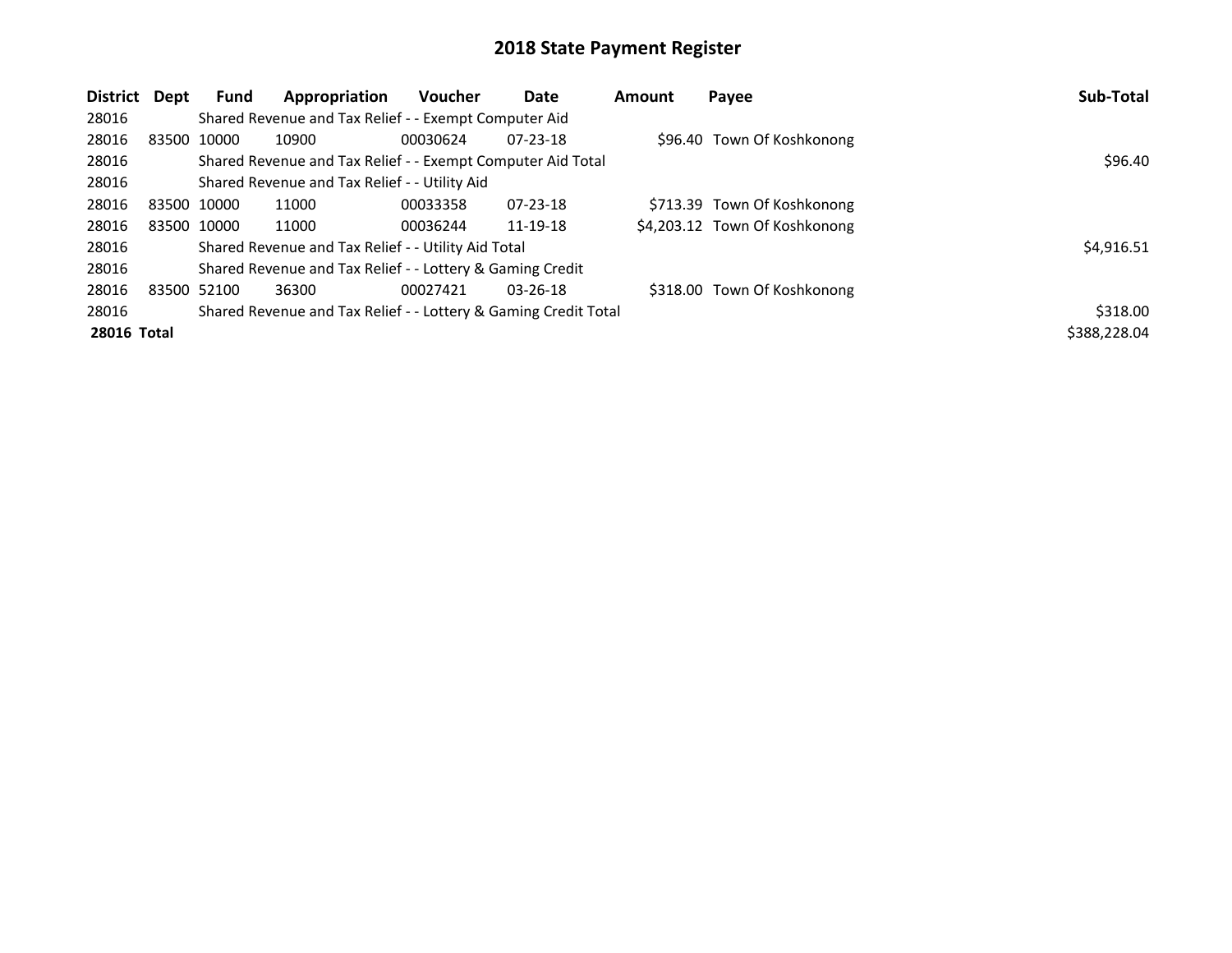| District           | Dept        | Fund        | Appropriation                                                   | <b>Voucher</b> | Date           | Amount | Payee                         | Sub-Total    |
|--------------------|-------------|-------------|-----------------------------------------------------------------|----------------|----------------|--------|-------------------------------|--------------|
| 28016              |             |             | Shared Revenue and Tax Relief - - Exempt Computer Aid           |                |                |        |                               |              |
| 28016              |             | 83500 10000 | 10900                                                           | 00030624       | $07 - 23 - 18$ |        | \$96.40 Town Of Koshkonong    |              |
| 28016              |             |             | Shared Revenue and Tax Relief - - Exempt Computer Aid Total     |                |                |        |                               | \$96.40      |
| 28016              |             |             | Shared Revenue and Tax Relief - - Utility Aid                   |                |                |        |                               |              |
| 28016              |             | 83500 10000 | 11000                                                           | 00033358       | $07 - 23 - 18$ |        | \$713.39 Town Of Koshkonong   |              |
| 28016              | 83500 10000 |             | 11000                                                           | 00036244       | 11-19-18       |        | \$4,203.12 Town Of Koshkonong |              |
| 28016              |             |             | Shared Revenue and Tax Relief - - Utility Aid Total             |                |                |        |                               | \$4,916.51   |
| 28016              |             |             | Shared Revenue and Tax Relief - - Lottery & Gaming Credit       |                |                |        |                               |              |
| 28016              | 83500 52100 |             | 36300                                                           | 00027421       | $03 - 26 - 18$ |        | \$318.00 Town Of Koshkonong   |              |
| 28016              |             |             | Shared Revenue and Tax Relief - - Lottery & Gaming Credit Total |                |                |        |                               | \$318.00     |
| <b>28016 Total</b> |             |             |                                                                 |                |                |        |                               | \$388,228.04 |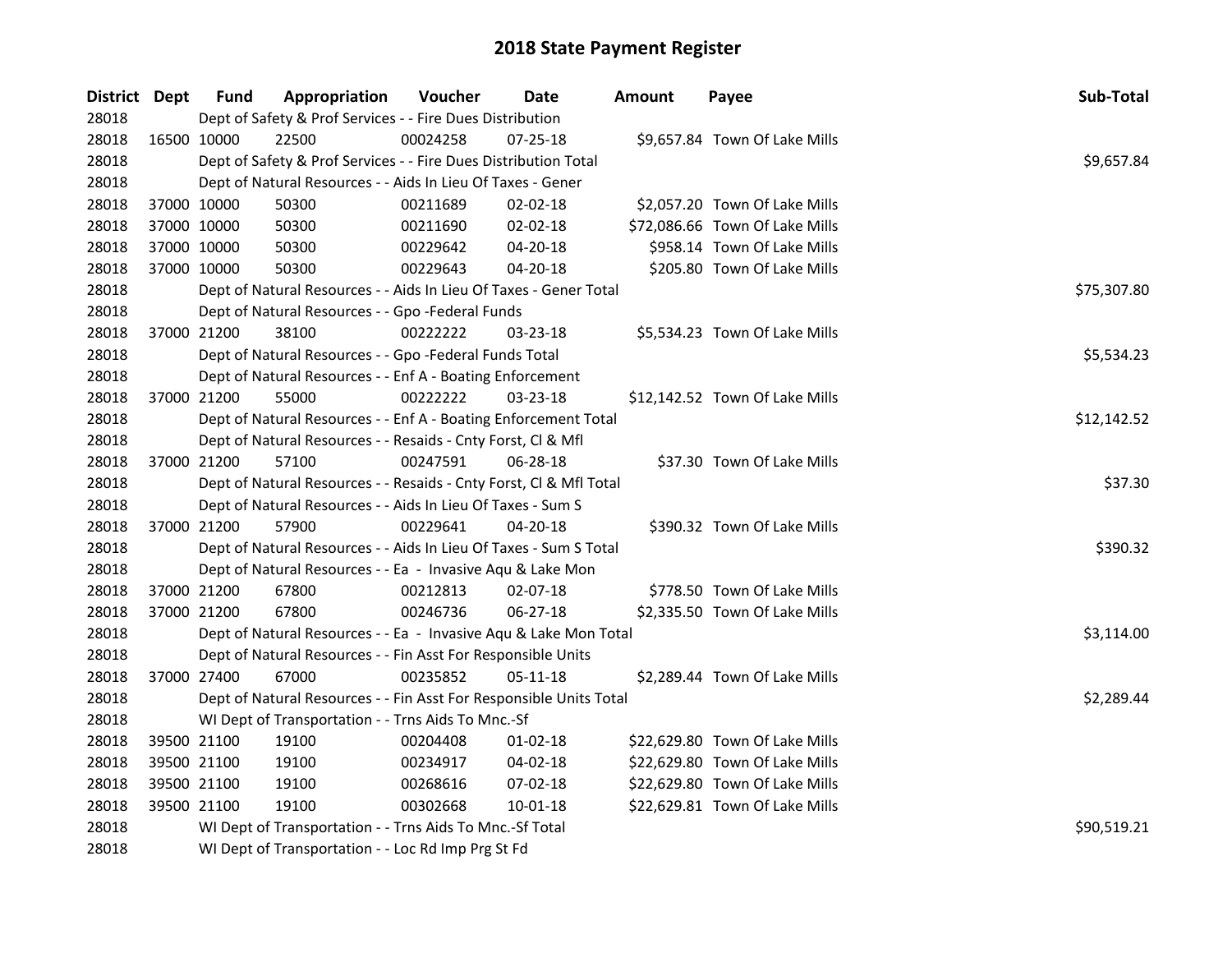| District Dept |             | <b>Fund</b> | Appropriation                                                      | Voucher  | Date           | <b>Amount</b> | Payee                          | Sub-Total   |
|---------------|-------------|-------------|--------------------------------------------------------------------|----------|----------------|---------------|--------------------------------|-------------|
| 28018         |             |             | Dept of Safety & Prof Services - - Fire Dues Distribution          |          |                |               |                                |             |
| 28018         | 16500 10000 |             | 22500                                                              | 00024258 | 07-25-18       |               | \$9,657.84 Town Of Lake Mills  |             |
| 28018         |             |             | Dept of Safety & Prof Services - - Fire Dues Distribution Total    |          |                |               |                                | \$9,657.84  |
| 28018         |             |             | Dept of Natural Resources - - Aids In Lieu Of Taxes - Gener        |          |                |               |                                |             |
| 28018         |             | 37000 10000 | 50300                                                              | 00211689 | 02-02-18       |               | \$2,057.20 Town Of Lake Mills  |             |
| 28018         |             | 37000 10000 | 50300                                                              | 00211690 | 02-02-18       |               | \$72,086.66 Town Of Lake Mills |             |
| 28018         |             | 37000 10000 | 50300                                                              | 00229642 | 04-20-18       |               | \$958.14 Town Of Lake Mills    |             |
| 28018         |             | 37000 10000 | 50300                                                              | 00229643 | 04-20-18       |               | \$205.80 Town Of Lake Mills    |             |
| 28018         |             |             | Dept of Natural Resources - - Aids In Lieu Of Taxes - Gener Total  |          |                |               |                                | \$75,307.80 |
| 28018         |             |             | Dept of Natural Resources - - Gpo -Federal Funds                   |          |                |               |                                |             |
| 28018         |             | 37000 21200 | 38100                                                              | 00222222 | 03-23-18       |               | \$5,534.23 Town Of Lake Mills  |             |
| 28018         |             |             | Dept of Natural Resources - - Gpo -Federal Funds Total             |          |                |               |                                | \$5,534.23  |
| 28018         |             |             | Dept of Natural Resources - - Enf A - Boating Enforcement          |          |                |               |                                |             |
| 28018         |             | 37000 21200 | 55000                                                              | 00222222 | $03 - 23 - 18$ |               | \$12,142.52 Town Of Lake Mills |             |
| 28018         |             |             | Dept of Natural Resources - - Enf A - Boating Enforcement Total    |          |                |               |                                | \$12,142.52 |
| 28018         |             |             | Dept of Natural Resources - - Resaids - Cnty Forst, Cl & Mfl       |          |                |               |                                |             |
| 28018         |             | 37000 21200 | 57100                                                              | 00247591 | 06-28-18       |               | \$37.30 Town Of Lake Mills     |             |
| 28018         |             |             | Dept of Natural Resources - - Resaids - Cnty Forst, Cl & Mfl Total |          |                |               |                                | \$37.30     |
| 28018         |             |             | Dept of Natural Resources - - Aids In Lieu Of Taxes - Sum S        |          |                |               |                                |             |
| 28018         |             | 37000 21200 | 57900                                                              | 00229641 | 04-20-18       |               | \$390.32 Town Of Lake Mills    |             |
| 28018         |             |             | Dept of Natural Resources - - Aids In Lieu Of Taxes - Sum S Total  |          |                |               |                                | \$390.32    |
| 28018         |             |             | Dept of Natural Resources - - Ea - Invasive Aqu & Lake Mon         |          |                |               |                                |             |
| 28018         |             | 37000 21200 | 67800                                                              | 00212813 | 02-07-18       |               | \$778.50 Town Of Lake Mills    |             |
| 28018         |             | 37000 21200 | 67800                                                              | 00246736 | 06-27-18       |               | \$2,335.50 Town Of Lake Mills  |             |
| 28018         |             |             | Dept of Natural Resources - - Ea - Invasive Aqu & Lake Mon Total   |          |                |               |                                | \$3,114.00  |
| 28018         |             |             | Dept of Natural Resources - - Fin Asst For Responsible Units       |          |                |               |                                |             |
| 28018         | 37000 27400 |             | 67000                                                              | 00235852 | 05-11-18       |               | \$2,289.44 Town Of Lake Mills  |             |
| 28018         |             |             | Dept of Natural Resources - - Fin Asst For Responsible Units Total |          |                |               |                                | \$2,289.44  |
| 28018         |             |             | WI Dept of Transportation - - Trns Aids To Mnc.-Sf                 |          |                |               |                                |             |
| 28018         |             | 39500 21100 | 19100                                                              | 00204408 | $01 - 02 - 18$ |               | \$22,629.80 Town Of Lake Mills |             |
| 28018         |             | 39500 21100 | 19100                                                              | 00234917 | 04-02-18       |               | \$22,629.80 Town Of Lake Mills |             |
| 28018         |             | 39500 21100 | 19100                                                              | 00268616 | 07-02-18       |               | \$22,629.80 Town Of Lake Mills |             |
| 28018         |             | 39500 21100 | 19100                                                              | 00302668 | 10-01-18       |               | \$22,629.81 Town Of Lake Mills |             |
| 28018         |             |             | WI Dept of Transportation - - Trns Aids To Mnc.-Sf Total           |          |                |               |                                | \$90,519.21 |
| 28018         |             |             | WI Dept of Transportation - - Loc Rd Imp Prg St Fd                 |          |                |               |                                |             |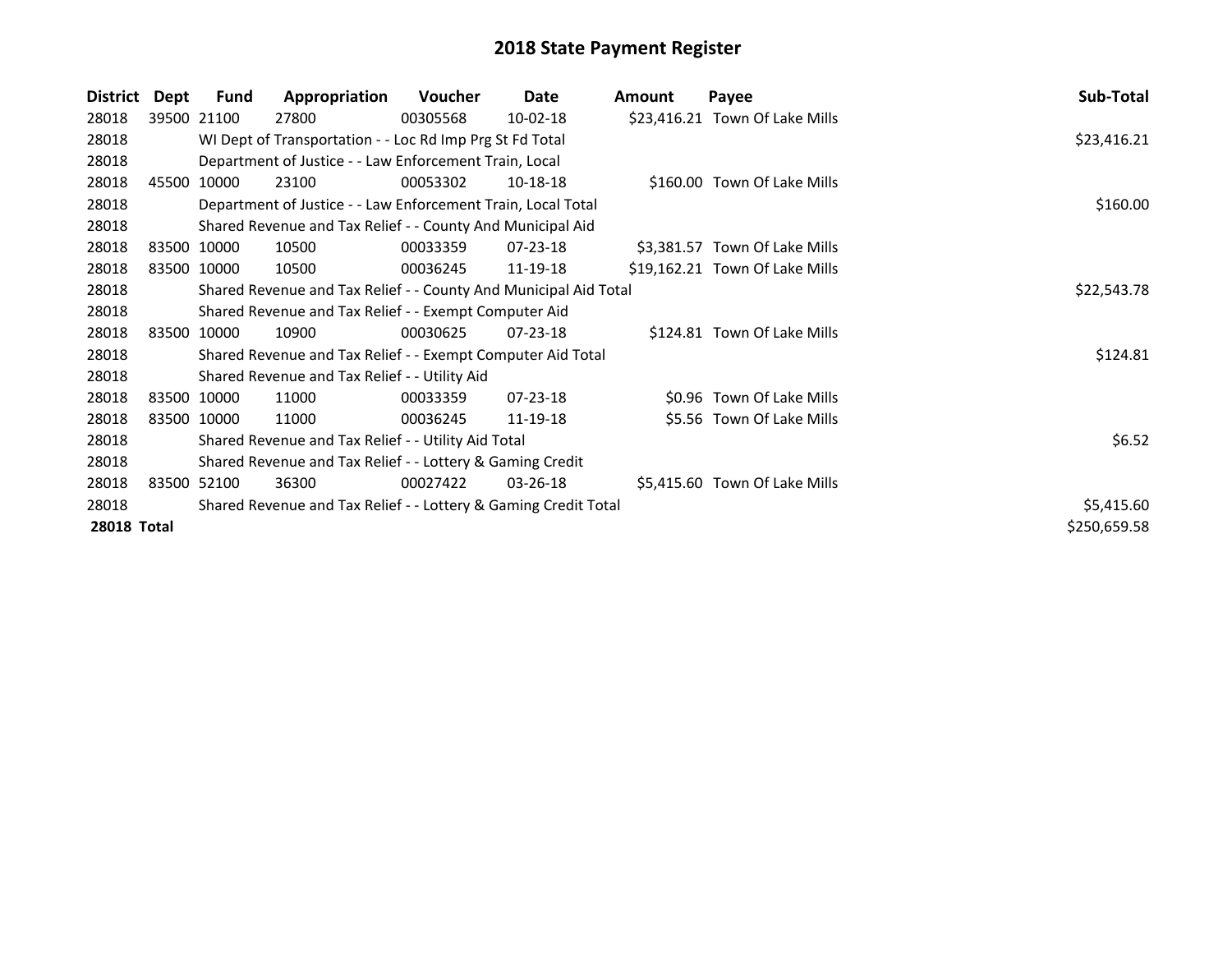| District           | Dept | <b>Fund</b>                                                     | Appropriation                                                    | <b>Voucher</b> | Date           | Amount | Payee                          | Sub-Total    |  |  |
|--------------------|------|-----------------------------------------------------------------|------------------------------------------------------------------|----------------|----------------|--------|--------------------------------|--------------|--|--|
| 28018              |      | 39500 21100                                                     | 27800                                                            | 00305568       | 10-02-18       |        | \$23,416.21 Town Of Lake Mills |              |  |  |
| 28018              |      |                                                                 | WI Dept of Transportation - - Loc Rd Imp Prg St Fd Total         |                |                |        |                                | \$23,416.21  |  |  |
| 28018              |      |                                                                 | Department of Justice - - Law Enforcement Train, Local           |                |                |        |                                |              |  |  |
| 28018              |      | 45500 10000                                                     | 23100                                                            | 00053302       | 10-18-18       |        | \$160.00 Town Of Lake Mills    |              |  |  |
| 28018              |      |                                                                 | Department of Justice - - Law Enforcement Train, Local Total     |                |                |        |                                | \$160.00     |  |  |
| 28018              |      |                                                                 | Shared Revenue and Tax Relief - - County And Municipal Aid       |                |                |        |                                |              |  |  |
| 28018              |      | 83500 10000                                                     | 10500                                                            | 00033359       | $07 - 23 - 18$ |        | \$3,381.57 Town Of Lake Mills  |              |  |  |
| 28018              |      | 83500 10000                                                     | 10500                                                            | 00036245       | 11-19-18       |        | \$19,162.21 Town Of Lake Mills |              |  |  |
| 28018              |      |                                                                 | Shared Revenue and Tax Relief - - County And Municipal Aid Total |                |                |        |                                | \$22,543.78  |  |  |
| 28018              |      |                                                                 | Shared Revenue and Tax Relief - - Exempt Computer Aid            |                |                |        |                                |              |  |  |
| 28018              |      | 83500 10000                                                     | 10900                                                            | 00030625       | $07 - 23 - 18$ |        | \$124.81 Town Of Lake Mills    |              |  |  |
| 28018              |      |                                                                 | Shared Revenue and Tax Relief - - Exempt Computer Aid Total      |                |                |        |                                | \$124.81     |  |  |
| 28018              |      |                                                                 | Shared Revenue and Tax Relief - - Utility Aid                    |                |                |        |                                |              |  |  |
| 28018              |      | 83500 10000                                                     | 11000                                                            | 00033359       | 07-23-18       |        | \$0.96 Town Of Lake Mills      |              |  |  |
| 28018              |      | 83500 10000                                                     | 11000                                                            | 00036245       | 11-19-18       |        | \$5.56 Town Of Lake Mills      |              |  |  |
| 28018              |      |                                                                 | Shared Revenue and Tax Relief - - Utility Aid Total              |                |                |        |                                | \$6.52       |  |  |
| 28018              |      |                                                                 | Shared Revenue and Tax Relief - - Lottery & Gaming Credit        |                |                |        |                                |              |  |  |
| 28018              |      | 83500 52100                                                     | 36300                                                            | 00027422       | $03 - 26 - 18$ |        | \$5,415.60 Town Of Lake Mills  |              |  |  |
| 28018              |      | Shared Revenue and Tax Relief - - Lottery & Gaming Credit Total |                                                                  |                |                |        |                                |              |  |  |
| <b>28018 Total</b> |      |                                                                 |                                                                  |                |                |        |                                | \$250,659.58 |  |  |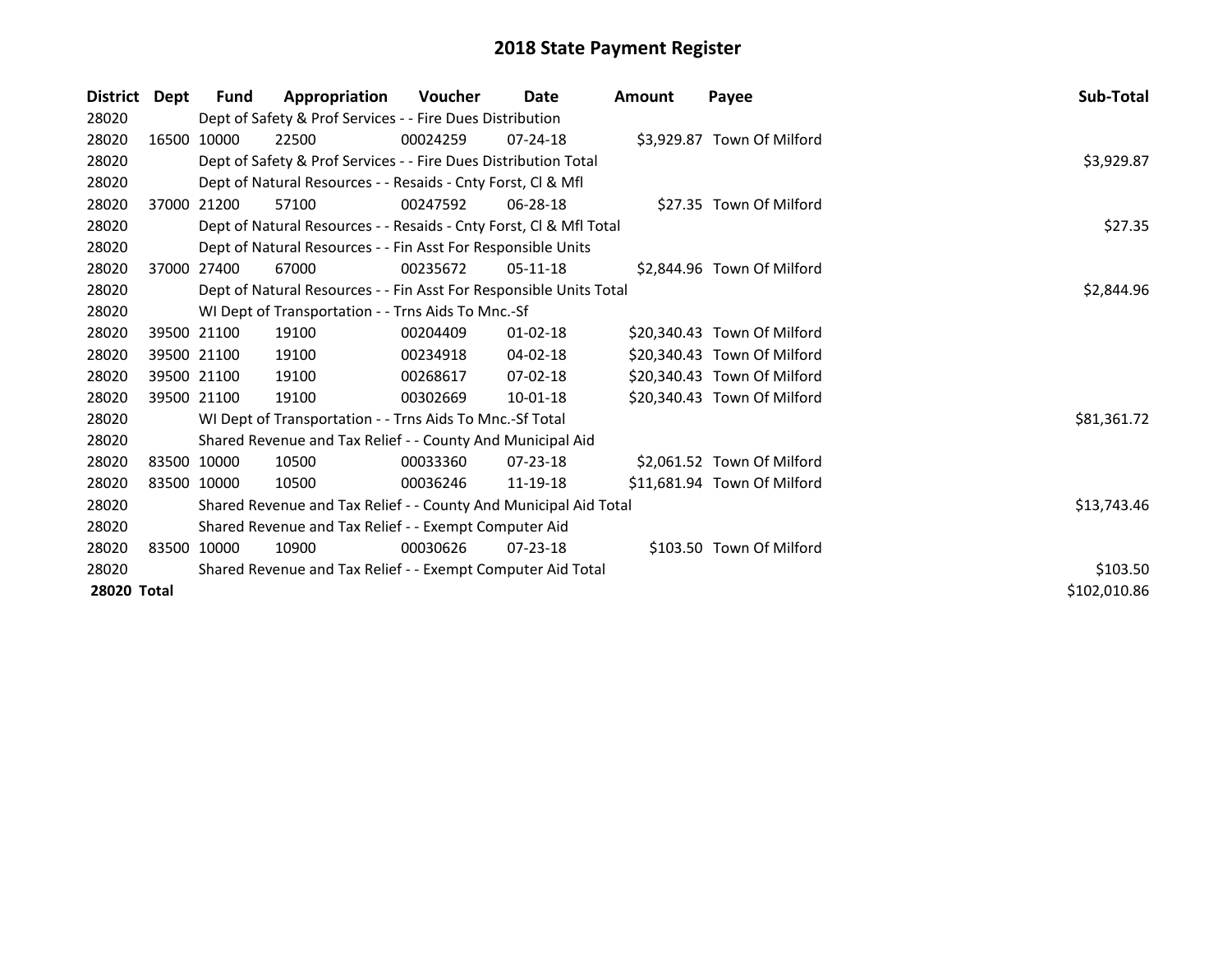| <b>District</b>    | Dept | Fund                                                                    | Appropriation                                                      | <b>Voucher</b> | <b>Date</b>    | Amount | Payee                       | Sub-Total    |
|--------------------|------|-------------------------------------------------------------------------|--------------------------------------------------------------------|----------------|----------------|--------|-----------------------------|--------------|
| 28020              |      |                                                                         | Dept of Safety & Prof Services - - Fire Dues Distribution          |                |                |        |                             |              |
| 28020              |      | 16500 10000                                                             | 22500                                                              | 00024259       | $07 - 24 - 18$ |        | \$3,929.87 Town Of Milford  |              |
| 28020              |      |                                                                         | Dept of Safety & Prof Services - - Fire Dues Distribution Total    |                |                |        |                             | \$3,929.87   |
| 28020              |      |                                                                         | Dept of Natural Resources - - Resaids - Cnty Forst, CI & Mfl       |                |                |        |                             |              |
| 28020              |      | 37000 21200                                                             | 57100                                                              | 00247592       | 06-28-18       |        | \$27.35 Town Of Milford     |              |
| 28020              |      |                                                                         | Dept of Natural Resources - - Resaids - Cnty Forst, CI & Mfl Total |                |                |        |                             | \$27.35      |
| 28020              |      |                                                                         | Dept of Natural Resources - - Fin Asst For Responsible Units       |                |                |        |                             |              |
| 28020              |      | 37000 27400                                                             | 67000                                                              | 00235672       | $05-11-18$     |        | \$2,844.96 Town Of Milford  |              |
| 28020              |      |                                                                         | Dept of Natural Resources - - Fin Asst For Responsible Units Total |                |                |        |                             | \$2,844.96   |
| 28020              |      |                                                                         | WI Dept of Transportation - - Trns Aids To Mnc.-Sf                 |                |                |        |                             |              |
| 28020              |      | 39500 21100                                                             | 19100                                                              | 00204409       | $01 - 02 - 18$ |        | \$20,340.43 Town Of Milford |              |
| 28020              |      | 39500 21100                                                             | 19100                                                              | 00234918       | $04 - 02 - 18$ |        | \$20,340.43 Town Of Milford |              |
| 28020              |      | 39500 21100                                                             | 19100                                                              | 00268617       | $07 - 02 - 18$ |        | \$20,340.43 Town Of Milford |              |
| 28020              |      | 39500 21100                                                             | 19100                                                              | 00302669       | $10-01-18$     |        | \$20,340.43 Town Of Milford |              |
| 28020              |      |                                                                         | WI Dept of Transportation - - Trns Aids To Mnc.-Sf Total           |                |                |        |                             | \$81,361.72  |
| 28020              |      |                                                                         | Shared Revenue and Tax Relief - - County And Municipal Aid         |                |                |        |                             |              |
| 28020              |      | 83500 10000                                                             | 10500                                                              | 00033360       | $07 - 23 - 18$ |        | \$2,061.52 Town Of Milford  |              |
| 28020              |      | 83500 10000                                                             | 10500                                                              | 00036246       | 11-19-18       |        | \$11,681.94 Town Of Milford |              |
| 28020              |      |                                                                         | Shared Revenue and Tax Relief - - County And Municipal Aid Total   |                |                |        |                             | \$13,743.46  |
| 28020              |      | Shared Revenue and Tax Relief - - Exempt Computer Aid                   |                                                                    |                |                |        |                             |              |
| 28020              |      | 83500 10000                                                             | 10900                                                              | 00030626       | $07 - 23 - 18$ |        | \$103.50 Town Of Milford    |              |
| 28020              |      | \$103.50<br>Shared Revenue and Tax Relief - - Exempt Computer Aid Total |                                                                    |                |                |        |                             |              |
| <b>28020 Total</b> |      |                                                                         |                                                                    |                |                |        |                             | \$102,010.86 |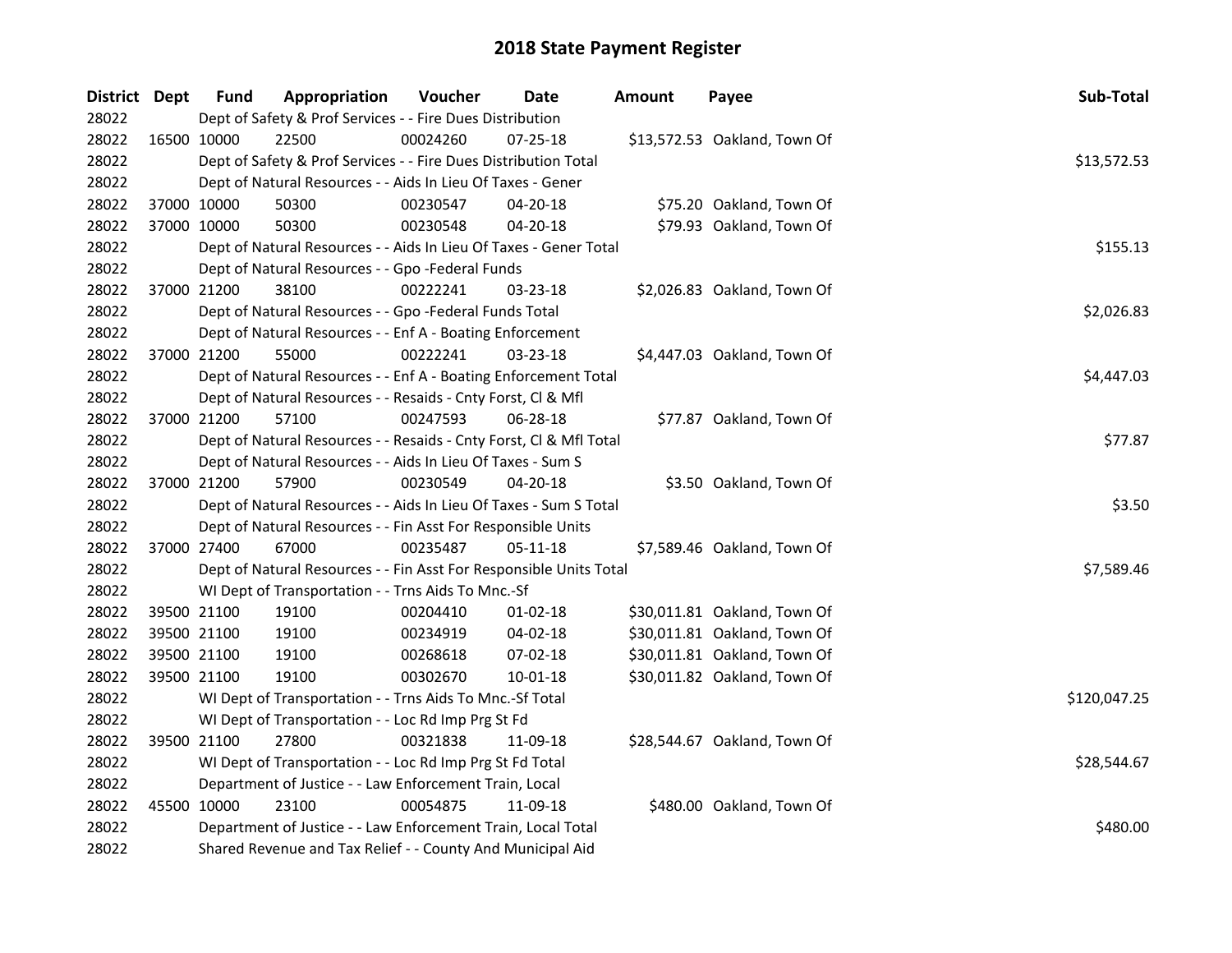| District Dept |             | <b>Fund</b> | Appropriation                                                      | Voucher  | Date           | <b>Amount</b> | Payee                        | Sub-Total    |  |  |  |
|---------------|-------------|-------------|--------------------------------------------------------------------|----------|----------------|---------------|------------------------------|--------------|--|--|--|
| 28022         |             |             | Dept of Safety & Prof Services - - Fire Dues Distribution          |          |                |               |                              |              |  |  |  |
| 28022         | 16500 10000 |             | 22500                                                              | 00024260 | 07-25-18       |               | \$13,572.53 Oakland, Town Of |              |  |  |  |
| 28022         |             |             | Dept of Safety & Prof Services - - Fire Dues Distribution Total    |          |                |               |                              | \$13,572.53  |  |  |  |
| 28022         |             |             | Dept of Natural Resources - - Aids In Lieu Of Taxes - Gener        |          |                |               |                              |              |  |  |  |
| 28022         | 37000 10000 |             | 50300                                                              | 00230547 | 04-20-18       |               | \$75.20 Oakland, Town Of     |              |  |  |  |
| 28022         | 37000 10000 |             | 50300                                                              | 00230548 | 04-20-18       |               | \$79.93 Oakland, Town Of     |              |  |  |  |
| 28022         |             |             | Dept of Natural Resources - - Aids In Lieu Of Taxes - Gener Total  |          |                |               |                              | \$155.13     |  |  |  |
| 28022         |             |             | Dept of Natural Resources - - Gpo -Federal Funds                   |          |                |               |                              |              |  |  |  |
| 28022         |             | 37000 21200 | 38100                                                              | 00222241 | 03-23-18       |               | \$2,026.83 Oakland, Town Of  |              |  |  |  |
| 28022         |             |             | Dept of Natural Resources - - Gpo -Federal Funds Total             |          |                |               |                              | \$2,026.83   |  |  |  |
| 28022         |             |             | Dept of Natural Resources - - Enf A - Boating Enforcement          |          |                |               |                              |              |  |  |  |
| 28022         | 37000 21200 |             | 55000                                                              | 00222241 | 03-23-18       |               | \$4,447.03 Oakland, Town Of  |              |  |  |  |
| 28022         |             |             | Dept of Natural Resources - - Enf A - Boating Enforcement Total    |          |                |               |                              | \$4,447.03   |  |  |  |
| 28022         |             |             | Dept of Natural Resources - - Resaids - Cnty Forst, Cl & Mfl       |          |                |               |                              |              |  |  |  |
| 28022         | 37000 21200 |             | 57100                                                              | 00247593 | 06-28-18       |               | \$77.87 Oakland, Town Of     |              |  |  |  |
| 28022         |             |             | Dept of Natural Resources - - Resaids - Cnty Forst, Cl & Mfl Total |          |                |               |                              |              |  |  |  |
| 28022         |             |             | Dept of Natural Resources - - Aids In Lieu Of Taxes - Sum S        |          |                |               |                              |              |  |  |  |
| 28022         | 37000 21200 |             | 57900                                                              | 00230549 | 04-20-18       |               | \$3.50 Oakland, Town Of      |              |  |  |  |
| 28022         |             |             | Dept of Natural Resources - - Aids In Lieu Of Taxes - Sum S Total  |          |                |               |                              | \$3.50       |  |  |  |
| 28022         |             |             | Dept of Natural Resources - - Fin Asst For Responsible Units       |          |                |               |                              |              |  |  |  |
| 28022         | 37000 27400 |             | 67000                                                              | 00235487 | $05 - 11 - 18$ |               | \$7,589.46 Oakland, Town Of  |              |  |  |  |
| 28022         |             |             | Dept of Natural Resources - - Fin Asst For Responsible Units Total |          |                |               |                              | \$7,589.46   |  |  |  |
| 28022         |             |             | WI Dept of Transportation - - Trns Aids To Mnc.-Sf                 |          |                |               |                              |              |  |  |  |
| 28022         |             | 39500 21100 | 19100                                                              | 00204410 | $01-02-18$     |               | \$30,011.81 Oakland, Town Of |              |  |  |  |
| 28022         |             | 39500 21100 | 19100                                                              | 00234919 | 04-02-18       |               | \$30,011.81 Oakland, Town Of |              |  |  |  |
| 28022         |             | 39500 21100 | 19100                                                              | 00268618 | 07-02-18       |               | \$30,011.81 Oakland, Town Of |              |  |  |  |
| 28022         | 39500 21100 |             | 19100                                                              | 00302670 | 10-01-18       |               | \$30,011.82 Oakland, Town Of |              |  |  |  |
| 28022         |             |             | WI Dept of Transportation - - Trns Aids To Mnc.-Sf Total           |          |                |               |                              | \$120,047.25 |  |  |  |
| 28022         |             |             | WI Dept of Transportation - - Loc Rd Imp Prg St Fd                 |          |                |               |                              |              |  |  |  |
| 28022         | 39500 21100 |             | 27800                                                              | 00321838 | 11-09-18       |               | \$28,544.67 Oakland, Town Of |              |  |  |  |
| 28022         |             |             | WI Dept of Transportation - - Loc Rd Imp Prg St Fd Total           |          |                |               |                              | \$28,544.67  |  |  |  |
| 28022         |             |             | Department of Justice - - Law Enforcement Train, Local             |          |                |               |                              |              |  |  |  |
| 28022         |             | 45500 10000 | 23100                                                              | 00054875 | 11-09-18       |               | \$480.00 Oakland, Town Of    |              |  |  |  |
| 28022         |             |             | Department of Justice - - Law Enforcement Train, Local Total       |          |                |               |                              | \$480.00     |  |  |  |
| 28022         |             |             | Shared Revenue and Tax Relief - - County And Municipal Aid         |          |                |               |                              |              |  |  |  |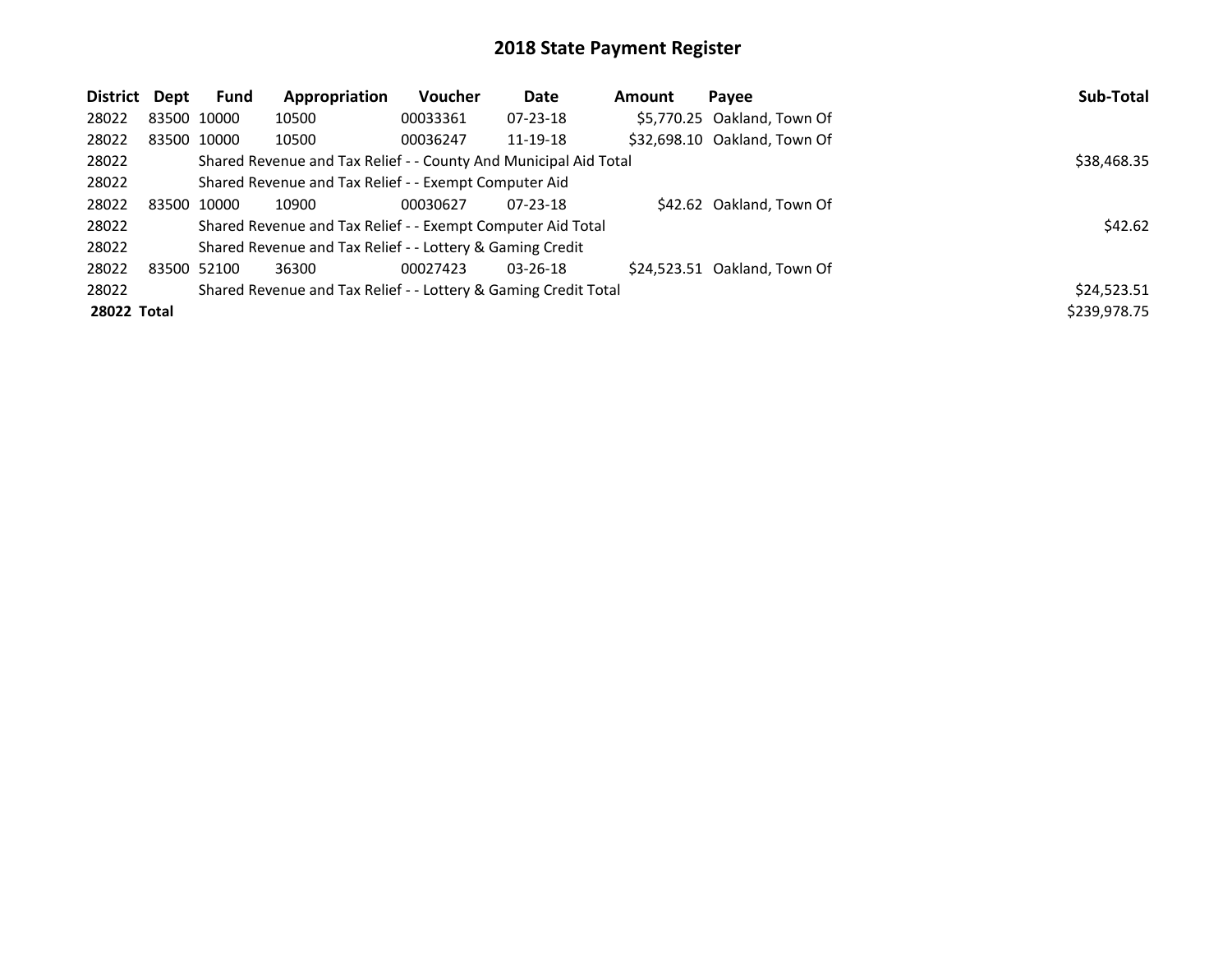| District    | Dept | <b>Fund</b> | Appropriation                                                    | <b>Voucher</b> | Date           | Amount | Payee                        | Sub-Total    |
|-------------|------|-------------|------------------------------------------------------------------|----------------|----------------|--------|------------------------------|--------------|
| 28022       |      | 83500 10000 | 10500                                                            | 00033361       | $07 - 23 - 18$ |        | \$5,770.25 Oakland, Town Of  |              |
| 28022       |      | 83500 10000 | 10500                                                            | 00036247       | 11-19-18       |        | \$32,698.10 Oakland, Town Of |              |
| 28022       |      |             | Shared Revenue and Tax Relief - - County And Municipal Aid Total |                |                |        |                              | \$38,468.35  |
| 28022       |      |             | Shared Revenue and Tax Relief - - Exempt Computer Aid            |                |                |        |                              |              |
| 28022       |      | 83500 10000 | 10900                                                            | 00030627       | $07 - 23 - 18$ |        | \$42.62 Oakland, Town Of     |              |
| 28022       |      |             | Shared Revenue and Tax Relief - - Exempt Computer Aid Total      |                |                |        |                              | \$42.62      |
| 28022       |      |             | Shared Revenue and Tax Relief - - Lottery & Gaming Credit        |                |                |        |                              |              |
| 28022       |      | 83500 52100 | 36300                                                            | 00027423       | $03 - 26 - 18$ |        | \$24,523.51 Oakland, Town Of |              |
| 28022       |      |             | Shared Revenue and Tax Relief - - Lottery & Gaming Credit Total  |                |                |        |                              | \$24,523.51  |
| 28022 Total |      |             |                                                                  |                |                |        |                              | \$239,978.75 |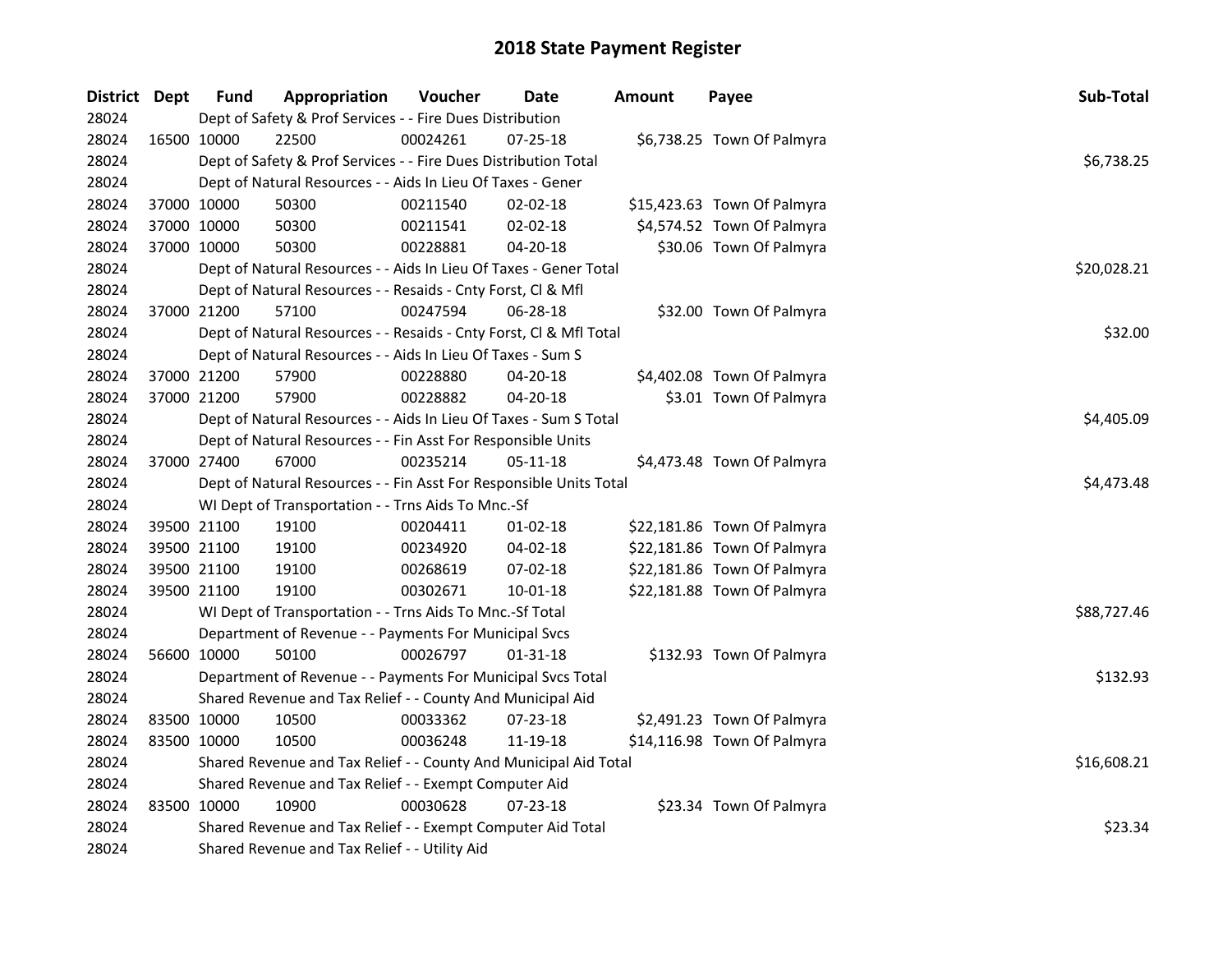| District Dept | <b>Fund</b> | Appropriation                                                      | Voucher     | Date           | <b>Amount</b> | Payee                       | Sub-Total   |
|---------------|-------------|--------------------------------------------------------------------|-------------|----------------|---------------|-----------------------------|-------------|
| 28024         |             | Dept of Safety & Prof Services - - Fire Dues Distribution          |             |                |               |                             |             |
| 28024         | 16500 10000 | 22500                                                              | 00024261    | 07-25-18       |               | \$6,738.25 Town Of Palmyra  |             |
| 28024         |             | Dept of Safety & Prof Services - - Fire Dues Distribution Total    |             |                |               |                             | \$6,738.25  |
| 28024         |             | Dept of Natural Resources - - Aids In Lieu Of Taxes - Gener        |             |                |               |                             |             |
| 28024         | 37000 10000 | 50300                                                              | 00211540    | 02-02-18       |               | \$15,423.63 Town Of Palmyra |             |
| 28024         | 37000 10000 | 50300                                                              | 00211541    | 02-02-18       |               | \$4,574.52 Town Of Palmyra  |             |
| 28024         | 37000 10000 | 50300                                                              | 00228881    | 04-20-18       |               | \$30.06 Town Of Palmyra     |             |
| 28024         |             | Dept of Natural Resources - - Aids In Lieu Of Taxes - Gener Total  | \$20,028.21 |                |               |                             |             |
| 28024         |             | Dept of Natural Resources - - Resaids - Cnty Forst, Cl & Mfl       |             |                |               |                             |             |
| 28024         | 37000 21200 | 57100                                                              | 00247594    | 06-28-18       |               | \$32.00 Town Of Palmyra     |             |
| 28024         |             | Dept of Natural Resources - - Resaids - Cnty Forst, Cl & Mfl Total |             |                |               |                             | \$32.00     |
| 28024         |             | Dept of Natural Resources - - Aids In Lieu Of Taxes - Sum S        |             |                |               |                             |             |
| 28024         | 37000 21200 | 57900                                                              | 00228880    | 04-20-18       |               | \$4,402.08 Town Of Palmyra  |             |
| 28024         | 37000 21200 | 57900                                                              | 00228882    | 04-20-18       |               | \$3.01 Town Of Palmyra      |             |
| 28024         |             | Dept of Natural Resources - - Aids In Lieu Of Taxes - Sum S Total  |             |                |               |                             | \$4,405.09  |
| 28024         |             | Dept of Natural Resources - - Fin Asst For Responsible Units       |             |                |               |                             |             |
| 28024         | 37000 27400 | 67000                                                              | 00235214    | 05-11-18       |               | \$4,473.48 Town Of Palmyra  |             |
| 28024         |             | Dept of Natural Resources - - Fin Asst For Responsible Units Total | \$4,473.48  |                |               |                             |             |
| 28024         |             | WI Dept of Transportation - - Trns Aids To Mnc.-Sf                 |             |                |               |                             |             |
| 28024         | 39500 21100 | 19100                                                              | 00204411    | $01-02-18$     |               | \$22,181.86 Town Of Palmyra |             |
| 28024         | 39500 21100 | 19100                                                              | 00234920    | 04-02-18       |               | \$22,181.86 Town Of Palmyra |             |
| 28024         | 39500 21100 | 19100                                                              | 00268619    | 07-02-18       |               | \$22,181.86 Town Of Palmyra |             |
| 28024         | 39500 21100 | 19100                                                              | 00302671    | $10 - 01 - 18$ |               | \$22,181.88 Town Of Palmyra |             |
| 28024         |             | WI Dept of Transportation - - Trns Aids To Mnc.-Sf Total           |             |                |               |                             | \$88,727.46 |
| 28024         |             | Department of Revenue - - Payments For Municipal Svcs              |             |                |               |                             |             |
| 28024         | 56600 10000 | 50100                                                              | 00026797    | 01-31-18       |               | \$132.93 Town Of Palmyra    |             |
| 28024         |             | Department of Revenue - - Payments For Municipal Svcs Total        |             |                |               |                             | \$132.93    |
| 28024         |             | Shared Revenue and Tax Relief - - County And Municipal Aid         |             |                |               |                             |             |
| 28024         | 83500 10000 | 10500                                                              | 00033362    | 07-23-18       |               | \$2,491.23 Town Of Palmyra  |             |
| 28024         | 83500 10000 | 10500                                                              | 00036248    | 11-19-18       |               | \$14,116.98 Town Of Palmyra |             |
| 28024         |             | Shared Revenue and Tax Relief - - County And Municipal Aid Total   |             |                |               |                             | \$16,608.21 |
| 28024         |             | Shared Revenue and Tax Relief - - Exempt Computer Aid              |             |                |               |                             |             |
| 28024         | 83500 10000 | 10900                                                              | 00030628    | 07-23-18       |               | \$23.34 Town Of Palmyra     |             |
| 28024         |             | Shared Revenue and Tax Relief - - Exempt Computer Aid Total        |             |                |               |                             | \$23.34     |
| 28024         |             | Shared Revenue and Tax Relief - - Utility Aid                      |             |                |               |                             |             |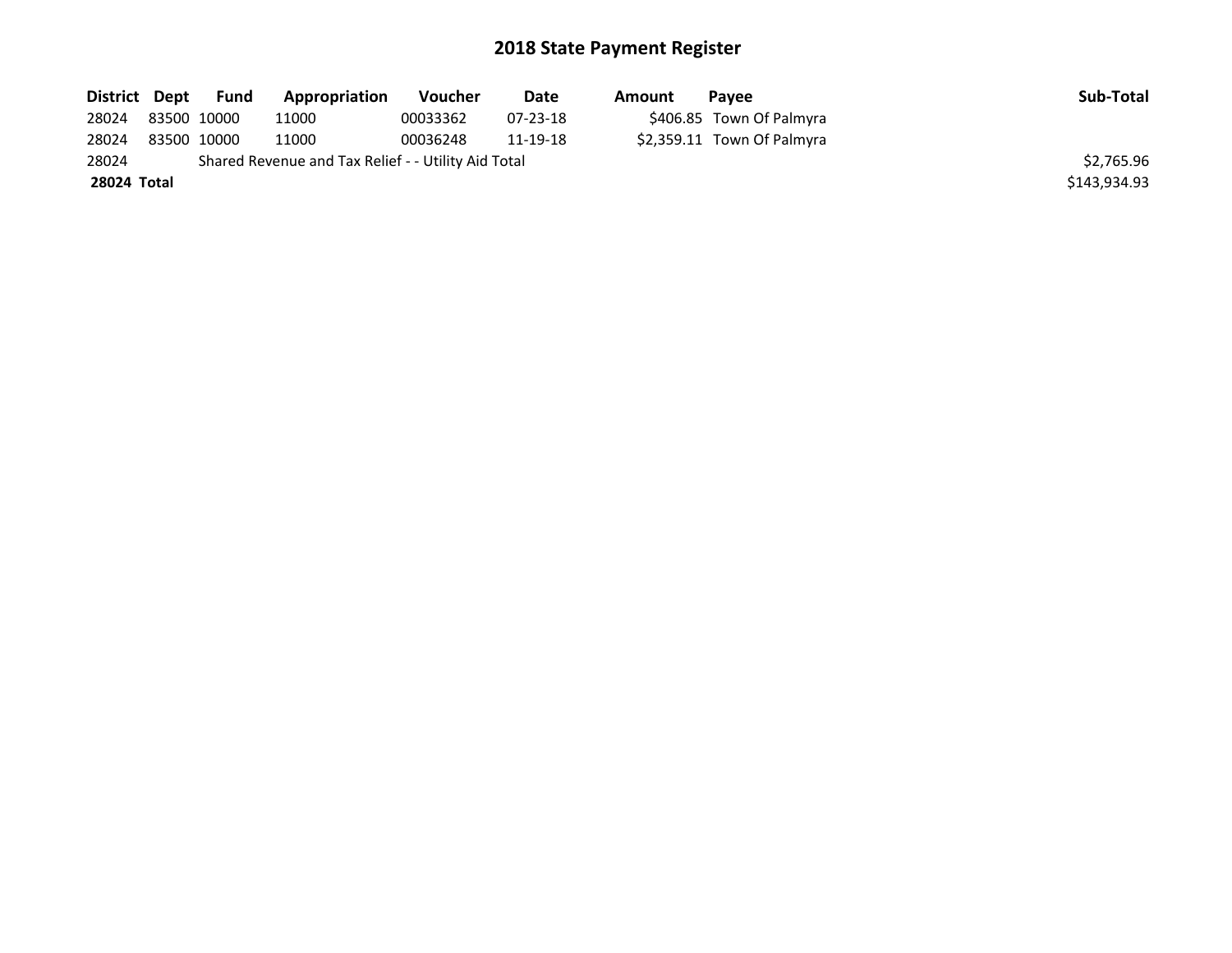| District Dept | Fund        | Appropriation                                       | Voucher  | Date     | Amount | <b>Pavee</b>               | Sub-Total    |
|---------------|-------------|-----------------------------------------------------|----------|----------|--------|----------------------------|--------------|
| 28024         | 83500 10000 | 11000                                               | 00033362 | 07-23-18 |        | \$406.85 Town Of Palmyra   |              |
| 28024         | 83500 10000 | 11000                                               | 00036248 | 11-19-18 |        | \$2,359.11 Town Of Palmyra |              |
| 28024         |             | Shared Revenue and Tax Relief - - Utility Aid Total |          |          |        |                            | \$2.765.96   |
| 28024 Total   |             |                                                     |          |          |        |                            | \$143,934.93 |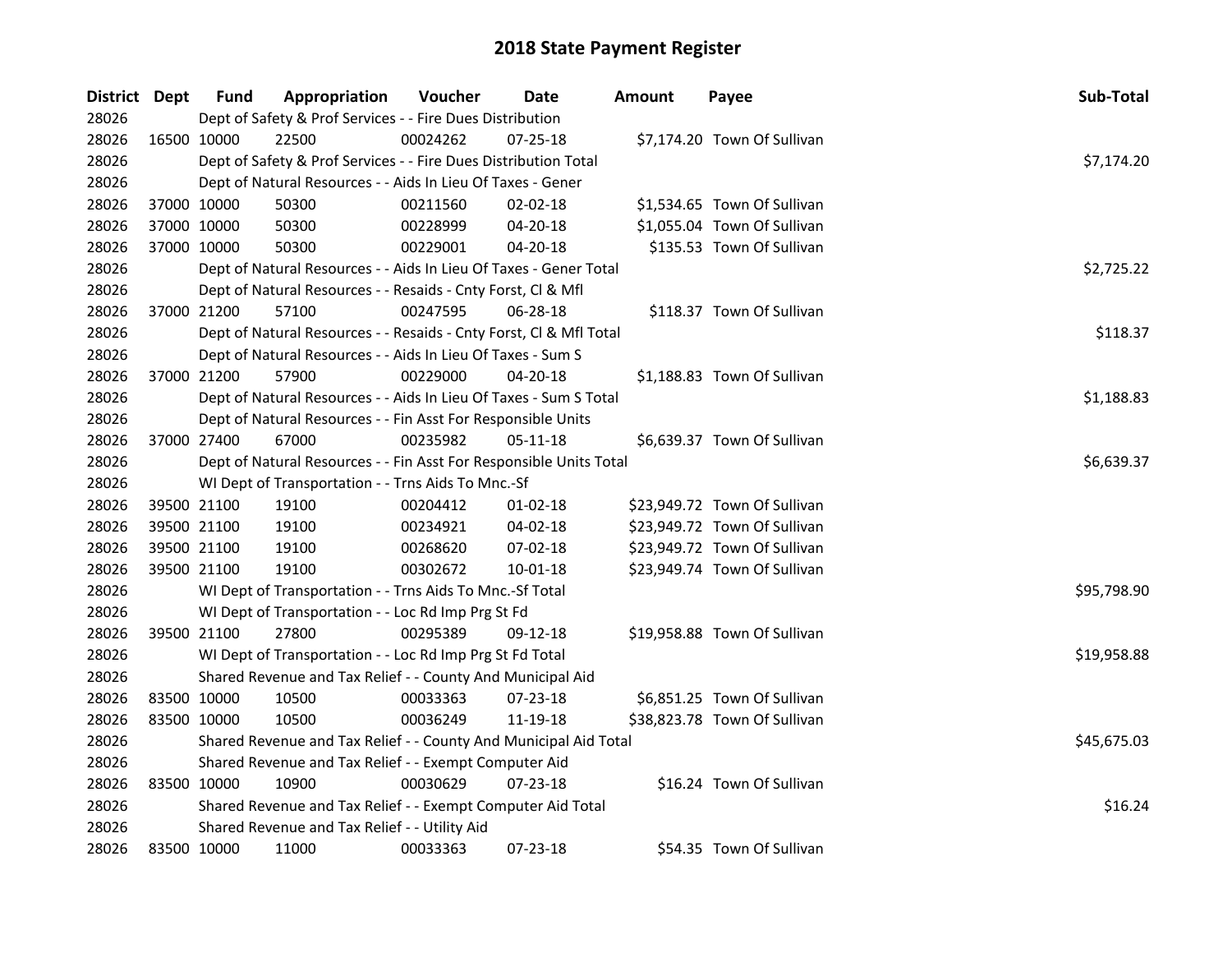| District Dept |             | <b>Fund</b> | Appropriation                                                      | Voucher    | Date           | <b>Amount</b> | Payee                        | Sub-Total   |
|---------------|-------------|-------------|--------------------------------------------------------------------|------------|----------------|---------------|------------------------------|-------------|
| 28026         |             |             | Dept of Safety & Prof Services - - Fire Dues Distribution          |            |                |               |                              |             |
| 28026         | 16500 10000 |             | 22500                                                              | 00024262   | 07-25-18       |               | \$7,174.20 Town Of Sullivan  |             |
| 28026         |             |             | Dept of Safety & Prof Services - - Fire Dues Distribution Total    |            |                |               |                              | \$7,174.20  |
| 28026         |             |             | Dept of Natural Resources - - Aids In Lieu Of Taxes - Gener        |            |                |               |                              |             |
| 28026         |             | 37000 10000 | 50300                                                              | 00211560   | 02-02-18       |               | \$1,534.65 Town Of Sullivan  |             |
| 28026         | 37000 10000 |             | 50300                                                              | 00228999   | 04-20-18       |               | \$1,055.04 Town Of Sullivan  |             |
| 28026         | 37000 10000 |             | 50300                                                              | 00229001   | $04 - 20 - 18$ |               | \$135.53 Town Of Sullivan    |             |
| 28026         |             |             | Dept of Natural Resources - - Aids In Lieu Of Taxes - Gener Total  |            |                |               |                              | \$2,725.22  |
| 28026         |             |             | Dept of Natural Resources - - Resaids - Cnty Forst, Cl & Mfl       |            |                |               |                              |             |
| 28026         |             | 37000 21200 | 57100                                                              | 00247595   | 06-28-18       |               | \$118.37 Town Of Sullivan    |             |
| 28026         |             |             | Dept of Natural Resources - - Resaids - Cnty Forst, Cl & Mfl Total |            |                |               |                              | \$118.37    |
| 28026         |             |             | Dept of Natural Resources - - Aids In Lieu Of Taxes - Sum S        |            |                |               |                              |             |
| 28026         |             | 37000 21200 | 57900                                                              | 00229000   | 04-20-18       |               | \$1,188.83 Town Of Sullivan  |             |
| 28026         |             |             | Dept of Natural Resources - - Aids In Lieu Of Taxes - Sum S Total  |            |                |               |                              | \$1,188.83  |
| 28026         |             |             | Dept of Natural Resources - - Fin Asst For Responsible Units       |            |                |               |                              |             |
| 28026         | 37000 27400 |             | 67000                                                              | 00235982   | 05-11-18       |               | \$6,639.37 Town Of Sullivan  |             |
| 28026         |             |             | Dept of Natural Resources - - Fin Asst For Responsible Units Total | \$6,639.37 |                |               |                              |             |
| 28026         |             |             | WI Dept of Transportation - - Trns Aids To Mnc.-Sf                 |            |                |               |                              |             |
| 28026         |             | 39500 21100 | 19100                                                              | 00204412   | $01 - 02 - 18$ |               | \$23,949.72 Town Of Sullivan |             |
| 28026         |             | 39500 21100 | 19100                                                              | 00234921   | 04-02-18       |               | \$23,949.72 Town Of Sullivan |             |
| 28026         | 39500 21100 |             | 19100                                                              | 00268620   | 07-02-18       |               | \$23,949.72 Town Of Sullivan |             |
| 28026         | 39500 21100 |             | 19100                                                              | 00302672   | $10 - 01 - 18$ |               | \$23,949.74 Town Of Sullivan |             |
| 28026         |             |             | WI Dept of Transportation - - Trns Aids To Mnc.-Sf Total           |            |                |               |                              | \$95,798.90 |
| 28026         |             |             | WI Dept of Transportation - - Loc Rd Imp Prg St Fd                 |            |                |               |                              |             |
| 28026         | 39500 21100 |             | 27800                                                              | 00295389   | 09-12-18       |               | \$19,958.88 Town Of Sullivan |             |
| 28026         |             |             | WI Dept of Transportation - - Loc Rd Imp Prg St Fd Total           |            |                |               |                              | \$19,958.88 |
| 28026         |             |             | Shared Revenue and Tax Relief - - County And Municipal Aid         |            |                |               |                              |             |
| 28026         | 83500 10000 |             | 10500                                                              | 00033363   | 07-23-18       |               | \$6,851.25 Town Of Sullivan  |             |
| 28026         | 83500 10000 |             | 10500                                                              | 00036249   | 11-19-18       |               | \$38,823.78 Town Of Sullivan |             |
| 28026         |             |             | Shared Revenue and Tax Relief - - County And Municipal Aid Total   |            |                |               |                              | \$45,675.03 |
| 28026         |             |             | Shared Revenue and Tax Relief - - Exempt Computer Aid              |            |                |               |                              |             |
| 28026         |             | 83500 10000 | 10900                                                              | 00030629   | $07 - 23 - 18$ |               | \$16.24 Town Of Sullivan     |             |
| 28026         |             |             | Shared Revenue and Tax Relief - - Exempt Computer Aid Total        |            |                |               |                              | \$16.24     |
| 28026         |             |             | Shared Revenue and Tax Relief - - Utility Aid                      |            |                |               |                              |             |
| 28026         | 83500 10000 |             | 11000                                                              | 00033363   | 07-23-18       |               | \$54.35 Town Of Sullivan     |             |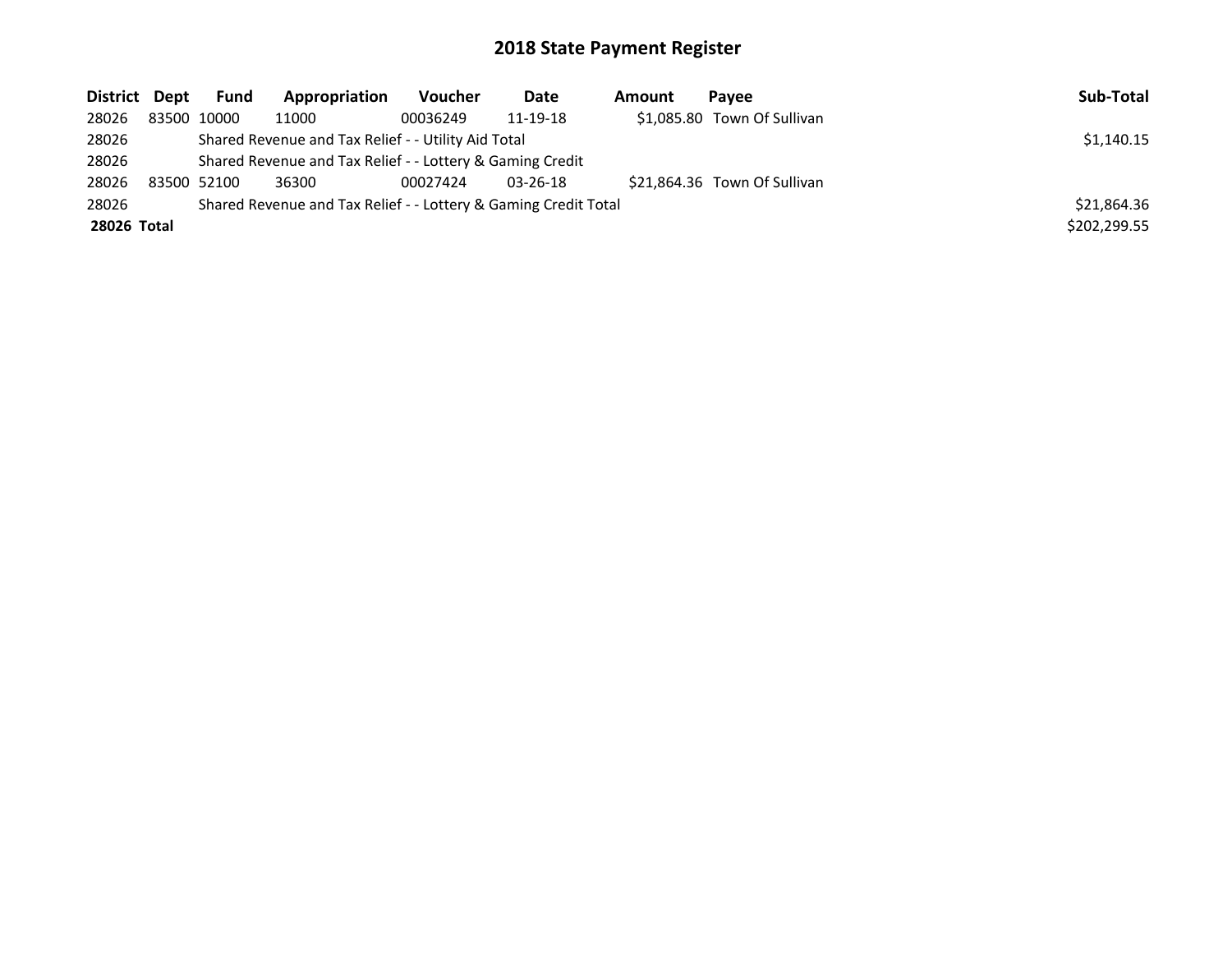| District Dept | <b>Fund</b> | Appropriation                                                   | Voucher  | Date           | Amount | Pavee                        | Sub-Total    |
|---------------|-------------|-----------------------------------------------------------------|----------|----------------|--------|------------------------------|--------------|
| 28026         | 83500 10000 | 11000                                                           | 00036249 | 11-19-18       |        | \$1,085.80 Town Of Sullivan  |              |
| 28026         |             | Shared Revenue and Tax Relief - - Utility Aid Total             |          |                |        |                              | \$1,140.15   |
| 28026         |             | Shared Revenue and Tax Relief - - Lottery & Gaming Credit       |          |                |        |                              |              |
| 28026         | 83500 52100 | 36300                                                           | 00027424 | $03 - 26 - 18$ |        | \$21.864.36 Town Of Sullivan |              |
| 28026         |             | Shared Revenue and Tax Relief - - Lottery & Gaming Credit Total |          |                |        |                              | \$21,864.36  |
| 28026 Total   |             |                                                                 |          |                |        |                              | \$202,299.55 |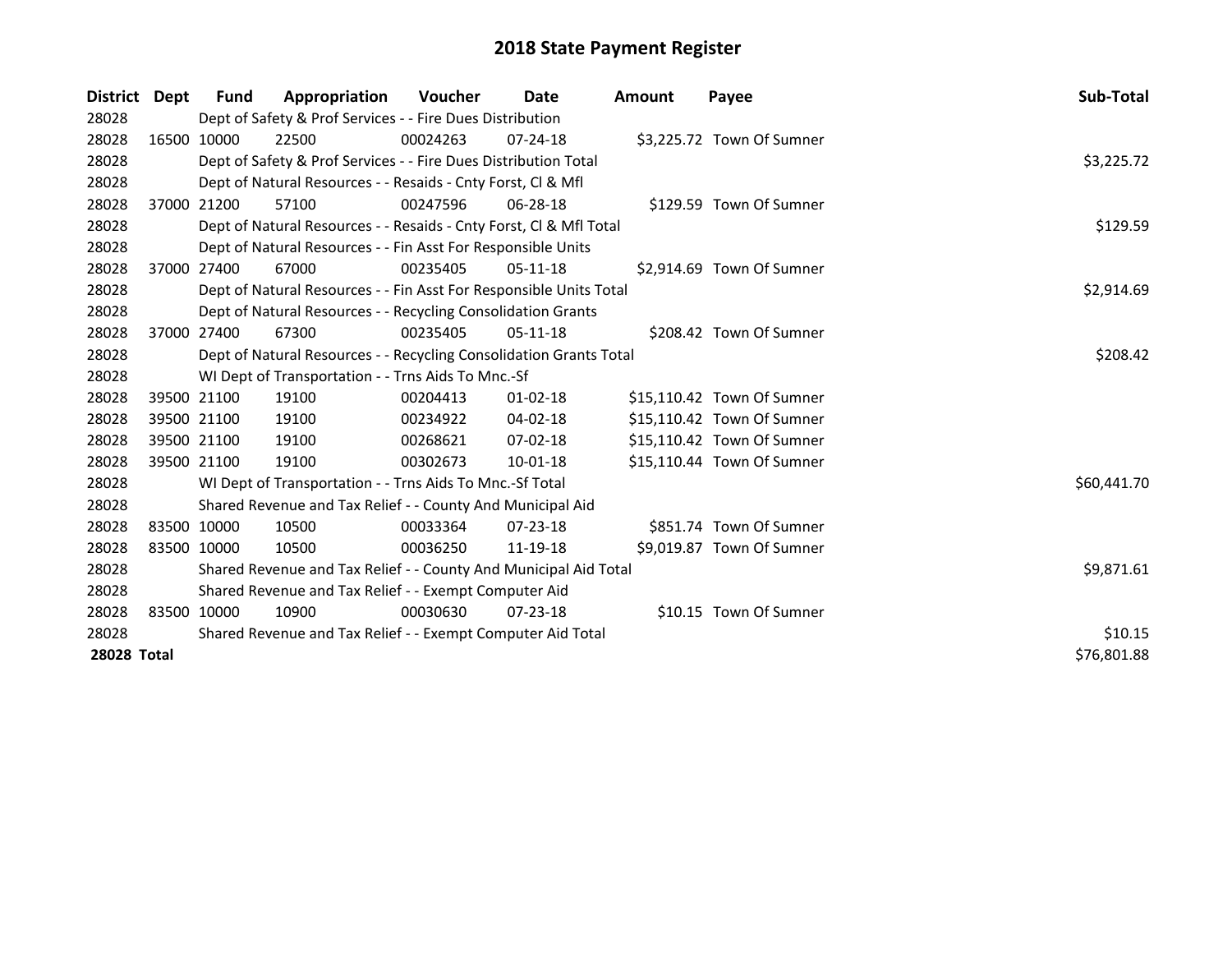| District Dept      |             | Fund                                                        | Appropriation                                                      | <b>Voucher</b> | Date           | <b>Amount</b> | Payee                      | Sub-Total   |
|--------------------|-------------|-------------------------------------------------------------|--------------------------------------------------------------------|----------------|----------------|---------------|----------------------------|-------------|
| 28028              |             |                                                             | Dept of Safety & Prof Services - - Fire Dues Distribution          |                |                |               |                            |             |
| 28028              | 16500 10000 |                                                             | 22500                                                              | 00024263       | $07 - 24 - 18$ |               | \$3,225.72 Town Of Sumner  |             |
| 28028              |             |                                                             | Dept of Safety & Prof Services - - Fire Dues Distribution Total    |                |                |               |                            | \$3,225.72  |
| 28028              |             |                                                             | Dept of Natural Resources - - Resaids - Cnty Forst, CI & Mfl       |                |                |               |                            |             |
| 28028              |             | 37000 21200                                                 | 57100                                                              | 00247596       | $06 - 28 - 18$ |               | \$129.59 Town Of Sumner    |             |
| 28028              |             |                                                             | Dept of Natural Resources - - Resaids - Cnty Forst, CI & Mfl Total |                |                |               |                            | \$129.59    |
| 28028              |             |                                                             | Dept of Natural Resources - - Fin Asst For Responsible Units       |                |                |               |                            |             |
| 28028              |             | 37000 27400                                                 | 67000                                                              | 00235405       | $05-11-18$     |               | \$2,914.69 Town Of Sumner  |             |
| 28028              |             |                                                             | Dept of Natural Resources - - Fin Asst For Responsible Units Total |                |                |               |                            | \$2,914.69  |
| 28028              |             |                                                             | Dept of Natural Resources - - Recycling Consolidation Grants       |                |                |               |                            |             |
| 28028              |             | 37000 27400                                                 | 67300                                                              | 00235405       | $05-11-18$     |               | \$208.42 Town Of Sumner    |             |
| 28028              |             |                                                             | Dept of Natural Resources - - Recycling Consolidation Grants Total |                |                |               |                            | \$208.42    |
| 28028              |             |                                                             | WI Dept of Transportation - - Trns Aids To Mnc.-Sf                 |                |                |               |                            |             |
| 28028              |             | 39500 21100                                                 | 19100                                                              | 00204413       | $01 - 02 - 18$ |               | \$15,110.42 Town Of Sumner |             |
| 28028              |             | 39500 21100                                                 | 19100                                                              | 00234922       | $04 - 02 - 18$ |               | \$15,110.42 Town Of Sumner |             |
| 28028              |             | 39500 21100                                                 | 19100                                                              | 00268621       | $07 - 02 - 18$ |               | \$15,110.42 Town Of Sumner |             |
| 28028              | 39500 21100 |                                                             | 19100                                                              | 00302673       | 10-01-18       |               | \$15,110.44 Town Of Sumner |             |
| 28028              |             |                                                             | WI Dept of Transportation - - Trns Aids To Mnc.-Sf Total           |                |                |               |                            | \$60,441.70 |
| 28028              |             |                                                             | Shared Revenue and Tax Relief - - County And Municipal Aid         |                |                |               |                            |             |
| 28028              | 83500 10000 |                                                             | 10500                                                              | 00033364       | $07 - 23 - 18$ |               | \$851.74 Town Of Sumner    |             |
| 28028              | 83500 10000 |                                                             | 10500                                                              | 00036250       | 11-19-18       |               | \$9,019.87 Town Of Sumner  |             |
| 28028              |             |                                                             | Shared Revenue and Tax Relief - - County And Municipal Aid Total   | \$9,871.61     |                |               |                            |             |
| 28028              |             |                                                             | Shared Revenue and Tax Relief - - Exempt Computer Aid              |                |                |               |                            |             |
| 28028              |             | 83500 10000                                                 | 10900                                                              | 00030630       | 07-23-18       |               | \$10.15 Town Of Sumner     |             |
| 28028              |             | Shared Revenue and Tax Relief - - Exempt Computer Aid Total | \$10.15                                                            |                |                |               |                            |             |
| <b>28028 Total</b> |             |                                                             |                                                                    |                |                |               |                            | \$76,801.88 |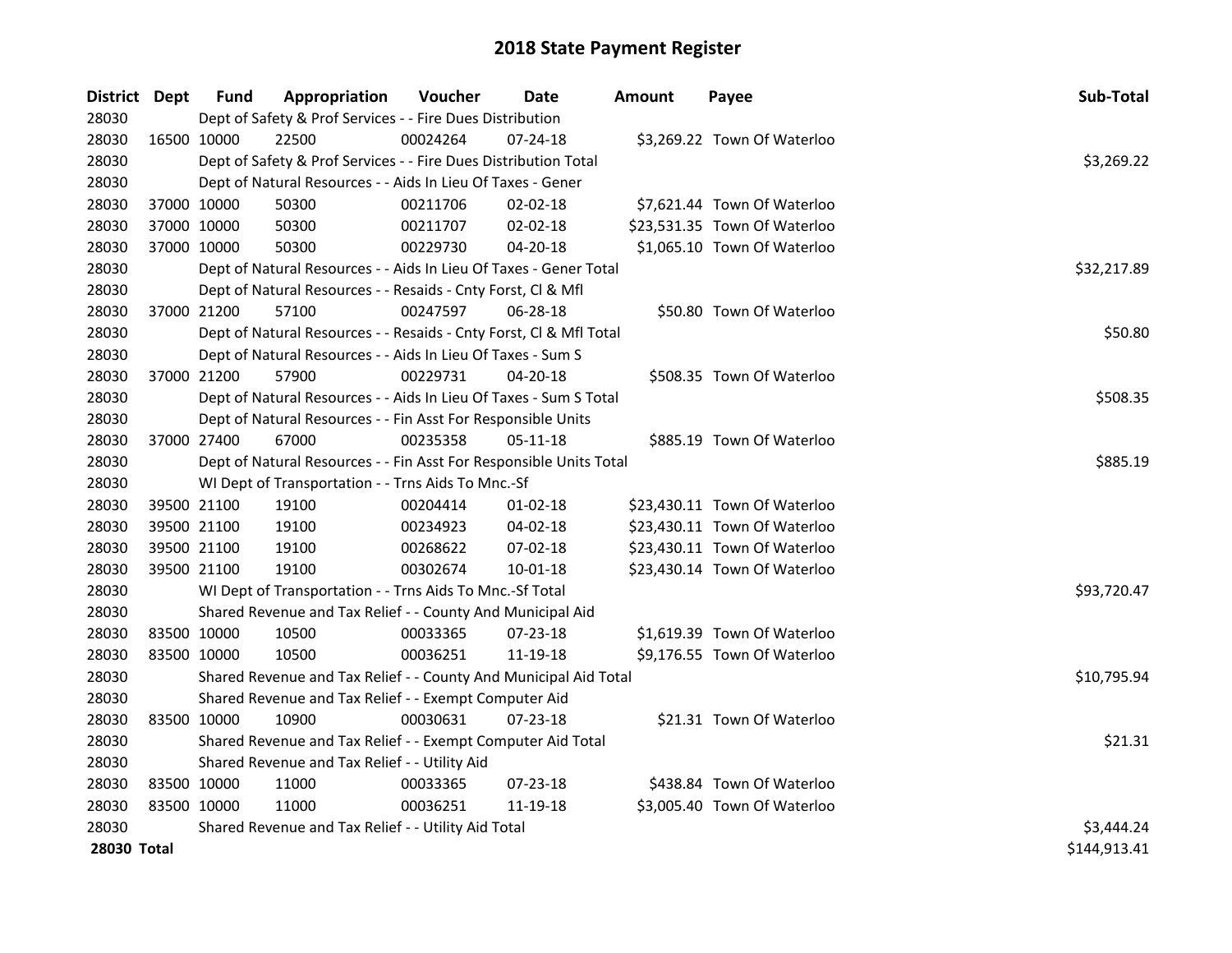| District Dept |             | <b>Fund</b> | Appropriation                                                      | Voucher  | <b>Date</b>    | <b>Amount</b> | Payee                        | Sub-Total    |
|---------------|-------------|-------------|--------------------------------------------------------------------|----------|----------------|---------------|------------------------------|--------------|
| 28030         |             |             | Dept of Safety & Prof Services - - Fire Dues Distribution          |          |                |               |                              |              |
| 28030         | 16500 10000 |             | 22500                                                              | 00024264 | 07-24-18       |               | \$3,269.22 Town Of Waterloo  |              |
| 28030         |             |             | Dept of Safety & Prof Services - - Fire Dues Distribution Total    |          |                |               |                              | \$3,269.22   |
| 28030         |             |             | Dept of Natural Resources - - Aids In Lieu Of Taxes - Gener        |          |                |               |                              |              |
| 28030         | 37000 10000 |             | 50300                                                              | 00211706 | 02-02-18       |               | \$7,621.44 Town Of Waterloo  |              |
| 28030         | 37000 10000 |             | 50300                                                              | 00211707 | $02 - 02 - 18$ |               | \$23,531.35 Town Of Waterloo |              |
| 28030         | 37000 10000 |             | 50300                                                              | 00229730 | 04-20-18       |               | \$1,065.10 Town Of Waterloo  |              |
| 28030         |             |             | Dept of Natural Resources - - Aids In Lieu Of Taxes - Gener Total  |          |                |               |                              | \$32,217.89  |
| 28030         |             |             | Dept of Natural Resources - - Resaids - Cnty Forst, Cl & Mfl       |          |                |               |                              |              |
| 28030         |             | 37000 21200 | 57100                                                              | 00247597 | $06 - 28 - 18$ |               | \$50.80 Town Of Waterloo     |              |
| 28030         |             |             | Dept of Natural Resources - - Resaids - Cnty Forst, Cl & Mfl Total |          |                |               |                              | \$50.80      |
| 28030         |             |             | Dept of Natural Resources - - Aids In Lieu Of Taxes - Sum S        |          |                |               |                              |              |
| 28030         | 37000 21200 |             | 57900                                                              | 00229731 | 04-20-18       |               | \$508.35 Town Of Waterloo    |              |
| 28030         |             |             | Dept of Natural Resources - - Aids In Lieu Of Taxes - Sum S Total  |          |                |               |                              | \$508.35     |
| 28030         |             |             | Dept of Natural Resources - - Fin Asst For Responsible Units       |          |                |               |                              |              |
| 28030         | 37000 27400 |             | 67000                                                              | 00235358 | 05-11-18       |               | \$885.19 Town Of Waterloo    |              |
| 28030         |             |             | Dept of Natural Resources - - Fin Asst For Responsible Units Total | \$885.19 |                |               |                              |              |
| 28030         |             |             | WI Dept of Transportation - - Trns Aids To Mnc.-Sf                 |          |                |               |                              |              |
| 28030         | 39500 21100 |             | 19100                                                              | 00204414 | $01 - 02 - 18$ |               | \$23,430.11 Town Of Waterloo |              |
| 28030         | 39500 21100 |             | 19100                                                              | 00234923 | 04-02-18       |               | \$23,430.11 Town Of Waterloo |              |
| 28030         | 39500 21100 |             | 19100                                                              | 00268622 | 07-02-18       |               | \$23,430.11 Town Of Waterloo |              |
| 28030         | 39500 21100 |             | 19100                                                              | 00302674 | $10 - 01 - 18$ |               | \$23,430.14 Town Of Waterloo |              |
| 28030         |             |             | WI Dept of Transportation - - Trns Aids To Mnc.-Sf Total           |          |                |               |                              | \$93,720.47  |
| 28030         |             |             | Shared Revenue and Tax Relief - - County And Municipal Aid         |          |                |               |                              |              |
| 28030         | 83500 10000 |             | 10500                                                              | 00033365 | 07-23-18       |               | \$1,619.39 Town Of Waterloo  |              |
| 28030         | 83500 10000 |             | 10500                                                              | 00036251 | 11-19-18       |               | \$9,176.55 Town Of Waterloo  |              |
| 28030         |             |             | Shared Revenue and Tax Relief - - County And Municipal Aid Total   |          |                |               |                              | \$10,795.94  |
| 28030         |             |             | Shared Revenue and Tax Relief - - Exempt Computer Aid              |          |                |               |                              |              |
| 28030         | 83500 10000 |             | 10900                                                              | 00030631 | $07 - 23 - 18$ |               | \$21.31 Town Of Waterloo     |              |
| 28030         |             |             | Shared Revenue and Tax Relief - - Exempt Computer Aid Total        |          |                |               |                              | \$21.31      |
| 28030         |             |             | Shared Revenue and Tax Relief - - Utility Aid                      |          |                |               |                              |              |
| 28030         | 83500 10000 |             | 11000                                                              | 00033365 | $07 - 23 - 18$ |               | \$438.84 Town Of Waterloo    |              |
| 28030         | 83500 10000 |             | 11000                                                              | 00036251 | 11-19-18       |               | \$3,005.40 Town Of Waterloo  |              |
| 28030         |             |             | Shared Revenue and Tax Relief - - Utility Aid Total                |          |                |               |                              | \$3,444.24   |
| 28030 Total   |             |             |                                                                    |          |                |               |                              | \$144,913.41 |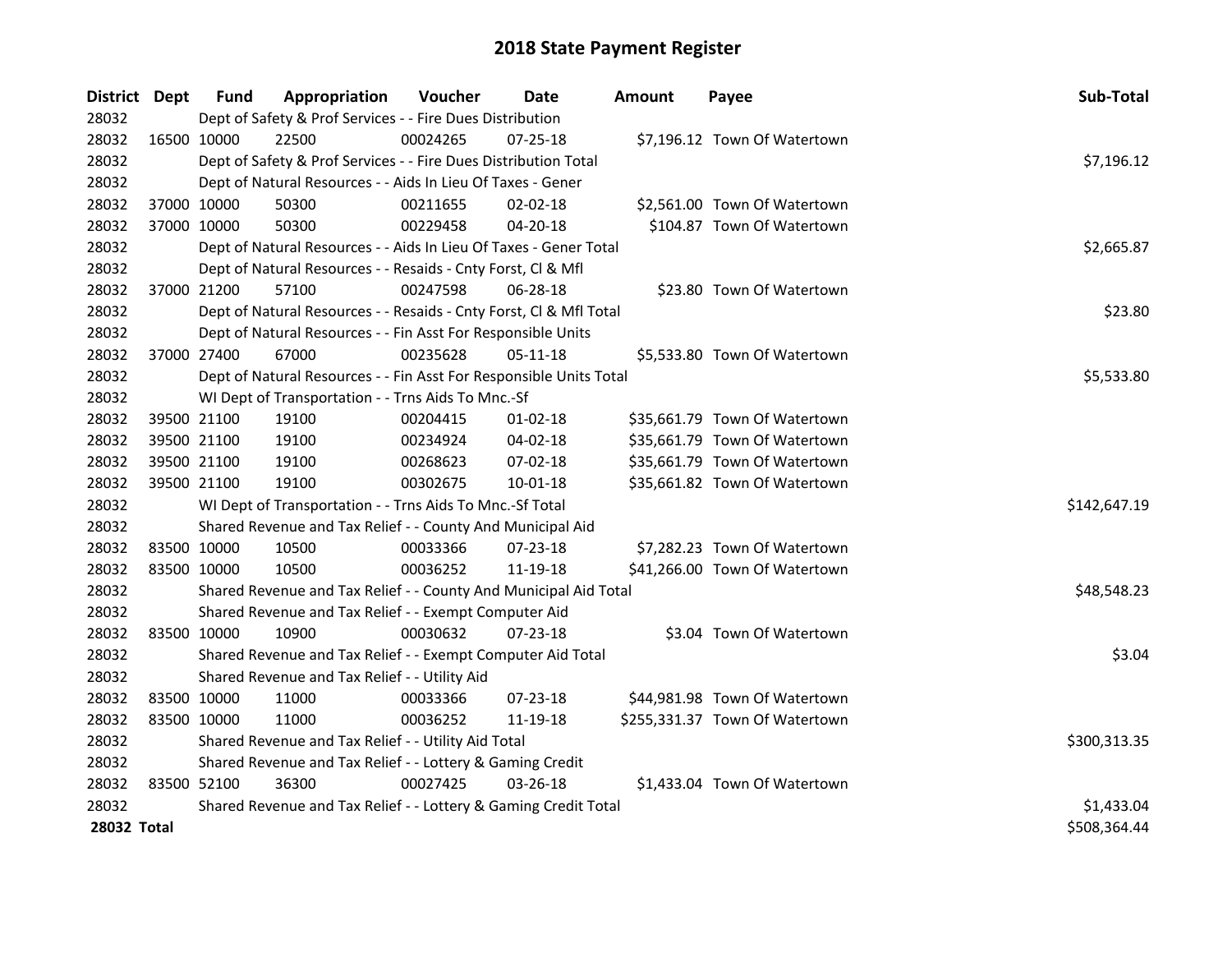| District Dept |             | <b>Fund</b> | Appropriation                                                      | Voucher  | Date           | <b>Amount</b> | Payee                          | Sub-Total    |
|---------------|-------------|-------------|--------------------------------------------------------------------|----------|----------------|---------------|--------------------------------|--------------|
| 28032         |             |             | Dept of Safety & Prof Services - - Fire Dues Distribution          |          |                |               |                                |              |
| 28032         | 16500 10000 |             | 22500                                                              | 00024265 | 07-25-18       |               | \$7,196.12 Town Of Watertown   |              |
| 28032         |             |             | Dept of Safety & Prof Services - - Fire Dues Distribution Total    |          |                |               |                                | \$7,196.12   |
| 28032         |             |             | Dept of Natural Resources - - Aids In Lieu Of Taxes - Gener        |          |                |               |                                |              |
| 28032         |             | 37000 10000 | 50300                                                              | 00211655 | $02 - 02 - 18$ |               | \$2,561.00 Town Of Watertown   |              |
| 28032         | 37000 10000 |             | 50300                                                              | 00229458 | 04-20-18       |               | \$104.87 Town Of Watertown     |              |
| 28032         |             |             | Dept of Natural Resources - - Aids In Lieu Of Taxes - Gener Total  |          |                |               |                                | \$2,665.87   |
| 28032         |             |             | Dept of Natural Resources - - Resaids - Cnty Forst, Cl & Mfl       |          |                |               |                                |              |
| 28032         | 37000 21200 |             | 57100                                                              | 00247598 | 06-28-18       |               | \$23.80 Town Of Watertown      |              |
| 28032         |             |             | Dept of Natural Resources - - Resaids - Cnty Forst, Cl & Mfl Total |          |                |               |                                | \$23.80      |
| 28032         |             |             | Dept of Natural Resources - - Fin Asst For Responsible Units       |          |                |               |                                |              |
| 28032         | 37000 27400 |             | 67000                                                              | 00235628 | 05-11-18       |               | \$5,533.80 Town Of Watertown   |              |
| 28032         |             |             | Dept of Natural Resources - - Fin Asst For Responsible Units Total |          |                |               |                                | \$5,533.80   |
| 28032         |             |             | WI Dept of Transportation - - Trns Aids To Mnc.-Sf                 |          |                |               |                                |              |
| 28032         |             | 39500 21100 | 19100                                                              | 00204415 | $01 - 02 - 18$ |               | \$35,661.79 Town Of Watertown  |              |
| 28032         |             | 39500 21100 | 19100                                                              | 00234924 | 04-02-18       |               | \$35,661.79 Town Of Watertown  |              |
| 28032         |             | 39500 21100 | 19100                                                              | 00268623 | 07-02-18       |               | \$35,661.79 Town Of Watertown  |              |
| 28032         | 39500 21100 |             | 19100                                                              | 00302675 | $10 - 01 - 18$ |               | \$35,661.82 Town Of Watertown  |              |
| 28032         |             |             | WI Dept of Transportation - - Trns Aids To Mnc.-Sf Total           |          |                |               |                                | \$142,647.19 |
| 28032         |             |             | Shared Revenue and Tax Relief - - County And Municipal Aid         |          |                |               |                                |              |
| 28032         |             | 83500 10000 | 10500                                                              | 00033366 | 07-23-18       |               | \$7,282.23 Town Of Watertown   |              |
| 28032         | 83500 10000 |             | 10500                                                              | 00036252 | 11-19-18       |               | \$41,266.00 Town Of Watertown  |              |
| 28032         |             |             | Shared Revenue and Tax Relief - - County And Municipal Aid Total   |          |                |               |                                | \$48,548.23  |
| 28032         |             |             | Shared Revenue and Tax Relief - - Exempt Computer Aid              |          |                |               |                                |              |
| 28032         | 83500 10000 |             | 10900                                                              | 00030632 | 07-23-18       |               | \$3.04 Town Of Watertown       |              |
| 28032         |             |             | Shared Revenue and Tax Relief - - Exempt Computer Aid Total        |          |                |               |                                | \$3.04       |
| 28032         |             |             | Shared Revenue and Tax Relief - - Utility Aid                      |          |                |               |                                |              |
| 28032         |             | 83500 10000 | 11000                                                              | 00033366 | 07-23-18       |               | \$44,981.98 Town Of Watertown  |              |
| 28032         | 83500 10000 |             | 11000                                                              | 00036252 | 11-19-18       |               | \$255,331.37 Town Of Watertown |              |
| 28032         |             |             | Shared Revenue and Tax Relief - - Utility Aid Total                |          |                |               |                                | \$300,313.35 |
| 28032         |             |             | Shared Revenue and Tax Relief - - Lottery & Gaming Credit          |          |                |               |                                |              |
| 28032         | 83500 52100 |             | 36300                                                              | 00027425 | 03-26-18       |               | \$1,433.04 Town Of Watertown   |              |
| 28032         |             |             | Shared Revenue and Tax Relief - - Lottery & Gaming Credit Total    |          |                |               |                                | \$1,433.04   |
| 28032 Total   |             |             |                                                                    |          |                |               |                                | \$508,364.44 |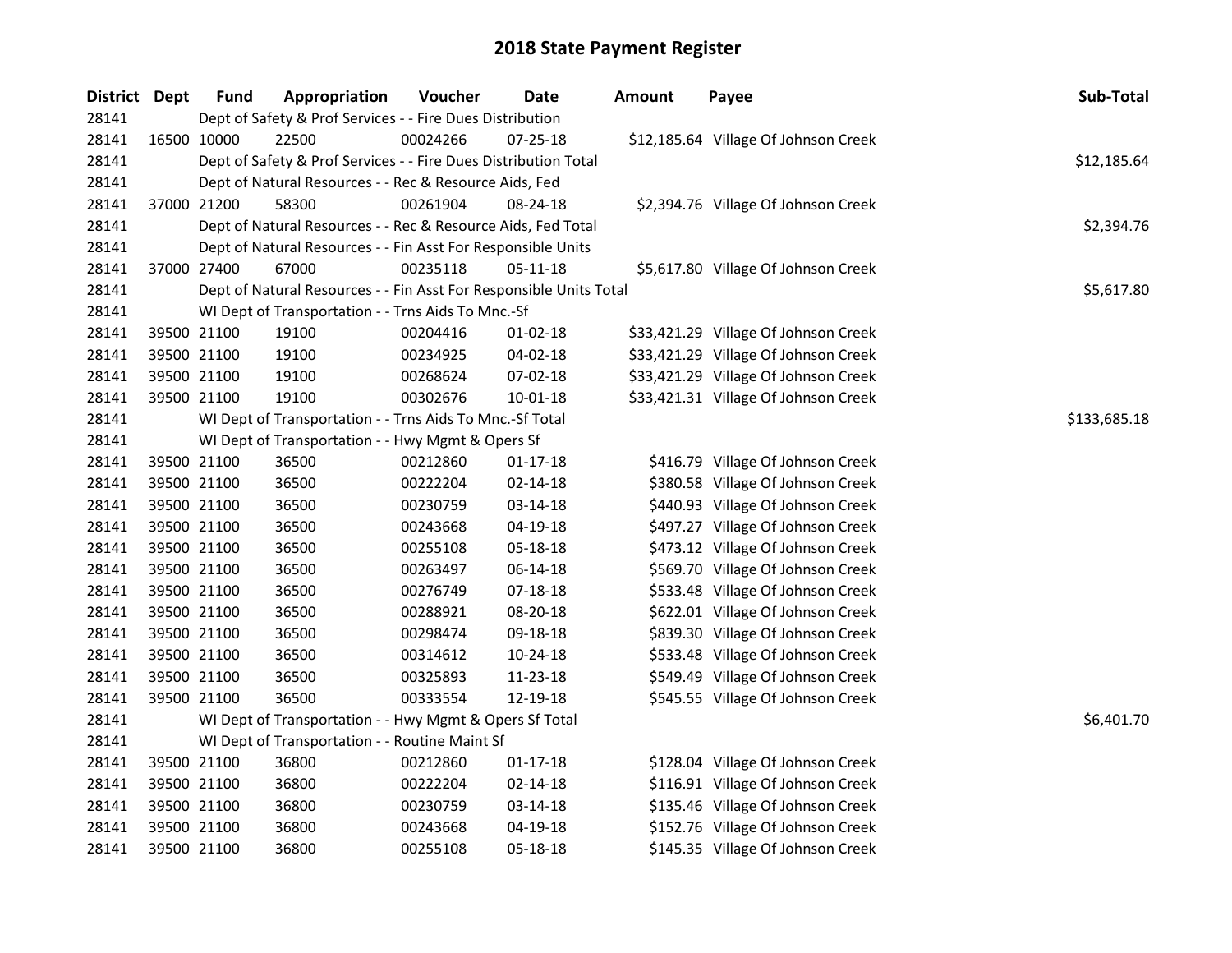| <b>District</b> | Dept | <b>Fund</b> | Appropriation                                                      | Voucher  | <b>Date</b>    | <b>Amount</b> | Payee                                | Sub-Total    |
|-----------------|------|-------------|--------------------------------------------------------------------|----------|----------------|---------------|--------------------------------------|--------------|
| 28141           |      |             | Dept of Safety & Prof Services - - Fire Dues Distribution          |          |                |               |                                      |              |
| 28141           |      | 16500 10000 | 22500                                                              | 00024266 | $07 - 25 - 18$ |               | \$12,185.64 Village Of Johnson Creek |              |
| 28141           |      |             | Dept of Safety & Prof Services - - Fire Dues Distribution Total    |          |                |               |                                      | \$12,185.64  |
| 28141           |      |             | Dept of Natural Resources - - Rec & Resource Aids, Fed             |          |                |               |                                      |              |
| 28141           |      | 37000 21200 | 58300                                                              | 00261904 | 08-24-18       |               | \$2,394.76 Village Of Johnson Creek  |              |
| 28141           |      |             | Dept of Natural Resources - - Rec & Resource Aids, Fed Total       |          |                |               |                                      | \$2,394.76   |
| 28141           |      |             | Dept of Natural Resources - - Fin Asst For Responsible Units       |          |                |               |                                      |              |
| 28141           |      | 37000 27400 | 67000                                                              | 00235118 | 05-11-18       |               | \$5,617.80 Village Of Johnson Creek  |              |
| 28141           |      |             | Dept of Natural Resources - - Fin Asst For Responsible Units Total |          |                |               |                                      | \$5,617.80   |
| 28141           |      |             | WI Dept of Transportation - - Trns Aids To Mnc.-Sf                 |          |                |               |                                      |              |
| 28141           |      | 39500 21100 | 19100                                                              | 00204416 | $01 - 02 - 18$ |               | \$33,421.29 Village Of Johnson Creek |              |
| 28141           |      | 39500 21100 | 19100                                                              | 00234925 | 04-02-18       |               | \$33,421.29 Village Of Johnson Creek |              |
| 28141           |      | 39500 21100 | 19100                                                              | 00268624 | 07-02-18       |               | \$33,421.29 Village Of Johnson Creek |              |
| 28141           |      | 39500 21100 | 19100                                                              | 00302676 | 10-01-18       |               | \$33,421.31 Village Of Johnson Creek |              |
| 28141           |      |             | WI Dept of Transportation - - Trns Aids To Mnc.-Sf Total           |          |                |               |                                      | \$133,685.18 |
| 28141           |      |             | WI Dept of Transportation - - Hwy Mgmt & Opers Sf                  |          |                |               |                                      |              |
| 28141           |      | 39500 21100 | 36500                                                              | 00212860 | $01 - 17 - 18$ |               | \$416.79 Village Of Johnson Creek    |              |
| 28141           |      | 39500 21100 | 36500                                                              | 00222204 | $02 - 14 - 18$ |               | \$380.58 Village Of Johnson Creek    |              |
| 28141           |      | 39500 21100 | 36500                                                              | 00230759 | 03-14-18       |               | \$440.93 Village Of Johnson Creek    |              |
| 28141           |      | 39500 21100 | 36500                                                              | 00243668 | 04-19-18       |               | \$497.27 Village Of Johnson Creek    |              |
| 28141           |      | 39500 21100 | 36500                                                              | 00255108 | 05-18-18       |               | \$473.12 Village Of Johnson Creek    |              |
| 28141           |      | 39500 21100 | 36500                                                              | 00263497 | 06-14-18       |               | \$569.70 Village Of Johnson Creek    |              |
| 28141           |      | 39500 21100 | 36500                                                              | 00276749 | $07 - 18 - 18$ |               | \$533.48 Village Of Johnson Creek    |              |
| 28141           |      | 39500 21100 | 36500                                                              | 00288921 | 08-20-18       |               | \$622.01 Village Of Johnson Creek    |              |
| 28141           |      | 39500 21100 | 36500                                                              | 00298474 | 09-18-18       |               | \$839.30 Village Of Johnson Creek    |              |
| 28141           |      | 39500 21100 | 36500                                                              | 00314612 | 10-24-18       |               | \$533.48 Village Of Johnson Creek    |              |
| 28141           |      | 39500 21100 | 36500                                                              | 00325893 | 11-23-18       |               | \$549.49 Village Of Johnson Creek    |              |
| 28141           |      | 39500 21100 | 36500                                                              | 00333554 | 12-19-18       |               | \$545.55 Village Of Johnson Creek    |              |
| 28141           |      |             | WI Dept of Transportation - - Hwy Mgmt & Opers Sf Total            |          |                |               |                                      | \$6,401.70   |
| 28141           |      |             | WI Dept of Transportation - - Routine Maint Sf                     |          |                |               |                                      |              |
| 28141           |      | 39500 21100 | 36800                                                              | 00212860 | $01 - 17 - 18$ |               | \$128.04 Village Of Johnson Creek    |              |
| 28141           |      | 39500 21100 | 36800                                                              | 00222204 | 02-14-18       |               | \$116.91 Village Of Johnson Creek    |              |
| 28141           |      | 39500 21100 | 36800                                                              | 00230759 | 03-14-18       |               | \$135.46 Village Of Johnson Creek    |              |
| 28141           |      | 39500 21100 | 36800                                                              | 00243668 | 04-19-18       |               | \$152.76 Village Of Johnson Creek    |              |
| 28141           |      | 39500 21100 | 36800                                                              | 00255108 | 05-18-18       |               | \$145.35 Village Of Johnson Creek    |              |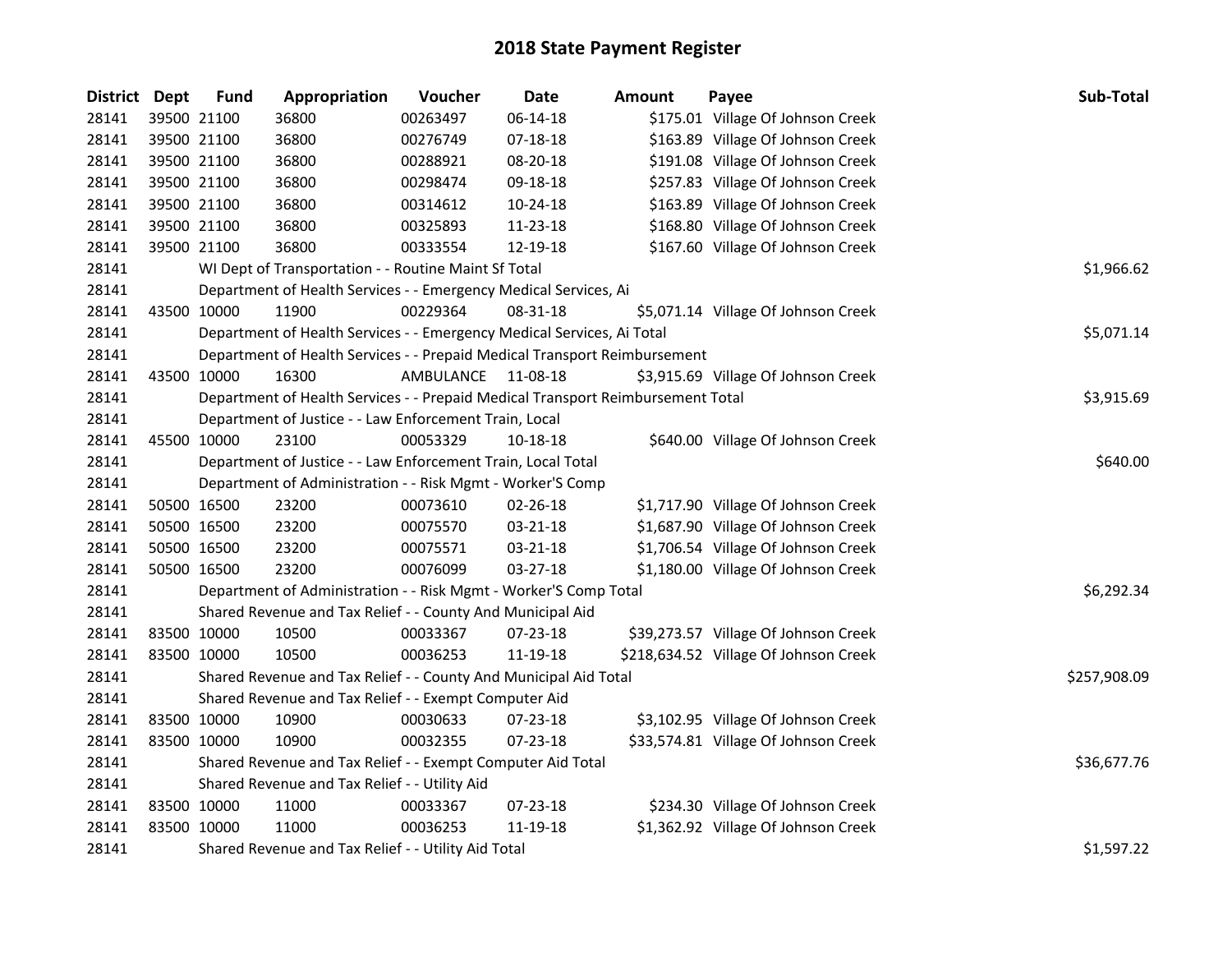| District Dept | <b>Fund</b> | Appropriation                                                                   | Voucher          | <b>Date</b>    | <b>Amount</b> | Payee                                 | Sub-Total    |
|---------------|-------------|---------------------------------------------------------------------------------|------------------|----------------|---------------|---------------------------------------|--------------|
| 28141         | 39500 21100 | 36800                                                                           | 00263497         | 06-14-18       |               | \$175.01 Village Of Johnson Creek     |              |
| 28141         | 39500 21100 | 36800                                                                           | 00276749         | $07-18-18$     |               | \$163.89 Village Of Johnson Creek     |              |
| 28141         | 39500 21100 | 36800                                                                           | 00288921         | 08-20-18       |               | \$191.08 Village Of Johnson Creek     |              |
| 28141         | 39500 21100 | 36800                                                                           | 00298474         | 09-18-18       |               | \$257.83 Village Of Johnson Creek     |              |
| 28141         | 39500 21100 | 36800                                                                           | 00314612         | 10-24-18       |               | \$163.89 Village Of Johnson Creek     |              |
| 28141         | 39500 21100 | 36800                                                                           | 00325893         | 11-23-18       |               | \$168.80 Village Of Johnson Creek     |              |
| 28141         | 39500 21100 | 36800                                                                           | 00333554         | 12-19-18       |               | \$167.60 Village Of Johnson Creek     |              |
| 28141         |             | WI Dept of Transportation - - Routine Maint Sf Total                            |                  |                |               |                                       | \$1,966.62   |
| 28141         |             | Department of Health Services - - Emergency Medical Services, Ai                |                  |                |               |                                       |              |
| 28141         | 43500 10000 | 11900                                                                           | 00229364         | $08 - 31 - 18$ |               | \$5,071.14 Village Of Johnson Creek   |              |
| 28141         |             | Department of Health Services - - Emergency Medical Services, Ai Total          |                  |                |               |                                       | \$5,071.14   |
| 28141         |             | Department of Health Services - - Prepaid Medical Transport Reimbursement       |                  |                |               |                                       |              |
| 28141         | 43500 10000 | 16300                                                                           | <b>AMBULANCE</b> | 11-08-18       |               | \$3,915.69 Village Of Johnson Creek   |              |
| 28141         |             | Department of Health Services - - Prepaid Medical Transport Reimbursement Total |                  |                |               |                                       | \$3,915.69   |
| 28141         |             | Department of Justice - - Law Enforcement Train, Local                          |                  |                |               |                                       |              |
| 28141         | 45500 10000 | 23100                                                                           | 00053329         | 10-18-18       |               | \$640.00 Village Of Johnson Creek     |              |
| 28141         |             | Department of Justice - - Law Enforcement Train, Local Total                    |                  | \$640.00       |               |                                       |              |
| 28141         |             | Department of Administration - - Risk Mgmt - Worker'S Comp                      |                  |                |               |                                       |              |
| 28141         | 50500 16500 | 23200                                                                           | 00073610         | 02-26-18       |               | \$1,717.90 Village Of Johnson Creek   |              |
| 28141         | 50500 16500 | 23200                                                                           | 00075570         | 03-21-18       |               | \$1,687.90 Village Of Johnson Creek   |              |
| 28141         | 50500 16500 | 23200                                                                           | 00075571         | 03-21-18       |               | \$1,706.54 Village Of Johnson Creek   |              |
| 28141         | 50500 16500 | 23200                                                                           | 00076099         | $03 - 27 - 18$ |               | \$1,180.00 Village Of Johnson Creek   |              |
| 28141         |             | Department of Administration - - Risk Mgmt - Worker'S Comp Total                |                  |                |               |                                       | \$6,292.34   |
| 28141         |             | Shared Revenue and Tax Relief - - County And Municipal Aid                      |                  |                |               |                                       |              |
| 28141         | 83500 10000 | 10500                                                                           | 00033367         | 07-23-18       |               | \$39,273.57 Village Of Johnson Creek  |              |
| 28141         | 83500 10000 | 10500                                                                           | 00036253         | 11-19-18       |               | \$218,634.52 Village Of Johnson Creek |              |
| 28141         |             | Shared Revenue and Tax Relief - - County And Municipal Aid Total                |                  |                |               |                                       | \$257,908.09 |
| 28141         |             | Shared Revenue and Tax Relief - - Exempt Computer Aid                           |                  |                |               |                                       |              |
| 28141         | 83500 10000 | 10900                                                                           | 00030633         | 07-23-18       |               | \$3,102.95 Village Of Johnson Creek   |              |
| 28141         | 83500 10000 | 10900                                                                           | 00032355         | 07-23-18       |               | \$33,574.81 Village Of Johnson Creek  |              |
| 28141         |             | Shared Revenue and Tax Relief - - Exempt Computer Aid Total                     |                  |                |               |                                       | \$36,677.76  |
| 28141         |             | Shared Revenue and Tax Relief - - Utility Aid                                   |                  |                |               |                                       |              |
| 28141         | 83500 10000 | 11000                                                                           | 00033367         | 07-23-18       |               | \$234.30 Village Of Johnson Creek     |              |
| 28141         | 83500 10000 | 11000                                                                           | 00036253         | 11-19-18       |               | \$1,362.92 Village Of Johnson Creek   |              |
| 28141         |             | Shared Revenue and Tax Relief - - Utility Aid Total                             |                  |                |               |                                       | \$1,597.22   |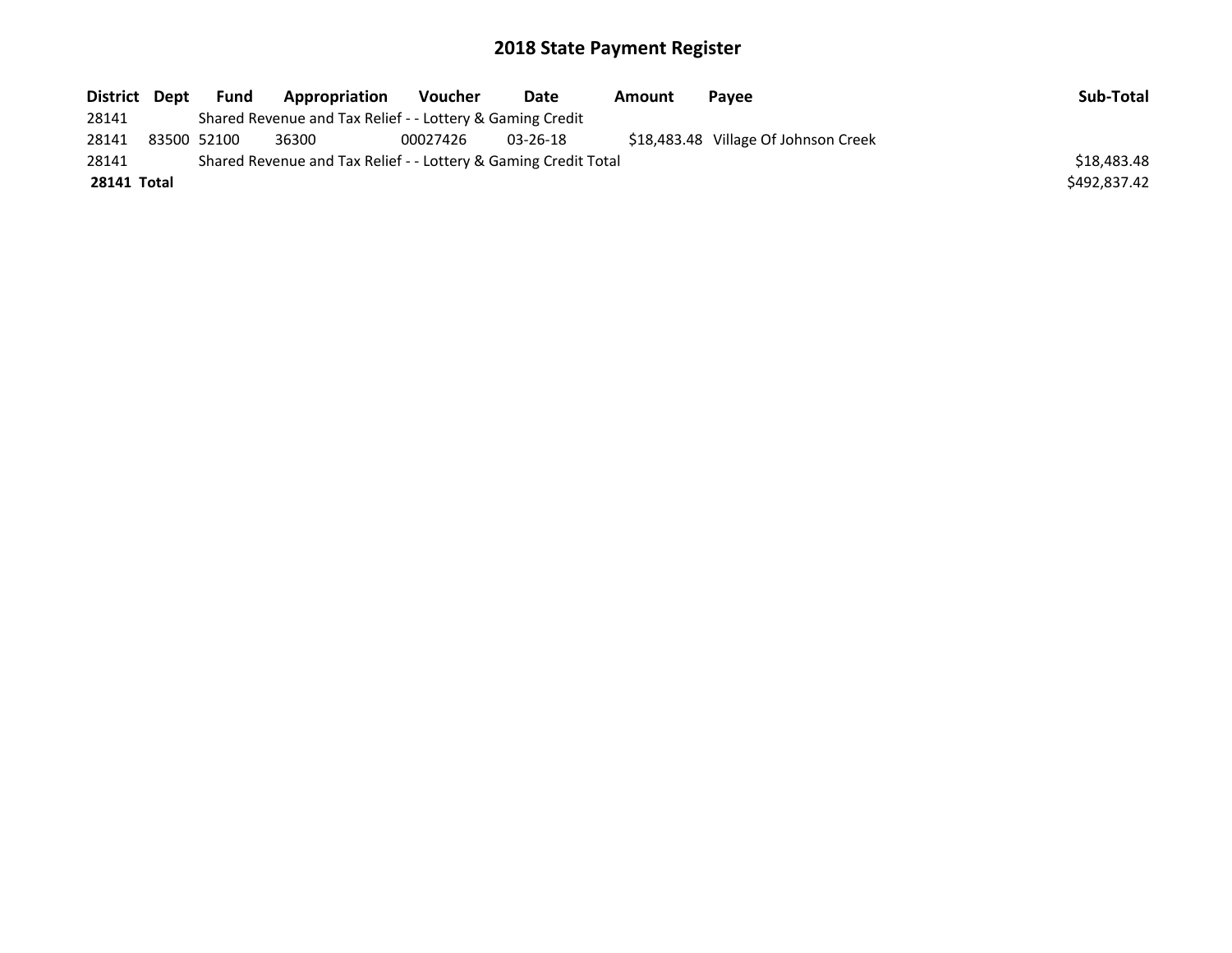| District Dept | Fund        | Appropriation                                                   | Voucher  | Date           | Amount | Pavee                                | Sub-Total    |
|---------------|-------------|-----------------------------------------------------------------|----------|----------------|--------|--------------------------------------|--------------|
| 28141         |             | Shared Revenue and Tax Relief - - Lottery & Gaming Credit       |          |                |        |                                      |              |
| 28141         | 83500 52100 | 36300                                                           | 00027426 | $03 - 26 - 18$ |        | \$18,483.48 Village Of Johnson Creek |              |
| 28141         |             | Shared Revenue and Tax Relief - - Lottery & Gaming Credit Total |          |                |        |                                      | \$18,483,48  |
| 28141 Total   |             |                                                                 |          |                |        |                                      | \$492.837.42 |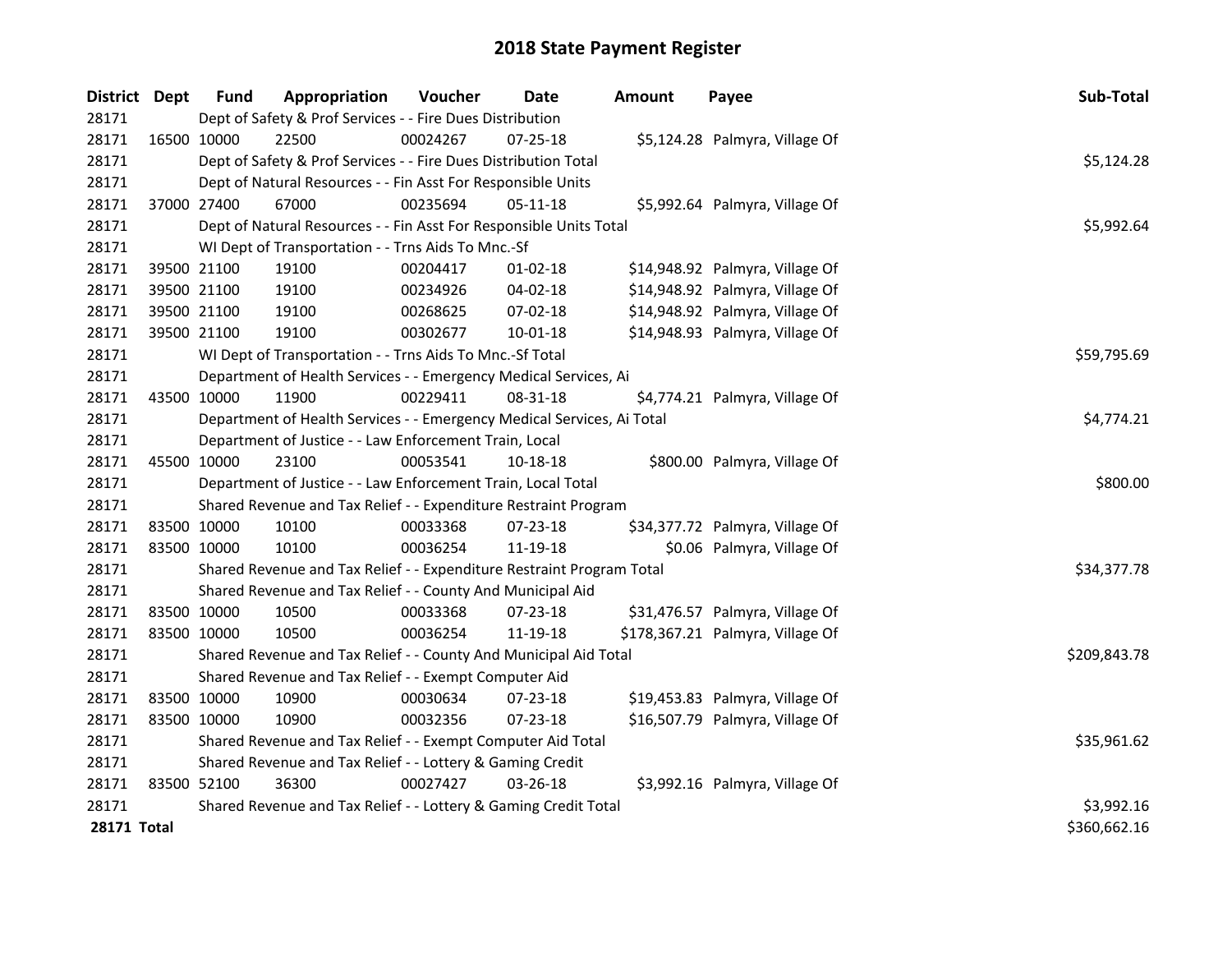| District Dept      |             | <b>Fund</b> | Appropriation                                                          | Voucher  | Date           | <b>Amount</b> | Payee                            | Sub-Total    |
|--------------------|-------------|-------------|------------------------------------------------------------------------|----------|----------------|---------------|----------------------------------|--------------|
| 28171              |             |             | Dept of Safety & Prof Services - - Fire Dues Distribution              |          |                |               |                                  |              |
| 28171              | 16500 10000 |             | 22500                                                                  | 00024267 | 07-25-18       |               | \$5,124.28 Palmyra, Village Of   |              |
| 28171              |             |             | Dept of Safety & Prof Services - - Fire Dues Distribution Total        |          |                |               |                                  | \$5,124.28   |
| 28171              |             |             | Dept of Natural Resources - - Fin Asst For Responsible Units           |          |                |               |                                  |              |
| 28171              |             | 37000 27400 | 67000                                                                  | 00235694 | 05-11-18       |               | \$5,992.64 Palmyra, Village Of   |              |
| 28171              |             |             | Dept of Natural Resources - - Fin Asst For Responsible Units Total     |          |                |               |                                  | \$5,992.64   |
| 28171              |             |             | WI Dept of Transportation - - Trns Aids To Mnc.-Sf                     |          |                |               |                                  |              |
| 28171              | 39500 21100 |             | 19100                                                                  | 00204417 | $01 - 02 - 18$ |               | \$14,948.92 Palmyra, Village Of  |              |
| 28171              | 39500 21100 |             | 19100                                                                  | 00234926 | 04-02-18       |               | \$14,948.92 Palmyra, Village Of  |              |
| 28171              | 39500 21100 |             | 19100                                                                  | 00268625 | 07-02-18       |               | \$14,948.92 Palmyra, Village Of  |              |
| 28171              | 39500 21100 |             | 19100                                                                  | 00302677 | $10 - 01 - 18$ |               | \$14,948.93 Palmyra, Village Of  |              |
| 28171              |             |             | WI Dept of Transportation - - Trns Aids To Mnc.-Sf Total               |          |                |               |                                  | \$59,795.69  |
| 28171              |             |             | Department of Health Services - - Emergency Medical Services, Ai       |          |                |               |                                  |              |
| 28171              | 43500 10000 |             | 11900                                                                  | 00229411 | 08-31-18       |               | \$4,774.21 Palmyra, Village Of   |              |
| 28171              |             |             | Department of Health Services - - Emergency Medical Services, Ai Total |          |                |               |                                  | \$4,774.21   |
| 28171              |             |             | Department of Justice - - Law Enforcement Train, Local                 |          |                |               |                                  |              |
| 28171              | 45500 10000 |             | 23100                                                                  | 00053541 | 10-18-18       |               | \$800.00 Palmyra, Village Of     |              |
| 28171              |             |             | Department of Justice - - Law Enforcement Train, Local Total           |          |                |               |                                  | \$800.00     |
| 28171              |             |             | Shared Revenue and Tax Relief - - Expenditure Restraint Program        |          |                |               |                                  |              |
| 28171              | 83500 10000 |             | 10100                                                                  | 00033368 | 07-23-18       |               | \$34,377.72 Palmyra, Village Of  |              |
| 28171              | 83500 10000 |             | 10100                                                                  | 00036254 | 11-19-18       |               | \$0.06 Palmyra, Village Of       |              |
| 28171              |             |             | Shared Revenue and Tax Relief - - Expenditure Restraint Program Total  |          |                |               |                                  | \$34,377.78  |
| 28171              |             |             | Shared Revenue and Tax Relief - - County And Municipal Aid             |          |                |               |                                  |              |
| 28171              | 83500 10000 |             | 10500                                                                  | 00033368 | 07-23-18       |               | \$31,476.57 Palmyra, Village Of  |              |
| 28171              | 83500 10000 |             | 10500                                                                  | 00036254 | 11-19-18       |               | \$178,367.21 Palmyra, Village Of |              |
| 28171              |             |             | Shared Revenue and Tax Relief - - County And Municipal Aid Total       |          |                |               |                                  | \$209,843.78 |
| 28171              |             |             | Shared Revenue and Tax Relief - - Exempt Computer Aid                  |          |                |               |                                  |              |
| 28171              | 83500 10000 |             | 10900                                                                  | 00030634 | 07-23-18       |               | \$19,453.83 Palmyra, Village Of  |              |
| 28171              | 83500 10000 |             | 10900                                                                  | 00032356 | 07-23-18       |               | \$16,507.79 Palmyra, Village Of  |              |
| 28171              |             |             | Shared Revenue and Tax Relief - - Exempt Computer Aid Total            |          |                |               |                                  | \$35,961.62  |
| 28171              |             |             | Shared Revenue and Tax Relief - - Lottery & Gaming Credit              |          |                |               |                                  |              |
| 28171              | 83500 52100 |             | 36300                                                                  | 00027427 | 03-26-18       |               | \$3,992.16 Palmyra, Village Of   |              |
| 28171              |             |             | Shared Revenue and Tax Relief - - Lottery & Gaming Credit Total        |          |                |               |                                  | \$3,992.16   |
| <b>28171 Total</b> |             |             |                                                                        |          |                |               |                                  | \$360,662.16 |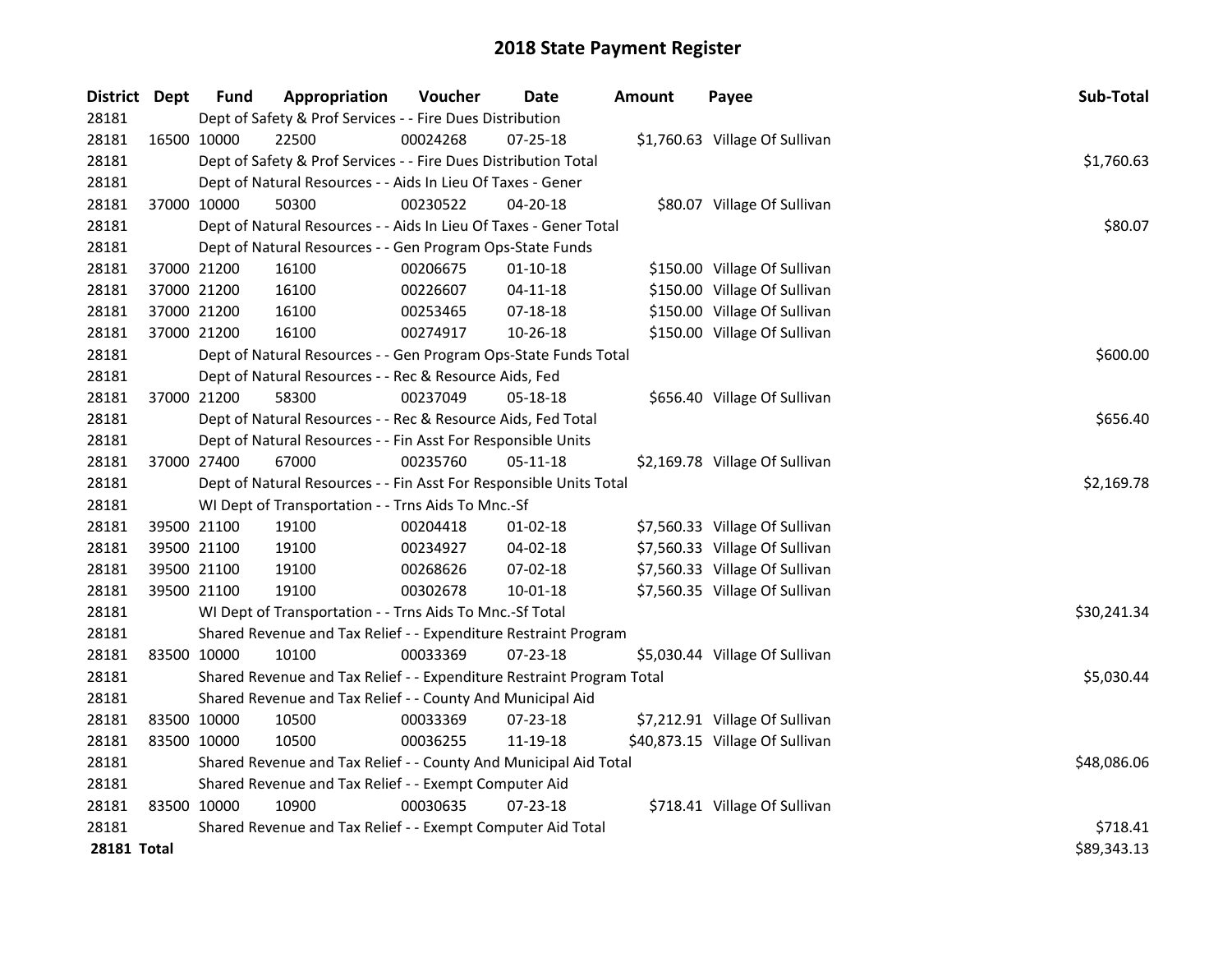| District Dept |             | <b>Fund</b> | Appropriation                                                         | Voucher  | Date           | <b>Amount</b> | Payee                           | Sub-Total   |
|---------------|-------------|-------------|-----------------------------------------------------------------------|----------|----------------|---------------|---------------------------------|-------------|
| 28181         |             |             | Dept of Safety & Prof Services - - Fire Dues Distribution             |          |                |               |                                 |             |
| 28181         |             | 16500 10000 | 22500                                                                 | 00024268 | 07-25-18       |               | \$1,760.63 Village Of Sullivan  |             |
| 28181         |             |             | Dept of Safety & Prof Services - - Fire Dues Distribution Total       |          |                |               |                                 | \$1,760.63  |
| 28181         |             |             | Dept of Natural Resources - - Aids In Lieu Of Taxes - Gener           |          |                |               |                                 |             |
| 28181         | 37000 10000 |             | 50300                                                                 | 00230522 | 04-20-18       |               | \$80.07 Village Of Sullivan     |             |
| 28181         |             |             | Dept of Natural Resources - - Aids In Lieu Of Taxes - Gener Total     |          | \$80.07        |               |                                 |             |
| 28181         |             |             | Dept of Natural Resources - - Gen Program Ops-State Funds             |          |                |               |                                 |             |
| 28181         | 37000 21200 |             | 16100                                                                 | 00206675 | $01-10-18$     |               | \$150.00 Village Of Sullivan    |             |
| 28181         | 37000 21200 |             | 16100                                                                 | 00226607 | 04-11-18       |               | \$150.00 Village Of Sullivan    |             |
| 28181         | 37000 21200 |             | 16100                                                                 | 00253465 | 07-18-18       |               | \$150.00 Village Of Sullivan    |             |
| 28181         | 37000 21200 |             | 16100                                                                 | 00274917 | 10-26-18       |               | \$150.00 Village Of Sullivan    |             |
| 28181         |             |             | Dept of Natural Resources - - Gen Program Ops-State Funds Total       |          |                |               |                                 | \$600.00    |
| 28181         |             |             | Dept of Natural Resources - - Rec & Resource Aids, Fed                |          |                |               |                                 |             |
| 28181         | 37000 21200 |             | 58300                                                                 | 00237049 | 05-18-18       |               | \$656.40 Village Of Sullivan    |             |
| 28181         |             |             | Dept of Natural Resources - - Rec & Resource Aids, Fed Total          |          |                |               |                                 | \$656.40    |
| 28181         |             |             | Dept of Natural Resources - - Fin Asst For Responsible Units          |          |                |               |                                 |             |
| 28181         |             | 37000 27400 | 67000                                                                 | 00235760 | 05-11-18       |               | \$2,169.78 Village Of Sullivan  |             |
| 28181         |             |             | Dept of Natural Resources - - Fin Asst For Responsible Units Total    |          |                |               |                                 | \$2,169.78  |
| 28181         |             |             | WI Dept of Transportation - - Trns Aids To Mnc.-Sf                    |          |                |               |                                 |             |
| 28181         | 39500 21100 |             | 19100                                                                 | 00204418 | $01 - 02 - 18$ |               | \$7,560.33 Village Of Sullivan  |             |
| 28181         | 39500 21100 |             | 19100                                                                 | 00234927 | 04-02-18       |               | \$7,560.33 Village Of Sullivan  |             |
| 28181         | 39500 21100 |             | 19100                                                                 | 00268626 | 07-02-18       |               | \$7,560.33 Village Of Sullivan  |             |
| 28181         | 39500 21100 |             | 19100                                                                 | 00302678 | 10-01-18       |               | \$7,560.35 Village Of Sullivan  |             |
| 28181         |             |             | WI Dept of Transportation - - Trns Aids To Mnc.-Sf Total              |          |                |               |                                 | \$30,241.34 |
| 28181         |             |             | Shared Revenue and Tax Relief - - Expenditure Restraint Program       |          |                |               |                                 |             |
| 28181         | 83500 10000 |             | 10100                                                                 | 00033369 | 07-23-18       |               | \$5,030.44 Village Of Sullivan  |             |
| 28181         |             |             | Shared Revenue and Tax Relief - - Expenditure Restraint Program Total |          |                |               |                                 | \$5,030.44  |
| 28181         |             |             | Shared Revenue and Tax Relief - - County And Municipal Aid            |          |                |               |                                 |             |
| 28181         | 83500 10000 |             | 10500                                                                 | 00033369 | 07-23-18       |               | \$7,212.91 Village Of Sullivan  |             |
| 28181         | 83500 10000 |             | 10500                                                                 | 00036255 | 11-19-18       |               | \$40,873.15 Village Of Sullivan |             |
| 28181         |             |             | Shared Revenue and Tax Relief - - County And Municipal Aid Total      |          |                |               |                                 | \$48,086.06 |
| 28181         |             |             | Shared Revenue and Tax Relief - - Exempt Computer Aid                 |          |                |               |                                 |             |
| 28181         | 83500 10000 |             | 10900                                                                 | 00030635 | $07 - 23 - 18$ |               | \$718.41 Village Of Sullivan    |             |
| 28181         |             |             | Shared Revenue and Tax Relief - - Exempt Computer Aid Total           |          |                |               |                                 | \$718.41    |
| 28181 Total   |             |             |                                                                       |          |                |               |                                 | \$89,343.13 |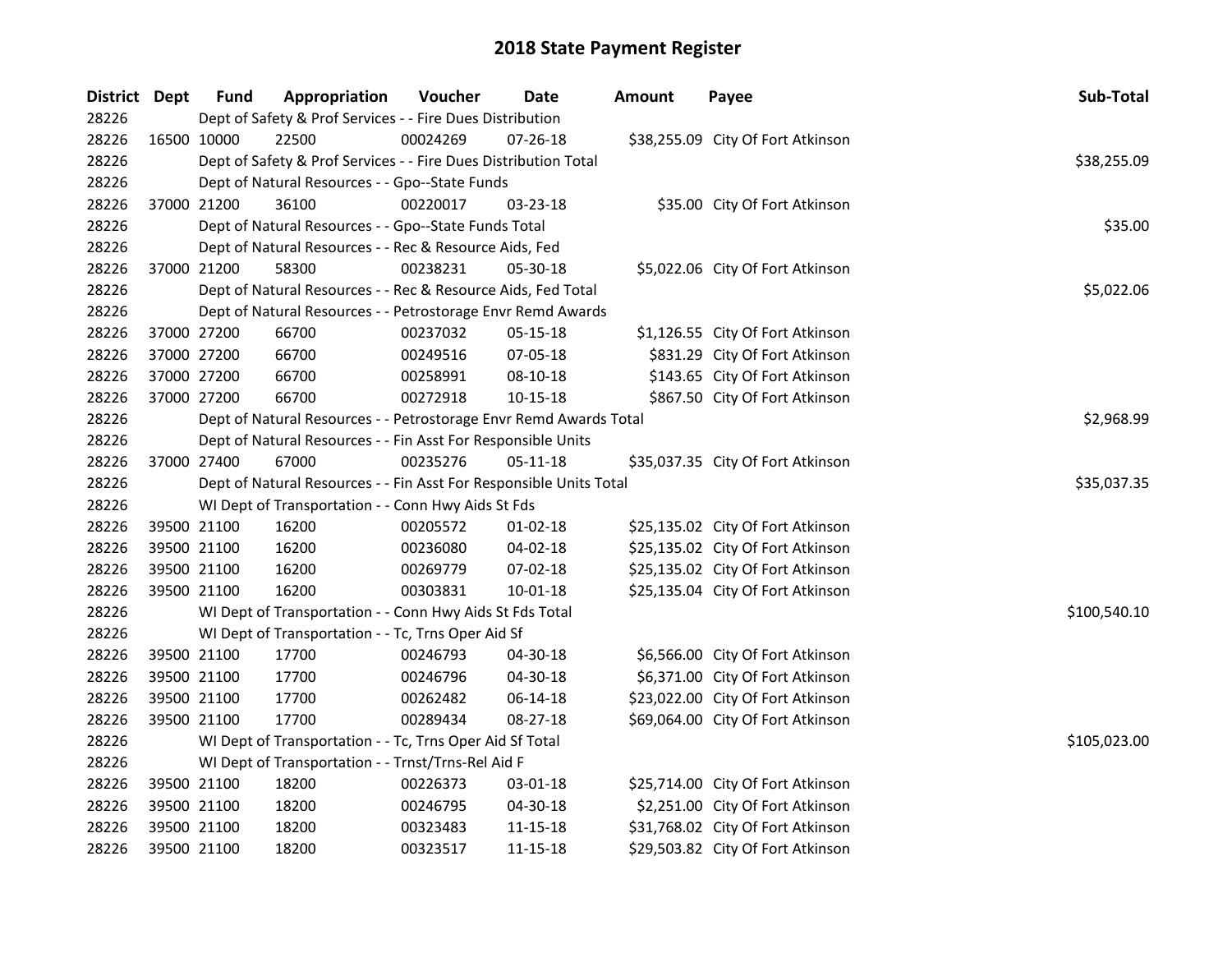| District Dept | <b>Fund</b> | Appropriation                                                      | Voucher  | <b>Date</b>    | Amount | Payee                             | Sub-Total    |
|---------------|-------------|--------------------------------------------------------------------|----------|----------------|--------|-----------------------------------|--------------|
| 28226         |             | Dept of Safety & Prof Services - - Fire Dues Distribution          |          |                |        |                                   |              |
| 28226         | 16500 10000 | 22500                                                              | 00024269 | 07-26-18       |        | \$38,255.09 City Of Fort Atkinson |              |
| 28226         |             | Dept of Safety & Prof Services - - Fire Dues Distribution Total    |          |                |        |                                   | \$38,255.09  |
| 28226         |             | Dept of Natural Resources - - Gpo--State Funds                     |          |                |        |                                   |              |
| 28226         | 37000 21200 | 36100                                                              | 00220017 | 03-23-18       |        | \$35.00 City Of Fort Atkinson     |              |
| 28226         |             | Dept of Natural Resources - - Gpo--State Funds Total               |          |                |        |                                   | \$35.00      |
| 28226         |             | Dept of Natural Resources - - Rec & Resource Aids, Fed             |          |                |        |                                   |              |
| 28226         | 37000 21200 | 58300                                                              | 00238231 | 05-30-18       |        | \$5,022.06 City Of Fort Atkinson  |              |
| 28226         |             | Dept of Natural Resources - - Rec & Resource Aids, Fed Total       |          |                |        |                                   | \$5,022.06   |
| 28226         |             | Dept of Natural Resources - - Petrostorage Envr Remd Awards        |          |                |        |                                   |              |
| 28226         | 37000 27200 | 66700                                                              | 00237032 | 05-15-18       |        | \$1,126.55 City Of Fort Atkinson  |              |
| 28226         | 37000 27200 | 66700                                                              | 00249516 | 07-05-18       |        | \$831.29 City Of Fort Atkinson    |              |
| 28226         | 37000 27200 | 66700                                                              | 00258991 | 08-10-18       |        | \$143.65 City Of Fort Atkinson    |              |
| 28226         | 37000 27200 | 66700                                                              | 00272918 | 10-15-18       |        | \$867.50 City Of Fort Atkinson    |              |
| 28226         |             | Dept of Natural Resources - - Petrostorage Envr Remd Awards Total  |          |                |        |                                   | \$2,968.99   |
| 28226         |             | Dept of Natural Resources - - Fin Asst For Responsible Units       |          |                |        |                                   |              |
| 28226         | 37000 27400 | 67000                                                              | 00235276 | 05-11-18       |        | \$35,037.35 City Of Fort Atkinson |              |
| 28226         |             | Dept of Natural Resources - - Fin Asst For Responsible Units Total |          |                |        |                                   | \$35,037.35  |
| 28226         |             | WI Dept of Transportation - - Conn Hwy Aids St Fds                 |          |                |        |                                   |              |
| 28226         | 39500 21100 | 16200                                                              | 00205572 | $01-02-18$     |        | \$25,135.02 City Of Fort Atkinson |              |
| 28226         | 39500 21100 | 16200                                                              | 00236080 | $04 - 02 - 18$ |        | \$25,135.02 City Of Fort Atkinson |              |
| 28226         | 39500 21100 | 16200                                                              | 00269779 | 07-02-18       |        | \$25,135.02 City Of Fort Atkinson |              |
| 28226         | 39500 21100 | 16200                                                              | 00303831 | 10-01-18       |        | \$25,135.04 City Of Fort Atkinson |              |
| 28226         |             | WI Dept of Transportation - - Conn Hwy Aids St Fds Total           |          |                |        |                                   | \$100,540.10 |
| 28226         |             | WI Dept of Transportation - - Tc, Trns Oper Aid Sf                 |          |                |        |                                   |              |
| 28226         | 39500 21100 | 17700                                                              | 00246793 | 04-30-18       |        | \$6,566.00 City Of Fort Atkinson  |              |
| 28226         | 39500 21100 | 17700                                                              | 00246796 | 04-30-18       |        | \$6,371.00 City Of Fort Atkinson  |              |
| 28226         | 39500 21100 | 17700                                                              | 00262482 | 06-14-18       |        | \$23,022.00 City Of Fort Atkinson |              |
| 28226         | 39500 21100 | 17700                                                              | 00289434 | 08-27-18       |        | \$69,064.00 City Of Fort Atkinson |              |
| 28226         |             | WI Dept of Transportation - - Tc, Trns Oper Aid Sf Total           |          |                |        |                                   | \$105,023.00 |
| 28226         |             | WI Dept of Transportation - - Trnst/Trns-Rel Aid F                 |          |                |        |                                   |              |
| 28226         | 39500 21100 | 18200                                                              | 00226373 | 03-01-18       |        | \$25,714.00 City Of Fort Atkinson |              |
| 28226         | 39500 21100 | 18200                                                              | 00246795 | 04-30-18       |        | \$2,251.00 City Of Fort Atkinson  |              |
| 28226         | 39500 21100 | 18200                                                              | 00323483 | 11-15-18       |        | \$31,768.02 City Of Fort Atkinson |              |
| 28226         | 39500 21100 | 18200                                                              | 00323517 | 11-15-18       |        | \$29,503.82 City Of Fort Atkinson |              |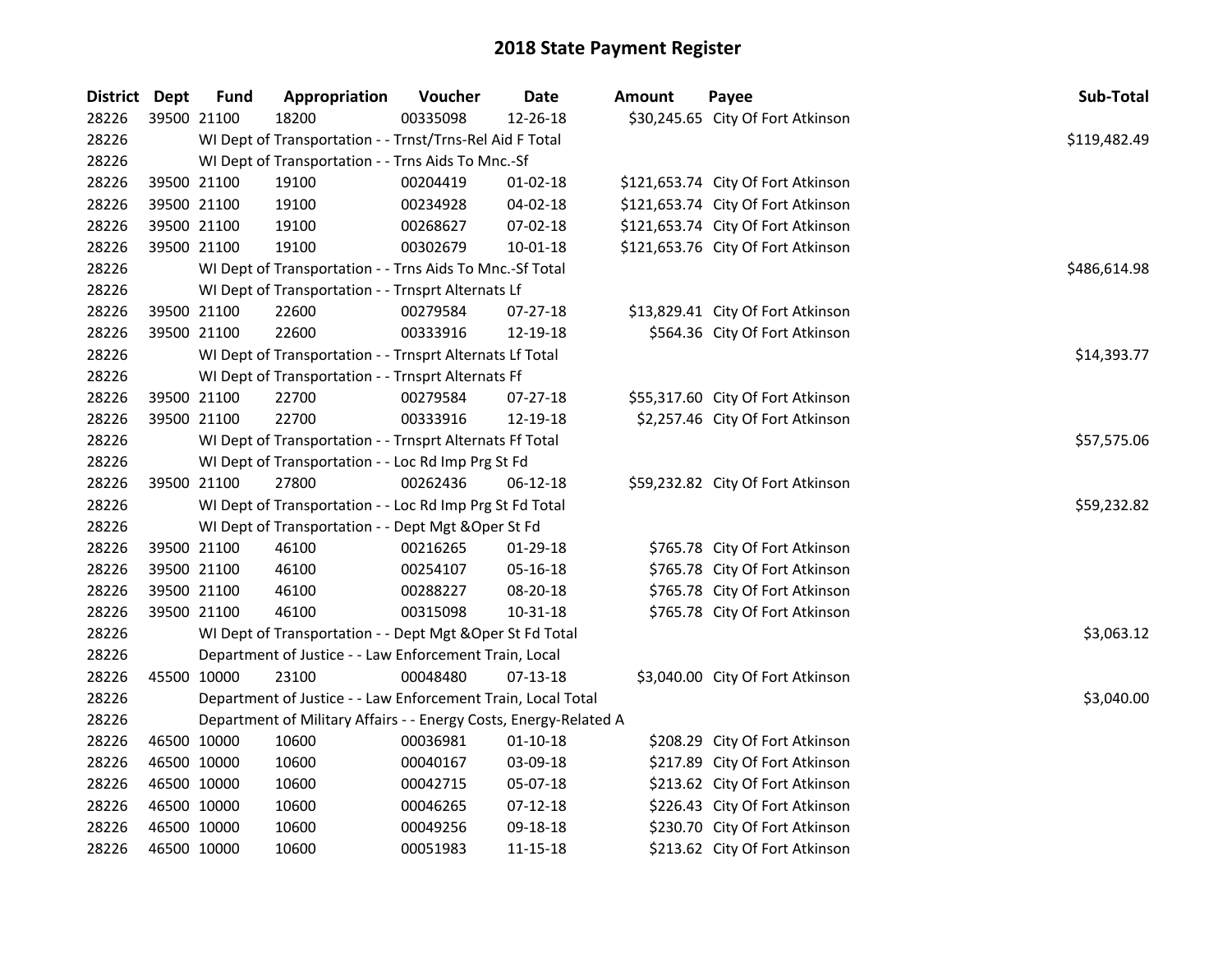| District Dept | <b>Fund</b> | Appropriation                                                     | Voucher  | Date           | Amount | Payee                              | Sub-Total    |
|---------------|-------------|-------------------------------------------------------------------|----------|----------------|--------|------------------------------------|--------------|
| 28226         | 39500 21100 | 18200                                                             | 00335098 | 12-26-18       |        | \$30,245.65 City Of Fort Atkinson  |              |
| 28226         |             | WI Dept of Transportation - - Trnst/Trns-Rel Aid F Total          |          |                |        |                                    | \$119,482.49 |
| 28226         |             | WI Dept of Transportation - - Trns Aids To Mnc.-Sf                |          |                |        |                                    |              |
| 28226         | 39500 21100 | 19100                                                             | 00204419 | $01-02-18$     |        | \$121,653.74 City Of Fort Atkinson |              |
| 28226         | 39500 21100 | 19100                                                             | 00234928 | 04-02-18       |        | \$121,653.74 City Of Fort Atkinson |              |
| 28226         | 39500 21100 | 19100                                                             | 00268627 | 07-02-18       |        | \$121,653.74 City Of Fort Atkinson |              |
| 28226         | 39500 21100 | 19100                                                             | 00302679 | $10 - 01 - 18$ |        | \$121,653.76 City Of Fort Atkinson |              |
| 28226         |             | WI Dept of Transportation - - Trns Aids To Mnc.-Sf Total          |          |                |        |                                    | \$486,614.98 |
| 28226         |             | WI Dept of Transportation - - Trnsprt Alternats Lf                |          |                |        |                                    |              |
| 28226         | 39500 21100 | 22600                                                             | 00279584 | 07-27-18       |        | \$13,829.41 City Of Fort Atkinson  |              |
| 28226         | 39500 21100 | 22600                                                             | 00333916 | 12-19-18       |        | \$564.36 City Of Fort Atkinson     |              |
| 28226         |             | WI Dept of Transportation - - Trnsprt Alternats Lf Total          |          |                |        |                                    | \$14,393.77  |
| 28226         |             | WI Dept of Transportation - - Trnsprt Alternats Ff                |          |                |        |                                    |              |
| 28226         | 39500 21100 | 22700                                                             | 00279584 | $07-27-18$     |        | \$55,317.60 City Of Fort Atkinson  |              |
| 28226         | 39500 21100 | 22700                                                             | 00333916 | 12-19-18       |        | \$2,257.46 City Of Fort Atkinson   |              |
| 28226         |             | WI Dept of Transportation - - Trnsprt Alternats Ff Total          |          |                |        |                                    | \$57,575.06  |
| 28226         |             | WI Dept of Transportation - - Loc Rd Imp Prg St Fd                |          |                |        |                                    |              |
| 28226         | 39500 21100 | 27800                                                             | 00262436 | 06-12-18       |        | \$59,232.82 City Of Fort Atkinson  |              |
| 28226         |             | WI Dept of Transportation - - Loc Rd Imp Prg St Fd Total          |          |                |        |                                    | \$59,232.82  |
| 28226         |             | WI Dept of Transportation - - Dept Mgt & Oper St Fd               |          |                |        |                                    |              |
| 28226         | 39500 21100 | 46100                                                             | 00216265 | $01-29-18$     |        | \$765.78 City Of Fort Atkinson     |              |
| 28226         | 39500 21100 | 46100                                                             | 00254107 | 05-16-18       |        | \$765.78 City Of Fort Atkinson     |              |
| 28226         | 39500 21100 | 46100                                                             | 00288227 | 08-20-18       |        | \$765.78 City Of Fort Atkinson     |              |
| 28226         | 39500 21100 | 46100                                                             | 00315098 | 10-31-18       |        | \$765.78 City Of Fort Atkinson     |              |
| 28226         |             | WI Dept of Transportation - - Dept Mgt & Oper St Fd Total         |          |                |        |                                    | \$3,063.12   |
| 28226         |             | Department of Justice - - Law Enforcement Train, Local            |          |                |        |                                    |              |
| 28226         | 45500 10000 | 23100                                                             | 00048480 | $07-13-18$     |        | \$3,040.00 City Of Fort Atkinson   |              |
| 28226         |             | Department of Justice - - Law Enforcement Train, Local Total      |          |                |        |                                    | \$3,040.00   |
| 28226         |             | Department of Military Affairs - - Energy Costs, Energy-Related A |          |                |        |                                    |              |
| 28226         | 46500 10000 | 10600                                                             | 00036981 | $01-10-18$     |        | \$208.29 City Of Fort Atkinson     |              |
| 28226         | 46500 10000 | 10600                                                             | 00040167 | 03-09-18       |        | \$217.89 City Of Fort Atkinson     |              |
| 28226         | 46500 10000 | 10600                                                             | 00042715 | 05-07-18       |        | \$213.62 City Of Fort Atkinson     |              |
| 28226         | 46500 10000 | 10600                                                             | 00046265 | $07-12-18$     |        | \$226.43 City Of Fort Atkinson     |              |
| 28226         | 46500 10000 | 10600                                                             | 00049256 | 09-18-18       |        | \$230.70 City Of Fort Atkinson     |              |
| 28226         | 46500 10000 | 10600                                                             | 00051983 | 11-15-18       |        | \$213.62 City Of Fort Atkinson     |              |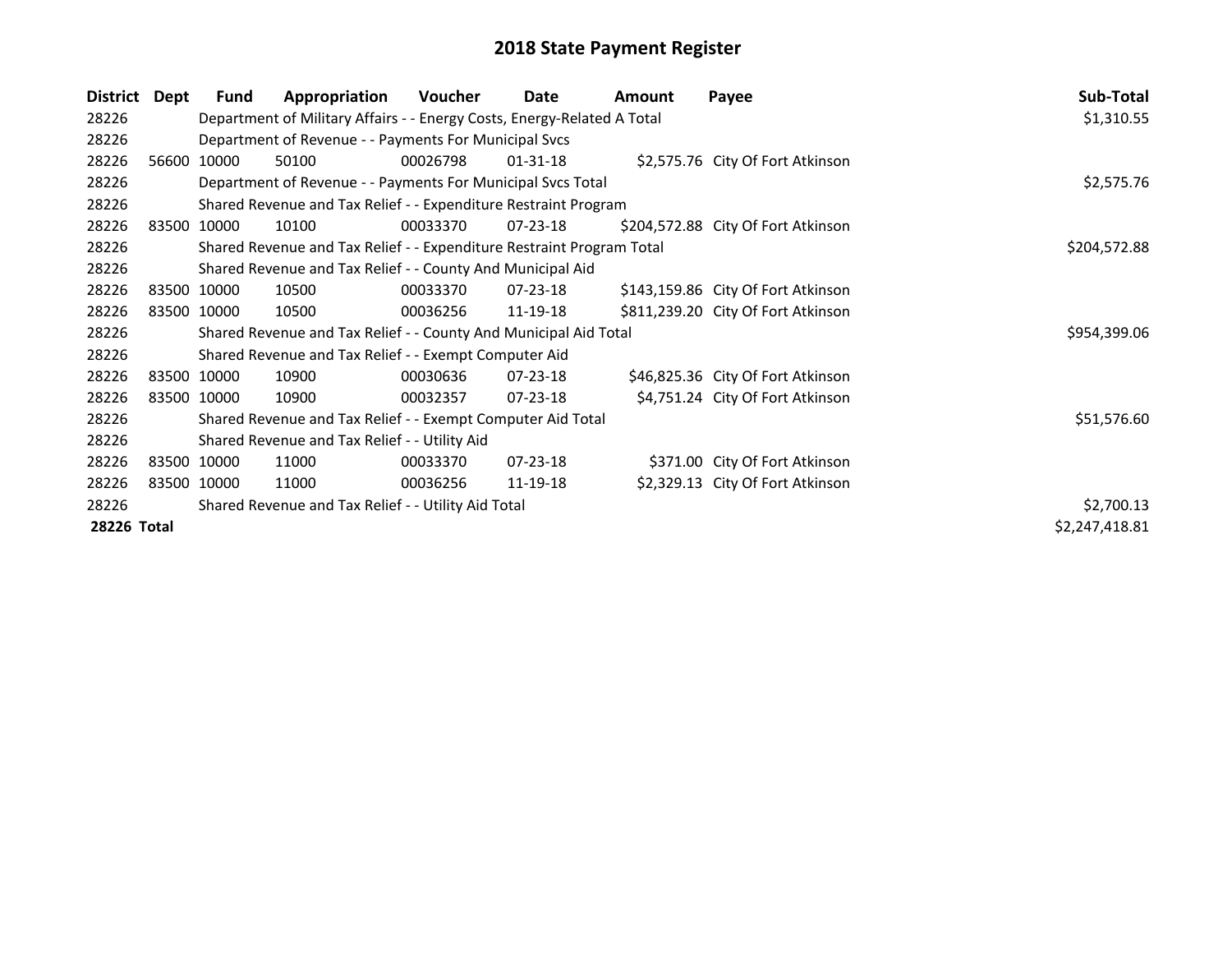| District Dept      | Fund                                                | Appropriation                                                           | Voucher  | Date           | Amount | Payee                              | Sub-Total      |
|--------------------|-----------------------------------------------------|-------------------------------------------------------------------------|----------|----------------|--------|------------------------------------|----------------|
| 28226              |                                                     | Department of Military Affairs - - Energy Costs, Energy-Related A Total |          |                |        |                                    | \$1,310.55     |
| 28226              |                                                     | Department of Revenue - - Payments For Municipal Svcs                   |          |                |        |                                    |                |
| 28226              | 56600 10000                                         | 50100                                                                   | 00026798 | $01 - 31 - 18$ |        | \$2,575.76 City Of Fort Atkinson   |                |
| 28226              |                                                     | Department of Revenue - - Payments For Municipal Svcs Total             |          |                |        |                                    | \$2,575.76     |
| 28226              |                                                     | Shared Revenue and Tax Relief - - Expenditure Restraint Program         |          |                |        |                                    |                |
| 28226              | 83500 10000                                         | 10100                                                                   | 00033370 | 07-23-18       |        | \$204,572.88 City Of Fort Atkinson |                |
| 28226              |                                                     | Shared Revenue and Tax Relief - - Expenditure Restraint Program Total   |          |                |        |                                    | \$204,572.88   |
| 28226              |                                                     | Shared Revenue and Tax Relief - - County And Municipal Aid              |          |                |        |                                    |                |
| 28226              | 83500 10000                                         | 10500                                                                   | 00033370 | 07-23-18       |        | \$143,159.86 City Of Fort Atkinson |                |
| 28226              | 83500 10000                                         | 10500                                                                   | 00036256 | 11-19-18       |        | \$811,239.20 City Of Fort Atkinson |                |
| 28226              |                                                     | Shared Revenue and Tax Relief - - County And Municipal Aid Total        |          |                |        |                                    | \$954,399.06   |
| 28226              |                                                     | Shared Revenue and Tax Relief - - Exempt Computer Aid                   |          |                |        |                                    |                |
| 28226              | 83500 10000                                         | 10900                                                                   | 00030636 | 07-23-18       |        | \$46,825.36 City Of Fort Atkinson  |                |
| 28226              | 83500 10000                                         | 10900                                                                   | 00032357 | 07-23-18       |        | \$4,751.24 City Of Fort Atkinson   |                |
| 28226              |                                                     | Shared Revenue and Tax Relief - - Exempt Computer Aid Total             |          |                |        |                                    | \$51,576.60    |
| 28226              |                                                     | Shared Revenue and Tax Relief - - Utility Aid                           |          |                |        |                                    |                |
| 28226              | 83500 10000                                         | 11000                                                                   | 00033370 | $07 - 23 - 18$ |        | \$371.00 City Of Fort Atkinson     |                |
| 28226              | 83500 10000                                         | 11000                                                                   | 00036256 | 11-19-18       |        | \$2,329.13 City Of Fort Atkinson   |                |
| 28226              | Shared Revenue and Tax Relief - - Utility Aid Total | \$2,700.13                                                              |          |                |        |                                    |                |
| <b>28226 Total</b> |                                                     |                                                                         |          |                |        |                                    | \$2,247,418.81 |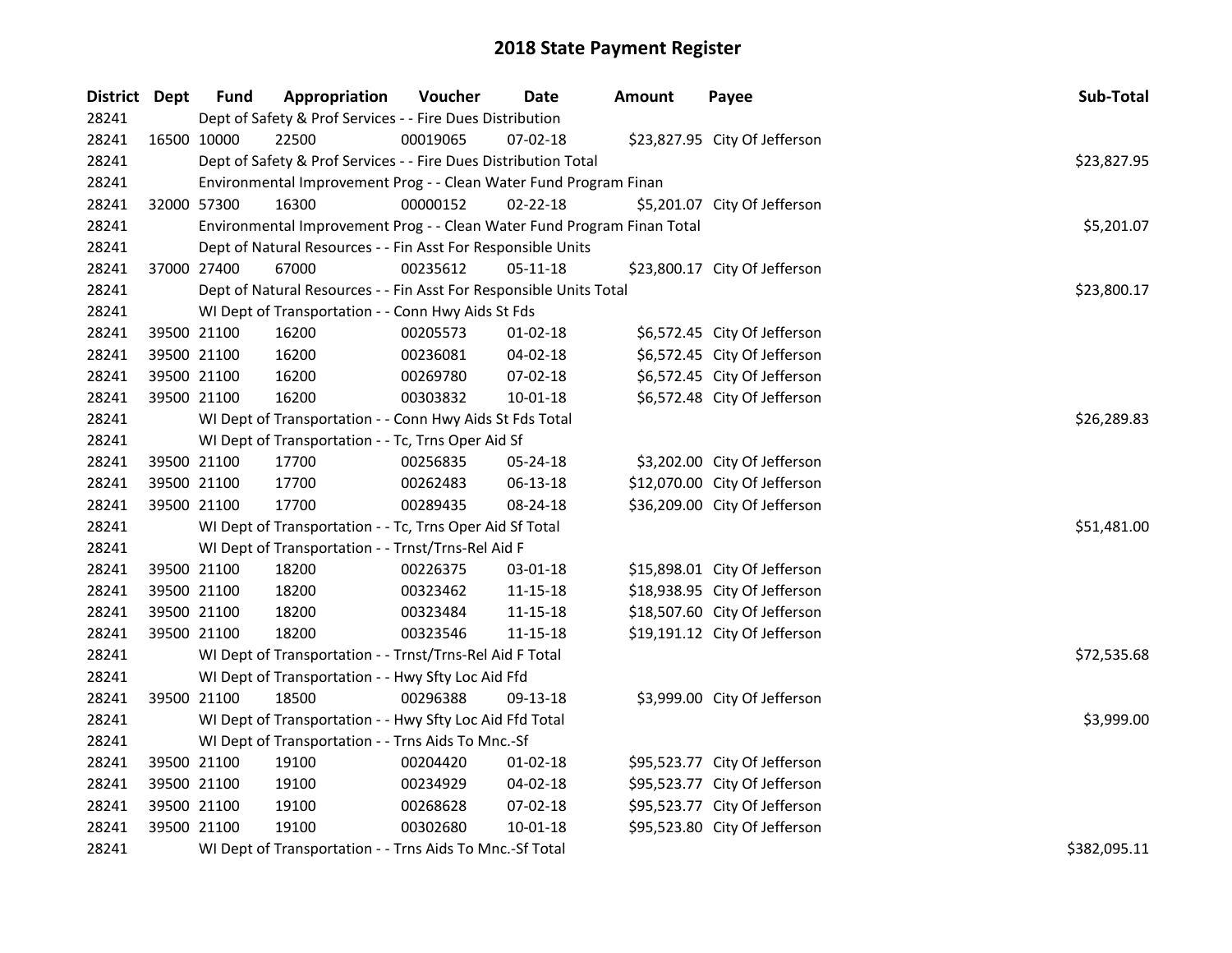| District Dept |             | <b>Fund</b> | Appropriation                                                           | Voucher  | Date           | Amount | Payee                         | Sub-Total    |
|---------------|-------------|-------------|-------------------------------------------------------------------------|----------|----------------|--------|-------------------------------|--------------|
| 28241         |             |             | Dept of Safety & Prof Services - - Fire Dues Distribution               |          |                |        |                               |              |
| 28241         |             | 16500 10000 | 22500                                                                   | 00019065 | 07-02-18       |        | \$23,827.95 City Of Jefferson |              |
| 28241         |             |             | Dept of Safety & Prof Services - - Fire Dues Distribution Total         |          |                |        |                               | \$23,827.95  |
| 28241         |             |             | Environmental Improvement Prog - - Clean Water Fund Program Finan       |          |                |        |                               |              |
| 28241         | 32000 57300 |             | 16300                                                                   | 00000152 | $02 - 22 - 18$ |        | \$5,201.07 City Of Jefferson  |              |
| 28241         |             |             | Environmental Improvement Prog - - Clean Water Fund Program Finan Total |          |                |        |                               | \$5,201.07   |
| 28241         |             |             | Dept of Natural Resources - - Fin Asst For Responsible Units            |          |                |        |                               |              |
| 28241         |             | 37000 27400 | 67000                                                                   | 00235612 | $05 - 11 - 18$ |        | \$23,800.17 City Of Jefferson |              |
| 28241         |             |             | Dept of Natural Resources - - Fin Asst For Responsible Units Total      |          |                |        |                               | \$23,800.17  |
| 28241         |             |             | WI Dept of Transportation - - Conn Hwy Aids St Fds                      |          |                |        |                               |              |
| 28241         |             | 39500 21100 | 16200                                                                   | 00205573 | $01 - 02 - 18$ |        | \$6,572.45 City Of Jefferson  |              |
| 28241         |             | 39500 21100 | 16200                                                                   | 00236081 | 04-02-18       |        | \$6,572.45 City Of Jefferson  |              |
| 28241         |             | 39500 21100 | 16200                                                                   | 00269780 | 07-02-18       |        | \$6,572.45 City Of Jefferson  |              |
| 28241         |             | 39500 21100 | 16200                                                                   | 00303832 | $10 - 01 - 18$ |        | \$6,572.48 City Of Jefferson  |              |
| 28241         |             |             | WI Dept of Transportation - - Conn Hwy Aids St Fds Total                |          |                |        |                               | \$26,289.83  |
| 28241         |             |             | WI Dept of Transportation - - Tc, Trns Oper Aid Sf                      |          |                |        |                               |              |
| 28241         |             | 39500 21100 | 17700                                                                   | 00256835 | 05-24-18       |        | \$3,202.00 City Of Jefferson  |              |
| 28241         |             | 39500 21100 | 17700                                                                   | 00262483 | 06-13-18       |        | \$12,070.00 City Of Jefferson |              |
| 28241         | 39500 21100 |             | 17700                                                                   | 00289435 | 08-24-18       |        | \$36,209.00 City Of Jefferson |              |
| 28241         |             |             | WI Dept of Transportation - - Tc, Trns Oper Aid Sf Total                |          |                |        |                               | \$51,481.00  |
| 28241         |             |             | WI Dept of Transportation - - Trnst/Trns-Rel Aid F                      |          |                |        |                               |              |
| 28241         |             | 39500 21100 | 18200                                                                   | 00226375 | 03-01-18       |        | \$15,898.01 City Of Jefferson |              |
| 28241         |             | 39500 21100 | 18200                                                                   | 00323462 | 11-15-18       |        | \$18,938.95 City Of Jefferson |              |
| 28241         |             | 39500 21100 | 18200                                                                   | 00323484 | 11-15-18       |        | \$18,507.60 City Of Jefferson |              |
| 28241         | 39500 21100 |             | 18200                                                                   | 00323546 | 11-15-18       |        | \$19,191.12 City Of Jefferson |              |
| 28241         |             |             | WI Dept of Transportation - - Trnst/Trns-Rel Aid F Total                |          |                |        |                               | \$72,535.68  |
| 28241         |             |             | WI Dept of Transportation - - Hwy Sfty Loc Aid Ffd                      |          |                |        |                               |              |
| 28241         | 39500 21100 |             | 18500                                                                   | 00296388 | 09-13-18       |        | \$3,999.00 City Of Jefferson  |              |
| 28241         |             |             | WI Dept of Transportation - - Hwy Sfty Loc Aid Ffd Total                |          |                |        |                               | \$3,999.00   |
| 28241         |             |             | WI Dept of Transportation - - Trns Aids To Mnc.-Sf                      |          |                |        |                               |              |
| 28241         |             | 39500 21100 | 19100                                                                   | 00204420 | $01 - 02 - 18$ |        | \$95,523.77 City Of Jefferson |              |
| 28241         |             | 39500 21100 | 19100                                                                   | 00234929 | 04-02-18       |        | \$95,523.77 City Of Jefferson |              |
| 28241         | 39500 21100 |             | 19100                                                                   | 00268628 | 07-02-18       |        | \$95,523.77 City Of Jefferson |              |
| 28241         |             | 39500 21100 | 19100                                                                   | 00302680 | $10 - 01 - 18$ |        | \$95,523.80 City Of Jefferson |              |
| 28241         |             |             | WI Dept of Transportation - - Trns Aids To Mnc.-Sf Total                |          |                |        |                               | \$382,095.11 |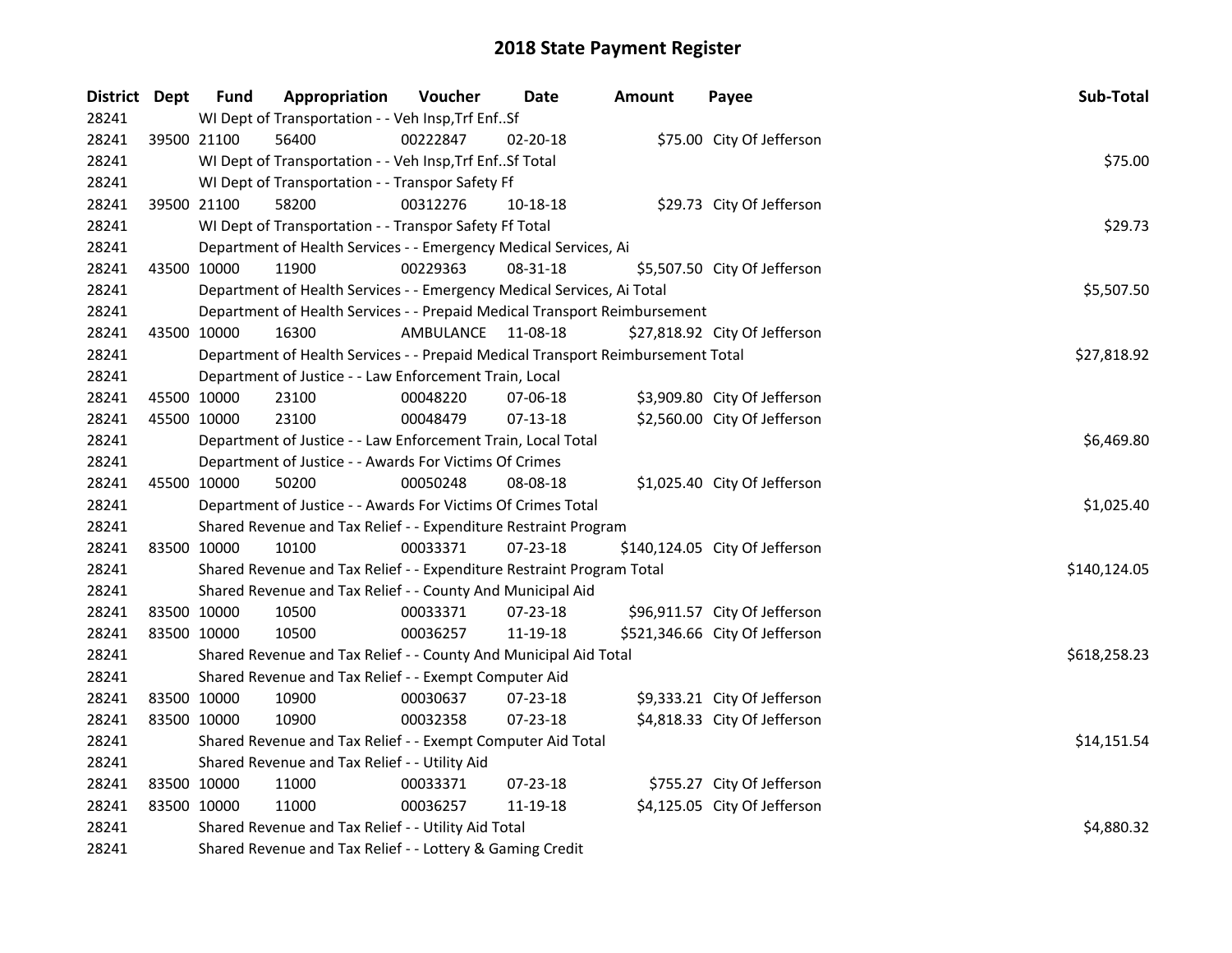| District Dept |             | <b>Fund</b> | Appropriation                                                                   | Voucher   | Date           | <b>Amount</b> | Payee                          | Sub-Total    |
|---------------|-------------|-------------|---------------------------------------------------------------------------------|-----------|----------------|---------------|--------------------------------|--------------|
| 28241         |             |             | WI Dept of Transportation - - Veh Insp, Trf EnfSf                               |           |                |               |                                |              |
| 28241         | 39500 21100 |             | 56400                                                                           | 00222847  | 02-20-18       |               | \$75.00 City Of Jefferson      |              |
| 28241         |             |             | WI Dept of Transportation - - Veh Insp, Trf EnfSf Total                         |           |                |               |                                | \$75.00      |
| 28241         |             |             | WI Dept of Transportation - - Transpor Safety Ff                                |           |                |               |                                |              |
| 28241         |             | 39500 21100 | 58200                                                                           | 00312276  | 10-18-18       |               | \$29.73 City Of Jefferson      |              |
| 28241         |             |             | WI Dept of Transportation - - Transpor Safety Ff Total                          |           |                |               |                                | \$29.73      |
| 28241         |             |             | Department of Health Services - - Emergency Medical Services, Ai                |           |                |               |                                |              |
| 28241         |             | 43500 10000 | 11900                                                                           | 00229363  | 08-31-18       |               | \$5,507.50 City Of Jefferson   |              |
| 28241         |             |             | Department of Health Services - - Emergency Medical Services, Ai Total          |           |                |               |                                | \$5,507.50   |
| 28241         |             |             | Department of Health Services - - Prepaid Medical Transport Reimbursement       |           |                |               |                                |              |
| 28241         |             | 43500 10000 | 16300                                                                           | AMBULANCE | 11-08-18       |               | \$27,818.92 City Of Jefferson  |              |
| 28241         |             |             | Department of Health Services - - Prepaid Medical Transport Reimbursement Total |           |                |               |                                | \$27,818.92  |
| 28241         |             |             | Department of Justice - - Law Enforcement Train, Local                          |           |                |               |                                |              |
| 28241         |             | 45500 10000 | 23100                                                                           | 00048220  | $07 - 06 - 18$ |               | \$3,909.80 City Of Jefferson   |              |
| 28241         |             | 45500 10000 | 23100                                                                           | 00048479  | $07-13-18$     |               | \$2,560.00 City Of Jefferson   |              |
| 28241         |             |             | Department of Justice - - Law Enforcement Train, Local Total                    |           |                |               |                                | \$6,469.80   |
| 28241         |             |             | Department of Justice - - Awards For Victims Of Crimes                          |           |                |               |                                |              |
| 28241         |             | 45500 10000 | 50200                                                                           | 00050248  | 08-08-18       |               | \$1,025.40 City Of Jefferson   |              |
| 28241         |             |             | Department of Justice - - Awards For Victims Of Crimes Total                    |           |                |               |                                | \$1,025.40   |
| 28241         |             |             | Shared Revenue and Tax Relief - - Expenditure Restraint Program                 |           |                |               |                                |              |
| 28241         |             | 83500 10000 | 10100                                                                           | 00033371  | 07-23-18       |               | \$140,124.05 City Of Jefferson |              |
| 28241         |             |             | Shared Revenue and Tax Relief - - Expenditure Restraint Program Total           |           |                |               |                                | \$140,124.05 |
| 28241         |             |             | Shared Revenue and Tax Relief - - County And Municipal Aid                      |           |                |               |                                |              |
| 28241         |             | 83500 10000 | 10500                                                                           | 00033371  | 07-23-18       |               | \$96,911.57 City Of Jefferson  |              |
| 28241         |             | 83500 10000 | 10500                                                                           | 00036257  | 11-19-18       |               | \$521,346.66 City Of Jefferson |              |
| 28241         |             |             | Shared Revenue and Tax Relief - - County And Municipal Aid Total                |           |                |               |                                | \$618,258.23 |
| 28241         |             |             | Shared Revenue and Tax Relief - - Exempt Computer Aid                           |           |                |               |                                |              |
| 28241         |             | 83500 10000 | 10900                                                                           | 00030637  | 07-23-18       |               | \$9,333.21 City Of Jefferson   |              |
| 28241         |             | 83500 10000 | 10900                                                                           | 00032358  | 07-23-18       |               | \$4,818.33 City Of Jefferson   |              |
| 28241         |             |             | Shared Revenue and Tax Relief - - Exempt Computer Aid Total                     |           |                |               |                                | \$14,151.54  |
| 28241         |             |             | Shared Revenue and Tax Relief - - Utility Aid                                   |           |                |               |                                |              |
| 28241         |             | 83500 10000 | 11000                                                                           | 00033371  | $07 - 23 - 18$ |               | \$755.27 City Of Jefferson     |              |
| 28241         |             | 83500 10000 | 11000                                                                           | 00036257  | 11-19-18       |               | \$4,125.05 City Of Jefferson   |              |
| 28241         |             |             | Shared Revenue and Tax Relief - - Utility Aid Total                             |           |                |               |                                | \$4,880.32   |
| 28241         |             |             | Shared Revenue and Tax Relief - - Lottery & Gaming Credit                       |           |                |               |                                |              |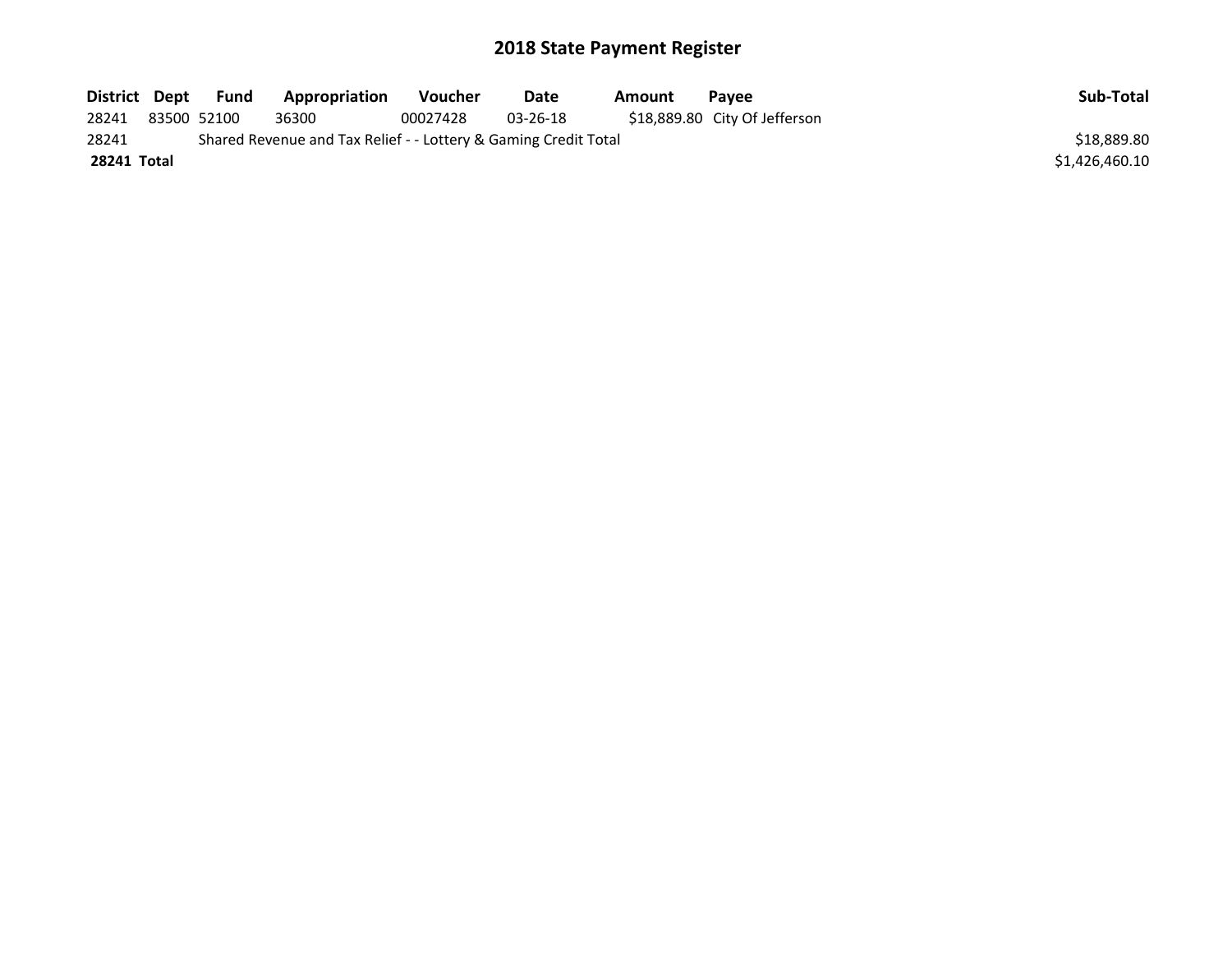| District Dept |             | Fund | Appropriation                                                   | Voucher  | Date     | Amount | Pavee                         | Sub-Total      |
|---------------|-------------|------|-----------------------------------------------------------------|----------|----------|--------|-------------------------------|----------------|
| 28241         | 83500 52100 |      | 36300                                                           | 00027428 | 03-26-18 |        | \$18,889.80 City Of Jefferson |                |
| 28241         |             |      | Shared Revenue and Tax Relief - - Lottery & Gaming Credit Total |          |          |        |                               | \$18,889.80    |
| 28241 Total   |             |      |                                                                 |          |          |        |                               | \$1,426,460.10 |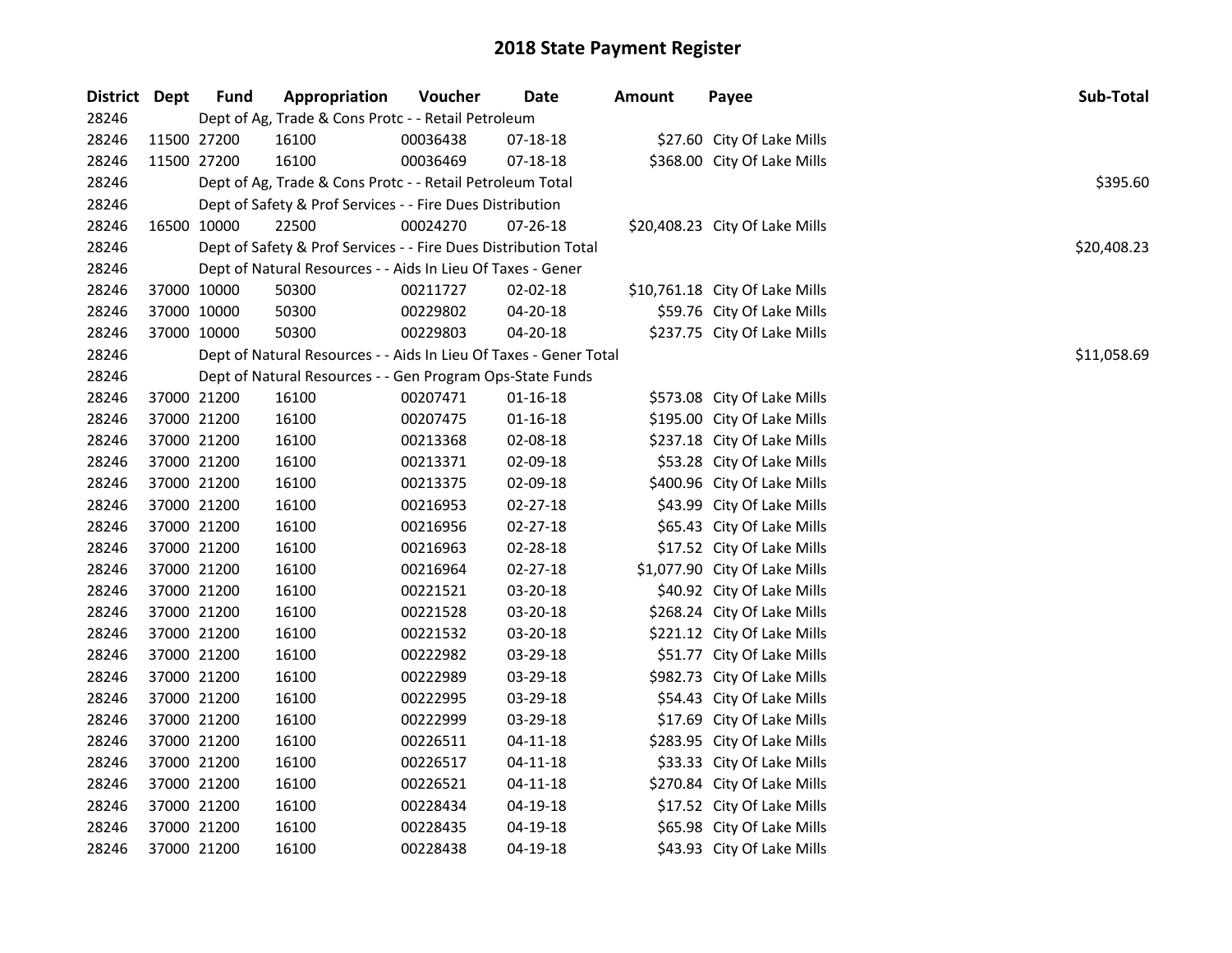| District Dept |             | <b>Fund</b> | Appropriation                                                     | Voucher  | Date           | <b>Amount</b> | Payee                          | Sub-Total   |
|---------------|-------------|-------------|-------------------------------------------------------------------|----------|----------------|---------------|--------------------------------|-------------|
| 28246         |             |             | Dept of Ag, Trade & Cons Protc - - Retail Petroleum               |          |                |               |                                |             |
| 28246         |             | 11500 27200 | 16100                                                             | 00036438 | 07-18-18       |               | \$27.60 City Of Lake Mills     |             |
| 28246         | 11500 27200 |             | 16100                                                             | 00036469 | 07-18-18       |               | \$368.00 City Of Lake Mills    |             |
| 28246         |             |             | Dept of Ag, Trade & Cons Protc - - Retail Petroleum Total         |          |                |               |                                | \$395.60    |
| 28246         |             |             | Dept of Safety & Prof Services - - Fire Dues Distribution         |          |                |               |                                |             |
| 28246         |             | 16500 10000 | 22500                                                             | 00024270 | 07-26-18       |               | \$20,408.23 City Of Lake Mills |             |
| 28246         |             |             | Dept of Safety & Prof Services - - Fire Dues Distribution Total   |          |                |               |                                | \$20,408.23 |
| 28246         |             |             | Dept of Natural Resources - - Aids In Lieu Of Taxes - Gener       |          |                |               |                                |             |
| 28246         |             | 37000 10000 | 50300                                                             | 00211727 | 02-02-18       |               | \$10,761.18 City Of Lake Mills |             |
| 28246         |             | 37000 10000 | 50300                                                             | 00229802 | 04-20-18       |               | \$59.76 City Of Lake Mills     |             |
| 28246         |             | 37000 10000 | 50300                                                             | 00229803 | 04-20-18       |               | \$237.75 City Of Lake Mills    |             |
| 28246         |             |             | Dept of Natural Resources - - Aids In Lieu Of Taxes - Gener Total |          |                |               |                                | \$11,058.69 |
| 28246         |             |             | Dept of Natural Resources - - Gen Program Ops-State Funds         |          |                |               |                                |             |
| 28246         |             | 37000 21200 | 16100                                                             | 00207471 | 01-16-18       |               | \$573.08 City Of Lake Mills    |             |
| 28246         |             | 37000 21200 | 16100                                                             | 00207475 | $01 - 16 - 18$ |               | \$195.00 City Of Lake Mills    |             |
| 28246         |             | 37000 21200 | 16100                                                             | 00213368 | 02-08-18       |               | \$237.18 City Of Lake Mills    |             |
| 28246         |             | 37000 21200 | 16100                                                             | 00213371 | 02-09-18       |               | \$53.28 City Of Lake Mills     |             |
| 28246         |             | 37000 21200 | 16100                                                             | 00213375 | 02-09-18       |               | \$400.96 City Of Lake Mills    |             |
| 28246         |             | 37000 21200 | 16100                                                             | 00216953 | 02-27-18       |               | \$43.99 City Of Lake Mills     |             |
| 28246         |             | 37000 21200 | 16100                                                             | 00216956 | 02-27-18       |               | \$65.43 City Of Lake Mills     |             |
| 28246         |             | 37000 21200 | 16100                                                             | 00216963 | 02-28-18       |               | \$17.52 City Of Lake Mills     |             |
| 28246         |             | 37000 21200 | 16100                                                             | 00216964 | 02-27-18       |               | \$1,077.90 City Of Lake Mills  |             |
| 28246         |             | 37000 21200 | 16100                                                             | 00221521 | 03-20-18       |               | \$40.92 City Of Lake Mills     |             |
| 28246         |             | 37000 21200 | 16100                                                             | 00221528 | 03-20-18       |               | \$268.24 City Of Lake Mills    |             |
| 28246         |             | 37000 21200 | 16100                                                             | 00221532 | 03-20-18       |               | \$221.12 City Of Lake Mills    |             |
| 28246         |             | 37000 21200 | 16100                                                             | 00222982 | 03-29-18       |               | \$51.77 City Of Lake Mills     |             |
| 28246         |             | 37000 21200 | 16100                                                             | 00222989 | 03-29-18       |               | \$982.73 City Of Lake Mills    |             |
| 28246         |             | 37000 21200 | 16100                                                             | 00222995 | 03-29-18       |               | \$54.43 City Of Lake Mills     |             |
| 28246         |             | 37000 21200 | 16100                                                             | 00222999 | 03-29-18       |               | \$17.69 City Of Lake Mills     |             |
| 28246         |             | 37000 21200 | 16100                                                             | 00226511 | 04-11-18       |               | \$283.95 City Of Lake Mills    |             |
| 28246         |             | 37000 21200 | 16100                                                             | 00226517 | $04 - 11 - 18$ |               | \$33.33 City Of Lake Mills     |             |
| 28246         |             | 37000 21200 | 16100                                                             | 00226521 | $04 - 11 - 18$ |               | \$270.84 City Of Lake Mills    |             |
| 28246         |             | 37000 21200 | 16100                                                             | 00228434 | 04-19-18       |               | \$17.52 City Of Lake Mills     |             |
| 28246         |             | 37000 21200 | 16100                                                             | 00228435 | 04-19-18       |               | \$65.98 City Of Lake Mills     |             |
| 28246         |             | 37000 21200 | 16100                                                             | 00228438 | 04-19-18       |               | \$43.93 City Of Lake Mills     |             |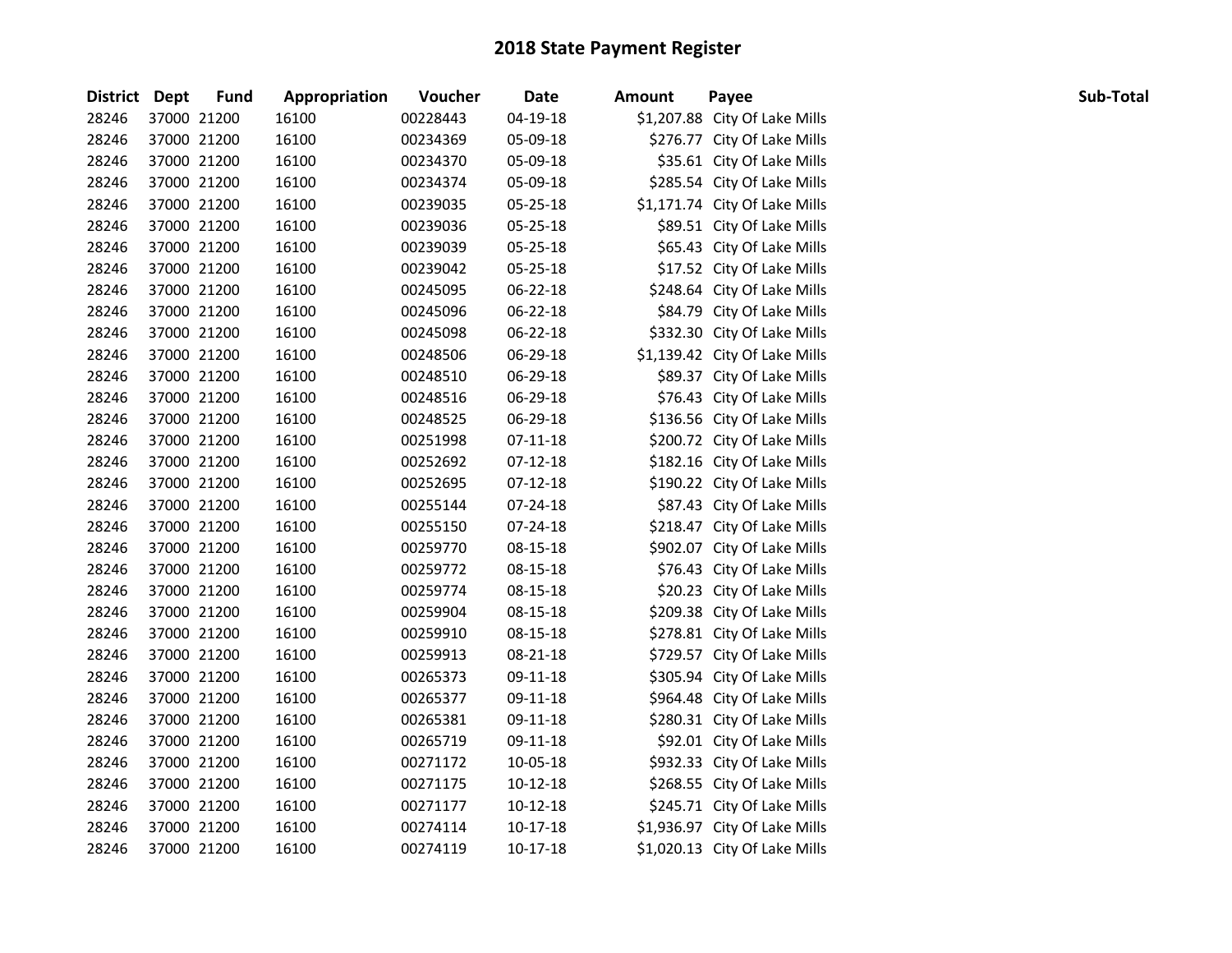| District Dept |             | <b>Fund</b> | Appropriation | Voucher  | <b>Date</b> | Amount | Payee                         | Sub-Total |
|---------------|-------------|-------------|---------------|----------|-------------|--------|-------------------------------|-----------|
| 28246         |             | 37000 21200 | 16100         | 00228443 | 04-19-18    |        | \$1,207.88 City Of Lake Mills |           |
| 28246         |             | 37000 21200 | 16100         | 00234369 | 05-09-18    |        | \$276.77 City Of Lake Mills   |           |
| 28246         |             | 37000 21200 | 16100         | 00234370 | 05-09-18    |        | \$35.61 City Of Lake Mills    |           |
| 28246         |             | 37000 21200 | 16100         | 00234374 | 05-09-18    |        | \$285.54 City Of Lake Mills   |           |
| 28246         |             | 37000 21200 | 16100         | 00239035 | 05-25-18    |        | \$1,171.74 City Of Lake Mills |           |
| 28246         |             | 37000 21200 | 16100         | 00239036 | 05-25-18    |        | \$89.51 City Of Lake Mills    |           |
| 28246         |             | 37000 21200 | 16100         | 00239039 | 05-25-18    |        | \$65.43 City Of Lake Mills    |           |
| 28246         |             | 37000 21200 | 16100         | 00239042 | 05-25-18    |        | \$17.52 City Of Lake Mills    |           |
| 28246         |             | 37000 21200 | 16100         | 00245095 | 06-22-18    |        | \$248.64 City Of Lake Mills   |           |
| 28246         |             | 37000 21200 | 16100         | 00245096 | 06-22-18    |        | \$84.79 City Of Lake Mills    |           |
| 28246         |             | 37000 21200 | 16100         | 00245098 | 06-22-18    |        | \$332.30 City Of Lake Mills   |           |
| 28246         |             | 37000 21200 | 16100         | 00248506 | 06-29-18    |        | \$1,139.42 City Of Lake Mills |           |
| 28246         |             | 37000 21200 | 16100         | 00248510 | 06-29-18    |        | \$89.37 City Of Lake Mills    |           |
| 28246         |             | 37000 21200 | 16100         | 00248516 | 06-29-18    |        | \$76.43 City Of Lake Mills    |           |
| 28246         |             | 37000 21200 | 16100         | 00248525 | 06-29-18    |        | \$136.56 City Of Lake Mills   |           |
| 28246         |             | 37000 21200 | 16100         | 00251998 | 07-11-18    |        | \$200.72 City Of Lake Mills   |           |
| 28246         |             | 37000 21200 | 16100         | 00252692 | 07-12-18    |        | \$182.16 City Of Lake Mills   |           |
| 28246         |             | 37000 21200 | 16100         | 00252695 | $07-12-18$  |        | \$190.22 City Of Lake Mills   |           |
| 28246         |             | 37000 21200 | 16100         | 00255144 | 07-24-18    |        | \$87.43 City Of Lake Mills    |           |
| 28246         |             | 37000 21200 | 16100         | 00255150 | 07-24-18    |        | \$218.47 City Of Lake Mills   |           |
| 28246         |             | 37000 21200 | 16100         | 00259770 | 08-15-18    |        | \$902.07 City Of Lake Mills   |           |
| 28246         |             | 37000 21200 | 16100         | 00259772 | 08-15-18    |        | \$76.43 City Of Lake Mills    |           |
| 28246         |             | 37000 21200 | 16100         | 00259774 | 08-15-18    |        | \$20.23 City Of Lake Mills    |           |
| 28246         |             | 37000 21200 | 16100         | 00259904 | 08-15-18    |        | \$209.38 City Of Lake Mills   |           |
| 28246         |             | 37000 21200 | 16100         | 00259910 | 08-15-18    |        | \$278.81 City Of Lake Mills   |           |
| 28246         |             | 37000 21200 | 16100         | 00259913 | 08-21-18    |        | \$729.57 City Of Lake Mills   |           |
| 28246         |             | 37000 21200 | 16100         | 00265373 | 09-11-18    |        | \$305.94 City Of Lake Mills   |           |
| 28246         |             | 37000 21200 | 16100         | 00265377 | 09-11-18    |        | \$964.48 City Of Lake Mills   |           |
| 28246         |             | 37000 21200 | 16100         | 00265381 | 09-11-18    |        | \$280.31 City Of Lake Mills   |           |
| 28246         |             | 37000 21200 | 16100         | 00265719 | 09-11-18    |        | \$92.01 City Of Lake Mills    |           |
| 28246         |             | 37000 21200 | 16100         | 00271172 | 10-05-18    |        | \$932.33 City Of Lake Mills   |           |
| 28246         |             | 37000 21200 | 16100         | 00271175 | 10-12-18    |        | \$268.55 City Of Lake Mills   |           |
| 28246         |             | 37000 21200 | 16100         | 00271177 | $10-12-18$  |        | \$245.71 City Of Lake Mills   |           |
| 28246         |             | 37000 21200 | 16100         | 00274114 | $10-17-18$  |        | \$1,936.97 City Of Lake Mills |           |
| 28246         | 37000 21200 |             | 16100         | 00274119 | $10-17-18$  |        | \$1,020.13 City Of Lake Mills |           |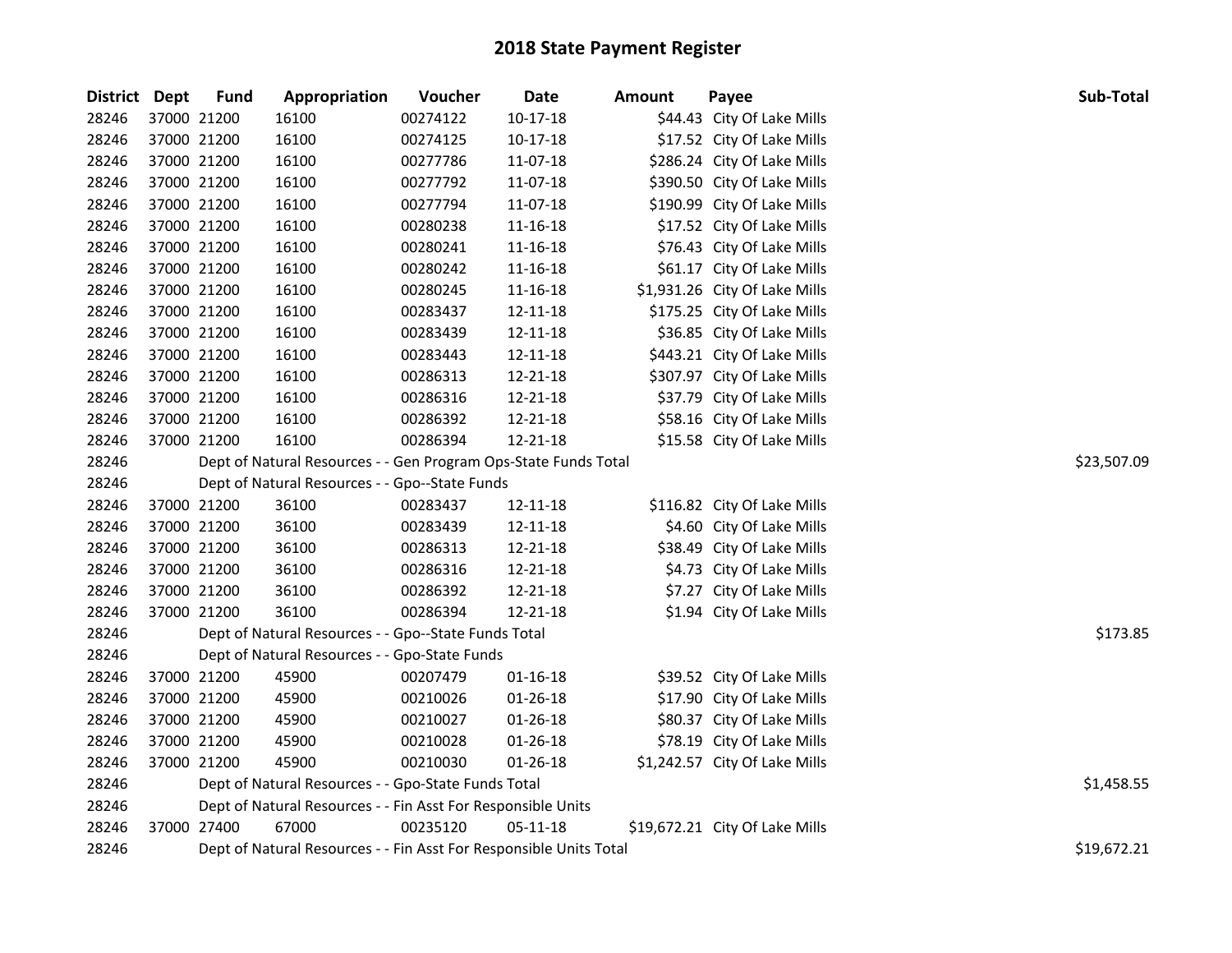| District Dept |             | <b>Fund</b> | Appropriation                                                      | Voucher  | Date           | <b>Amount</b> | Payee                          | Sub-Total   |
|---------------|-------------|-------------|--------------------------------------------------------------------|----------|----------------|---------------|--------------------------------|-------------|
| 28246         | 37000 21200 |             | 16100                                                              | 00274122 | $10-17-18$     |               | \$44.43 City Of Lake Mills     |             |
| 28246         | 37000 21200 |             | 16100                                                              | 00274125 | 10-17-18       |               | \$17.52 City Of Lake Mills     |             |
| 28246         | 37000 21200 |             | 16100                                                              | 00277786 | 11-07-18       |               | \$286.24 City Of Lake Mills    |             |
| 28246         | 37000 21200 |             | 16100                                                              | 00277792 | 11-07-18       |               | \$390.50 City Of Lake Mills    |             |
| 28246         | 37000 21200 |             | 16100                                                              | 00277794 | 11-07-18       |               | \$190.99 City Of Lake Mills    |             |
| 28246         | 37000 21200 |             | 16100                                                              | 00280238 | 11-16-18       |               | \$17.52 City Of Lake Mills     |             |
| 28246         | 37000 21200 |             | 16100                                                              | 00280241 | 11-16-18       |               | \$76.43 City Of Lake Mills     |             |
| 28246         | 37000 21200 |             | 16100                                                              | 00280242 | 11-16-18       |               | \$61.17 City Of Lake Mills     |             |
| 28246         | 37000 21200 |             | 16100                                                              | 00280245 | 11-16-18       |               | \$1,931.26 City Of Lake Mills  |             |
| 28246         | 37000 21200 |             | 16100                                                              | 00283437 | 12-11-18       |               | \$175.25 City Of Lake Mills    |             |
| 28246         | 37000 21200 |             | 16100                                                              | 00283439 | 12-11-18       |               | \$36.85 City Of Lake Mills     |             |
| 28246         | 37000 21200 |             | 16100                                                              | 00283443 | 12-11-18       |               | \$443.21 City Of Lake Mills    |             |
| 28246         | 37000 21200 |             | 16100                                                              | 00286313 | 12-21-18       |               | \$307.97 City Of Lake Mills    |             |
| 28246         | 37000 21200 |             | 16100                                                              | 00286316 | 12-21-18       |               | \$37.79 City Of Lake Mills     |             |
| 28246         | 37000 21200 |             | 16100                                                              | 00286392 | 12-21-18       |               | \$58.16 City Of Lake Mills     |             |
| 28246         | 37000 21200 |             | 16100                                                              | 00286394 | 12-21-18       |               | \$15.58 City Of Lake Mills     |             |
| 28246         |             |             | Dept of Natural Resources - - Gen Program Ops-State Funds Total    |          | \$23,507.09    |               |                                |             |
| 28246         |             |             | Dept of Natural Resources - - Gpo--State Funds                     |          |                |               |                                |             |
| 28246         | 37000 21200 |             | 36100                                                              | 00283437 | 12-11-18       |               | \$116.82 City Of Lake Mills    |             |
| 28246         | 37000 21200 |             | 36100                                                              | 00283439 | 12-11-18       |               | \$4.60 City Of Lake Mills      |             |
| 28246         | 37000 21200 |             | 36100                                                              | 00286313 | 12-21-18       |               | \$38.49 City Of Lake Mills     |             |
| 28246         | 37000 21200 |             | 36100                                                              | 00286316 | 12-21-18       |               | \$4.73 City Of Lake Mills      |             |
| 28246         | 37000 21200 |             | 36100                                                              | 00286392 | 12-21-18       |               | \$7.27 City Of Lake Mills      |             |
| 28246         | 37000 21200 |             | 36100                                                              | 00286394 | 12-21-18       |               | \$1.94 City Of Lake Mills      |             |
| 28246         |             |             | Dept of Natural Resources - - Gpo--State Funds Total               |          |                |               |                                | \$173.85    |
| 28246         |             |             | Dept of Natural Resources - - Gpo-State Funds                      |          |                |               |                                |             |
| 28246         | 37000 21200 |             | 45900                                                              | 00207479 | $01 - 16 - 18$ |               | \$39.52 City Of Lake Mills     |             |
| 28246         | 37000 21200 |             | 45900                                                              | 00210026 | 01-26-18       |               | \$17.90 City Of Lake Mills     |             |
| 28246         | 37000 21200 |             | 45900                                                              | 00210027 | 01-26-18       |               | \$80.37 City Of Lake Mills     |             |
| 28246         | 37000 21200 |             | 45900                                                              | 00210028 | 01-26-18       |               | \$78.19 City Of Lake Mills     |             |
| 28246         | 37000 21200 |             | 45900                                                              | 00210030 | $01 - 26 - 18$ |               | \$1,242.57 City Of Lake Mills  |             |
| 28246         |             |             | Dept of Natural Resources - - Gpo-State Funds Total                |          |                |               |                                | \$1,458.55  |
| 28246         |             |             | Dept of Natural Resources - - Fin Asst For Responsible Units       |          |                |               |                                |             |
| 28246         | 37000 27400 |             | 67000                                                              | 00235120 | 05-11-18       |               | \$19,672.21 City Of Lake Mills |             |
| 28246         |             |             | Dept of Natural Resources - - Fin Asst For Responsible Units Total |          |                |               |                                | \$19,672.21 |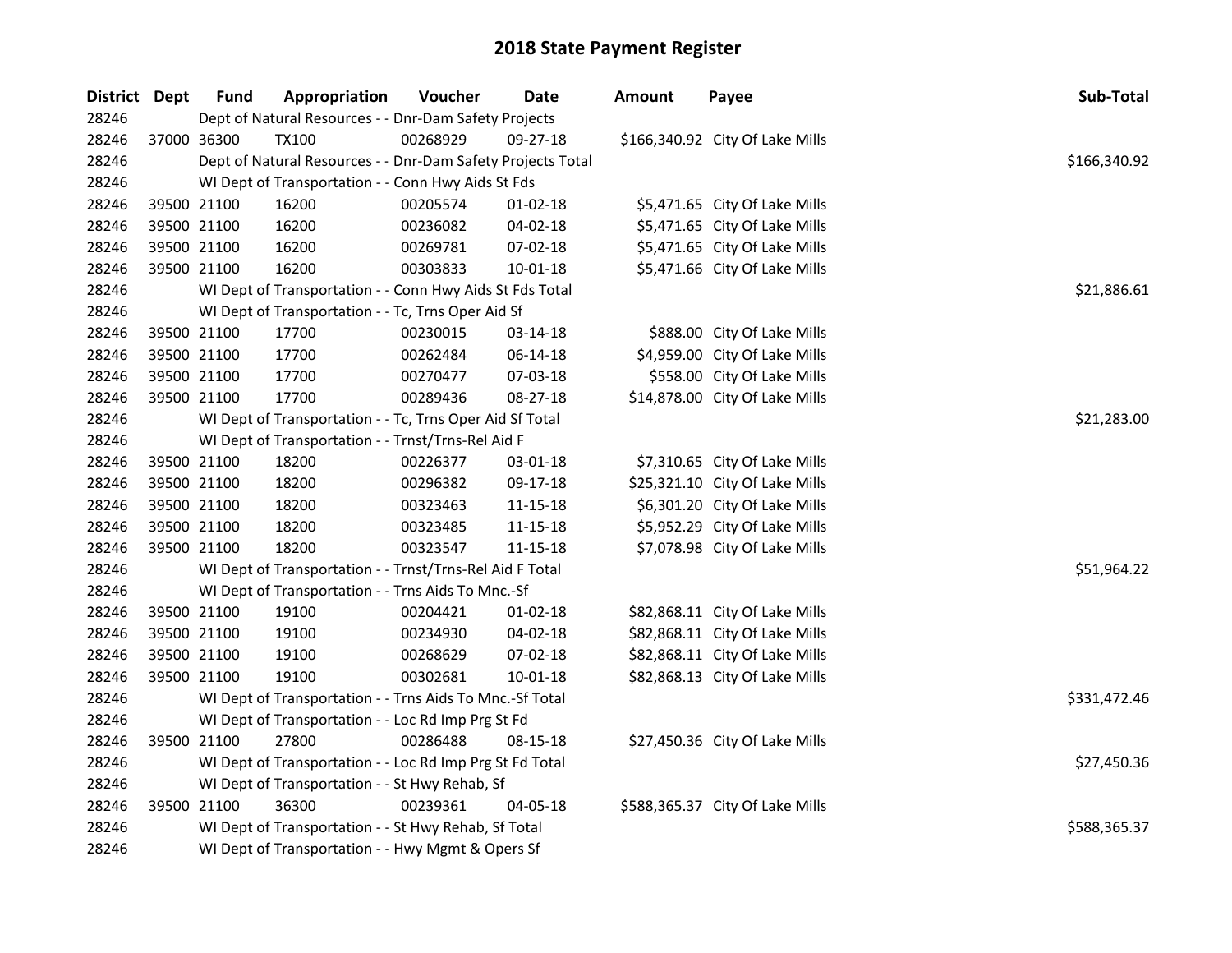| District Dept | <b>Fund</b> | Appropriation                                               | Voucher  | <b>Date</b>    | <b>Amount</b> | Payee                           | Sub-Total    |
|---------------|-------------|-------------------------------------------------------------|----------|----------------|---------------|---------------------------------|--------------|
| 28246         |             | Dept of Natural Resources - - Dnr-Dam Safety Projects       |          |                |               |                                 |              |
| 28246         | 37000 36300 | <b>TX100</b>                                                | 00268929 | $09 - 27 - 18$ |               | \$166,340.92 City Of Lake Mills |              |
| 28246         |             | Dept of Natural Resources - - Dnr-Dam Safety Projects Total |          |                |               |                                 | \$166,340.92 |
| 28246         |             | WI Dept of Transportation - - Conn Hwy Aids St Fds          |          |                |               |                                 |              |
| 28246         | 39500 21100 | 16200                                                       | 00205574 | $01 - 02 - 18$ |               | \$5,471.65 City Of Lake Mills   |              |
| 28246         | 39500 21100 | 16200                                                       | 00236082 | 04-02-18       |               | \$5,471.65 City Of Lake Mills   |              |
| 28246         | 39500 21100 | 16200                                                       | 00269781 | 07-02-18       |               | \$5,471.65 City Of Lake Mills   |              |
| 28246         | 39500 21100 | 16200                                                       | 00303833 | 10-01-18       |               | \$5,471.66 City Of Lake Mills   |              |
| 28246         |             | WI Dept of Transportation - - Conn Hwy Aids St Fds Total    |          |                |               |                                 | \$21,886.61  |
| 28246         |             | WI Dept of Transportation - - Tc, Trns Oper Aid Sf          |          |                |               |                                 |              |
| 28246         | 39500 21100 | 17700                                                       | 00230015 | 03-14-18       |               | \$888.00 City Of Lake Mills     |              |
| 28246         | 39500 21100 | 17700                                                       | 00262484 | 06-14-18       |               | \$4,959.00 City Of Lake Mills   |              |
| 28246         | 39500 21100 | 17700                                                       | 00270477 | 07-03-18       |               | \$558.00 City Of Lake Mills     |              |
| 28246         | 39500 21100 | 17700                                                       | 00289436 | 08-27-18       |               | \$14,878.00 City Of Lake Mills  |              |
| 28246         |             | WI Dept of Transportation - - Tc, Trns Oper Aid Sf Total    |          |                |               |                                 | \$21,283.00  |
| 28246         |             | WI Dept of Transportation - - Trnst/Trns-Rel Aid F          |          |                |               |                                 |              |
| 28246         | 39500 21100 | 18200                                                       | 00226377 | 03-01-18       |               | \$7,310.65 City Of Lake Mills   |              |
| 28246         | 39500 21100 | 18200                                                       | 00296382 | 09-17-18       |               | \$25,321.10 City Of Lake Mills  |              |
| 28246         | 39500 21100 | 18200                                                       | 00323463 | 11-15-18       |               | \$6,301.20 City Of Lake Mills   |              |
| 28246         | 39500 21100 | 18200                                                       | 00323485 | $11 - 15 - 18$ |               | \$5,952.29 City Of Lake Mills   |              |
| 28246         | 39500 21100 | 18200                                                       | 00323547 | 11-15-18       |               | \$7,078.98 City Of Lake Mills   |              |
| 28246         |             | WI Dept of Transportation - - Trnst/Trns-Rel Aid F Total    |          |                |               |                                 | \$51,964.22  |
| 28246         |             | WI Dept of Transportation - - Trns Aids To Mnc.-Sf          |          |                |               |                                 |              |
| 28246         | 39500 21100 | 19100                                                       | 00204421 | $01 - 02 - 18$ |               | \$82,868.11 City Of Lake Mills  |              |
| 28246         | 39500 21100 | 19100                                                       | 00234930 | 04-02-18       |               | \$82,868.11 City Of Lake Mills  |              |
| 28246         | 39500 21100 | 19100                                                       | 00268629 | 07-02-18       |               | \$82,868.11 City Of Lake Mills  |              |
| 28246         | 39500 21100 | 19100                                                       | 00302681 | $10 - 01 - 18$ |               | \$82,868.13 City Of Lake Mills  |              |
| 28246         |             | WI Dept of Transportation - - Trns Aids To Mnc.-Sf Total    |          |                |               |                                 | \$331,472.46 |
| 28246         |             | WI Dept of Transportation - - Loc Rd Imp Prg St Fd          |          |                |               |                                 |              |
| 28246         | 39500 21100 | 27800                                                       | 00286488 | 08-15-18       |               | \$27,450.36 City Of Lake Mills  |              |
| 28246         |             | WI Dept of Transportation - - Loc Rd Imp Prg St Fd Total    |          |                |               |                                 | \$27,450.36  |
| 28246         |             | WI Dept of Transportation - - St Hwy Rehab, Sf              |          |                |               |                                 |              |
| 28246         | 39500 21100 | 36300                                                       | 00239361 | 04-05-18       |               | \$588,365.37 City Of Lake Mills |              |
| 28246         |             | WI Dept of Transportation - - St Hwy Rehab, Sf Total        |          |                |               |                                 | \$588,365.37 |
| 28246         |             | WI Dept of Transportation - - Hwy Mgmt & Opers Sf           |          |                |               |                                 |              |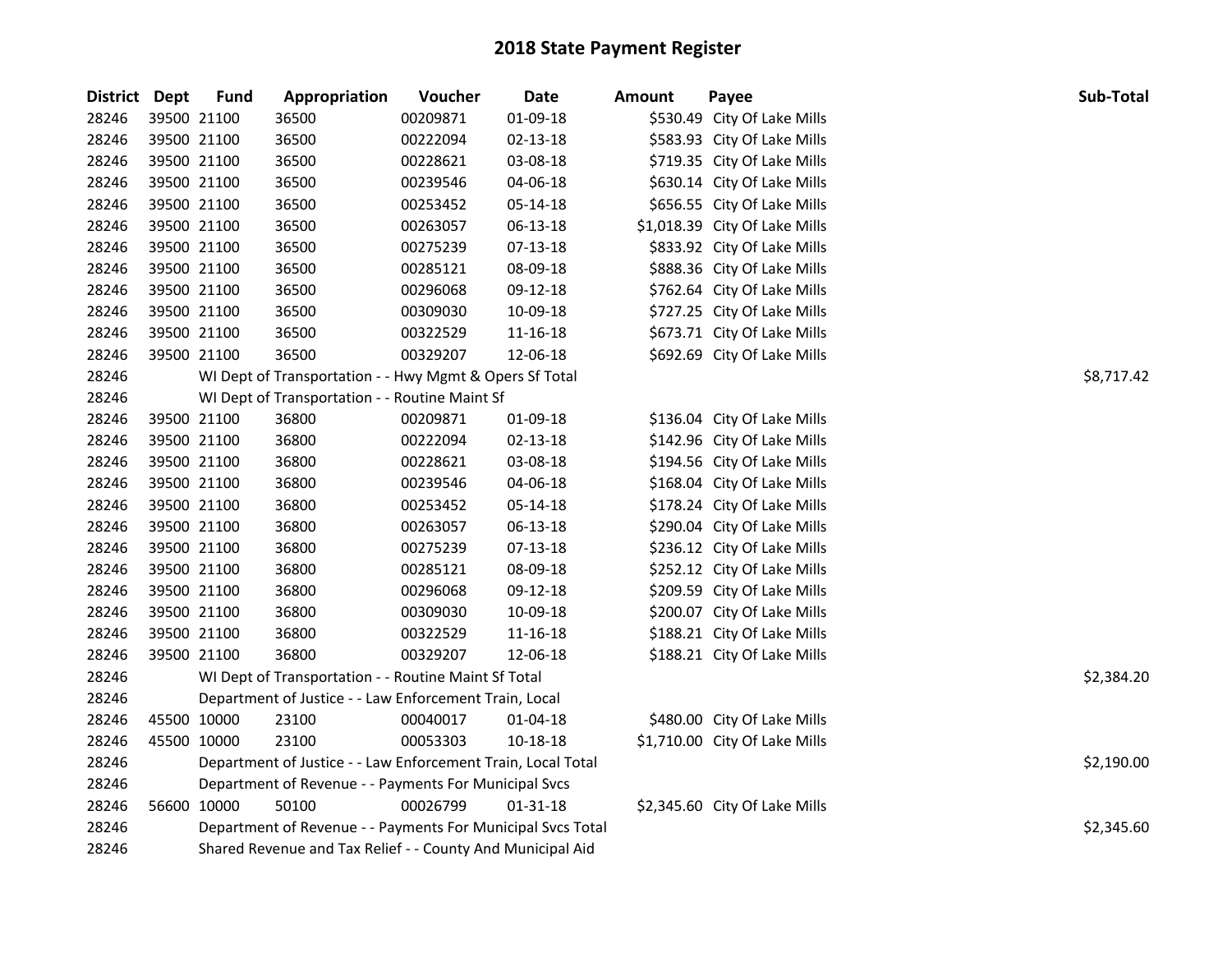| <b>District Dept</b> | <b>Fund</b> | Appropriation                                                | Voucher  | <b>Date</b>    | <b>Amount</b> | Payee                         | Sub-Total  |
|----------------------|-------------|--------------------------------------------------------------|----------|----------------|---------------|-------------------------------|------------|
| 28246                | 39500 21100 | 36500                                                        | 00209871 | 01-09-18       |               | \$530.49 City Of Lake Mills   |            |
| 28246                | 39500 21100 | 36500                                                        | 00222094 | 02-13-18       |               | \$583.93 City Of Lake Mills   |            |
| 28246                | 39500 21100 | 36500                                                        | 00228621 | 03-08-18       |               | \$719.35 City Of Lake Mills   |            |
| 28246                | 39500 21100 | 36500                                                        | 00239546 | 04-06-18       |               | \$630.14 City Of Lake Mills   |            |
| 28246                | 39500 21100 | 36500                                                        | 00253452 | 05-14-18       |               | \$656.55 City Of Lake Mills   |            |
| 28246                | 39500 21100 | 36500                                                        | 00263057 | 06-13-18       |               | \$1,018.39 City Of Lake Mills |            |
| 28246                | 39500 21100 | 36500                                                        | 00275239 | $07 - 13 - 18$ |               | \$833.92 City Of Lake Mills   |            |
| 28246                | 39500 21100 | 36500                                                        | 00285121 | 08-09-18       |               | \$888.36 City Of Lake Mills   |            |
| 28246                | 39500 21100 | 36500                                                        | 00296068 | 09-12-18       |               | \$762.64 City Of Lake Mills   |            |
| 28246                | 39500 21100 | 36500                                                        | 00309030 | 10-09-18       |               | \$727.25 City Of Lake Mills   |            |
| 28246                | 39500 21100 | 36500                                                        | 00322529 | 11-16-18       |               | \$673.71 City Of Lake Mills   |            |
| 28246                | 39500 21100 | 36500                                                        | 00329207 | 12-06-18       |               | \$692.69 City Of Lake Mills   |            |
| 28246                |             | WI Dept of Transportation - - Hwy Mgmt & Opers Sf Total      |          |                |               |                               | \$8,717.42 |
| 28246                |             | WI Dept of Transportation - - Routine Maint Sf               |          |                |               |                               |            |
| 28246                | 39500 21100 | 36800                                                        | 00209871 | 01-09-18       |               | \$136.04 City Of Lake Mills   |            |
| 28246                | 39500 21100 | 36800                                                        | 00222094 | 02-13-18       |               | \$142.96 City Of Lake Mills   |            |
| 28246                | 39500 21100 | 36800                                                        | 00228621 | 03-08-18       |               | \$194.56 City Of Lake Mills   |            |
| 28246                | 39500 21100 | 36800                                                        | 00239546 | 04-06-18       |               | \$168.04 City Of Lake Mills   |            |
| 28246                | 39500 21100 | 36800                                                        | 00253452 | 05-14-18       |               | \$178.24 City Of Lake Mills   |            |
| 28246                | 39500 21100 | 36800                                                        | 00263057 | 06-13-18       |               | \$290.04 City Of Lake Mills   |            |
| 28246                | 39500 21100 | 36800                                                        | 00275239 | 07-13-18       |               | \$236.12 City Of Lake Mills   |            |
| 28246                | 39500 21100 | 36800                                                        | 00285121 | 08-09-18       |               | \$252.12 City Of Lake Mills   |            |
| 28246                | 39500 21100 | 36800                                                        | 00296068 | 09-12-18       |               | \$209.59 City Of Lake Mills   |            |
| 28246                | 39500 21100 | 36800                                                        | 00309030 | 10-09-18       |               | \$200.07 City Of Lake Mills   |            |
| 28246                | 39500 21100 | 36800                                                        | 00322529 | 11-16-18       |               | \$188.21 City Of Lake Mills   |            |
| 28246                | 39500 21100 | 36800                                                        | 00329207 | 12-06-18       |               | \$188.21 City Of Lake Mills   |            |
| 28246                |             | WI Dept of Transportation - - Routine Maint Sf Total         |          |                |               |                               | \$2,384.20 |
| 28246                |             | Department of Justice - - Law Enforcement Train, Local       |          |                |               |                               |            |
| 28246                | 45500 10000 | 23100                                                        | 00040017 | 01-04-18       |               | \$480.00 City Of Lake Mills   |            |
| 28246                | 45500 10000 | 23100                                                        | 00053303 | 10-18-18       |               | \$1,710.00 City Of Lake Mills |            |
| 28246                |             | Department of Justice - - Law Enforcement Train, Local Total |          |                |               |                               | \$2,190.00 |
| 28246                |             | Department of Revenue - - Payments For Municipal Svcs        |          |                |               |                               |            |
| 28246                | 56600 10000 | 50100                                                        | 00026799 | 01-31-18       |               | \$2,345.60 City Of Lake Mills |            |
| 28246                |             | Department of Revenue - - Payments For Municipal Svcs Total  |          |                |               |                               | \$2,345.60 |
| 28246                |             | Shared Revenue and Tax Relief - - County And Municipal Aid   |          |                |               |                               |            |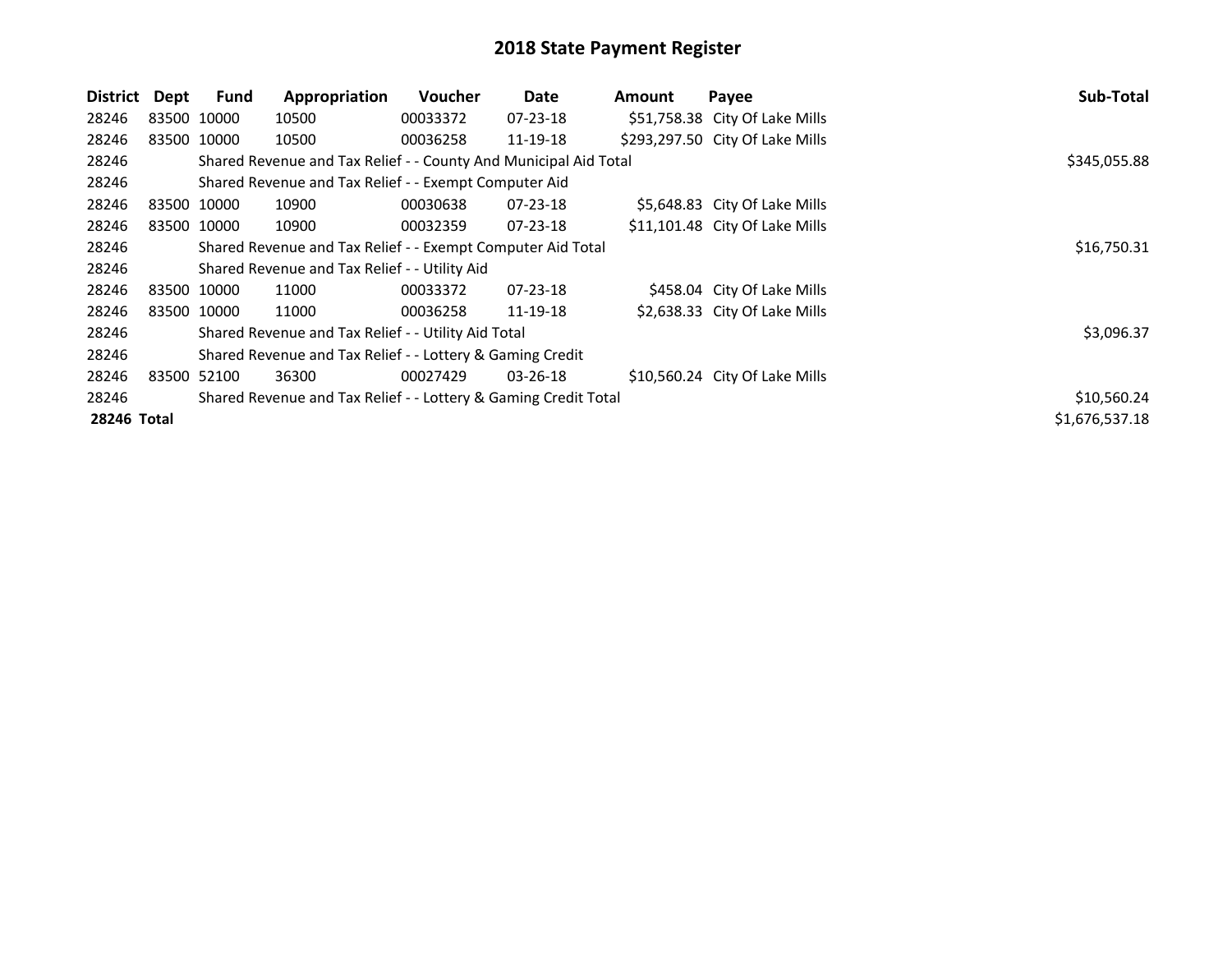| District    | Dept        | Fund        | Appropriation                                                    | <b>Voucher</b> | Date           | Amount | Payee                           | Sub-Total      |
|-------------|-------------|-------------|------------------------------------------------------------------|----------------|----------------|--------|---------------------------------|----------------|
| 28246       |             | 83500 10000 | 10500                                                            | 00033372       | 07-23-18       |        | \$51,758.38 City Of Lake Mills  |                |
| 28246       |             | 83500 10000 | 10500                                                            | 00036258       | 11-19-18       |        | \$293,297.50 City Of Lake Mills |                |
| 28246       |             |             | Shared Revenue and Tax Relief - - County And Municipal Aid Total |                |                |        |                                 | \$345,055.88   |
| 28246       |             |             | Shared Revenue and Tax Relief - - Exempt Computer Aid            |                |                |        |                                 |                |
| 28246       |             | 83500 10000 | 10900                                                            | 00030638       | $07 - 23 - 18$ |        | \$5,648.83 City Of Lake Mills   |                |
| 28246       |             | 83500 10000 | 10900                                                            | 00032359       | $07 - 23 - 18$ |        | \$11,101.48 City Of Lake Mills  |                |
| 28246       |             |             | Shared Revenue and Tax Relief - - Exempt Computer Aid Total      |                | \$16,750.31    |        |                                 |                |
| 28246       |             |             | Shared Revenue and Tax Relief - - Utility Aid                    |                |                |        |                                 |                |
| 28246       |             | 83500 10000 | 11000                                                            | 00033372       | $07 - 23 - 18$ |        | \$458.04 City Of Lake Mills     |                |
| 28246       |             | 83500 10000 | 11000                                                            | 00036258       | 11-19-18       |        | \$2,638.33 City Of Lake Mills   |                |
| 28246       |             |             | Shared Revenue and Tax Relief - - Utility Aid Total              |                |                |        |                                 | \$3,096.37     |
| 28246       |             |             | Shared Revenue and Tax Relief - - Lottery & Gaming Credit        |                |                |        |                                 |                |
| 28246       | 83500 52100 |             | 36300                                                            | 00027429       | $03 - 26 - 18$ |        | \$10,560.24 City Of Lake Mills  |                |
| 28246       |             |             | Shared Revenue and Tax Relief - - Lottery & Gaming Credit Total  |                |                |        |                                 | \$10,560.24    |
| 28246 Total |             |             |                                                                  |                |                |        |                                 | \$1,676,537.18 |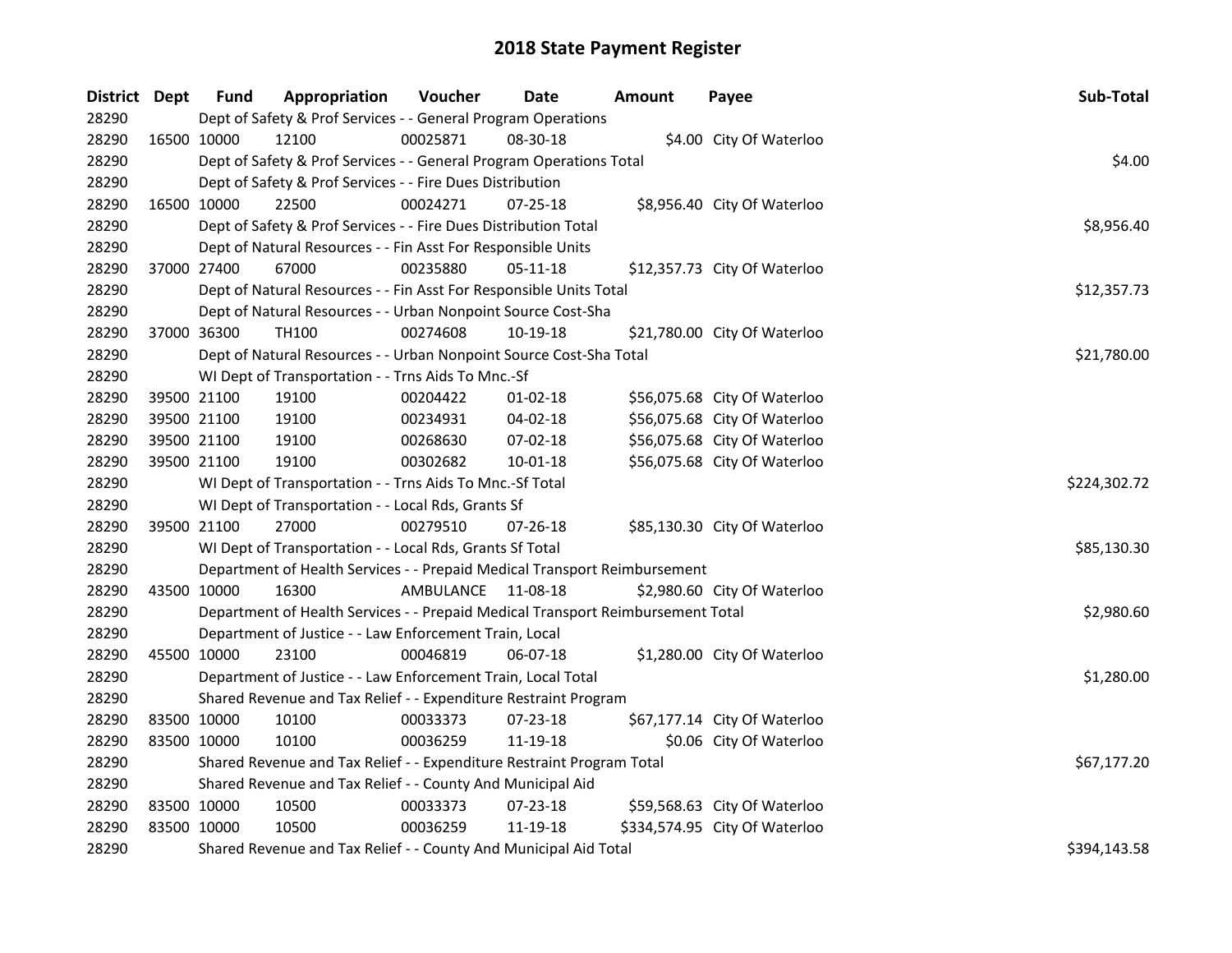| District Dept |             | <b>Fund</b> | Appropriation                                                                   | Voucher            | Date           | <b>Amount</b> | Payee                         | Sub-Total    |
|---------------|-------------|-------------|---------------------------------------------------------------------------------|--------------------|----------------|---------------|-------------------------------|--------------|
| 28290         |             |             | Dept of Safety & Prof Services - - General Program Operations                   |                    |                |               |                               |              |
| 28290         | 16500 10000 |             | 12100                                                                           | 00025871           | 08-30-18       |               | \$4.00 City Of Waterloo       |              |
| 28290         |             |             | Dept of Safety & Prof Services - - General Program Operations Total             |                    |                |               |                               | \$4.00       |
| 28290         |             |             | Dept of Safety & Prof Services - - Fire Dues Distribution                       |                    |                |               |                               |              |
| 28290         |             | 16500 10000 | 22500                                                                           | 00024271           | $07 - 25 - 18$ |               | \$8,956.40 City Of Waterloo   |              |
| 28290         |             |             | Dept of Safety & Prof Services - - Fire Dues Distribution Total                 |                    |                |               |                               | \$8,956.40   |
| 28290         |             |             | Dept of Natural Resources - - Fin Asst For Responsible Units                    |                    |                |               |                               |              |
| 28290         |             | 37000 27400 | 67000                                                                           | 00235880           | $05-11-18$     |               | \$12,357.73 City Of Waterloo  |              |
| 28290         |             |             | Dept of Natural Resources - - Fin Asst For Responsible Units Total              |                    |                |               |                               | \$12,357.73  |
| 28290         |             |             | Dept of Natural Resources - - Urban Nonpoint Source Cost-Sha                    |                    |                |               |                               |              |
| 28290         |             | 37000 36300 | <b>TH100</b>                                                                    | 00274608           | 10-19-18       |               | \$21,780.00 City Of Waterloo  |              |
| 28290         |             |             | Dept of Natural Resources - - Urban Nonpoint Source Cost-Sha Total              |                    |                |               |                               | \$21,780.00  |
| 28290         |             |             | WI Dept of Transportation - - Trns Aids To Mnc.-Sf                              |                    |                |               |                               |              |
| 28290         |             | 39500 21100 | 19100                                                                           | 00204422           | $01 - 02 - 18$ |               | \$56,075.68 City Of Waterloo  |              |
| 28290         |             | 39500 21100 | 19100                                                                           | 00234931           | 04-02-18       |               | \$56,075.68 City Of Waterloo  |              |
| 28290         |             | 39500 21100 | 19100                                                                           | 00268630           | 07-02-18       |               | \$56,075.68 City Of Waterloo  |              |
| 28290         |             | 39500 21100 | 19100                                                                           | 00302682           | $10 - 01 - 18$ |               | \$56,075.68 City Of Waterloo  |              |
| 28290         |             |             | WI Dept of Transportation - - Trns Aids To Mnc.-Sf Total                        |                    |                |               |                               | \$224,302.72 |
| 28290         |             |             | WI Dept of Transportation - - Local Rds, Grants Sf                              |                    |                |               |                               |              |
| 28290         |             | 39500 21100 | 27000                                                                           | 00279510           | 07-26-18       |               | \$85,130.30 City Of Waterloo  |              |
| 28290         |             |             | WI Dept of Transportation - - Local Rds, Grants Sf Total                        |                    |                |               |                               | \$85,130.30  |
| 28290         |             |             | Department of Health Services - - Prepaid Medical Transport Reimbursement       |                    |                |               |                               |              |
| 28290         |             | 43500 10000 | 16300                                                                           | AMBULANCE 11-08-18 |                |               | \$2,980.60 City Of Waterloo   |              |
| 28290         |             |             | Department of Health Services - - Prepaid Medical Transport Reimbursement Total |                    |                |               |                               | \$2,980.60   |
| 28290         |             |             | Department of Justice - - Law Enforcement Train, Local                          |                    |                |               |                               |              |
| 28290         |             | 45500 10000 | 23100                                                                           | 00046819           | 06-07-18       |               | \$1,280.00 City Of Waterloo   |              |
| 28290         |             |             | Department of Justice - - Law Enforcement Train, Local Total                    |                    |                |               |                               | \$1,280.00   |
| 28290         |             |             | Shared Revenue and Tax Relief - - Expenditure Restraint Program                 |                    |                |               |                               |              |
| 28290         |             | 83500 10000 | 10100                                                                           | 00033373           | 07-23-18       |               | \$67,177.14 City Of Waterloo  |              |
| 28290         | 83500 10000 |             | 10100                                                                           | 00036259           | 11-19-18       |               | \$0.06 City Of Waterloo       |              |
| 28290         |             |             | Shared Revenue and Tax Relief - - Expenditure Restraint Program Total           |                    |                |               |                               | \$67,177.20  |
| 28290         |             |             | Shared Revenue and Tax Relief - - County And Municipal Aid                      |                    |                |               |                               |              |
| 28290         |             | 83500 10000 | 10500                                                                           | 00033373           | 07-23-18       |               | \$59,568.63 City Of Waterloo  |              |
| 28290         |             | 83500 10000 | 10500                                                                           | 00036259           | 11-19-18       |               | \$334,574.95 City Of Waterloo |              |
| 28290         |             |             | Shared Revenue and Tax Relief - - County And Municipal Aid Total                |                    |                |               |                               | \$394,143.58 |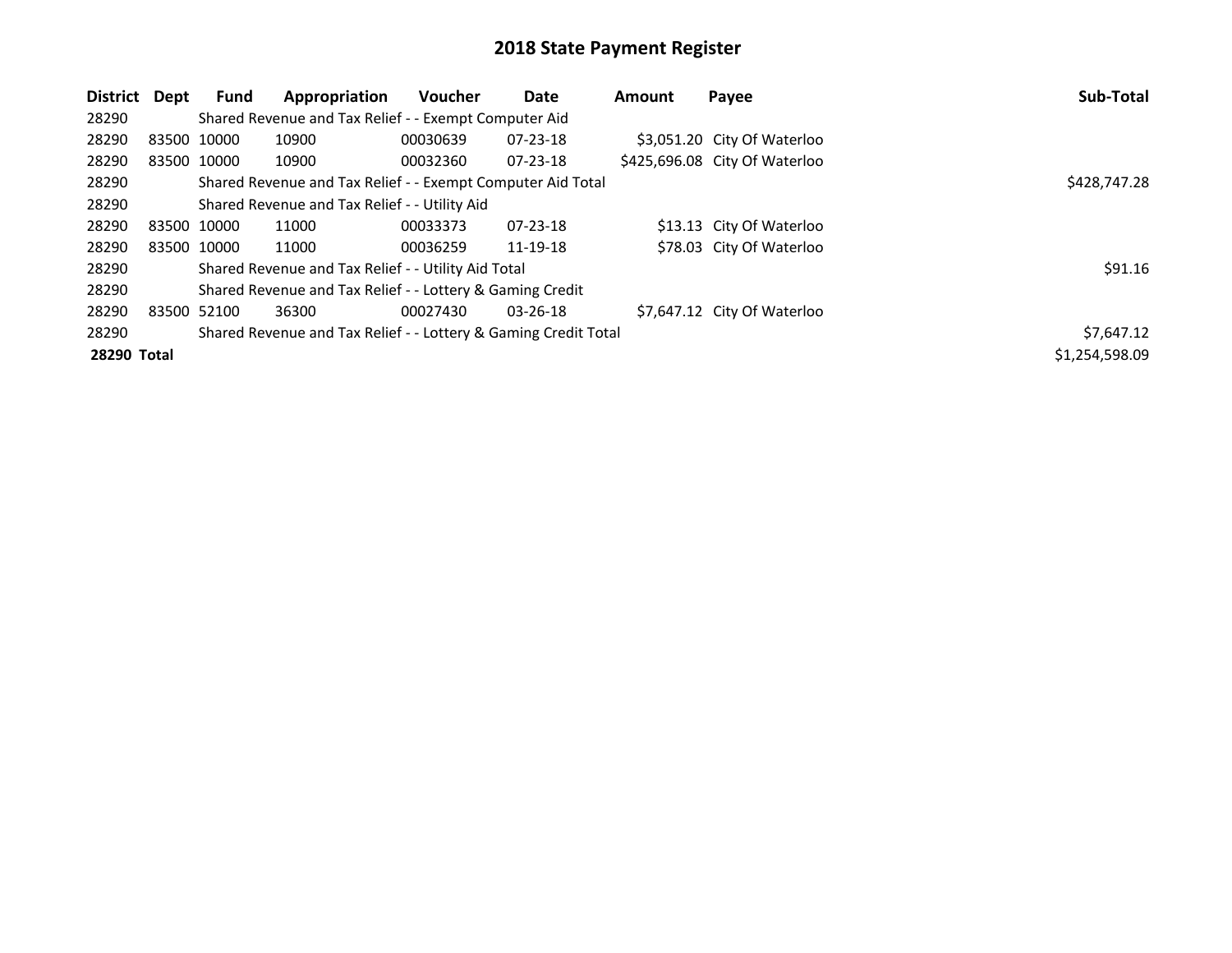| District Dept |             | Fund        | Appropriation                                                   | <b>Voucher</b> | Date           | <b>Amount</b> | Payee                         | Sub-Total      |
|---------------|-------------|-------------|-----------------------------------------------------------------|----------------|----------------|---------------|-------------------------------|----------------|
| 28290         |             |             | Shared Revenue and Tax Relief - - Exempt Computer Aid           |                |                |               |                               |                |
| 28290         | 83500 10000 |             | 10900                                                           | 00030639       | $07 - 23 - 18$ |               | \$3,051.20 City Of Waterloo   |                |
| 28290         | 83500 10000 |             | 10900                                                           | 00032360       | $07 - 23 - 18$ |               | \$425,696.08 City Of Waterloo |                |
| 28290         |             |             | Shared Revenue and Tax Relief - - Exempt Computer Aid Total     |                | \$428,747.28   |               |                               |                |
| 28290         |             |             | Shared Revenue and Tax Relief - - Utility Aid                   |                |                |               |                               |                |
| 28290         | 83500 10000 |             | 11000                                                           | 00033373       | $07 - 23 - 18$ |               | \$13.13 City Of Waterloo      |                |
| 28290         |             | 83500 10000 | 11000                                                           | 00036259       | 11-19-18       |               | \$78.03 City Of Waterloo      |                |
| 28290         |             |             | Shared Revenue and Tax Relief - - Utility Aid Total             |                |                |               |                               | \$91.16        |
| 28290         |             |             | Shared Revenue and Tax Relief - - Lottery & Gaming Credit       |                |                |               |                               |                |
| 28290         | 83500 52100 |             | 36300                                                           | 00027430       | $03 - 26 - 18$ |               | \$7,647.12 City Of Waterloo   |                |
| 28290         |             |             | Shared Revenue and Tax Relief - - Lottery & Gaming Credit Total | \$7,647.12     |                |               |                               |                |
| 28290 Total   |             |             |                                                                 |                |                |               |                               | \$1,254,598.09 |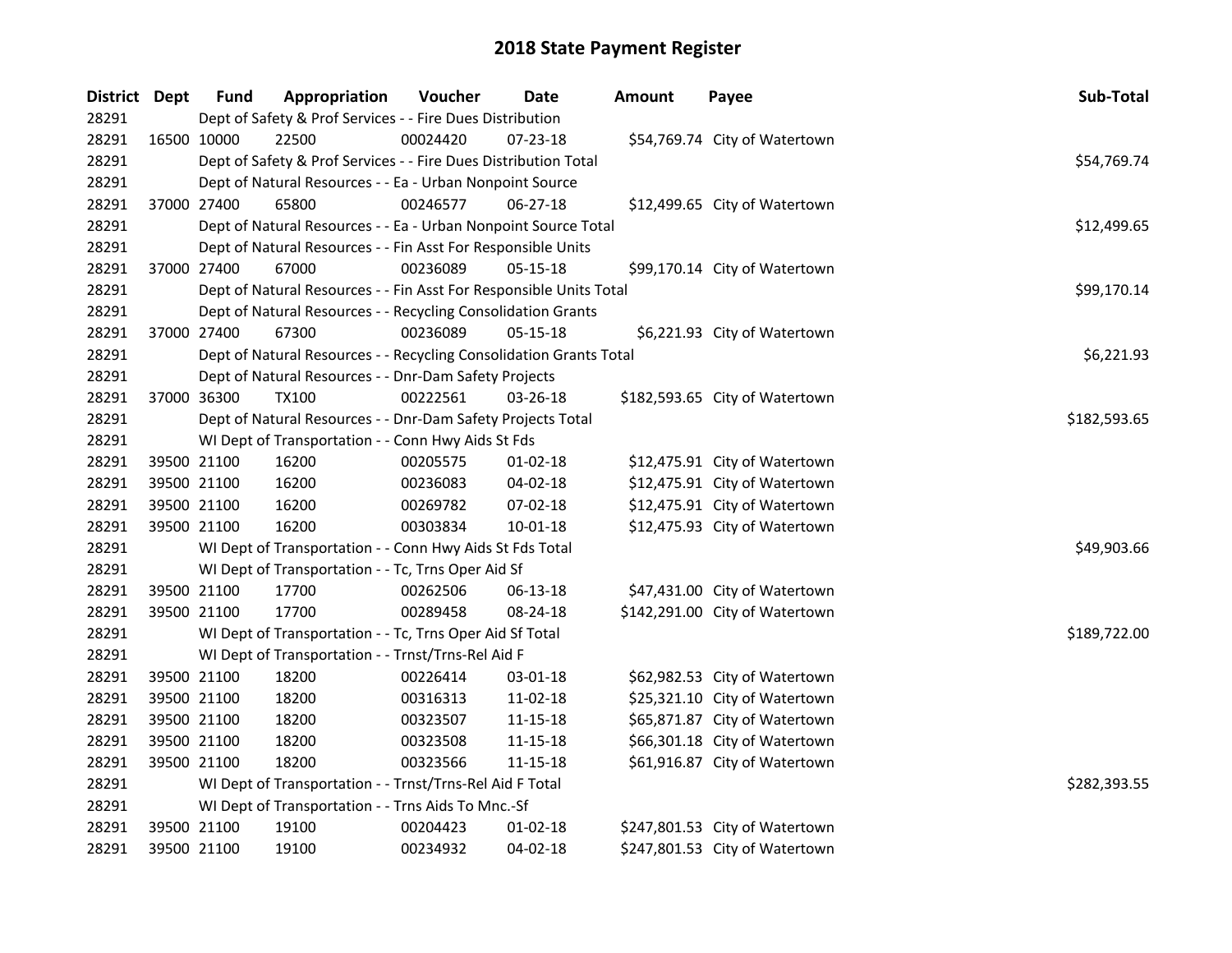| District Dept |             | <b>Fund</b> | Appropriation                                                      | Voucher  | <b>Date</b>    | <b>Amount</b> | Payee                          | Sub-Total    |
|---------------|-------------|-------------|--------------------------------------------------------------------|----------|----------------|---------------|--------------------------------|--------------|
| 28291         |             |             | Dept of Safety & Prof Services - - Fire Dues Distribution          |          |                |               |                                |              |
| 28291         | 16500 10000 |             | 22500                                                              | 00024420 | 07-23-18       |               | \$54,769.74 City of Watertown  |              |
| 28291         |             |             | Dept of Safety & Prof Services - - Fire Dues Distribution Total    |          |                |               |                                | \$54,769.74  |
| 28291         |             |             | Dept of Natural Resources - - Ea - Urban Nonpoint Source           |          |                |               |                                |              |
| 28291         |             | 37000 27400 | 65800                                                              | 00246577 | $06 - 27 - 18$ |               | \$12,499.65 City of Watertown  |              |
| 28291         |             |             | Dept of Natural Resources - - Ea - Urban Nonpoint Source Total     |          |                |               |                                | \$12,499.65  |
| 28291         |             |             | Dept of Natural Resources - - Fin Asst For Responsible Units       |          |                |               |                                |              |
| 28291         |             | 37000 27400 | 67000                                                              | 00236089 | $05 - 15 - 18$ |               | \$99,170.14 City of Watertown  |              |
| 28291         |             |             | Dept of Natural Resources - - Fin Asst For Responsible Units Total |          |                |               |                                | \$99,170.14  |
| 28291         |             |             | Dept of Natural Resources - - Recycling Consolidation Grants       |          |                |               |                                |              |
| 28291         |             | 37000 27400 | 67300                                                              | 00236089 | $05 - 15 - 18$ |               | \$6,221.93 City of Watertown   |              |
| 28291         |             |             | Dept of Natural Resources - - Recycling Consolidation Grants Total |          |                |               |                                | \$6,221.93   |
| 28291         |             |             | Dept of Natural Resources - - Dnr-Dam Safety Projects              |          |                |               |                                |              |
| 28291         | 37000 36300 |             | <b>TX100</b>                                                       | 00222561 | 03-26-18       |               | \$182,593.65 City of Watertown |              |
| 28291         |             |             | Dept of Natural Resources - - Dnr-Dam Safety Projects Total        |          |                |               |                                | \$182,593.65 |
| 28291         |             |             | WI Dept of Transportation - - Conn Hwy Aids St Fds                 |          |                |               |                                |              |
| 28291         | 39500 21100 |             | 16200                                                              | 00205575 | $01 - 02 - 18$ |               | \$12,475.91 City of Watertown  |              |
| 28291         |             | 39500 21100 | 16200                                                              | 00236083 | $04 - 02 - 18$ |               | \$12,475.91 City of Watertown  |              |
| 28291         |             | 39500 21100 | 16200                                                              | 00269782 | 07-02-18       |               | \$12,475.91 City of Watertown  |              |
| 28291         | 39500 21100 |             | 16200                                                              | 00303834 | $10 - 01 - 18$ |               | \$12,475.93 City of Watertown  |              |
| 28291         |             |             | WI Dept of Transportation - - Conn Hwy Aids St Fds Total           |          |                |               |                                | \$49,903.66  |
| 28291         |             |             | WI Dept of Transportation - - Tc, Trns Oper Aid Sf                 |          |                |               |                                |              |
| 28291         | 39500 21100 |             | 17700                                                              | 00262506 | 06-13-18       |               | \$47,431.00 City of Watertown  |              |
| 28291         | 39500 21100 |             | 17700                                                              | 00289458 | 08-24-18       |               | \$142,291.00 City of Watertown |              |
| 28291         |             |             | WI Dept of Transportation - - Tc, Trns Oper Aid Sf Total           |          |                |               |                                | \$189,722.00 |
| 28291         |             |             | WI Dept of Transportation - - Trnst/Trns-Rel Aid F                 |          |                |               |                                |              |
| 28291         | 39500 21100 |             | 18200                                                              | 00226414 | 03-01-18       |               | \$62,982.53 City of Watertown  |              |
| 28291         |             | 39500 21100 | 18200                                                              | 00316313 | 11-02-18       |               | \$25,321.10 City of Watertown  |              |
| 28291         |             | 39500 21100 | 18200                                                              | 00323507 | 11-15-18       |               | \$65,871.87 City of Watertown  |              |
| 28291         |             | 39500 21100 | 18200                                                              | 00323508 | 11-15-18       |               | \$66,301.18 City of Watertown  |              |
| 28291         | 39500 21100 |             | 18200                                                              | 00323566 | 11-15-18       |               | \$61,916.87 City of Watertown  |              |
| 28291         |             |             | WI Dept of Transportation - - Trnst/Trns-Rel Aid F Total           |          | \$282,393.55   |               |                                |              |
| 28291         |             |             | WI Dept of Transportation - - Trns Aids To Mnc.-Sf                 |          |                |               |                                |              |
| 28291         |             | 39500 21100 | 19100                                                              | 00204423 | 01-02-18       |               | \$247,801.53 City of Watertown |              |
| 28291         | 39500 21100 |             | 19100                                                              | 00234932 | 04-02-18       |               | \$247,801.53 City of Watertown |              |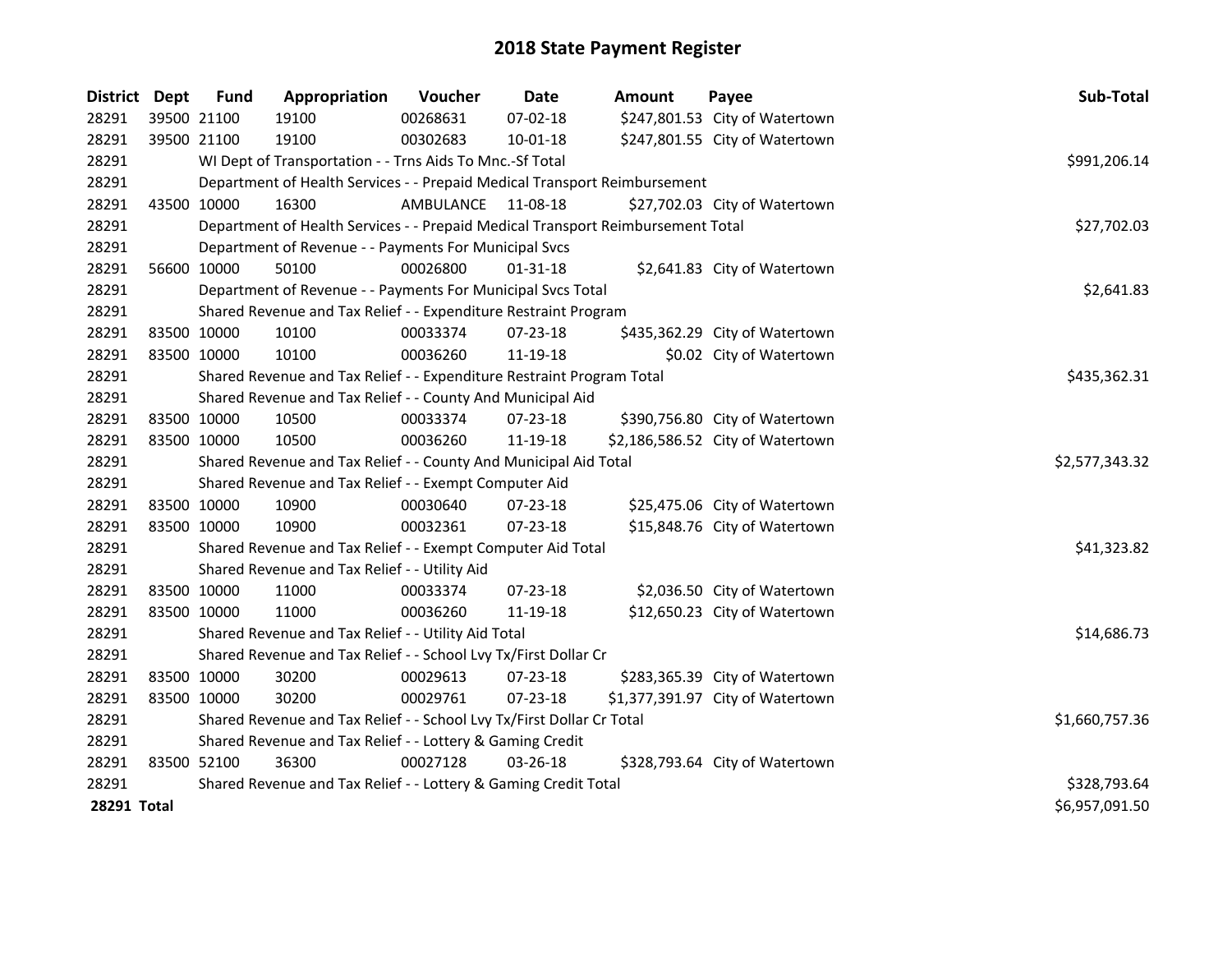| District Dept | <b>Fund</b>                                               | Appropriation                                                                   | Voucher        | Date           | <b>Amount</b> | Payee                            | Sub-Total      |
|---------------|-----------------------------------------------------------|---------------------------------------------------------------------------------|----------------|----------------|---------------|----------------------------------|----------------|
| 28291         | 39500 21100                                               | 19100                                                                           | 00268631       | 07-02-18       |               | \$247,801.53 City of Watertown   |                |
| 28291         | 39500 21100                                               | 19100                                                                           | 00302683       | $10 - 01 - 18$ |               | \$247,801.55 City of Watertown   |                |
| 28291         |                                                           | WI Dept of Transportation - - Trns Aids To Mnc.-Sf Total                        | \$991,206.14   |                |               |                                  |                |
| 28291         |                                                           | Department of Health Services - - Prepaid Medical Transport Reimbursement       |                |                |               |                                  |                |
| 28291         | 43500 10000                                               | 16300                                                                           | AMBULANCE      | 11-08-18       |               | \$27,702.03 City of Watertown    |                |
| 28291         |                                                           | Department of Health Services - - Prepaid Medical Transport Reimbursement Total |                |                |               |                                  | \$27,702.03    |
| 28291         |                                                           | Department of Revenue - - Payments For Municipal Svcs                           |                |                |               |                                  |                |
| 28291         | 56600 10000                                               | 50100                                                                           | 00026800       | $01 - 31 - 18$ |               | \$2,641.83 City of Watertown     |                |
| 28291         |                                                           | Department of Revenue - - Payments For Municipal Svcs Total                     |                |                |               |                                  | \$2,641.83     |
| 28291         |                                                           | Shared Revenue and Tax Relief - - Expenditure Restraint Program                 |                |                |               |                                  |                |
| 28291         | 83500 10000                                               | 10100                                                                           | 00033374       | 07-23-18       |               | \$435,362.29 City of Watertown   |                |
| 28291         | 83500 10000                                               | 10100                                                                           | 00036260       | 11-19-18       |               | \$0.02 City of Watertown         |                |
| 28291         |                                                           | Shared Revenue and Tax Relief - - Expenditure Restraint Program Total           |                |                |               |                                  | \$435,362.31   |
| 28291         |                                                           | Shared Revenue and Tax Relief - - County And Municipal Aid                      |                |                |               |                                  |                |
| 28291         | 83500 10000                                               | 10500                                                                           | 00033374       | 07-23-18       |               | \$390,756.80 City of Watertown   |                |
| 28291         | 83500 10000                                               | 10500                                                                           | 00036260       | 11-19-18       |               | \$2,186,586.52 City of Watertown |                |
| 28291         |                                                           | Shared Revenue and Tax Relief - - County And Municipal Aid Total                | \$2,577,343.32 |                |               |                                  |                |
| 28291         |                                                           | Shared Revenue and Tax Relief - - Exempt Computer Aid                           |                |                |               |                                  |                |
| 28291         | 83500 10000                                               | 10900                                                                           | 00030640       | 07-23-18       |               | \$25,475.06 City of Watertown    |                |
| 28291         | 83500 10000                                               | 10900                                                                           | 00032361       | 07-23-18       |               | \$15,848.76 City of Watertown    |                |
| 28291         |                                                           | Shared Revenue and Tax Relief - - Exempt Computer Aid Total                     | \$41,323.82    |                |               |                                  |                |
| 28291         |                                                           | Shared Revenue and Tax Relief - - Utility Aid                                   |                |                |               |                                  |                |
| 28291         | 83500 10000                                               | 11000                                                                           | 00033374       | $07 - 23 - 18$ |               | \$2,036.50 City of Watertown     |                |
| 28291         | 83500 10000                                               | 11000                                                                           | 00036260       | 11-19-18       |               | \$12,650.23 City of Watertown    |                |
| 28291         | Shared Revenue and Tax Relief - - Utility Aid Total       | \$14,686.73                                                                     |                |                |               |                                  |                |
| 28291         |                                                           | Shared Revenue and Tax Relief - - School Lvy Tx/First Dollar Cr                 |                |                |               |                                  |                |
| 28291         | 83500 10000                                               | 30200                                                                           | 00029613       | 07-23-18       |               | \$283,365.39 City of Watertown   |                |
| 28291         | 83500 10000                                               | 30200                                                                           | 00029761       | 07-23-18       |               | \$1,377,391.97 City of Watertown |                |
| 28291         |                                                           | Shared Revenue and Tax Relief - - School Lvy Tx/First Dollar Cr Total           | \$1,660,757.36 |                |               |                                  |                |
| 28291         | Shared Revenue and Tax Relief - - Lottery & Gaming Credit |                                                                                 |                |                |               |                                  |                |
| 28291         | 83500 52100                                               | 36300                                                                           | 00027128       | 03-26-18       |               | \$328,793.64 City of Watertown   |                |
| 28291         |                                                           | Shared Revenue and Tax Relief - - Lottery & Gaming Credit Total                 |                |                |               |                                  | \$328,793.64   |
| 28291 Total   |                                                           |                                                                                 |                |                |               |                                  | \$6,957,091.50 |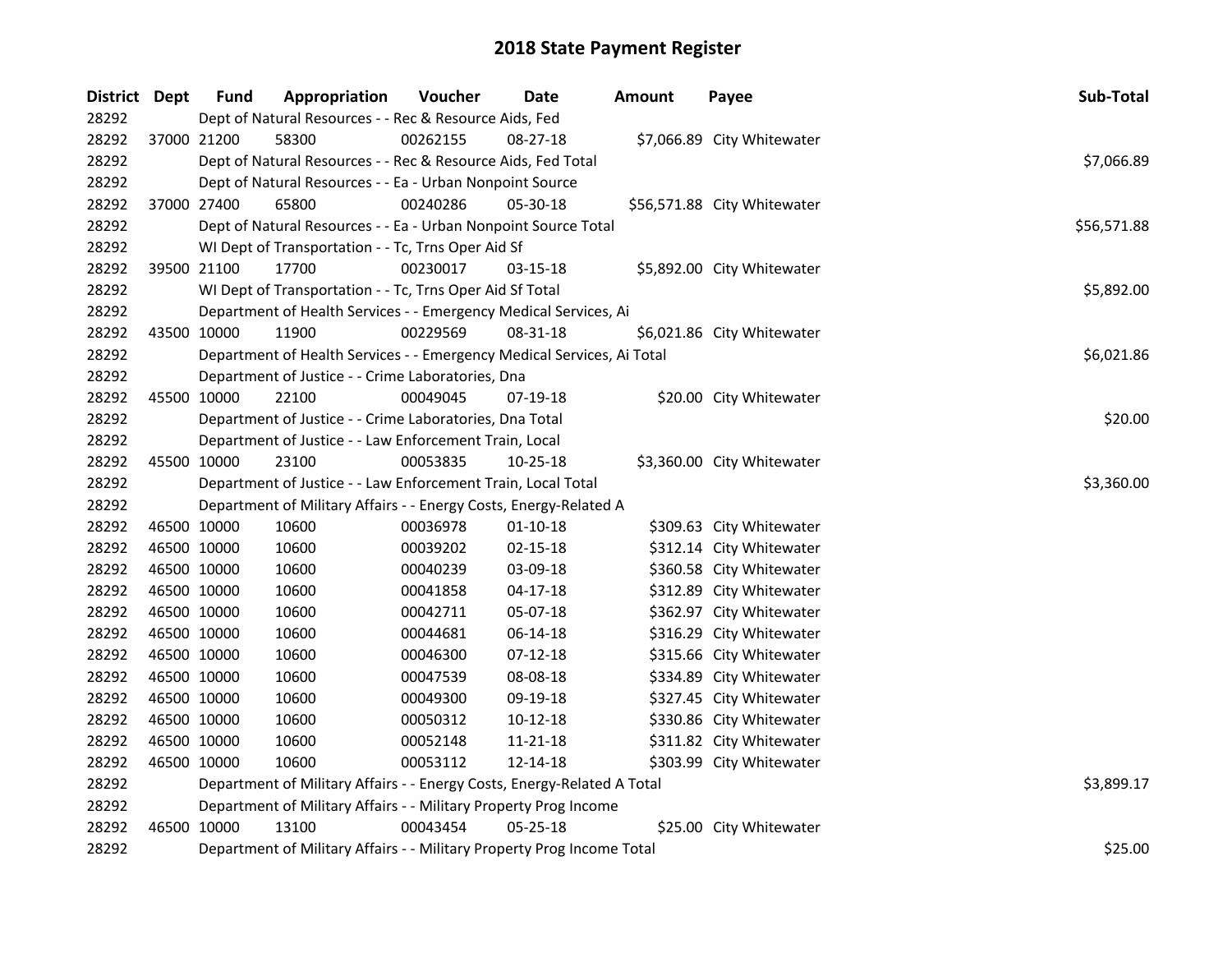| <b>District</b> | Dept        | <b>Fund</b>                                                             | Appropriation                                                          | Voucher  | <b>Date</b>    | <b>Amount</b> | Payee                       | Sub-Total  |  |  |
|-----------------|-------------|-------------------------------------------------------------------------|------------------------------------------------------------------------|----------|----------------|---------------|-----------------------------|------------|--|--|
| 28292           |             | Dept of Natural Resources - - Rec & Resource Aids, Fed                  |                                                                        |          |                |               |                             |            |  |  |
| 28292           | 37000 21200 |                                                                         | 58300                                                                  | 00262155 | 08-27-18       |               | \$7,066.89 City Whitewater  |            |  |  |
| 28292           |             | Dept of Natural Resources - - Rec & Resource Aids, Fed Total            |                                                                        |          |                |               |                             |            |  |  |
| 28292           |             | Dept of Natural Resources - - Ea - Urban Nonpoint Source                |                                                                        |          |                |               |                             |            |  |  |
| 28292           |             | 37000 27400                                                             | 65800                                                                  | 00240286 | $05 - 30 - 18$ |               | \$56,571.88 City Whitewater |            |  |  |
| 28292           |             |                                                                         | Dept of Natural Resources - - Ea - Urban Nonpoint Source Total         |          |                |               |                             |            |  |  |
| 28292           |             |                                                                         | WI Dept of Transportation - - Tc, Trns Oper Aid Sf                     |          |                |               |                             |            |  |  |
| 28292           | 39500 21100 |                                                                         | 17700                                                                  | 00230017 | 03-15-18       |               | \$5,892.00 City Whitewater  |            |  |  |
| 28292           |             |                                                                         | WI Dept of Transportation - - Tc, Trns Oper Aid Sf Total               |          |                |               |                             | \$5,892.00 |  |  |
| 28292           |             |                                                                         | Department of Health Services - - Emergency Medical Services, Ai       |          |                |               |                             |            |  |  |
| 28292           | 43500 10000 |                                                                         | 11900                                                                  | 00229569 | 08-31-18       |               | \$6,021.86 City Whitewater  |            |  |  |
| 28292           |             |                                                                         | Department of Health Services - - Emergency Medical Services, Ai Total |          |                |               |                             | \$6,021.86 |  |  |
| 28292           |             |                                                                         | Department of Justice - - Crime Laboratories, Dna                      |          |                |               |                             |            |  |  |
| 28292           | 45500 10000 |                                                                         | 22100                                                                  | 00049045 | 07-19-18       |               | \$20.00 City Whitewater     |            |  |  |
| 28292           |             | Department of Justice - - Crime Laboratories, Dna Total                 | \$20.00                                                                |          |                |               |                             |            |  |  |
| 28292           |             |                                                                         | Department of Justice - - Law Enforcement Train, Local                 |          |                |               |                             |            |  |  |
| 28292           | 45500 10000 |                                                                         | 23100                                                                  | 00053835 | 10-25-18       |               | \$3,360.00 City Whitewater  |            |  |  |
| 28292           |             | Department of Justice - - Law Enforcement Train, Local Total            | \$3,360.00                                                             |          |                |               |                             |            |  |  |
| 28292           |             | Department of Military Affairs - - Energy Costs, Energy-Related A       |                                                                        |          |                |               |                             |            |  |  |
| 28292           | 46500 10000 |                                                                         | 10600                                                                  | 00036978 | $01 - 10 - 18$ |               | \$309.63 City Whitewater    |            |  |  |
| 28292           | 46500 10000 |                                                                         | 10600                                                                  | 00039202 | $02 - 15 - 18$ |               | \$312.14 City Whitewater    |            |  |  |
| 28292           | 46500 10000 |                                                                         | 10600                                                                  | 00040239 | 03-09-18       |               | \$360.58 City Whitewater    |            |  |  |
| 28292           | 46500 10000 |                                                                         | 10600                                                                  | 00041858 | $04 - 17 - 18$ |               | \$312.89 City Whitewater    |            |  |  |
| 28292           | 46500 10000 |                                                                         | 10600                                                                  | 00042711 | 05-07-18       |               | \$362.97 City Whitewater    |            |  |  |
| 28292           | 46500 10000 |                                                                         | 10600                                                                  | 00044681 | 06-14-18       |               | \$316.29 City Whitewater    |            |  |  |
| 28292           | 46500 10000 |                                                                         | 10600                                                                  | 00046300 | $07-12-18$     |               | \$315.66 City Whitewater    |            |  |  |
| 28292           | 46500 10000 |                                                                         | 10600                                                                  | 00047539 | 08-08-18       |               | \$334.89 City Whitewater    |            |  |  |
| 28292           | 46500 10000 |                                                                         | 10600                                                                  | 00049300 | 09-19-18       |               | \$327.45 City Whitewater    |            |  |  |
| 28292           | 46500 10000 |                                                                         | 10600                                                                  | 00050312 | $10-12-18$     |               | \$330.86 City Whitewater    |            |  |  |
| 28292           | 46500 10000 |                                                                         | 10600                                                                  | 00052148 | 11-21-18       |               | \$311.82 City Whitewater    |            |  |  |
| 28292           | 46500 10000 |                                                                         | 10600                                                                  | 00053112 | 12-14-18       |               | \$303.99 City Whitewater    |            |  |  |
| 28292           |             | Department of Military Affairs - - Energy Costs, Energy-Related A Total | \$3,899.17                                                             |          |                |               |                             |            |  |  |
| 28292           |             | Department of Military Affairs - - Military Property Prog Income        |                                                                        |          |                |               |                             |            |  |  |
| 28292           | 46500 10000 |                                                                         | 13100                                                                  | 00043454 | 05-25-18       |               | \$25.00 City Whitewater     |            |  |  |
| 28292           |             | Department of Military Affairs - - Military Property Prog Income Total  | \$25.00                                                                |          |                |               |                             |            |  |  |